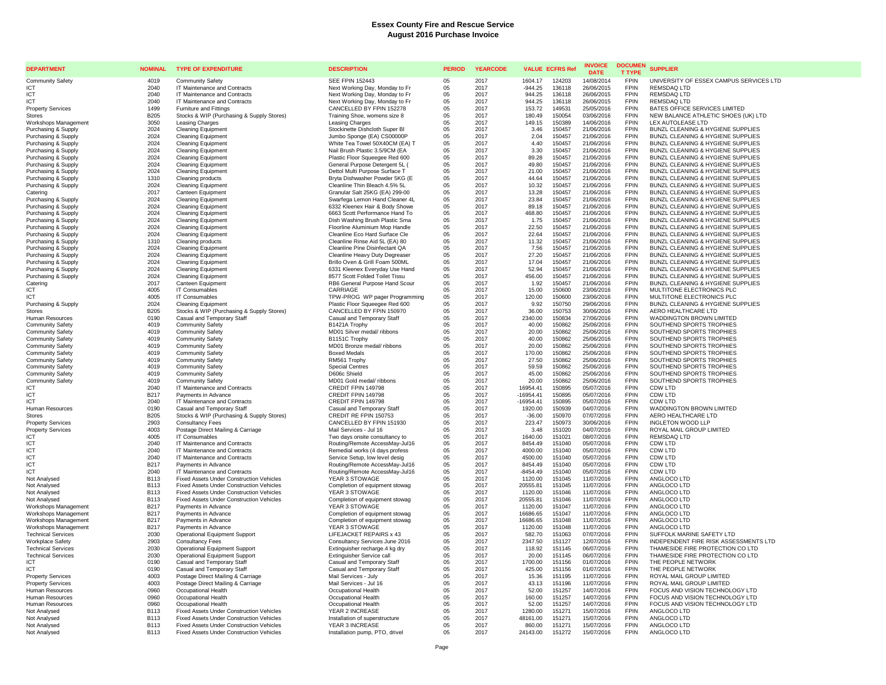| <b>DEPARTMENT</b>                                  | <b>NOMINAL</b>             | <b>TYPE OF EXPENDITURE</b>                                                                         | <b>DESCRIPTION</b>                                               | <b>PERIOD</b> | <b>YEARCODE</b> | <b>VALUE ECFRS Ref</b> |                  | <b>INVOICE</b><br><b>DATE</b> | <b>DOCUMEN</b><br><b>T TYPE</b> | <b>SUPPLIER</b>                                                           |
|----------------------------------------------------|----------------------------|----------------------------------------------------------------------------------------------------|------------------------------------------------------------------|---------------|-----------------|------------------------|------------------|-------------------------------|---------------------------------|---------------------------------------------------------------------------|
| <b>Community Safety</b>                            | 4019                       | Community Safety                                                                                   | <b>SEE FPIN 152443</b>                                           | 05            | 2017            | 1604.17                | 124203           | 14/08/2014                    | <b>FPIN</b>                     | UNIVERSITY OF ESSEX CAMPUS SERVICES LTD                                   |
| ICT                                                | 2040                       | IT Maintenance and Contracts                                                                       | Next Working Day, Monday to Fr                                   | 05            | 2017            | $-944.25$              | 136118           | 26/06/2015                    | <b>FPIN</b>                     | REMSDAQ LTD                                                               |
| ICT                                                | 2040                       | IT Maintenance and Contracts                                                                       | Next Working Day, Monday to Fr                                   | 05            | 2017            | 944.25                 | 136118           | 26/06/2015                    | <b>FPIN</b>                     | REMSDAQ LTD                                                               |
| ICT                                                | 2040                       | IT Maintenance and Contracts                                                                       | Next Working Day, Monday to Fr                                   | 05            | 2017            | 944.25                 | 136118           | 26/06/2015                    | <b>FPIN</b>                     | REMSDAQ LTD                                                               |
| <b>Property Services</b>                           | 1499                       | Furniture and Fittings                                                                             | CANCELLED BY FPIN 152278                                         | 05            | 2017            | 153.72                 | 149531           | 25/05/2016                    | <b>FPIN</b><br><b>FPIN</b>      | BATES OFFICE SERVICES LIMITED                                             |
| Stores<br>Workshops Management                     | <b>B205</b><br>3050        | Stocks & WIP (Purchasing & Supply Stores)<br><b>Leasing Charges</b>                                | Training Shoe, womens size 8<br><b>Leasing Charges</b>           | 05<br>05      | 2017<br>2017    | 180.49<br>149.15       | 150054<br>150389 | 03/06/2016<br>14/06/2016      | <b>FPIN</b>                     | NEW BALANCE ATHLETIC SHOES (UK) LTD<br>LEX AUTOLEASE LTD                  |
| Purchasing & Supply                                | 2024                       | <b>Cleaning Equipment</b>                                                                          | Stockinette Dishcloth Super BI                                   | 05            | 2017            | 3.46                   | 150457           | 21/06/2016                    | <b>FPIN</b>                     | BUNZL CLEANING & HYGIENE SUPPLIES                                         |
| Purchasing & Supply                                | 2024                       | <b>Cleaning Equipment</b>                                                                          | Jumbo Sponge (EA) CS00000P                                       | 05            | 2017            | 2.04                   | 150457           | 21/06/2016                    | <b>FPIN</b>                     | BUNZL CLEANING & HYGIENE SUPPLIES                                         |
| Purchasing & Supply                                | 2024                       | <b>Cleaning Equipment</b>                                                                          | White Tea Towel 50X40CM (EA) T                                   | 05            | 2017            | 4.40                   | 150457           | 21/06/2016                    | <b>FPIN</b>                     | BUNZL CLEANING & HYGIENE SUPPLIES                                         |
| Purchasing & Supply                                | 2024                       | <b>Cleaning Equipment</b>                                                                          | Nail Brush Plastic 3.5/9CM (EA                                   | 05            | 2017            | 3.30                   | 150457           | 21/06/2016                    | <b>FPIN</b>                     | BUNZL CLEANING & HYGIENE SUPPLIES                                         |
| Purchasing & Supply                                | 2024                       | Cleaning Equipment                                                                                 | Plastic Floor Squeeqee Red 600                                   | 05            | 2017            | 89.28                  | 150457           | 21/06/2016                    | <b>FPIN</b>                     | BUNZL CLEANING & HYGIENE SUPPLIES                                         |
| Purchasing & Supply                                | 2024                       | <b>Cleaning Equipment</b>                                                                          | General Purpose Detergent 5L (                                   | 05            | 2017            | 49.80                  | 150457           | 21/06/2016                    | <b>FPIN</b>                     | BUNZL CLEANING & HYGIENE SUPPLIES                                         |
| Purchasing & Supply                                | 2024                       | <b>Cleaning Equipment</b>                                                                          | Dettol Multi Purpose Surface T                                   | 05            | 2017            | 21.00                  | 150457           | 21/06/2016                    | <b>FPIN</b>                     | BUNZL CLEANING & HYGIENE SUPPLIES                                         |
| Purchasing & Supply                                | 1310                       | Cleaning products                                                                                  | Bryta Dishwasher Powder 5KG (E                                   | 05            | 2017            | 44.64                  | 150457           | 21/06/2016                    | <b>FPIN</b>                     | BUNZL CLEANING & HYGIENE SUPPLIES                                         |
| Purchasing & Supply                                | 2024                       | <b>Cleaning Equipment</b>                                                                          | Cleanline Thin Bleach 4.5% 5L                                    | 05            | 2017            | 10.32                  | 150457<br>150457 | 21/06/2016                    | <b>FPIN</b><br><b>FPIN</b>      | BUNZL CLEANING & HYGIENE SUPPLIES                                         |
| Catering<br>Purchasing & Supply                    | 2017<br>2024               | Canteen Equipment<br><b>Cleaning Equipment</b>                                                     | Granular Salt 25KG (EA) 299-00<br>Swarfega Lemon Hand Cleaner 4L | 05<br>05      | 2017<br>2017    | 13.28<br>23.84         | 150457           | 21/06/2016<br>21/06/2016      | <b>FPIN</b>                     | BUNZL CLEANING & HYGIENE SUPPLIES<br>BUNZL CLEANING & HYGIENE SUPPLIES    |
| Purchasing & Supply                                | 2024                       | <b>Cleaning Equipment</b>                                                                          | 6332 Kleenex Hair & Body Showe                                   | 05            | 2017            | 89.18                  | 150457           | 21/06/2016                    | <b>FPIN</b>                     | BUNZL CLEANING & HYGIENE SUPPLIES                                         |
| Purchasing & Supply                                | 2024                       | Cleaning Equipment                                                                                 | 6663 Scott Performance Hand To                                   | 05            | 2017            | 468.80                 | 150457           | 21/06/2016                    | <b>FPIN</b>                     | BUNZL CLEANING & HYGIENE SUPPLIES                                         |
| Purchasing & Supply                                | 2024                       | <b>Cleaning Equipment</b>                                                                          | Dish Washing Brush Plastic Sma                                   | 05            | 2017            | 1.75                   | 150457           | 21/06/2016                    | <b>FPIN</b>                     | BUNZL CLEANING & HYGIENE SUPPLIES                                         |
| Purchasing & Supply                                | 2024                       | <b>Cleaning Equipment</b>                                                                          | Floorline Aluminium Mop Handle                                   | 05            | 2017            | 22.50                  | 150457           | 21/06/2016                    | <b>FPIN</b>                     | BUNZL CLEANING & HYGIENE SUPPLIES                                         |
| Purchasing & Supply                                | 2024                       | Cleaning Equipment                                                                                 | Cleanline Eco Hard Surface Cle                                   | 05            | 2017            | 22.64                  | 150457           | 21/06/2016                    | <b>FPIN</b>                     | BUNZL CLEANING & HYGIENE SUPPLIES                                         |
| Purchasing & Supply                                | 1310                       | Cleaning products                                                                                  | Cleanline Rinse Aid 5L (EA) 80                                   | 05            | 2017            | 11.32                  | 150457           | 21/06/2016                    | <b>FPIN</b>                     | BUNZL CLEANING & HYGIENE SUPPLIES                                         |
| Purchasing & Supply                                | 2024                       | <b>Cleaning Equipment</b>                                                                          | Cleanline Pine Disinfectant QA                                   | 05            | 2017            | 7.56                   | 150457           | 21/06/2016                    | <b>FPIN</b>                     | BUNZL CLEANING & HYGIENE SUPPLIES                                         |
| Purchasing & Supply                                | 2024                       | Cleaning Equipment                                                                                 | Cleanline Heavy Duty Degreaser                                   | 05            | 2017            | 27.20                  | 150457           | 21/06/2016                    | <b>FPIN</b>                     | BUNZL CLEANING & HYGIENE SUPPLIES                                         |
| Purchasing & Supply<br>Purchasing & Supply         | 2024<br>2024               | <b>Cleaning Equipment</b><br>Cleaning Equipment                                                    | Brillo Oven & Grill Foam 500ML<br>6331 Kleenex Everyday Use Hand | 05<br>05      | 2017<br>2017    | 17.04<br>52.94         | 150457<br>150457 | 21/06/2016<br>21/06/2016      | <b>FPIN</b><br><b>FPIN</b>      | BUNZL CLEANING & HYGIENE SUPPLIES<br>BUNZL CLEANING & HYGIENE SUPPLIES    |
| Purchasing & Supply                                | 2024                       | <b>Cleaning Equipment</b>                                                                          | 8577 Scott Folded Toilet Tissu                                   | 05            | 2017            | 456.00                 | 150457           | 21/06/2016                    | <b>FPIN</b>                     | BUNZL CLEANING & HYGIENE SUPPLIES                                         |
| Catering                                           | 2017                       | Canteen Equipment                                                                                  | RB6 General Purpose Hand Scour                                   | 05            | 2017            | 1.92                   | 150457           | 21/06/2016                    | <b>FPIN</b>                     | BUNZL CLEANING & HYGIENE SUPPLIES                                         |
| <b>ICT</b>                                         | 4005                       | <b>IT Consumables</b>                                                                              | CARRIAGE                                                         | 05            | 2017            | 15.00                  | 150600           | 23/06/2016                    | <b>FPIN</b>                     | MULTITONE ELECTRONICS PLC                                                 |
| ICT                                                | 4005                       | IT Consumables                                                                                     | TPW-PROG WP pager Programming                                    | 05            | 2017            | 120.00                 | 150600           | 23/06/2016                    | <b>FPIN</b>                     | MULTITONE ELECTRONICS PLC                                                 |
| Purchasing & Supply                                | 2024                       | <b>Cleaning Equipment</b>                                                                          | Plastic Floor Squeegee Red 600                                   | 05            | 2017            | 9.92                   | 150750           | 29/06/2016                    | <b>FPIN</b>                     | BUNZL CLEANING & HYGIENE SUPPLIES                                         |
| Stores                                             | <b>B205</b>                | Stocks & WIP (Purchasing & Supply Stores)                                                          | CANCELLED BY FPIN 150970                                         | 05            | 2017            | 36.00                  | 150753           | 30/06/2016                    | <b>FPIN</b>                     | AERO HEALTHCARE LTD                                                       |
| Human Resources                                    | 0190                       | Casual and Temporary Staff                                                                         | Casual and Temporary Staff                                       | 05            | 2017            | 2340.00                | 150834           | 27/06/2016                    | <b>FPIN</b>                     | WADDINGTON BROWN LIMITED                                                  |
| <b>Community Safety</b>                            | 4019                       | <b>Community Safety</b>                                                                            | B1421A Trophy                                                    | 05            | 2017            | 40.00                  | 150862           | 25/06/2016                    | <b>FPIN</b>                     | SOUTHEND SPORTS TROPHIES                                                  |
| <b>Community Safety</b>                            | 4019<br>4019               | <b>Community Safety</b>                                                                            | MD01 Silver medal/ ribbons                                       | 05            | 2017            | 20.00                  | 150862           | 25/06/2016                    | <b>FPIN</b><br><b>FPIN</b>      | SOUTHEND SPORTS TROPHIES<br>SOUTHEND SPORTS TROPHIES                      |
| <b>Community Safety</b><br><b>Community Safety</b> | 4019                       | <b>Community Safety</b><br><b>Community Safety</b>                                                 | B1151C Trophy<br>MD01 Bronze medal/ ribbons                      | 05<br>05      | 2017<br>2017    | 40.00<br>20.00         | 150862<br>150862 | 25/06/2016<br>25/06/2016      | <b>FPIN</b>                     | SOUTHEND SPORTS TROPHIES                                                  |
| <b>Community Safety</b>                            | 4019                       | <b>Community Safety</b>                                                                            | <b>Boxed Medals</b>                                              | 05            | 2017            | 170.00                 | 150862           | 25/06/2016                    | <b>FPIN</b>                     | SOUTHEND SPORTS TROPHIES                                                  |
| Community Safety                                   | 4019                       | Community Safety                                                                                   | RM561 Trophy                                                     | 05            | 2017            | 27.50                  | 150862           | 25/06/2016                    | <b>FPIN</b>                     | SOUTHEND SPORTS TROPHIES                                                  |
| <b>Community Safety</b>                            | 4019                       | <b>Community Safety</b>                                                                            | Special Centres                                                  | 05            | 2017            | 59.59                  | 150862           | 25/06/2016                    | <b>FPIN</b>                     | SOUTHEND SPORTS TROPHIES                                                  |
| <b>Community Safety</b>                            | 4019                       | <b>Community Safety</b>                                                                            | D606c Shield                                                     | 05            | 2017            | 45.00                  | 150862           | 25/06/2016                    | <b>FPIN</b>                     | SOUTHEND SPORTS TROPHIES                                                  |
| <b>Community Safety</b>                            | 4019                       | <b>Community Safety</b>                                                                            | MD01 Gold medal/ ribbons                                         | 05            | 2017            | 20.00                  | 150862           | 25/06/2016                    | <b>FPIN</b>                     | SOUTHEND SPORTS TROPHIES                                                  |
| ICT                                                | 2040                       | IT Maintenance and Contracts                                                                       | CREDIT FPIN 149798                                               | 05            | 2017            | 16954.41               | 150895           | 05/07/2016                    | <b>FPIN</b>                     | CDW LTD                                                                   |
| ICT                                                | <b>B217</b>                | Payments in Advance                                                                                | CREDIT FPIN 149798                                               | 05            | 2017            | $-16954.41$            | 150895           | 05/07/2016                    | <b>FPIN</b>                     | CDW LTD                                                                   |
| <b>ICT</b>                                         | 2040                       | IT Maintenance and Contracts                                                                       | CREDIT FPIN 149798                                               | 05<br>05      | 2017            | $-16954.41$            | 150895<br>150939 | 05/07/2016<br>04/07/2016      | <b>FPIN</b><br><b>FPIN</b>      | CDW LTD<br>WADDINGTON BROWN LIMITED                                       |
| Human Resources<br>Stores                          | 0190<br><b>B205</b>        | Casual and Temporary Staff<br>Stocks & WIP (Purchasing & Supply Stores)                            | Casual and Temporary Staff<br>CREDIT RE FPIN 150753              | 05            | 2017<br>2017    | 1920.00<br>$-36.00$    | 150970           | 07/07/2016                    | <b>FPIN</b>                     | AERO HEALTHCARE LTD                                                       |
| <b>Property Services</b>                           | 2903                       | <b>Consultancy Fees</b>                                                                            | CANCELLED BY FPIN 151930                                         | 05            | 2017            | 223.47                 | 150973           | 30/06/2016                    | <b>FPIN</b>                     | <b>INGLETON WOOD LLP</b>                                                  |
| <b>Property Services</b>                           | 4003                       | Postage Direct Mailing & Carriage                                                                  | Mail Services - Jul 16                                           | 05            | 2017            | 3.48                   | 151020           | 04/07/2016                    | <b>FPIN</b>                     | ROYAL MAIL GROUP LIMITED                                                  |
| <b>ICT</b>                                         | 4005                       | IT Consumables                                                                                     | Two days onsite consultancy to                                   | 05            | 2017            | 1640.00                | 151021           | 08/07/2016                    | <b>FPIN</b>                     | REMSDAQ LTD                                                               |
| ICT                                                | 2040                       | IT Maintenance and Contracts                                                                       | Routing/Remote AccessMay-Jul16                                   | 05            | 2017            | 8454.49                | 151040           | 05/07/2016                    | <b>FPIN</b>                     | CDW LTD                                                                   |
| ICT                                                | 2040                       | IT Maintenance and Contracts                                                                       | Remedial works (4 days profess                                   | 05            | 2017            | 4000.00                | 151040           | 05/07/2016                    | <b>FPIN</b>                     | CDW LTD                                                                   |
| ICT                                                | 2040                       | IT Maintenance and Contracts                                                                       | Service Setup, low level desig                                   | 05            | 2017            | 4500.00                | 151040           | 05/07/2016                    | <b>FPIN</b>                     | CDW LTD                                                                   |
| ICT                                                | B <sub>217</sub>           | Payments in Advance                                                                                | Routing/Remote AccessMay-Jul16                                   | 05            | 2017            | 8454.49                | 151040           | 05/07/2016                    | <b>FPIN</b><br><b>FPIN</b>      | CDW LTD                                                                   |
| ICT<br>Not Analysed                                | 2040<br><b>B113</b>        | IT Maintenance and Contracts<br><b>Fixed Assets Under Construction Vehicles</b>                    | Routing/Remote AccessMay-Jul16<br>YEAR 3 STOWAGE                 | $05\,$<br>05  | 2017<br>2017    | $-8454.49$<br>1120.00  | 151040<br>151045 | 05/07/2016<br>11/07/2016      | <b>FPIN</b>                     | CDW LTD<br>ANGLOCO LTD                                                    |
| Not Analysed                                       | B <sub>113</sub>           | <b>Fixed Assets Under Construction Vehicles</b>                                                    | Completion of equipment stowag                                   | 05            | 2017            | 20555.81               | 151045           | 11/07/2016                    | <b>FPIN</b>                     | ANGLOCO LTD                                                               |
| Not Analysed                                       | B <sub>113</sub>           | <b>Fixed Assets Under Construction Vehicles</b>                                                    | YEAR 3 STOWAGE                                                   | 05            | 2017            | 1120.00                | 151046           | 11/07/2016                    | <b>FPIN</b>                     | ANGLOCO LTD                                                               |
| Not Analysed                                       | <b>B113</b>                | <b>Fixed Assets Under Construction Vehicles</b>                                                    | Completion of equipment stowag                                   | 05            | 2017            | 20555.81               | 151046           | 11/07/2016                    | <b>FPIN</b>                     | ANGLOCO LTD                                                               |
| Workshops Management                               | B217                       | Payments in Advance                                                                                | YEAR 3 STOWAGE                                                   | 05            | 2017            | 1120.00                | 151047           | 11/07/2016                    | <b>FPIN</b>                     | ANGLOCO LTD                                                               |
| Workshops Management                               | B217                       | Payments in Advance                                                                                | Completion of equipment stowag                                   | 05            | 2017            | 16686.65               | 151047           | 11/07/2016                    | <b>FPIN</b>                     | ANGLOCO LTD                                                               |
| Workshops Management                               | B217                       | Payments in Advance                                                                                | Completion of equipment stowag                                   | 05            | 2017            | 16686.65               | 151048           | 11/07/2016                    | <b>FPIN</b>                     | ANGLOCO LTD                                                               |
| Workshops Management                               | B217                       | Payments in Advance                                                                                | YEAR 3 STOWAGE                                                   | 05            | 2017            | 1120.00                | 151048           | 11/07/2016                    | <b>FPIN</b>                     | ANGLOCO LTD                                                               |
| <b>Technical Services</b>                          | 2030                       | <b>Operational Equipment Support</b>                                                               | LIFEJACKET REPAIRS x 43                                          | 05            | 2017<br>2017    | 582.70                 | 151063           | 07/07/2016                    | <b>FPIN</b><br><b>FPIN</b>      | SUFFOLK MARINE SAFETY LTD                                                 |
| Workplace Safety<br><b>Technical Services</b>      | 2903<br>2030               | <b>Consultancy Fees</b><br><b>Operational Equipment Support</b>                                    | Consultancy Services June 2016<br>Extinguisher recharge.4 kg dry | 05<br>05      | 2017            | 2347.50<br>118.92      | 151127<br>151145 | 12/07/2016<br>06/07/2016      | <b>FPIN</b>                     | INDEPENDENT FIRE RISK ASSESSMENTS LTD<br>THAMESIDE FIRE PROTECTION CO LTD |
| <b>Technical Services</b>                          | 2030                       | <b>Operational Equipment Support</b>                                                               | Extinguisher Service call                                        | 05            | 2017            | 20.00                  | 151145           | 06/07/2016                    | <b>FPIN</b>                     | THAMESIDE FIRE PROTECTION CO LTD                                          |
| ICT                                                | 0190                       | Casual and Temporary Staff                                                                         | Casual and Temporary Staff                                       | 05            | 2017            | 1700.00                | 151156           | 01/07/2016                    | <b>FPIN</b>                     | THE PEOPLE NETWORK                                                        |
| <b>ICT</b>                                         | 0190                       | Casual and Temporary Staff                                                                         | Casual and Temporary Staff                                       | 05            | 2017            | 425.00                 | 151156           | 01/07/2016                    | <b>FPIN</b>                     | THE PEOPLE NETWORK                                                        |
| <b>Property Services</b>                           | 4003                       | Postage Direct Mailing & Carriage                                                                  | Mail Services - July                                             | 05            | 2017            | 15.36                  | 151195           | 11/07/2016                    | <b>FPIN</b>                     | ROYAL MAIL GROUP LIMITED                                                  |
| <b>Property Services</b>                           | 4003                       | Postage Direct Mailing & Carriage                                                                  | Mail Services - Jul 16                                           | 05            | 2017            | 43.13                  | 151196           | 11/07/2016                    | <b>FPIN</b>                     | ROYAL MAIL GROUP LIMITED                                                  |
| Human Resources                                    | 0960                       | Occupational Health                                                                                | Occupational Health                                              | 05            | 2017            | 52.00                  | 151257           | 14/07/2016                    | <b>FPIN</b>                     | FOCUS AND VISION TECHNOLOGY LTD                                           |
| Human Resources                                    | 0960                       | Occupational Health                                                                                | Occupational Health                                              | 05            | 2017            | 160.00                 | 151257           | 14/07/2016                    | <b>FPIN</b>                     | FOCUS AND VISION TECHNOLOGY LTD                                           |
| Human Resources                                    | 0960                       | Occupational Health                                                                                | Occupational Health                                              | 05            | 2017            | 52.00                  | 151257           | 14/07/2016                    | <b>FPIN</b>                     | FOCUS AND VISION TECHNOLOGY LTD                                           |
| Not Analysed                                       | <b>B113</b><br><b>B113</b> | <b>Fixed Assets Under Construction Vehicles</b><br><b>Fixed Assets Under Construction Vehicles</b> | YEAR 2 INCREASE                                                  | 05<br>05      | 2017<br>2017    | 1280.00<br>48161.00    | 151271<br>151271 | 15/07/2016<br>15/07/2016      | <b>FPIN</b><br><b>FPIN</b>      | ANGLOCO LTD<br>ANGLOCO LTD                                                |
| Not Analysed<br>Not Analysed                       | <b>B113</b>                | <b>Fixed Assets Under Construction Vehicles</b>                                                    | Installation of superstructure<br>YEAR 3 INCREASE                | 05            | 2017            | 860.00                 | 151271           | 15/07/2016                    | <b>FPIN</b>                     | ANGLOCO LTD                                                               |
| Not Analysed                                       | <b>B113</b>                | <b>Fixed Assets Under Construction Vehicles</b>                                                    | Installation pump, PTO, drivel                                   | 05            | 2017            | 24143.00               | 151272           | 15/07/2016                    | <b>FPIN</b>                     | ANGLOCO LTD                                                               |
|                                                    |                            |                                                                                                    |                                                                  |               |                 |                        |                  |                               |                                 |                                                                           |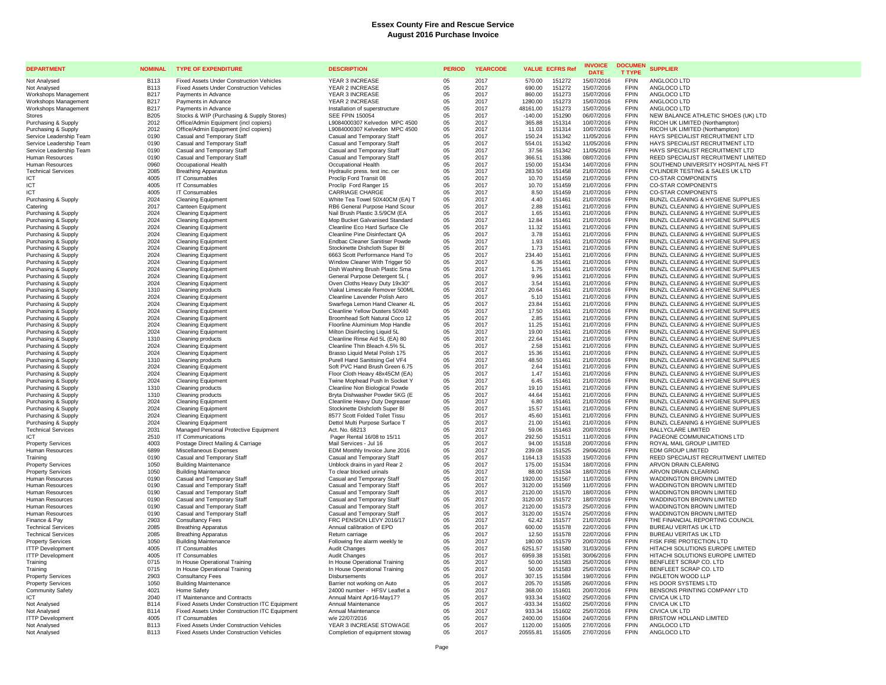| <b>DEPARTMENT</b>                                  | <b>NOMINAL</b>      | <b>TYPE OF EXPENDITURE</b>                                | <b>DESCRIPTION</b>                                                      | <b>PERIOD</b> | <b>YEARCODE</b> | <b>VALUE ECFRS Ref</b> |                  | <b>INVOICE</b><br><b>DATE</b> | <b>DOCUMEN</b><br><b>T TYPE</b> | <b>SUPPLIER</b>                                                        |
|----------------------------------------------------|---------------------|-----------------------------------------------------------|-------------------------------------------------------------------------|---------------|-----------------|------------------------|------------------|-------------------------------|---------------------------------|------------------------------------------------------------------------|
| Not Analysed                                       | <b>B113</b>         | <b>Fixed Assets Under Construction Vehicles</b>           | YEAR 3 INCREASE                                                         | 05            | 2017            | 570.00                 | 151272           | 15/07/2016                    | <b>FPIN</b>                     | ANGLOCO LTD                                                            |
| Not Analysed                                       | <b>B113</b>         | <b>Fixed Assets Under Construction Vehicles</b>           | YEAR 2 INCREASE                                                         | 05            | 2017            | 690.00                 | 151272           | 15/07/2016                    | <b>FPIN</b>                     | ANGLOCO LTD                                                            |
| Workshops Management<br>Workshops Management       | <b>B217</b><br>B217 | Payments in Advance<br>Payments in Advance                | YEAR 3 INCREASE<br>YEAR 2 INCREASE                                      | 05<br>05      | 2017<br>2017    | 860.00<br>1280.00      | 151273<br>151273 | 15/07/2016<br>15/07/2016      | <b>FPIN</b><br><b>FPIN</b>      | ANGLOCO LTD<br>ANGLOCO LTD                                             |
| Workshops Management                               | B217                | Payments in Advance                                       | Installation of superstructure                                          | 05            | 2017            | 48161.00               | 151273           | 15/07/2016                    | <b>FPIN</b>                     | ANGLOCO LTD                                                            |
| <b>Stores</b>                                      | B <sub>205</sub>    | Stocks & WIP (Purchasing & Supply Stores)                 | <b>SEE FPIN 150054</b>                                                  | 05            | 2017            | $-140.00$              | 151290           | 06/07/2016                    | <b>FPIN</b>                     | NEW BALANCE ATHLETIC SHOES (UK) LTD                                    |
| Purchasing & Supply                                | 2012                | Office/Admin Equipment (incl copiers)                     | L9084000307 Kelvedon MPC 4500                                           | 05            | 2017            | 365.88                 | 151314           | 10/07/2016                    | <b>FPIN</b>                     | RICOH UK LIMITED (Northampton)                                         |
| Purchasing & Supply                                | 2012                | Office/Admin Equipment (incl copiers)                     | L9084000307 Kelvedon MPC 4500                                           | 05            | 2017            | 11.03                  | 151314           | 10/07/2016                    | <b>FPIN</b>                     | RICOH UK LIMITED (Northampton)                                         |
| Service Leadership Team                            | 0190                | Casual and Temporary Staff                                | Casual and Temporary Staff                                              | 05            | 2017            | 150.24                 | 151342           | 11/05/2016                    | <b>FPIN</b>                     | HAYS SPECIALIST RECRUITMENT LTD                                        |
| Service Leadership Team<br>Service Leadership Team | 0190<br>0190        | Casual and Temporary Staff<br>Casual and Temporary Staff  | Casual and Temporary Staff<br>Casual and Temporary Staff                | 05<br>05      | 2017<br>2017    | 554.01<br>37.56        | 151342<br>151342 | 11/05/2016<br>11/05/2016      | <b>FPIN</b><br><b>FPIN</b>      | HAYS SPECIALIST RECRUITMENT LTD<br>HAYS SPECIALIST RECRUITMENT LTD     |
| Human Resources                                    | 0190                | Casual and Temporary Staff                                | Casual and Temporary Staff                                              | 05            | 2017            | 366.51                 | 151386           | 08/07/2016                    | <b>FPIN</b>                     | REED SPECIALIST RECRUITMENT LIMITED                                    |
| Human Resources                                    | 0960                | Occupational Health                                       | Occupational Health                                                     | 05            | 2017            | 150.00                 | 151434           | 14/07/2016                    | <b>FPIN</b>                     | SOUTHEND UNIVERSITY HOSPITAL NHS FT                                    |
| <b>Technical Services</b>                          | 2085                | <b>Breathing Apparatus</b>                                | Hydraulic press. test inc. cer                                          | 05            | 2017            | 283.50                 | 151458           | 21/07/2016                    | <b>FPIN</b>                     | CYLINDER TESTING & SALES UK LTD                                        |
| ICT                                                | 4005                | IT Consumables                                            | Proclip Ford Transit 08                                                 | 05            | 2017            | 10.70                  | 151459           | 21/07/2016                    | FPIN                            | <b>CO-STAR COMPONENTS</b>                                              |
| ICT<br><b>ICT</b>                                  | 4005<br>4005        | IT Consumables<br><b>IT Consumables</b>                   | Proclip Ford Ranger 15<br><b>CARRIAGE CHARGE</b>                        | 05<br>0.5     | 2017<br>2017    | 10.70<br>8.50          | 151459<br>151459 | 21/07/2016<br>21/07/2016      | <b>FPIN</b><br><b>FPIN</b>      | <b>CO-STAR COMPONENTS</b><br><b>CO-STAR COMPONENTS</b>                 |
| Purchasing & Supply                                | 2024                | <b>Cleaning Equipment</b>                                 | White Tea Towel 50X40CM (EA) T                                          | 05            | 2017            | 4.40                   | 151461           | 21/07/2016                    | <b>FPIN</b>                     | BUNZL CLEANING & HYGIENE SUPPLIES                                      |
| Catering                                           | 2017                | <b>Canteen Equipment</b>                                  | RB6 General Purpose Hand Scour                                          | 05            | 2017            | 2.88                   | 151461           | 21/07/2016                    | <b>FPIN</b>                     | BUNZL CLEANING & HYGIENE SUPPLIES                                      |
| Purchasing & Supply                                | 2024                | <b>Cleaning Equipment</b>                                 | Nail Brush Plastic 3.5/9CM (EA                                          | 05            | 2017            | 1.65                   | 151461           | 21/07/2016                    | <b>FPIN</b>                     | BUNZL CLEANING & HYGIENE SUPPLIES                                      |
| Purchasing & Supply                                | 2024                | <b>Cleaning Equipment</b>                                 | Mop Bucket Galvanised Standard                                          | 05            | 2017            | 12.84                  | 151461           | 21/07/2016                    | <b>FPIN</b>                     | BUNZL CLEANING & HYGIENE SUPPLIES                                      |
| Purchasing & Supply                                | 2024                | <b>Cleaning Equipment</b>                                 | Cleanline Eco Hard Surface Cle                                          | 05            | 2017            | 11.32                  | 151461           | 21/07/2016                    | <b>FPIN</b>                     | BUNZL CLEANING & HYGIENE SUPPLIES                                      |
| Purchasing & Supply<br>Purchasing & Supply         | 2024<br>2024        | <b>Cleaning Equipment</b><br><b>Cleaning Equipment</b>    | Cleanline Pine Disinfectant QA<br><b>Endbac Cleaner Sanitiser Powde</b> | 05<br>05      | 2017<br>2017    | 3.78<br>1.93           | 151461<br>151461 | 21/07/2016<br>21/07/2016      | <b>FPIN</b><br><b>FPIN</b>      | BUNZL CLEANING & HYGIENE SUPPLIES<br>BUNZL CLEANING & HYGIENE SUPPLIES |
| Purchasing & Supply                                | 2024                | <b>Cleaning Equipment</b>                                 | Stockinette Dishcloth Super BI                                          | 05            | 2017            | 1.73                   | 151461           | 21/07/2016                    | <b>FPIN</b>                     | BUNZL CLEANING & HYGIENE SUPPLIES                                      |
| Purchasing & Supply                                | 2024                | <b>Cleaning Equipment</b>                                 | 6663 Scott Performance Hand To                                          | 05            | 2017            | 234.40                 | 151461           | 21/07/2016                    | FPIN                            | BUNZL CLEANING & HYGIENE SUPPLIES                                      |
| Purchasing & Supply                                | 2024                | <b>Cleaning Equipment</b>                                 | Window Cleaner With Trigger 50                                          | 05            | 2017            | 6.36                   | 151461           | 21/07/2016                    | <b>FPIN</b>                     | BUNZL CLEANING & HYGIENE SUPPLIES                                      |
| Purchasing & Supply                                | 2024                | <b>Cleaning Equipment</b>                                 | Dish Washing Brush Plastic Sma                                          | 05            | 2017            | 1.75                   | 151461           | 21/07/2016                    | <b>FPIN</b>                     | BUNZL CLEANING & HYGIENE SUPPLIES                                      |
| Purchasing & Supply                                | 2024<br>2024        | <b>Cleaning Equipment</b>                                 | General Purpose Detergent 5L (                                          | 05<br>05      | 2017<br>2017    | 9.96<br>3.54           | 151461<br>151461 | 21/07/2016                    | <b>FPIN</b><br><b>FPIN</b>      | BUNZL CLEANING & HYGIENE SUPPLIES<br>BUNZL CLEANING & HYGIENE SUPPLIES |
| Purchasing & Supply<br>Purchasing & Supply         | 1310                | <b>Cleaning Equipment</b><br>Cleaning products            | Oven Cloths Heavy Duty 19x30"<br>Viakal Limescale Remover 500ML         | 05            | 2017            | 20.64                  | 151461           | 21/07/2016<br>21/07/2016      | <b>FPIN</b>                     | BUNZL CLEANING & HYGIENE SUPPLIES                                      |
| Purchasing & Supply                                | 2024                | <b>Cleaning Equipment</b>                                 | Cleanline Lavender Polish Aero                                          | 05            | 2017            | 5.10                   | 151461           | 21/07/2016                    | <b>FPIN</b>                     | BUNZL CLEANING & HYGIENE SUPPLIES                                      |
| Purchasing & Supply                                | 2024                | <b>Cleaning Equipment</b>                                 | Swarfega Lemon Hand Cleaner 4L                                          | 05            | 2017            | 23.84                  | 151461           | 21/07/2016                    | <b>FPIN</b>                     | BUNZL CLEANING & HYGIENE SUPPLIES                                      |
| Purchasing & Supply                                | 2024                | <b>Cleaning Equipment</b>                                 | Cleanline Yellow Dusters 50X40                                          | 05            | 2017            | 17.50                  | 151461           | 21/07/2016                    | FPIN                            | BUNZL CLEANING & HYGIENE SUPPLIES                                      |
| Purchasing & Supply                                | 2024                | <b>Cleaning Equipment</b>                                 | Broomhead Soft Natural Coco 12                                          | 05            | 2017            | 2.85                   | 151461           | 21/07/2016                    | <b>FPIN</b>                     | BUNZL CLEANING & HYGIENE SUPPLIES                                      |
| Purchasing & Supply                                | 2024                | <b>Cleaning Equipment</b>                                 | Floorline Aluminium Mop Handle                                          | 05            | 2017            | 11.25                  | 151461           | 21/07/2016                    | <b>FPIN</b>                     | BUNZL CLEANING & HYGIENE SUPPLIES                                      |
| Purchasing & Supply<br>Purchasing & Supply         | 2024<br>1310        | <b>Cleaning Equipment</b><br>Cleaning products            | Milton Disinfecting Liquid 5L<br>Cleanline Rinse Aid 5L (EA) 80         | 05<br>05      | 2017<br>2017    | 19.00<br>22.64         | 151461<br>151461 | 21/07/2016<br>21/07/2016      | <b>FPIN</b><br><b>FPIN</b>      | BUNZL CLEANING & HYGIENE SUPPLIES<br>BUNZL CLEANING & HYGIENE SUPPLIES |
| Purchasing & Supply                                | 2024                | <b>Cleaning Equipment</b>                                 | Cleanline Thin Bleach 4.5% 5L                                           | 05            | 2017            | 2.58                   | 151461           | 21/07/2016                    | <b>FPIN</b>                     | BUNZL CLEANING & HYGIENE SUPPLIES                                      |
| Purchasing & Supply                                | 2024                | <b>Cleaning Equipment</b>                                 | Brasso Liquid Metal Polish 175                                          | 05            | 2017            | 15.36                  | 151461           | 21/07/2016                    | <b>FPIN</b>                     | BUNZL CLEANING & HYGIENE SUPPLIES                                      |
| Purchasing & Supply                                | 1310                | Cleaning products                                         | Purell Hand Sanitising Gel VF4                                          | 05            | 2017            | 48.50                  | 151461           | 21/07/2016                    | <b>FPIN</b>                     | BUNZL CLEANING & HYGIENE SUPPLIES                                      |
| Purchasing & Supply                                | 2024                | <b>Cleaning Equipment</b>                                 | Soft PVC Hand Brush Green 6.75                                          | 05            | 2017            | 2.64                   | 151461           | 21/07/2016                    | FPIN                            | BUNZL CLEANING & HYGIENE SUPPLIES                                      |
| Purchasing & Supply<br>Purchasing & Supply         | 2024<br>2024        | <b>Cleaning Equipment</b><br><b>Cleaning Equipment</b>    | Floor Cloth Heavy 48x45CM (EA)<br>Twine Mophead Push In Socket Y        | 05<br>05      | 2017<br>2017    | 1.47<br>6.45           | 151461<br>151461 | 21/07/2016<br>21/07/2016      | <b>FPIN</b><br><b>FPIN</b>      | BUNZL CLEANING & HYGIENE SUPPLIES<br>BUNZL CLEANING & HYGIENE SUPPLIES |
| Purchasing & Supply                                | 1310                | Cleaning products                                         | Cleanline Non Biological Powde                                          | 05            | 2017            | 19.10                  | 151461           | 21/07/2016                    | <b>FPIN</b>                     | BUNZL CLEANING & HYGIENE SUPPLIES                                      |
| Purchasing & Supply                                | 1310                | Cleaning products                                         | Bryta Dishwasher Powder 5KG (E                                          | 05            | 2017            | 44.64                  | 151461           | 21/07/2016                    | <b>FPIN</b>                     | BUNZL CLEANING & HYGIENE SUPPLIES                                      |
| Purchasing & Supply                                | 2024                | <b>Cleaning Equipment</b>                                 | Cleanline Heavy Duty Degreaser                                          | 05            | 2017            | 6.80                   | 151461           | 21/07/2016                    | FPIN                            | BUNZL CLEANING & HYGIENE SUPPLIES                                      |
| Purchasing & Supply                                | 2024                | <b>Cleaning Equipment</b>                                 | Stockinette Dishcloth Super BI                                          | 05            | 2017            | 15.57                  | 151461           | 21/07/2016                    | FPIN<br><b>FPIN</b>             | BUNZL CLEANING & HYGIENE SUPPLIES                                      |
| Purchasing & Supply<br>Purchasing & Supply         | 2024<br>2024        | <b>Cleaning Equipment</b><br><b>Cleaning Equipment</b>    | 8577 Scott Folded Toilet Tissu<br>Dettol Multi Purpose Surface T        | 05<br>05      | 2017<br>2017    | 45.60<br>21.00         | 151461<br>151461 | 21/07/2016<br>21/07/2016      | <b>FPIN</b>                     | BUNZL CLEANING & HYGIENE SUPPLIES<br>BUNZL CLEANING & HYGIENE SUPPLIES |
| <b>Technical Services</b>                          | 2031                | Managed Personal Protective Equipment                     | Act. No. 68213                                                          | 05            | 2017            | 59.06                  | 151463           | 20/07/2016                    | <b>FPIN</b>                     | BALLYCLARE LIMITED                                                     |
| <b>ICT</b>                                         | 2510                | IT Communications                                         | Pager Rental 16/08 to 15/11                                             | 05            | 2017            | 292.50                 | 151511           | 11/07/2016                    | <b>FPIN</b>                     | PAGEONE COMMUNICATIONS LTD                                             |
| <b>Property Services</b>                           | 4003                | Postage Direct Mailing & Carriage                         | Mail Services - Jul 16                                                  | 05            | 2017            | 94.00                  | 151518           | 20/07/2016                    | <b>FPIN</b>                     | ROYAL MAIL GROUP LIMITED                                               |
| Human Resources                                    | 6899                | Miscellaneous Expenses                                    | EDM Monthly Invoice June 2016                                           | 05            | 2017            | 239.08                 | 151525           | 29/06/2016                    | <b>FPIN</b>                     | <b>EDM GROUP LIMITED</b>                                               |
| Training<br><b>Property Services</b>               | 0190<br>1050        | Casual and Temporary Staff<br><b>Building Maintenance</b> | Casual and Temporary Staff<br>Unblock drains in yard Rear 2             | 05<br>05      | 2017<br>2017    | 1164.13<br>175.00      | 151533<br>151534 | 15/07/2016<br>18/07/2016      | FPIN<br><b>FPIN</b>             | REED SPECIALIST RECRUITMENT LIMITED<br>ARVON DRAIN CLEARING            |
| <b>Property Services</b>                           | 1050                | <b>Building Maintenance</b>                               | To clear blocked urinals                                                | 05            | 2017            | 88.00                  | 151534           | 18/07/2016                    | <b>FPIN</b>                     | ARVON DRAIN CLEARING                                                   |
| Human Resources                                    | 0190                | Casual and Temporary Staff                                | Casual and Temporary Staff                                              | 05            | 2017            | 1920.00                | 151567           | 11/07/2016                    | <b>FPIN</b>                     | WADDINGTON BROWN LIMITED                                               |
| Human Resources                                    | 0190                | Casual and Temporary Staff                                | Casual and Temporary Staff                                              | 05            | 2017            | 3120.00                | 151569           | 11/07/2016                    | <b>FPIN</b>                     | <b>WADDINGTON BROWN LIMITED</b>                                        |
| Human Resources                                    | 0190                | Casual and Temporary Staff                                | Casual and Temporary Staff                                              | 05            | 2017            | 2120.00                | 151570           | 18/07/2016                    | <b>FPIN</b>                     | WADDINGTON BROWN LIMITED                                               |
| Human Resources                                    | 0190<br>0190        | Casual and Temporary Staff<br>Casual and Temporary Staff  | Casual and Temporary Staff<br>Casual and Temporary Staff                | 05<br>05      | 2017<br>2017    | 3120.00<br>2120.00     | 151572<br>151573 | 18/07/2016<br>25/07/2016      | <b>FPIN</b><br><b>FPIN</b>      | WADDINGTON BROWN LIMITED<br>WADDINGTON BROWN LIMITED                   |
| Human Resources<br>Human Resources                 | 0190                | Casual and Temporary Staff                                | Casual and Temporary Staff                                              | 05            | 2017            | 3120.00                | 151574           | 25/07/2016                    | FPIN                            | WADDINGTON BROWN LIMITED                                               |
| Finance & Pay                                      | 2903                | <b>Consultancy Fees</b>                                   | FRC PENSION LEVY 2016/17                                                | 05            | 2017            | 62.42                  | 151577           | 21/07/2016                    | <b>FPIN</b>                     | THE FINANCIAL REPORTING COUNCIL                                        |
| <b>Technical Services</b>                          | 2085                | <b>Breathing Apparatus</b>                                | Annual calibration of EPD                                               | 05            | 2017            | 600.00                 | 151578           | 22/07/2016                    | <b>FPIN</b>                     | <b>BUREAU VERITAS UK LTD</b>                                           |
| <b>Technical Services</b>                          | 2085                | <b>Breathing Apparatus</b>                                | Return carriage                                                         | 05            | 2017            | 12.50                  | 151578           | 22/07/2016                    | <b>FPIN</b>                     | BUREAU VERITAS UK LTD                                                  |
| <b>Property Services</b>                           | 1050                | <b>Building Maintenance</b>                               | Following fire alarm weekly te                                          | 05            | 2017            | 180.00                 | 151579           | 20/07/2016                    | <b>FPIN</b><br><b>FPIN</b>      | FISK FIRE PROTECTION LTD                                               |
| <b>ITTP Development</b><br><b>ITTP Development</b> | 4005<br>4005        | IT Consumables<br><b>IT Consumables</b>                   | Audit Changes<br><b>Audit Changes</b>                                   | 05<br>05      | 2017<br>2017    | 6251.57<br>6959.38     | 151580<br>151581 | 31/03/2016<br>30/06/2016      | <b>FPIN</b>                     | HITACHI SOLUTIONS EUROPE LIMITED<br>HITACHI SOLUTIONS EUROPE LIMITED   |
| Training                                           | 0715                | In House Operational Training                             | In House Operational Training                                           | 05            | 2017            | 50.00                  | 151583           | 25/07/2016                    | <b>FPIN</b>                     | BENFLEET SCRAP CO. LTD                                                 |
| Training                                           | 0715                | In House Operational Training                             | In House Operational Training                                           | 05            | 2017            | 50.00                  | 151583           | 25/07/2016                    | <b>FPIN</b>                     | BENFLEET SCRAP CO. LTD                                                 |
| <b>Property Services</b>                           | 2903                | <b>Consultancy Fees</b>                                   | Disbursements                                                           | 05            | 2017            | 307.15                 | 151584           | 19/07/2016                    | <b>FPIN</b>                     | INGLETON WOOD LLP                                                      |
| <b>Property Services</b>                           | 1050                | <b>Building Maintenance</b>                               | Barrier not working on Auto                                             | 05            | 2017            | 205.70                 | 151585           | 26/07/2016                    | <b>FPIN</b>                     | HS DOOR SYSTEMS LTD                                                    |
| Community Safety<br><b>ICT</b>                     | 4021<br>2040        | Home Safety<br>IT Maintenance and Contracts               | 24000 number - HFSV Leaflet a<br>Annual Maint Apr16-May17?              | 05<br>05      | 2017<br>2017    | 368.00<br>933.34       | 151601<br>151602 | 20/07/2016<br>25/07/2016      | <b>FPIN</b><br><b>FPIN</b>      | BENSONS PRINTING COMPANY LTD<br><b>CIVICA UK LTD</b>                   |
| Not Analysed                                       | <b>B114</b>         | Fixed Assets Under Construction ITC Equipment             | Annual Maintenance                                                      | 05            | 2017            | $-933.34$              | 151602           | 25/07/2016                    | <b>FPIN</b>                     | <b>CIVICA UK LTD</b>                                                   |
| Not Analysed                                       | <b>B114</b>         | Fixed Assets Under Construction ITC Equipment             | Annual Maintenance                                                      | 05            | 2017            | 933.34                 | 151602           | 25/07/2016                    | <b>FPIN</b>                     | <b>CIVICA UK LTD</b>                                                   |
| <b>ITTP Development</b>                            | 4005                | <b>IT Consumables</b>                                     | w/e 22/07/2016                                                          | 05            | 2017            | 2400.00                | 151604           | 24/07/2016                    | <b>FPIN</b>                     | <b>BRISTOW HOLLAND LIMITED</b>                                         |
| Not Analysed                                       | <b>B113</b>         | <b>Fixed Assets Under Construction Vehicles</b>           | YEAR 3 INCREASE STOWAGE                                                 | 0.5           | 2017            | 1120.00                | 151605           | 27/07/2016                    | <b>FPIN</b>                     | ANGLOCO LTD                                                            |
| Not Analysed                                       | B <sub>113</sub>    | <b>Fixed Assets Under Construction Vehicles</b>           | Completion of equipment stowag                                          | 0.5           | 2017            | 20555.81               | 151605           | 27/07/2016                    | <b>FPIN</b>                     | ANGLOCO LTD                                                            |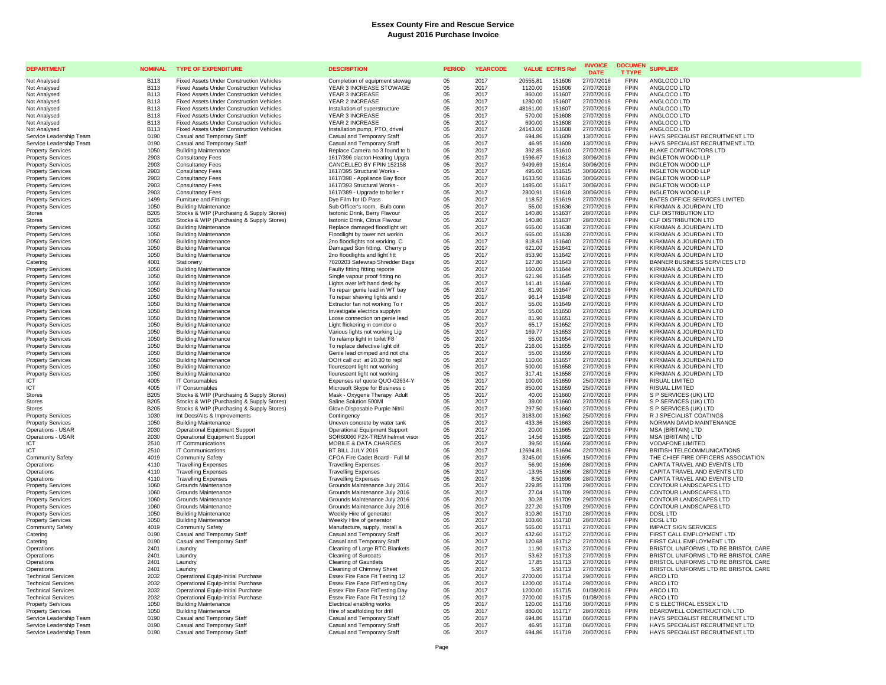| <b>DEPARTMENT</b>                                     | <b>NOMINAL</b>                  | <b>TYPE OF EXPENDITURE</b>                                                             | <b>DESCRIPTION</b>                                               | <b>PERIOD</b>  | <b>YEARCODE</b> | <b>VALUE ECFRS Ref</b> |                  | <b>INVOICE</b><br><b>DATE</b> | <b>DOCUMEN</b><br><b>T TYPE</b> | <b>SUPPLIER</b>                                     |
|-------------------------------------------------------|---------------------------------|----------------------------------------------------------------------------------------|------------------------------------------------------------------|----------------|-----------------|------------------------|------------------|-------------------------------|---------------------------------|-----------------------------------------------------|
| Not Analysed                                          | <b>B113</b>                     | <b>Fixed Assets Under Construction Vehicles</b>                                        | Completion of equipment stowag                                   | 05             | 2017            | 20555.81               | 151606           | 27/07/2016                    | <b>FPIN</b>                     | ANGLOCO LTD                                         |
| Not Analysed                                          | <b>B113</b>                     | <b>Fixed Assets Under Construction Vehicles</b>                                        | YEAR 3 INCREASE STOWAGE                                          | 05             | 2017            | 1120.00                | 151606           | 27/07/2016                    | <b>FPIN</b>                     | ANGLOCO LTD                                         |
| Not Analysed                                          | <b>B113</b>                     | <b>Fixed Assets Under Construction Vehicles</b>                                        | YEAR 3 INCREASE                                                  | 05             | 2017            | 860.00                 | 151607           | 27/07/2016                    | <b>FPIN</b>                     | ANGLOCO LTD                                         |
| Not Analysed                                          | B <sub>113</sub>                | <b>Fixed Assets Under Construction Vehicles</b>                                        | YEAR 2 INCREASE                                                  | 05             | 2017            | 1280.00                | 151607           | 27/07/2016                    | <b>FPIN</b>                     | ANGLOCO LTD                                         |
| Not Analysed                                          | <b>B113</b>                     | <b>Fixed Assets Under Construction Vehicles</b>                                        | Installation of superstructure                                   | 05             | 2017            | 48161.00               | 151607           | 27/07/2016                    | <b>FPIN</b>                     | ANGLOCO LTD                                         |
| Not Analysed                                          | <b>B113</b><br>B <sub>113</sub> | <b>Fixed Assets Under Construction Vehicles</b>                                        | YEAR 3 INCREASE                                                  | 05             | 2017            | 570.00                 | 151608<br>151608 | 27/07/2016                    | <b>FPIN</b><br><b>FPIN</b>      | ANGLOCO LTD<br>ANGLOCO LTD                          |
| Not Analysed<br>Not Analysed                          | <b>B113</b>                     | Fixed Assets Under Construction Vehicles<br>Fixed Assets Under Construction Vehicles   | YEAR 2 INCREASE<br>Installation pump, PTO, drivel                | 05<br>05       | 2017<br>2017    | 690.00<br>24143.00     | 151608           | 27/07/2016<br>27/07/2016      | <b>FPIN</b>                     | ANGLOCO LTD                                         |
| Service Leadership Team                               | 0190                            | Casual and Temporary Staff                                                             | Casual and Temporary Staff                                       | 05             | 2017            | 694.86                 | 151609           | 13/07/2016                    | <b>FPIN</b>                     | HAYS SPECIALIST RECRUITMENT LTD                     |
| Service Leadership Team                               | 0190                            | Casual and Temporary Staff                                                             | Casual and Temporary Staff                                       | 05             | 2017            | 46.95                  | 151609           | 13/07/2016                    | FPIN                            | HAYS SPECIALIST RECRUITMENT LTD                     |
| <b>Property Services</b>                              | 1050                            | <b>Building Maintenance</b>                                                            | Replace Camera no 3 found to b                                   | 05             | 2017            | 392.85                 | 151610           | 27/07/2016                    | <b>FPIN</b>                     | <b>BLAKE CONTRACTORS LTD</b>                        |
| <b>Property Services</b>                              | 2903                            | <b>Consultancy Fees</b>                                                                | 1617/396 clacton Heating Upgra                                   | 05             | 2017            | 1596.67                | 151613           | 30/06/2016                    | <b>FPIN</b>                     | <b>INGLETON WOOD LLP</b>                            |
| <b>Property Services</b>                              | 2903                            | <b>Consultancy Fees</b>                                                                | CANCELLED BY FPIN 152158                                         | 05             | 2017            | 9499.69                | 151614           | 30/06/2016                    | <b>FPIN</b>                     | INGLETON WOOD LLP                                   |
| <b>Property Services</b>                              | 2903                            | <b>Consultancy Fees</b>                                                                | 1617/395 Structural Works -                                      | 05             | 2017            | 495.00                 | 151615           | 30/06/2016                    | <b>FPIN</b>                     | INGLETON WOOD LLP                                   |
| <b>Property Services</b>                              | 2903                            | <b>Consultancy Fees</b>                                                                | 1617/398 - Appliance Bay floor                                   | 05             | 2017            | 1633.50                | 151616           | 30/06/2016                    | <b>FPIN</b>                     | INGLETON WOOD LLP                                   |
| <b>Property Services</b>                              | 2903                            | <b>Consultancy Fees</b>                                                                | 1617/393 Structural Works -                                      | 05             | 2017            | 1485.00                | 151617           | 30/06/2016                    | <b>FPIN</b>                     | <b>INGLETON WOOD LLP</b>                            |
| <b>Property Services</b>                              | 2903                            | <b>Consultancy Fees</b>                                                                | 1617/389 - Upgrade to boiler r                                   | 05             | 2017            | 2800.91                | 151618           | 30/06/2016                    | <b>FPIN</b>                     | <b>INGLETON WOOD LLP</b>                            |
| <b>Property Services</b>                              | 1499                            | Furniture and Fittings                                                                 | Dye Film for ID Pass                                             | 05             | 2017            | 118.52                 | 151619           | 27/07/2016                    | <b>FPIN</b>                     | BATES OFFICE SERVICES LIMITED                       |
| <b>Property Services</b>                              | 1050                            | <b>Building Maintenance</b>                                                            | Sub Officer's room. Bulb conn                                    | 05             | 2017            | 55.00                  | 151636           | 27/07/2016                    | <b>FPIN</b><br><b>FPIN</b>      | KIRKMAN & JOURDAIN LTD                              |
| <b>Stores</b><br><b>Stores</b>                        | <b>B205</b><br><b>B205</b>      | Stocks & WIP (Purchasing & Supply Stores)<br>Stocks & WIP (Purchasing & Supply Stores) | Isotonic Drink, Berry Flavour<br>Isotonic Drink, Citrus Flavour  | 05<br>05       | 2017<br>2017    | 140.80<br>140.80       | 151637<br>151637 | 28/07/2016<br>28/07/2016      | <b>FPIN</b>                     | <b>CLF DISTRIBUTION LTD</b><br>CLF DISTRIBUTION LTD |
| <b>Property Services</b>                              | 1050                            | <b>Building Maintenance</b>                                                            | Replace damaged floodlight wit                                   | 05             | 2017            | 665.00                 | 151638           | 27/07/2016                    | <b>FPIN</b>                     | KIRKMAN & JOURDAIN LTD                              |
| <b>Property Services</b>                              | 1050                            | <b>Building Maintenance</b>                                                            | Floodlight by tower not workin                                   | 05             | 2017            | 665.00                 | 151639           | 27/07/2016                    | <b>FPIN</b>                     | KIRKMAN & JOURDAIN LTD                              |
| <b>Property Services</b>                              | 1050                            | <b>Building Maintenance</b>                                                            | 2no floodlights not working. C                                   | 05             | 2017            | 818.63                 | 151640           | 27/07/2016                    | <b>FPIN</b>                     | KIRKMAN & JOURDAIN LTD                              |
| <b>Property Services</b>                              | 1050                            | <b>Building Maintenance</b>                                                            | Damaged Son fitting. Cherry p                                    | 05             | 2017            | 621.00                 | 151641           | 27/07/2016                    | <b>FPIN</b>                     | KIRKMAN & JOURDAIN LTD                              |
| <b>Property Services</b>                              | 1050                            | <b>Building Maintenance</b>                                                            | 2no floodlights and light fitt                                   | 05             | 2017            | 853.90                 | 151642           | 27/07/2016                    | <b>FPIN</b>                     | KIRKMAN & JOURDAIN LTD                              |
| Caterino                                              | 4001                            | Stationery                                                                             | 7020203 Safewrap Shredder Bags                                   | 05             | 2017            | 127.80                 | 151643           | 27/07/2016                    | <b>FPIN</b>                     | BANNER BUSINESS SERVICES LTD                        |
| <b>Property Services</b>                              | 1050                            | <b>Building Maintenance</b>                                                            | Faulty fitting fitting reporte                                   | 05             | 2017            | 160.00                 | 151644           | 27/07/2016                    | <b>FPIN</b>                     | KIRKMAN & JOURDAIN LTD                              |
| <b>Property Services</b>                              | 1050                            | <b>Building Maintenance</b>                                                            | Single vapour proof fitting no                                   | 05             | 2017            | 621.96                 | 151645           | 27/07/2016                    | <b>FPIN</b>                     | KIRKMAN & JOURDAIN LTD                              |
| <b>Property Services</b>                              | 1050                            | <b>Building Maintenance</b>                                                            | Lights over left hand desk by                                    | 05             | 2017            | 141.41                 | 151646           | 27/07/2016                    | <b>FPIN</b>                     | KIRKMAN & JOURDAIN LTD                              |
| <b>Property Services</b>                              | 1050                            | <b>Building Maintenance</b>                                                            | To repair genie lead in WT bay                                   | 05             | 2017            | 81.90                  | 151647           | 27/07/2016                    | <b>FPIN</b>                     | KIRKMAN & JOURDAIN LTD                              |
| <b>Property Services</b>                              | 1050                            | <b>Building Maintenance</b>                                                            | To repair shaving lights and r                                   | 05             | 2017            | 96.14                  | 151648           | 27/07/2016                    | <b>FPIN</b>                     | KIRKMAN & JOURDAIN LTD                              |
| <b>Property Services</b>                              | 1050                            | <b>Building Maintenance</b>                                                            | Extractor fan not working To r                                   | 05             | 2017            | 55.00                  | 151649           | 27/07/2016                    | <b>FPIN</b>                     | KIRKMAN & JOURDAIN LTD                              |
| <b>Property Services</b>                              | 1050                            | <b>Building Maintenance</b>                                                            | Investigate electrics supplyin                                   | 05             | 2017<br>2017    | 55.00                  | 151650           | 27/07/2016                    | <b>FPIN</b><br><b>FPIN</b>      | KIRKMAN & JOURDAIN LTD                              |
| <b>Property Services</b><br><b>Property Services</b>  | 1050<br>1050                    | <b>Building Maintenance</b><br><b>Building Maintenance</b>                             | Loose connection on genie lead<br>Light flickering in corridor o | 05<br>05       | 2017            | 81.90<br>65.17         | 151651<br>151652 | 27/07/2016<br>27/07/2016      | <b>FPIN</b>                     | KIRKMAN & JOURDAIN LTD<br>KIRKMAN & JOURDAIN LTD    |
| <b>Property Services</b>                              | 1050                            | <b>Building Maintenance</b>                                                            | Various lights not working Lig                                   | 05             | 2017            | 169.77                 | 151653           | 27/07/2016                    | <b>FPIN</b>                     | KIRKMAN & JOURDAIN LTD                              |
| <b>Property Services</b>                              | 1050                            | <b>Building Maintenance</b>                                                            | To relamp light in toilet F8                                     | 05             | 2017            | 55.00                  | 151654           | 27/07/2016                    | <b>FPIN</b>                     | KIRKMAN & JOURDAIN LTD                              |
| <b>Property Services</b>                              | 1050                            | <b>Building Maintenance</b>                                                            | To replace defective light dif                                   | 05             | 2017            | 216.00                 | 151655           | 27/07/2016                    | <b>FPIN</b>                     | KIRKMAN & JOURDAIN LTD                              |
| <b>Property Services</b>                              | 1050                            | <b>Building Maintenance</b>                                                            | Genie lead crimped and not cha                                   | 05             | 2017            | 55.00                  | 151656           | 27/07/2016                    | <b>FPIN</b>                     | KIRKMAN & JOURDAIN LTD                              |
| <b>Property Services</b>                              | 1050                            | <b>Building Maintenance</b>                                                            | OOH call out at 20.30 to repl                                    | 05             | 2017            | 110.00                 | 151657           | 27/07/2016                    | <b>FPIN</b>                     | KIRKMAN & JOURDAIN LTD                              |
| <b>Property Services</b>                              | 1050                            | <b>Building Maintenance</b>                                                            | flourescent light not working                                    | 05             | 2017            | 500.00                 | 151658           | 27/07/2016                    | <b>FPIN</b>                     | KIRKMAN & JOURDAIN LTD                              |
| <b>Property Services</b>                              | 1050                            | <b>Building Maintenance</b>                                                            | flourescent light not working                                    | 05             | 2017            | 317.41                 | 151658           | 27/07/2016                    | <b>FPIN</b>                     | KIRKMAN & JOURDAIN LTD                              |
| ICT                                                   | 4005                            | IT Consumables                                                                         | Expenses ref quote QUO-02634-Y                                   | 05             | 2017            | 100.00                 | 151659           | 25/07/2016                    | <b>FPIN</b>                     | <b>RISUAL LIMITED</b>                               |
| ICT                                                   | 4005                            | IT Consumables                                                                         | Microsoft Skype for Business c                                   | 05             | 2017            | 850.00                 | 151659           | 25/07/2016                    | <b>FPIN</b>                     | <b>RISUAL LIMITED</b>                               |
| <b>Stores</b>                                         | <b>B205</b>                     | Stocks & WIP (Purchasing & Supply Stores)                                              | Mask - Oxygene Therapy Adult                                     | 05             | 2017            | 40.00                  | 151660           | 27/07/2016                    | <b>FPIN</b>                     | S P SERVICES (UK) LTD                               |
| <b>Stores</b>                                         | <b>B205</b>                     | Stocks & WIP (Purchasing & Supply Stores)                                              | Saline Solution 500Ml                                            | 05             | 2017            | 39.00                  | 151660           | 27/07/2016                    | <b>FPIN</b>                     | S P SERVICES (UK) LTD                               |
| <b>Stores</b><br><b>Property Services</b>             | <b>B205</b><br>1030             | Stocks & WIP (Purchasing & Supply Stores)<br>Int Decs/Alts & Improvements              | Glove Disposable Purple Nitril<br>Contingency                    | 05<br>05       | 2017<br>2017    | 297.50<br>3183.00      | 151660<br>151662 | 27/07/2016<br>25/07/2016      | <b>FPIN</b><br><b>FPIN</b>      | S P SERVICES (UK) LTD<br>R J SPECIALIST COATINGS    |
| <b>Property Services</b>                              | 1050                            | <b>Building Maintenance</b>                                                            | Uneven concrete by water tank                                    | 05             | 2017            | 433.36                 | 151663           | 26/07/2016                    | <b>FPIN</b>                     | NORMAN DAVID MAINTENANCE                            |
| Operations - USAR                                     | 2030                            | <b>Operational Equipment Support</b>                                                   | Operational Equipment Support                                    | 05             | 2017            | 20.00                  | 151665           | 22/07/2016                    | <b>FPIN</b>                     | MSA (BRITAIN) LTD                                   |
| Operations - USAR                                     | 2030                            | Operational Equipment Support                                                          | SOR60060 F2X-TREM helmet visor                                   | 05             | 2017            | 14.56                  | 151665           | 22/07/2016                    | <b>FPIN</b>                     | <b>MSA (BRITAIN) LTD</b>                            |
| ICT                                                   | 2510                            | IT Communications                                                                      | <b>MOBILE &amp; DATA CHARGES</b>                                 | 05             | 2017            | 39.50                  | 151666           | 23/07/2016                    | <b>FPIN</b>                     | <b>VODAFONE LIMITED</b>                             |
| ICT                                                   | 2510                            | IT Communications                                                                      | BT BILL JULY 2016                                                | 05             | 2017            | 12694.81               | 151694           | 22/07/2016                    | <b>FPIN</b>                     | BRITISH TELECOMMUNICATIONS                          |
| <b>Community Safety</b>                               | 4019                            | <b>Community Safety</b>                                                                | CFOA Fire Cadet Board - Full M                                   | 05             | 2017            | 3245.00                | 151695           | 15/07/2016                    | <b>FPIN</b>                     | THE CHIEF FIRE OFFICERS ASSOCIATION                 |
| Operations                                            | 4110                            | <b>Travelling Expenses</b>                                                             | <b>Travelling Expenses</b>                                       | 05             | 2017            | 56.90                  | 151696           | 28/07/2016                    | <b>FPIN</b>                     | CAPITA TRAVEL AND EVENTS LTD                        |
| Operations                                            | 4110                            | <b>Travelling Expenses</b>                                                             | <b>Travelling Expenses</b>                                       | 05             | 2017            | $-13.95$               | 151696           | 28/07/2016                    | <b>FPIN</b>                     | CAPITA TRAVEL AND EVENTS LTD                        |
| Operations                                            | 4110                            | <b>Travelling Expenses</b>                                                             | <b>Travelling Expenses</b>                                       | 05             | 2017            | 8.50                   | 151696           | 28/07/2016                    | <b>FPIN</b>                     | CAPITA TRAVEL AND EVENTS LTD                        |
| <b>Property Services</b>                              | 1060                            | Grounds Maintenance                                                                    | Grounds Maintenance July 2016                                    | 05             | 2017            | 229.85                 | 151709           | 29/07/2016                    | FPIN                            | CONTOUR LANDSCAPES LTD                              |
| <b>Property Services</b>                              | 1060                            | Grounds Maintenance                                                                    | Grounds Maintenance July 2016                                    | 05             | 2017            | 27.04                  | 151709           | 29/07/2016                    | <b>FPIN</b>                     | CONTOUR LANDSCAPES LTD                              |
| <b>Property Services</b>                              | 1060<br>1060                    | Grounds Maintenance                                                                    | Grounds Maintenance July 2016                                    | 05<br>05       | 2017            | 30.28                  | 151709           | 29/07/2016                    | <b>FPIN</b><br><b>FPIN</b>      | CONTOUR LANDSCAPES LTD<br>CONTOUR LANDSCAPES LTD    |
| <b>Property Services</b><br><b>Property Services</b>  | 1050                            | Grounds Maintenance<br><b>Building Maintenance</b>                                     | Grounds Maintenance July 2016<br>Weekly Hire of generator        | 05             | 2017<br>2017    | 227.20<br>310.80       | 151709<br>151710 | 29/07/2016<br>28/07/2016      | <b>FPIN</b>                     | DDSL LTD                                            |
| <b>Property Services</b>                              | 1050                            | <b>Building Maintenance</b>                                                            | Weekly Hire of generator                                         | 05             | 2017            | 103.60                 | 151710           | 28/07/2016                    | FPIN                            | DDSL LTD                                            |
| <b>Community Safety</b>                               | 4019                            | <b>Community Safety</b>                                                                | Manufacture, supply, install a                                   | 05             | 2017            | 565.00                 | 151711           | 27/07/2016                    | <b>FPIN</b>                     | <b>IMPACT SIGN SERVICES</b>                         |
| Catering                                              | 0190                            | Casual and Temporary Staff                                                             | Casual and Temporary Staff                                       | 05             | 2017            | 432.60                 | 151712           | 27/07/2016                    | FPIN                            | FIRST CALL EMPLOYMENT LTD                           |
| Catering                                              | 0190                            | Casual and Temporary Staff                                                             | Casual and Temporary Staff                                       | 05             | 2017            | 120.68                 | 151712           | 27/07/2016                    | <b>FPIN</b>                     | FIRST CALL EMPLOYMENT LTD                           |
| Operations                                            | 2401                            | Laundry                                                                                | Cleaning of Large RTC Blankets                                   | 05             | 2017            | 11.90                  | 151713           | 27/07/2016                    | <b>FPIN</b>                     | BRISTOL UNIFORMS LTD RE BRISTOL CARE                |
| Operations                                            | 2401                            | Laundn                                                                                 | <b>Cleaning of Surcoats</b>                                      | 05             | 2017            | 53.62                  | 151713           | 27/07/2016                    | <b>FPIN</b>                     | BRISTOL UNIFORMS LTD RE BRISTOL CARE                |
| Operations                                            | 2401                            | Laundry                                                                                | Cleaning of Gauntlets                                            | 05             | 2017            | 17.85                  | 151713           | 27/07/2016                    | <b>FPIN</b>                     | BRISTOL UNIFORMS LTD RE BRISTOL CARE                |
| Operations                                            | 2401                            | Laundry                                                                                | Cleaning of Chimney Sheet                                        | 0 <sub>5</sub> | 2017            | 5.95                   | 151713           | 27/07/2016                    | FPIN                            | BRISTOL UNIFORMS LTD RE BRISTOL CARE                |
| <b>Technical Services</b>                             | 2032                            | Operational Equip-Initial Purchase                                                     | Essex Fire Face Fit Testing 12                                   | 05             | 2017            | 2700.00                | 151714           | 29/07/2016                    | <b>FPIN</b>                     | ARCO LTD                                            |
| <b>Technical Services</b>                             | 2032                            | Operational Equip-Initial Purchase                                                     | Essex Fire Face FitTesting Day                                   | 05             | 2017            | 1200.00                | 151714           | 29/07/2016                    | <b>FPIN</b>                     | ARCO LTD                                            |
| <b>Technical Services</b>                             | 2032<br>2032                    | Operational Equip-Initial Purchase<br>Operational Equip-Initial Purchase               | Essex Fire Face FitTesting Day                                   | 05<br>05       | 2017            | 1200.00                | 151715<br>151715 | 01/08/2016                    | FPIN<br><b>FPIN</b>             | ARCO LTD<br>ARCO LTD                                |
| <b>Technical Services</b><br><b>Property Services</b> | 1050                            | <b>Building Maintenance</b>                                                            | Essex Fire Face Fit Testing 12<br>Electrical enabling works      | 0 <sub>5</sub> | 2017<br>2017    | 2700.00<br>120.00      | 151716           | 01/08/2016<br>30/07/2016      | <b>FPIN</b>                     | C S ELECTRICAL ESSEX LTD                            |
| <b>Property Services</b>                              | 1050                            | <b>Building Maintenance</b>                                                            | Hire of scaffolding for drill                                    | 05             | 2017            | 880.00                 | 151717           | 28/07/2016                    | <b>FPIN</b>                     | BEARDWELL CONSTRUCTION LTD                          |
| Service Leadership Team                               | 0190                            | Casual and Temporary Staff                                                             | Casual and Temporary Staff                                       | 05             | 2017            | 694.86                 | 151718           | 06/07/2016                    | <b>FPIN</b>                     | HAYS SPECIALIST RECRUITMENT LTD                     |
| Service Leadership Team                               | 0190                            | Casual and Temporary Staff                                                             | Casual and Temporary Staff                                       | 05             | 2017            | 46.95                  | 151718           | 06/07/2016                    | <b>FPIN</b>                     | HAYS SPECIALIST RECRUITMENT LTD                     |
| Service Leadership Team                               | 0190                            | Casual and Temporary Staff                                                             | Casual and Temporary Staff                                       | 05             | 2017            | 694.86                 | 151719           | 20/07/2016                    | <b>FPIN</b>                     | HAYS SPECIALIST RECRUITMENT LTD                     |
|                                                       |                                 |                                                                                        |                                                                  |                |                 |                        |                  |                               |                                 |                                                     |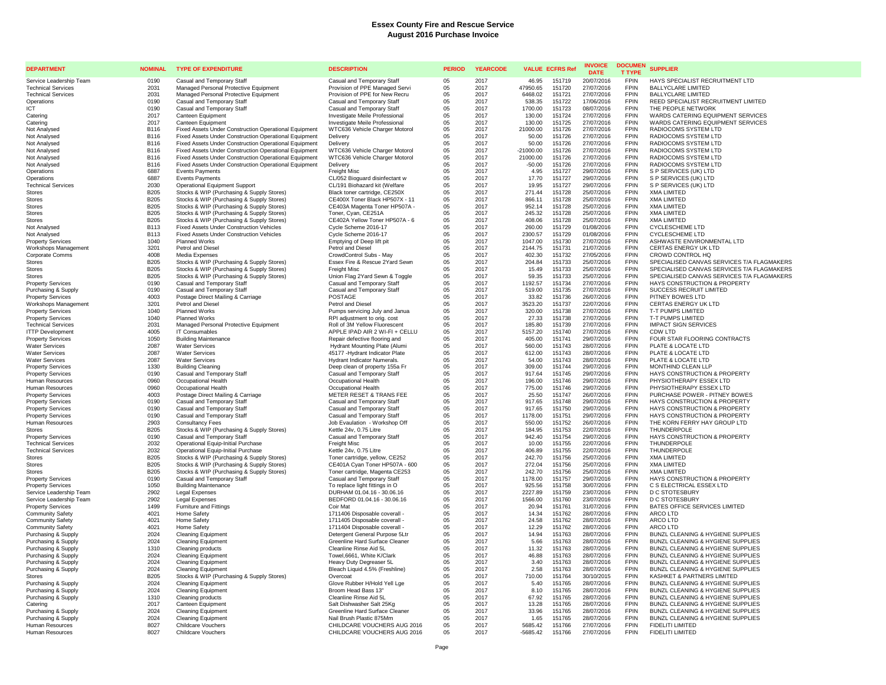| <b>DEPARTMENT</b>                                   | <b>NOMINAL</b>             | <b>TYPE OF EXPENDITURE</b>                                                             | <b>DESCRIPTION</b>                                               | <b>PERIOD</b> | <b>YEARCODE</b> | <b>VALUE ECFRS Ref</b> |                  | <b>INVOICE</b><br><b>DATE</b> | <b>DOCUMEN</b><br><b>T TYPE</b> | <b>SUPPLIER</b>                                                                          |
|-----------------------------------------------------|----------------------------|----------------------------------------------------------------------------------------|------------------------------------------------------------------|---------------|-----------------|------------------------|------------------|-------------------------------|---------------------------------|------------------------------------------------------------------------------------------|
| Service Leadership Team                             | 0190                       | Casual and Temporary Staff                                                             | Casual and Temporary Staff                                       | 0.5           | 2017            | 46.95                  | 151719           | 20/07/2016                    | <b>FPIN</b>                     | HAYS SPECIALIST RECRUITMENT LTD                                                          |
| <b>Technical Services</b>                           | 2031                       | Managed Personal Protective Equipment                                                  | Provision of PPE Managed Servi                                   | 05            | 2017            | 47950.65               | 151720           | 27/07/2016                    | <b>FPIN</b>                     | <b>BALLYCLARE LIMITED</b>                                                                |
| <b>Technical Services</b>                           | 2031                       | Managed Personal Protective Equipment                                                  | Provision of PPE for New Recru                                   | 05            | 2017            | 6468.02                | 151721           | 27/07/2016                    | <b>FPIN</b>                     | <b>BALLYCLARE LIMITED</b>                                                                |
| Operations                                          | 0190                       | Casual and Temporary Staff                                                             | Casual and Temporary Staff                                       | 05            | 2017            | 538.35                 | 151722           | 17/06/2016                    | <b>FPIN</b>                     | REED SPECIALIST RECRUITMENT LIMITED                                                      |
| ICT                                                 | 0190                       | Casual and Temporary Staff                                                             | Casual and Temporary Staff                                       | 05            | 2017            | 1700.00                | 151723           | 08/07/2016                    | <b>FPIN</b>                     | THE PEOPLE NETWORK                                                                       |
| Catering<br>Catering                                | 2017<br>2017               | Canteen Equipment<br>Canteen Equipment                                                 | Investigate Meile Professional<br>Investigate Meile Professional | 05<br>05      | 2017<br>2017    | 130.00<br>130.00       | 151724<br>151725 | 27/07/2016<br>27/07/2016      | <b>FPIN</b><br><b>FPIN</b>      | WARDS CATERING EQUIPMENT SERVICES<br>WARDS CATERING EQUIPMENT SERVICES                   |
| Not Analysed                                        | B116                       | Fixed Assets Under Construction Operational Equipment                                  | WTC636 Vehicle Charger Motorol                                   | 05            | 2017            | 21000.00               | 151726           | 27/07/2016                    | <b>FPIN</b>                     | RADIOCOMS SYSTEM LTD                                                                     |
| Not Analysed                                        | <b>B116</b>                | Fixed Assets Under Construction Operational Equipment                                  | Delivery                                                         | 05            | 2017            | 50.00                  | 151726           | 27/07/2016                    | <b>FPIN</b>                     | RADIOCOMS SYSTEM LTD                                                                     |
| Not Analysed                                        | <b>B116</b>                | Fixed Assets Under Construction Operational Equipment                                  | Delivery                                                         | 05            | 2017            | 50.00                  | 151726           | 27/07/2016                    | <b>FPIN</b>                     | RADIOCOMS SYSTEM LTD                                                                     |
| Not Analysed                                        | <b>B116</b>                | Fixed Assets Under Construction Operational Equipment                                  | WTC636 Vehicle Charger Motorol                                   | 05            | 2017            | $-21000.00$            | 151726           | 27/07/2016                    | <b>FPIN</b>                     | RADIOCOMS SYSTEM LTD                                                                     |
| Not Analysed                                        | <b>B116</b>                | Fixed Assets Under Construction Operational Equipment                                  | WTC636 Vehicle Charger Motorol                                   | 05            | 2017            | 21000.00               | 151726           | 27/07/2016                    | <b>FPIN</b>                     | RADIOCOMS SYSTEM LTD                                                                     |
| Not Analysed                                        | <b>B116</b>                | Fixed Assets Under Construction Operational Equipment                                  | Delivery                                                         | 05            | 2017            | $-50.00$               | 151726           | 27/07/2016                    | <b>FPIN</b>                     | RADIOCOMS SYSTEM LTD                                                                     |
| Operations                                          | 6887                       | <b>Events Payments</b>                                                                 | Freight Misc                                                     | 05            | 2017            | 4.95                   | 151727           | 29/07/2016                    | <b>FPIN</b>                     | S P SERVICES (UK) LTD                                                                    |
| Operations                                          | 6887                       | <b>Events Payments</b>                                                                 | CL/052 Bioguard disinfectant w                                   | 05            | 2017            | 17.70                  | 151727           | 29/07/2016                    | <b>FPIN</b>                     | S P SERVICES (UK) LTD                                                                    |
| <b>Technical Services</b>                           | 2030                       | <b>Operational Equipment Support</b>                                                   | CL/191 Biohazard kit (Welfare                                    | 05            | 2017            | 19.95                  | 151727           | 29/07/2016                    | <b>FPIN</b><br><b>FPIN</b>      | S P SERVICES (UK) LTD<br><b>XMA LIMITED</b>                                              |
| <b>Stores</b><br><b>Stores</b>                      | <b>B205</b><br><b>B205</b> | Stocks & WIP (Purchasing & Supply Stores)<br>Stocks & WIP (Purchasing & Supply Stores) | Black toner cartridge, CE250X<br>CE400X Toner Black HP507X - 11  | 05<br>05      | 2017<br>2017    | 271.44<br>866.11       | 151728<br>151728 | 25/07/2016<br>25/07/2016      | <b>FPIN</b>                     | <b>XMA LIMITED</b>                                                                       |
| <b>Stores</b>                                       | <b>B205</b>                | Stocks & WIP (Purchasing & Supply Stores)                                              | CE403A Magenta Toner HP507A -                                    | 05            | 2017            | 952.14                 | 151728           | 25/07/2016                    | <b>FPIN</b>                     | <b>XMA LIMITED</b>                                                                       |
| <b>Stores</b>                                       | <b>B205</b>                | Stocks & WIP (Purchasing & Supply Stores)                                              | Toner, Cyan, CE251A                                              | 05            | 2017            | 245.32                 | 151728           | 25/07/2016                    | <b>FPIN</b>                     | <b>XMA LIMITED</b>                                                                       |
| <b>Stores</b>                                       | <b>B205</b>                | Stocks & WIP (Purchasing & Supply Stores)                                              | CE402A Yellow Toner HP507A - 6                                   | 05            | 2017            | 408.06                 | 151728           | 25/07/2016                    | <b>FPIN</b>                     | <b>XMA LIMITED</b>                                                                       |
| Not Analysed                                        | <b>B113</b>                | Fixed Assets Under Construction Vehicles                                               | Cycle Scheme 2016-17                                             | 05            | 2017            | 260.00                 | 151729           | 01/08/2016                    | <b>FPIN</b>                     | <b>CYCLESCHEME LTD</b>                                                                   |
| Not Analysed                                        | <b>B113</b>                | <b>Fixed Assets Under Construction Vehicles</b>                                        | Cycle Scheme 2016-17                                             | 05            | 2017            | 2300.57                | 151729           | 01/08/2016                    | <b>FPIN</b>                     | <b>CYCLESCHEME LTD</b>                                                                   |
| <b>Property Services</b>                            | 1040                       | Planned Works                                                                          | Emptying of Deep lift pit                                        | 05            | 2017            | 1047.00                | 151730           | 27/07/2016                    | <b>FPIN</b>                     | ASHWASTE ENVIRONMENTAL LTD                                                               |
| Workshops Management                                | 3201                       | Petrol and Diesel                                                                      | Petrol and Diesel                                                | 05            | 2017            | 2144.75                | 151731           | 21/07/2016                    | <b>FPIN</b>                     | CERTAS ENERGY UK LTD                                                                     |
| <b>Corporate Comms</b>                              | 4008                       | Media Expenses                                                                         | CrowdControl Subs - May                                          | 05            | 2017            | 402.30                 | 151732           | 27/05/2016                    | <b>FPIN</b>                     | CROWD CONTROL HQ                                                                         |
| <b>Stores</b>                                       | <b>B205</b>                | Stocks & WIP (Purchasing & Supply Stores)                                              | Essex Fire & Rescue 2Yard Sewn                                   | 05            | 2017            | 204.84                 | 151733           | 25/07/2016                    | <b>FPIN</b>                     | SPECIALISED CANVAS SERVICES T/A FLAGMAKERS                                               |
| Stores<br><b>Stores</b>                             | <b>B205</b><br><b>B205</b> | Stocks & WIP (Purchasing & Supply Stores)<br>Stocks & WIP (Purchasing & Supply Stores) | Freight Misc<br>Union Flag 2Yard Sewn & Toggle                   | 05<br>05      | 2017<br>2017    | 15.49<br>59.35         | 151733<br>151733 | 25/07/2016<br>25/07/2016      | <b>FPIN</b><br><b>FPIN</b>      | SPECIALISED CANVAS SERVICES T/A FLAGMAKERS<br>SPECIALISED CANVAS SERVICES T/A FLAGMAKERS |
| <b>Property Services</b>                            | 0190                       | Casual and Temporary Staff                                                             | Casual and Temporary Staff                                       | 05            | 2017            | 1192.57                | 151734           | 27/07/2016                    | <b>FPIN</b>                     | HAYS CONSTRUCTION & PROPERTY                                                             |
| Purchasing & Supply                                 | 0190                       | Casual and Temporary Staff                                                             | Casual and Temporary Staff                                       | 05            | 2017            | 519.00                 | 151735           | 27/07/2016                    | <b>FPIN</b>                     | <b>SUCCESS RECRUIT LIMITED</b>                                                           |
| <b>Property Services</b>                            | 4003                       | Postage Direct Mailing & Carriage                                                      | <b>POSTAGE</b>                                                   | 05            | 2017            | 33.82                  | 151736           | 26/07/2016                    | <b>FPIN</b>                     | PITNEY BOWES LTD                                                                         |
| Workshops Management                                | 3201                       | Petrol and Diesel                                                                      | Petrol and Diese                                                 | 05            | 2017            | 3523.20                | 151737           | 22/07/2016                    | <b>FPIN</b>                     | CERTAS ENERGY UK LTD                                                                     |
| <b>Property Services</b>                            | 1040                       | <b>Planned Works</b>                                                                   | Pumps servicing July and Janua                                   | 05            | 2017            | 320.00                 | 151738           | 27/07/2016                    | <b>FPIN</b>                     | <b>T-T PUMPS LIMITED</b>                                                                 |
| <b>Property Services</b>                            | 1040                       | <b>Planned Works</b>                                                                   | RPI adjustment to orig. cost                                     | 05            | 2017            | 27.33                  | 151738           | 27/07/2016                    | <b>FPIN</b>                     | T-T PUMPS LIMITED                                                                        |
| <b>Technical Services</b>                           | 2031                       | Managed Personal Protective Equipment                                                  | Roll of 3M Yellow Fluorescent                                    | 05            | 2017            | 185.80                 | 151739           | 27/07/2016                    | <b>FPIN</b>                     | <b>IMPACT SIGN SERVICES</b>                                                              |
| <b>ITTP Development</b>                             | 4005                       | IT Consumables                                                                         | APPLE IPAD AIR 2 WI-FI + CELLU                                   | 05            | 2017            | 5157.20                | 151740           | 27/07/2016                    | <b>FPIN</b>                     | CDW I TD                                                                                 |
| <b>Property Services</b>                            | 1050                       | <b>Building Maintenance</b>                                                            | Repair defective flooring and                                    | 05            | 2017            | 405.00                 | 151741           | 29/07/2016                    | <b>FPIN</b>                     | FOUR STAR FLOORING CONTRACTS                                                             |
| <b>Water Services</b>                               | 2087<br>2087               | <b>Water Services</b><br><b>Water Services</b>                                         | Hydrant Mounting Plate (Alumi<br>45177 - Hydrant Indicator Plate | 05            | 2017<br>2017    | 560.00<br>612.00       | 151743<br>151743 | 28/07/2016<br>28/07/2016      | <b>FPIN</b><br><b>FPIN</b>      | PLATE & LOCATE LTD<br>PLATE & LOCATE LTD                                                 |
| <b>Water Services</b><br><b>Water Services</b>      | 2087                       | <b>Water Services</b>                                                                  | Hydrant Indicator Numerals.                                      | 05<br>05      | 2017            | 54.00                  | 151743           | 28/07/2016                    | <b>FPIN</b>                     | PLATE & LOCATE LTD                                                                       |
| <b>Property Services</b>                            | 1330                       | <b>Building Cleaning</b>                                                               | Deep clean of property 155a Fr                                   | 05            | 2017            | 309.00                 | 151744           | 29/07/2016                    | <b>FPIN</b>                     | MONTHIND CLEAN LLP                                                                       |
| <b>Property Services</b>                            | 0190                       | Casual and Temporary Staff                                                             | Casual and Temporary Staff                                       | 05            | 2017            | 917.64                 | 151745           | 29/07/2016                    | <b>FPIN</b>                     | HAYS CONSTRUCTION & PROPERTY                                                             |
| Human Resources                                     | 0960                       | Occupational Health                                                                    | Occupational Health                                              | 05            | 2017            | 196.00                 | 151746           | 29/07/2016                    | <b>FPIN</b>                     | PHYSIOTHERAPY ESSEX LTD                                                                  |
| Human Resources                                     | 0960                       | Occupational Health                                                                    | Occupational Health                                              | 05            | 2017            | 775.00                 | 151746           | 29/07/2016                    | <b>FPIN</b>                     | PHYSIOTHERAPY ESSEX LTD                                                                  |
| <b>Property Services</b>                            | 4003                       | Postage Direct Mailing & Carriage                                                      | METER RESET & TRANS FEE                                          | 05            | 2017            | 25.50                  | 151747           | 26/07/2016                    | <b>FPIN</b>                     | PURCHASE POWER - PITNEY BOWES                                                            |
| <b>Property Services</b>                            | 0190                       | Casual and Temporary Staff                                                             | Casual and Temporary Staff                                       | 05            | 2017            | 917.65                 | 151748           | 29/07/2016                    | <b>FPIN</b>                     | HAYS CONSTRUCTION & PROPERTY                                                             |
| <b>Property Services</b>                            | 0190                       | Casual and Temporary Staff                                                             | Casual and Temporary Staff                                       | 05            | 2017            | 917.65                 | 151750           | 29/07/2016                    | <b>FPIN</b>                     | HAYS CONSTRUCTION & PROPERTY                                                             |
| <b>Property Services</b>                            | 0190                       | Casual and Temporary Staff                                                             | Casual and Temporary Staff                                       | 05            | 2017            | 1178.00                | 151751           | 29/07/2016                    | <b>FPIN</b><br><b>FPIN</b>      | HAYS CONSTRUCTION & PROPERTY                                                             |
| Human Resources<br><b>Stores</b>                    | 2903<br>B <sub>205</sub>   | <b>Consultancy Fees</b><br>Stocks & WIP (Purchasing & Supply Stores)                   | Job Evaulation - Workshop Off<br>Kettle 24v, 0.75 Litre          | 05<br>05      | 2017<br>2017    | 550.00<br>184.95       | 151752<br>151753 | 26/07/2016<br>22/07/2016      | <b>FPIN</b>                     | THE KORN FERRY HAY GROUP LTD<br><b>THUNDERPOLE</b>                                       |
| <b>Property Services</b>                            | 0190                       | Casual and Temporary Staff                                                             | Casual and Temporary Staff                                       | 05            | 2017            | 942.40                 | 151754           | 29/07/2016                    | <b>FPIN</b>                     | HAYS CONSTRUCTION & PROPERTY                                                             |
| <b>Technical Services</b>                           | 2032                       | Operational Equip-Initial Purchase                                                     | <b>Freight Misc</b>                                              | 05            | 2017            | 10.00                  | 151755           | 22/07/2016                    | <b>FPIN</b>                     | THUNDERPOLE                                                                              |
| <b>Technical Services</b>                           | 2032                       | Operational Equip-Initial Purchase                                                     | Kettle 24v. 0.75 Litre                                           | 05            | 2017            | 406.89                 | 151755           | 22/07/2016                    | <b>FPIN</b>                     | THUNDERPOLE                                                                              |
| <b>Stores</b>                                       | <b>B205</b>                | Stocks & WIP (Purchasing & Supply Stores)                                              | Toner cartridge, yellow, CE252                                   | 05            | 2017            | 242.70                 | 151756           | 25/07/2016                    | <b>FPIN</b>                     | <b>XMA LIMITED</b>                                                                       |
| <b>Stores</b>                                       | <b>B205</b>                | Stocks & WIP (Purchasing & Supply Stores)                                              | CE401A Cyan Toner HP507A - 600                                   | 05            | 2017            | 272.04                 | 151756           | 25/07/2016                    | <b>FPIN</b>                     | <b>XMA LIMITED</b>                                                                       |
| <b>Stores</b>                                       | <b>B205</b>                | Stocks & WIP (Purchasing & Supply Stores)                                              | Toner cartridge, Magenta CE253                                   | 05            | 2017            | 242.70                 | 151756           | 25/07/2016                    | <b>FPIN</b>                     | <b>XMA LIMITED</b>                                                                       |
| <b>Property Services</b>                            | 0190                       | Casual and Temporary Staff                                                             | Casual and Temporary Staff                                       | 05            | 2017            | 1178.00                | 151757           | 29/07/2016                    | <b>FPIN</b>                     | HAYS CONSTRUCTION & PROPERTY                                                             |
| <b>Property Services</b>                            | 1050                       | <b>Building Maintenance</b>                                                            | To replace light fittings in O                                   | 05            | 2017            | 925.56                 | 151758           | 30/07/2016                    | <b>FPIN</b>                     | C S ELECTRICAL ESSEX LTD                                                                 |
| Service Leadership Team                             | 2902<br>2902               | <b>Legal Expenses</b>                                                                  | DURHAM 01.04.16 - 30.06.16<br>BEDFORD 01.04.16 - 30.06.16        | 05<br>05      | 2017<br>2017    | 2227.89                | 151759<br>151760 | 23/07/2016                    | <b>FPIN</b><br><b>FPIN</b>      | <b>D C STOTESBURY</b><br><b>D C STOTESBURY</b>                                           |
| Service Leadership Team<br><b>Property Services</b> | 1499                       | <b>Legal Expenses</b><br>Furniture and Fittings                                        | Coir Mat                                                         | 05            | 2017            | 1566.00<br>20.94       | 151761           | 23/07/2016<br>31/07/2016      | <b>FPIN</b>                     | BATES OFFICE SERVICES LIMITED                                                            |
| <b>Community Safety</b>                             | 4021                       | Home Safety                                                                            | 1711406 Disposable coverall -                                    | 05            | 2017            | 14.34                  | 151762           | 28/07/2016                    | <b>FPIN</b>                     | ARCO LTD                                                                                 |
| <b>Community Safety</b>                             | 4021                       | Home Safety                                                                            | 1711405 Disposable coverall -                                    | 05            | 2017            | 24.58                  | 151762           | 28/07/2016                    | <b>FPIN</b>                     | <b>ARCO LTD</b>                                                                          |
| <b>Community Safety</b>                             | 4021                       | Home Safety                                                                            | 1711404 Disposable coverall -                                    | 05            | 2017            | 12.29                  | 151762           | 28/07/2016                    | <b>FPIN</b>                     | ARCO LTD                                                                                 |
| Purchasing & Supply                                 | 2024                       | <b>Cleaning Equipment</b>                                                              | Detergent General Purpose 5Ltr                                   | 05            | 2017            | 14.94                  | 151763           | 28/07/2016                    | <b>FPIN</b>                     | BUNZL CLEANING & HYGIENE SUPPLIES                                                        |
| Purchasing & Supply                                 | 2024                       | <b>Cleaning Equipment</b>                                                              | Greenline Hard Surface Cleaner                                   | 05            | 2017            | 5.66                   | 151763           | 28/07/2016                    | <b>FPIN</b>                     | BUNZL CLEANING & HYGIENE SUPPLIES                                                        |
| Purchasing & Supply                                 | 1310                       | Cleaning products                                                                      | Cleanline Rinse Aid 5L                                           | 05            | 2017            | 11.32                  | 151763           | 28/07/2016                    | <b>FPIN</b>                     | BUNZL CLEANING & HYGIENE SUPPLIES                                                        |
| Purchasing & Supply                                 | 2024                       | <b>Cleaning Equipment</b>                                                              | Towel, 6661, White K/Clark                                       | 05            | 2017            | 46.88                  | 151763           | 28/07/2016                    | <b>FPIN</b>                     | BUNZL CLEANING & HYGIENE SUPPLIES                                                        |
| Purchasing & Supply                                 | 2024                       | <b>Cleaning Equipment</b>                                                              | Heavy Duty Degreaser 5L                                          | 05            | 2017            | 3.40                   | 151763           | 28/07/2016                    | <b>FPIN</b>                     | BUNZL CLEANING & HYGIENE SUPPLIES                                                        |
| Purchasing & Supply                                 | 2024                       | <b>Cleaning Equipment</b>                                                              | Bleach Liquid 4.5% (Freshline)<br>Overcoat                       | 05            | 2017<br>2017    | 2.58                   | 151763<br>151764 | 28/07/2016                    | <b>FPIN</b><br><b>FPIN</b>      | BUNZL CLEANING & HYGIENE SUPPLIES<br>KASHKET & PARTNERS LIMITED                          |
| Stores<br>Purchasing & Supply                       | <b>B205</b><br>2024        | Stocks & WIP (Purchasing & Supply Stores)<br><b>Cleaning Equipment</b>                 | Glove Rubber H/Hold Yell Lge                                     | 05<br>05      | 2017            | 710.00<br>5.40         | 151765           | 30/10/2015<br>28/07/2016      | <b>FPIN</b>                     | BUNZL CLEANING & HYGIENE SUPPLIES                                                        |
| Purchasing & Supply                                 | 2024                       | <b>Cleaning Equipment</b>                                                              | Broom Head Bass 13"                                              | 05            | 2017            | 8.10                   | 151765           | 28/07/2016                    | <b>FPIN</b>                     | BUNZL CLEANING & HYGIENE SUPPLIES                                                        |
| Purchasing & Supply                                 | 1310                       | Cleaning products                                                                      | Cleanline Rinse Aid 5L                                           | 05            | 2017            | 67.92                  | 151765           | 28/07/2016                    | <b>FPIN</b>                     | BUNZL CLEANING & HYGIENE SUPPLIES                                                        |
| Catering                                            | 2017                       | Canteen Equipment                                                                      | Salt Dishwasher Salt 25Ko                                        | 05            | 2017            | 13.28                  | 151765           | 28/07/2016                    | <b>FPIN</b>                     | <b>BUNZL CLEANING &amp; HYGIENE SUPPLIES</b>                                             |
| Purchasing & Supply                                 | 2024                       | <b>Cleaning Equipment</b>                                                              | Greenline Hard Surface Cleaner                                   | 05            | 2017            | 33.96                  | 151765           | 28/07/2016                    | <b>FPIN</b>                     | BUNZL CLEANING & HYGIENE SUPPLIES                                                        |
| Purchasing & Supply                                 | 2024                       | <b>Cleaning Equipment</b>                                                              | Nail Brush Plastic 875Mm                                         | 05            | 2017            | 1.65                   | 151765           | 28/07/2016                    | <b>FPIN</b>                     | BUNZL CLEANING & HYGIENE SUPPLIES                                                        |
| Human Resources                                     | 8027                       | Childcare Vouchers                                                                     | CHILDCARE VOUCHERS AUG 2016                                      | 0.5           | 2017            | 5685.42                | 151766           | 27/07/2016                    | <b>FPIN</b>                     | <b>FIDELITI LIMITED</b>                                                                  |
| Human Resources                                     | 8027                       | Childcare Vouchers                                                                     | CHILDCARE VOUCHERS AUG 2016                                      | 0.5           | 2017            | $-5685.42$             | 151766           | 27/07/2016                    | <b>FPIN</b>                     | <b>FIDELITI LIMITED</b>                                                                  |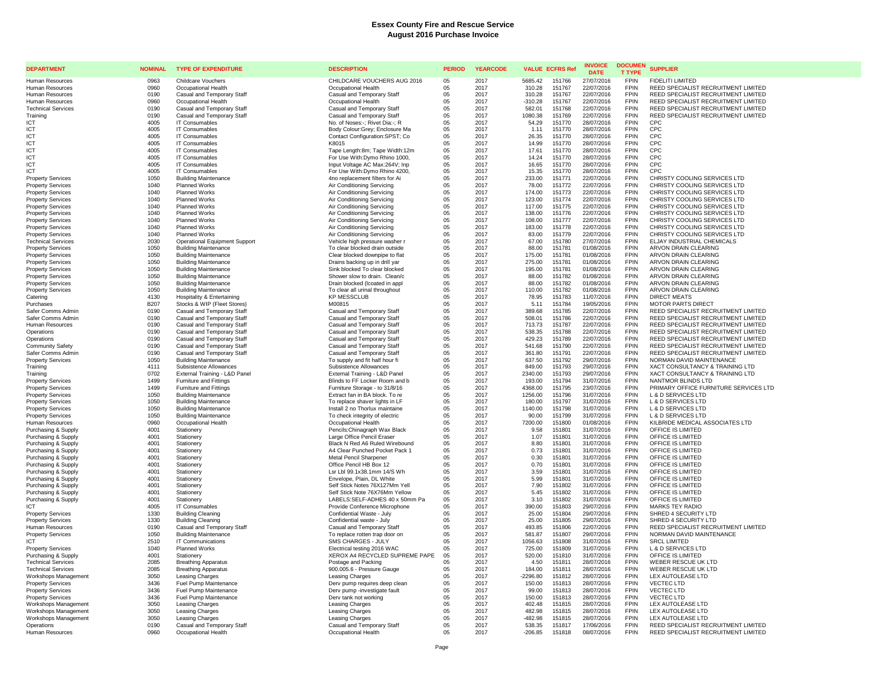| <b>DEPARTMENT</b>                                     | <b>NOMINAL</b> | <b>TYPE OF EXPENDITURE</b>                                 | <b>DESCRIPTION</b>                                               | <b>PERIOD</b> | <b>YEARCODE</b> | <b>VALUE ECFRS Ref</b>               | <b>INVOICE</b><br><b>DATE</b> | <b>DOCUMEN</b><br><b>T TYPE</b> | <b>SUPPLIER</b>                                                            |
|-------------------------------------------------------|----------------|------------------------------------------------------------|------------------------------------------------------------------|---------------|-----------------|--------------------------------------|-------------------------------|---------------------------------|----------------------------------------------------------------------------|
| <b>Human Resources</b>                                | 0963           | <b>Childcare Vouchers</b>                                  | CHILDCARE VOUCHERS AUG 2016                                      | 05            | 2017            | 5685.42<br>151766                    | 27/07/2016                    | <b>FPIN</b>                     | <b>FIDELITI LIMITED</b>                                                    |
| <b>Human Resources</b>                                | 0960           | Occupational Health                                        | Occupational Health                                              | 05            | 2017            | 310.28<br>151767                     | 22/07/2016                    | FPIN                            | REED SPECIALIST RECRUITMENT LIMITED                                        |
| Human Resources                                       | 0190           | Casual and Temporary Staff                                 | Casual and Temporary Staff                                       | 05            | 2017            | 310.28<br>151767                     | 22/07/2016                    | <b>FPIN</b>                     | REED SPECIALIST RECRUITMENT LIMITED                                        |
| Human Resources                                       | 0960           | Occupational Health                                        | Occupational Health                                              | 05            | 2017            | $-310.28$<br>151767                  | 22/07/2016                    | <b>FPIN</b>                     | REED SPECIALIST RECRUITMENT LIMITED                                        |
| <b>Technical Services</b>                             | 0190           | Casual and Temporary Staff                                 | Casual and Temporary Staff                                       | 05            | 2017            | 582.01<br>151768                     | 22/07/2016                    | <b>FPIN</b>                     | REED SPECIALIST RECRUITMENT LIMITED                                        |
| Training                                              | 0190           | Casual and Temporary Staff                                 | Casual and Temporary Staff                                       | 05            | 2017            | 1080.38<br>151769                    | 22/07/2016                    | <b>FPIN</b>                     | REED SPECIALIST RECRUITMENT LIMITED                                        |
| ICT                                                   | 4005           | IT Consumables                                             | No. of Noses:-; Rivet Dia:-; R                                   | 05            | 2017            | 54.29<br>151770                      | 28/07/2016                    | <b>FPIN</b>                     | CPC                                                                        |
| ICT                                                   | 4005           | IT Consumables                                             | Body Colour:Grey; Enclosure Ma                                   | 05            | 2017            | 1.11<br>151770                       | 28/07/2016                    | <b>FPIN</b>                     | CPC                                                                        |
| ICT                                                   | 4005<br>4005   | <b>IT Consumables</b><br>IT Consumables                    | Contact Configuration: SPST; Co                                  | 05            | 2017<br>2017    | 151770<br>26.35<br>14.99<br>151770   | 28/07/2016<br>28/07/2016      | <b>FPIN</b><br><b>FPIN</b>      | CPC<br>CPC                                                                 |
| ICT<br>ICT                                            | 4005           | <b>IT Consumables</b>                                      | K8015<br>Tape Length:8m; Tape Width:12m                          | 05<br>05      | 2017            | 17.61<br>151770                      | 28/07/2016                    | <b>FPIN</b>                     | CPC                                                                        |
| ICT                                                   | 4005           | IT Consumables                                             | For Use With:Dvmo Rhino 1000.                                    | 05            | 2017            | 14.24<br>151770                      | 28/07/2016                    | <b>FPIN</b>                     | CPC                                                                        |
| ICT                                                   | 4005           | IT Consumables                                             | Input Voltage AC Max:264V; Inp                                   | 05            | 2017            | 16.65<br>151770                      | 28/07/2016                    | <b>FPIN</b>                     | CPC                                                                        |
| ICT                                                   | 4005           | IT Consumables                                             | For Use With: Dymo Rhino 4200,                                   | 05            | 2017            | 151770<br>15.35                      | 28/07/2016                    | <b>FPIN</b>                     | C <sub>PC</sub>                                                            |
| <b>Property Services</b>                              | 1050           | <b>Building Maintenance</b>                                | 4no replacement filters for Ai                                   | 05            | 2017            | 233.00<br>151771                     | 22/07/2016                    | FPIN                            | CHRISTY COOLING SERVICES LTD                                               |
| <b>Property Services</b>                              | 1040           | <b>Planned Works</b>                                       | Air Conditioning Servicing                                       | 05            | 2017            | 78.00<br>151772                      | 22/07/2016                    | FPIN                            | CHRISTY COOLING SERVICES LTD                                               |
| <b>Property Services</b>                              | 1040           | <b>Planned Works</b>                                       | Air Conditioning Servicing                                       | 05            | 2017            | 174.00<br>151773                     | 22/07/2016                    | <b>FPIN</b>                     | CHRISTY COOLING SERVICES LTD                                               |
| <b>Property Services</b>                              | 1040           | <b>Planned Works</b>                                       | Air Conditioning Servicing                                       | 05            | 2017            | 123.00<br>151774                     | 22/07/2016                    | <b>FPIN</b>                     | CHRISTY COOLING SERVICES LTD                                               |
| <b>Property Services</b>                              | 1040           | <b>Planned Works</b>                                       | Air Conditioning Servicing                                       | 05            | 2017            | 117.00<br>151775                     | 22/07/2016                    | <b>FPIN</b>                     | CHRISTY COOLING SERVICES LTD                                               |
| <b>Property Services</b>                              | 1040           | <b>Planned Works</b>                                       | Air Conditioning Servicing                                       | 05            | 2017            | 138.00<br>151776                     | 22/07/2016                    | <b>FPIN</b>                     | CHRISTY COOLING SERVICES LTD                                               |
| <b>Property Services</b>                              | 1040           | <b>Planned Works</b>                                       | Air Conditioning Servicing                                       | 05            | 2017            | 108.00<br>151777                     | 22/07/2016                    | <b>FPIN</b>                     | CHRISTY COOLING SERVICES LTD                                               |
| <b>Property Services</b>                              | 1040           | <b>Planned Works</b>                                       | Air Conditioning Servicing                                       | 05            | 2017            | 183.00<br>151778                     | 22/07/2016                    | <b>FPIN</b><br><b>FPIN</b>      | CHRISTY COOLING SERVICES LTD                                               |
| <b>Property Services</b><br><b>Technical Services</b> | 1040<br>2030   | Planned Works<br><b>Operational Equipment Support</b>      | Air Conditioning Servicing<br>Vehicle high pressure washer r     | 05<br>05      | 2017<br>2017    | 83.00<br>151779<br>67.00<br>151780   | 22/07/2016<br>27/07/2016      | <b>FPIN</b>                     | CHRISTY COOLING SERVICES LTD<br>ELJAY INDUSTRIAL CHEMICALS                 |
| <b>Property Services</b>                              | 1050           | <b>Building Maintenance</b>                                | To clear blocked drain outside                                   | 05            | 2017            | 151781<br>88.00                      | 01/08/2016                    | <b>FPIN</b>                     | ARVON DRAIN CLEARING                                                       |
| <b>Property Services</b>                              | 1050           | <b>Building Maintenance</b>                                | Clear blocked downpipe to flat                                   | 05            | 2017            | 175.00<br>151781                     | 01/08/2016                    | <b>FPIN</b>                     | ARVON DRAIN CLEARING                                                       |
| <b>Property Services</b>                              | 1050           | <b>Building Maintenance</b>                                | Drains backing up in drill yar                                   | 05            | 2017            | 275.00<br>151781                     | 01/08/2016                    | <b>FPIN</b>                     | ARVON DRAIN CLEARING                                                       |
| <b>Property Services</b>                              | 1050           | <b>Building Maintenance</b>                                | Sink blocked To clear blocked                                    | 05            | 2017            | 195.00<br>151781                     | 01/08/2016                    | <b>FPIN</b>                     | ARVON DRAIN CLEARING                                                       |
| <b>Property Services</b>                              | 1050           | <b>Building Maintenance</b>                                | Shower slow to drain. Clean/c                                    | 05            | 2017            | 88.00<br>151782                      | 01/08/2016                    | <b>FPIN</b>                     | ARVON DRAIN CLEARING                                                       |
| <b>Property Services</b>                              | 1050           | <b>Building Maintenance</b>                                | Drain blocked (Icoated in appl                                   | 05            | 2017            | 88.00<br>151782                      | 01/08/2016                    | <b>FPIN</b>                     | ARVON DRAIN CLEARING                                                       |
| <b>Property Services</b>                              | 1050           | <b>Building Maintenance</b>                                | To clear all urinal throughout                                   | 05            | 2017            | 110.00<br>151782                     | 01/08/2016                    | <b>FPIN</b>                     | ARVON DRAIN CLEARING                                                       |
| Catering                                              | 4130           | <b>Hospitality &amp; Entertaining</b>                      | <b>KP MESSCLUB</b>                                               | 05            | 2017            | 78.95<br>151783                      | 11/07/2016                    | <b>FPIN</b>                     | <b>DIRECT MEATS</b>                                                        |
| Purchases                                             | <b>B207</b>    | Stocks & WIP (Fleet Stores)                                | M00815                                                           | 05            | 2017            | 151784<br>5.11                       | 19/05/2016                    | <b>FPIN</b>                     | <b>MOTOR PARTS DIRECT</b>                                                  |
| Safer Comms Admin                                     | 0190           | Casual and Temporary Staff                                 | Casual and Temporary Staff                                       | 05            | 2017            | 389.68<br>151785                     | 22/07/2016                    | <b>FPIN</b><br><b>FPIN</b>      | REED SPECIALIST RECRUITMENT LIMITED                                        |
| Safer Comms Admir<br>Human Resources                  | 0190           | Casual and Temporary Staff                                 | Casual and Temporary Staff                                       | 05<br>05      | 2017            | 508.01<br>151786                     | 22/07/2016                    | <b>FPIN</b>                     | REED SPECIALIST RECRUITMENT LIMITED                                        |
| Operations                                            | 0190<br>0190   | Casual and Temporary Staff<br>Casual and Temporary Staff   | Casual and Temporary Staff<br>Casual and Temporary Staff         | 05            | 2017<br>2017    | 713.73<br>151787<br>538.35<br>151788 | 22/07/2016<br>22/07/2016      | FPIN                            | REED SPECIALIST RECRUITMENT LIMITED<br>REED SPECIALIST RECRUITMENT LIMITED |
| Operations                                            | 0190           | Casual and Temporary Staff                                 | Casual and Temporary Staff                                       | 05            | 2017            | 429.23<br>151789                     | 22/07/2016                    | <b>FPIN</b>                     | REED SPECIALIST RECRUITMENT LIMITED                                        |
| <b>Community Safety</b>                               | 0190           | Casual and Temporary Staff                                 | Casual and Temporary Staff                                       | 05            | 2017            | 541.68<br>151790                     | 22/07/2016                    | <b>FPIN</b>                     | REED SPECIALIST RECRUITMENT LIMITED                                        |
| Safer Comms Admin                                     | 0190           | Casual and Temporary Staff                                 | Casual and Temporary Staff                                       | 05            | 2017            | 361.80<br>151791                     | 22/07/2016                    | <b>FPIN</b>                     | REED SPECIALIST RECRUITMENT LIMITED                                        |
| <b>Property Services</b>                              | 1050           | <b>Building Maintenance</b>                                | To supply and fit half hour fi                                   | 05            | 2017            | 637.50<br>151792                     | 29/07/2016                    | <b>FPIN</b>                     | NORMAN DAVID MAINTENANCE                                                   |
| Training                                              | 4111           | Subsistence Allowances                                     | Subsistence Allowances                                           | 05            | 2017            | 151793<br>849.00                     | 29/07/2016                    | <b>FPIN</b>                     | XACT CONSULTANCY & TRAINING LTD                                            |
| Training                                              | 0702           | External Training - L&D Panel                              | External Training - L&D Panel                                    | 05            | 2017            | 2340.00<br>151793                    | 29/07/2016                    | FPIN                            | XACT CONSULTANCY & TRAINING LTD                                            |
| <b>Property Services</b>                              | 1499           | Furniture and Fittings                                     | Blinds to FF Locker Room and b                                   | 05            | 2017            | 193.00<br>151794                     | 31/07/2016                    | <b>FPIN</b>                     | NANTMOR BLINDS LTD                                                         |
| <b>Property Services</b>                              | 1499           | Furniture and Fittings                                     | Furniture Storage - to 31/8/16                                   | 05            | 2017            | 4368.00<br>151795                    | 23/07/2016                    | FPIN                            | PRIMARY OFFICE FURNITURE SERVICES LTD                                      |
| <b>Property Services</b>                              | 1050           | <b>Building Maintenance</b>                                | Extract fan in BA block. To re                                   | 05            | 2017            | 1256.00<br>151796                    | 31/07/2016                    | <b>FPIN</b>                     | L & D SERVICES LTD                                                         |
| <b>Property Services</b>                              | 1050           | <b>Building Maintenance</b>                                | To replace shaver lights in LF                                   | 05            | 2017            | 180.00<br>151797                     | 31/07/2016                    | <b>FPIN</b>                     | L & D SERVICES LTD                                                         |
| <b>Property Services</b><br><b>Property Services</b>  | 1050<br>1050   | <b>Building Maintenance</b><br><b>Building Maintenance</b> | Install 2 no Thorlux maintaine                                   | 05<br>05      | 2017<br>2017    | 1140.00<br>151798<br>90.00<br>151799 | 31/07/2016<br>31/07/2016      | <b>FPIN</b><br><b>FPIN</b>      | L & D SERVICES LTD<br>L & D SERVICES LTD                                   |
| Human Resources                                       | 0960           | Occupational Health                                        | To check integrity of electric<br>Occupational Health            | 05            | 2017            | 7200.00<br>151800                    | 01/08/2016                    | FPIN                            | KILBRIDE MEDICAL ASSOCIATES LTD                                            |
| Purchasing & Supply                                   | 4001           | Stationery                                                 | Pencils: Chinagraph Wax Black                                    | 05            | 2017            | 9.58<br>151801                       | 31/07/2016                    | <b>FPIN</b>                     | OFFICE IS LIMITED                                                          |
| Purchasing & Supply                                   | 4001           | Stationery                                                 | Large Office Pencil Eraser                                       | 05            | 2017            | 1.07<br>151801                       | 31/07/2016                    | <b>FPIN</b>                     | OFFICE IS LIMITED                                                          |
| Purchasing & Supply                                   | 4001           | Stationery                                                 | Black N Red A6 Ruled Wirebound                                   | 05            | 2017            | 8.80<br>151801                       | 31/07/2016                    | FPIN                            | OFFICE IS LIMITED                                                          |
| Purchasing & Supply                                   | 4001           | Stationery                                                 | A4 Clear Punched Pocket Pack 1                                   | 05            | 2017            | 0.73<br>151801                       | 31/07/2016                    | <b>FPIN</b>                     | OFFICE IS LIMITED                                                          |
| Purchasing & Supply                                   | 4001           | Stationery                                                 | Metal Pencil Sharpener                                           | 05            | 2017            | 0.30<br>151801                       | 31/07/2016                    | <b>FPIN</b>                     | OFFICE IS LIMITED                                                          |
| Purchasing & Supply                                   | 4001           | Stationery                                                 | Office Pencil HB Box 12                                          | 05            | 2017            | 0.70<br>151801                       | 31/07/2016                    | <b>FPIN</b>                     | OFFICE IS LIMITED                                                          |
| Purchasing & Supply                                   | 4001           | Stationery                                                 | Lsr Lbl 99.1x38.1mm 14/S Wh                                      | 05            | 2017            | 3.59<br>151801                       | 31/07/2016                    | <b>FPIN</b>                     | OFFICE IS LIMITED                                                          |
| Purchasing & Supply                                   | 4001           | Stationery                                                 | Envelope, Plain, DL White                                        | 05            | 2017            | 5.99<br>151801                       | 31/07/2016                    | FPIN                            | OFFICE IS LIMITED                                                          |
| Purchasing & Supply<br>Purchasing & Supply            | 4001<br>4001   | Stationery<br>Stationery                                   | Self Stick Notes 76X127Mm Yell<br>Self Stick Note 76X76Mm Yellow | 05<br>05      | 2017<br>2017    | 7.90<br>151802<br>5.45<br>151802     | 31/07/2016<br>31/07/2016      | <b>FPIN</b><br><b>FPIN</b>      | OFFICE IS LIMITED<br>OFFICE IS LIMITED                                     |
|                                                       | 4001           | Stationery                                                 | LABELS:SELF-ADHES 40 x 50mm Pa                                   |               | 2017            | 3.10<br>151802                       | 31/07/2016                    | <b>FPIN</b>                     | OFFICE IS LIMITED                                                          |
| Purchasing & Supply<br>ICT                            | 4005           | IT Consumables                                             | Provide Conference Microphone                                    | 05<br>05      | 2017            | 151803<br>390.00                     | 29/07/2016                    | <b>FPIN</b>                     | <b>MARKS TEY RADIO</b>                                                     |
| <b>Property Services</b>                              | 1330           | <b>Building Cleaning</b>                                   | Confidential Waste - July                                        | 05            | 2017            | 25.00<br>151804                      | 29/07/2016                    | <b>FPIN</b>                     | SHRED 4 SECURITY LTD                                                       |
| <b>Property Services</b>                              | 1330           | <b>Building Cleaning</b>                                   | Confidential waste - July                                        | 05            | 2017            | 25.00<br>151805                      | 29/07/2016                    | FPIN                            | SHRED 4 SECURITY LTD                                                       |
| <b>Human Resources</b>                                | 0190           | Casual and Temporary Staff                                 | Casual and Temporary Staff                                       | 05            | 2017            | 493.85<br>151806                     | 22/07/2016                    | <b>FPIN</b>                     | REED SPECIALIST RECRUITMENT LIMITED                                        |
| <b>Property Services</b>                              | 1050           | <b>Building Maintenance</b>                                | To replace rotten trap door on                                   | 05            | 2017            | 581.87<br>151807                     | 29/07/2016                    | FPIN                            | NORMAN DAVID MAINTENANCE                                                   |
| <b>ICT</b>                                            | 2510           | IT Communications                                          | SMS CHARGES - JULY                                               | 05            | 2017            | 151808<br>1056.63                    | 31/07/2016                    | <b>FPIN</b>                     | <b>SRCL LIMITED</b>                                                        |
| <b>Property Services</b>                              | 1040           | <b>Planned Works</b>                                       | Electrical testing 2016 WAC                                      | 05            | 2017            | 151809<br>725.00                     | 31/07/2016                    | <b>FPIN</b>                     | <b>L &amp; D SERVICES LTD</b>                                              |
| Purchasing & Supply                                   | 4001           | Stationery                                                 | XEROX A4 RECYCLED SUPREME PAPE                                   | 05            | 2017            | 520.00<br>151810                     | 31/07/2016                    | <b>FPIN</b>                     | OFFICE IS LIMITED                                                          |
| <b>Technical Services</b>                             | 2085           | <b>Breathing Apparatus</b>                                 | Postage and Packing                                              | 05            | 2017            | 151811<br>4.50                       | 28/07/2016                    | <b>FPIN</b>                     | WEBER RESCUE UK LTD                                                        |
| <b>Technical Services</b>                             | 2085           | <b>Breathing Apparatus</b>                                 | 900.005.6 - Pressure Gauge                                       | 05            | 2017            | 184.00<br>151811                     | 28/07/2016                    | <b>FPIN</b>                     | WEBER RESCUE UK LTD                                                        |
| Workshops Management                                  | 3050<br>3436   | Leasing Charges                                            | Leasing Charges                                                  | 05            | 2017<br>2017    | $-2296.80$<br>151812<br>151813       | 28/07/2016                    | <b>FPIN</b><br><b>FPIN</b>      | LEX AUTOLEASE LTD                                                          |
| <b>Property Services</b><br><b>Property Services</b>  | 3436           | Fuel Pump Maintenance<br>Fuel Pump Maintenance             | Derv pump requires deep clean<br>Derv pump -investigate fault    | 05<br>05      | 2017            | 150.00<br>151813<br>99.00            | 28/07/2016<br>28/07/2016      | FPIN                            | <b>VECTEC LTD</b><br><b>VECTEC LTD</b>                                     |
| <b>Property Services</b>                              | 3436           | Fuel Pump Maintenance                                      | Dery tank not working                                            | 05            | 2017            | 151813<br>150.00                     | 28/07/2016                    | <b>FPIN</b>                     | <b>VECTEC LTD</b>                                                          |
| Workshops Management                                  | 3050           | <b>Leasing Charges</b>                                     | <b>Leasing Charges</b>                                           | 05            | 2017            | 151815<br>402.48                     | 28/07/2016                    | <b>FPIN</b>                     | LEX AUTOLEASE LTD                                                          |
| Workshops Management                                  | 3050           | Leasing Charges                                            | Leasing Charges                                                  | 05            | 2017            | 482.98<br>151815                     | 28/07/2016                    | <b>FPIN</b>                     | LEX AUTOLEASE LTD                                                          |
| Workshops Management                                  | 3050           | Leasing Charges                                            | Leasing Charges                                                  | 05            | 2017            | $-482.98$<br>151815                  | 28/07/2016                    | <b>FPIN</b>                     | LEX AUTOLEASE LTD                                                          |
| Operations                                            | 0190           | Casual and Temporary Staff                                 | Casual and Temporary Staff                                       | 05            | 2017            | 538.35<br>151817                     | 17/06/2016                    | <b>FPIN</b>                     | REED SPECIALIST RECRUITMENT LIMITED                                        |
| Human Resources                                       | 0960           | Occupational Health                                        | Occupational Health                                              | 05            | 2017            | $-206.85$<br>151818                  | 08/07/2016                    | <b>FPIN</b>                     | REED SPECIALIST RECRUITMENT LIMITED                                        |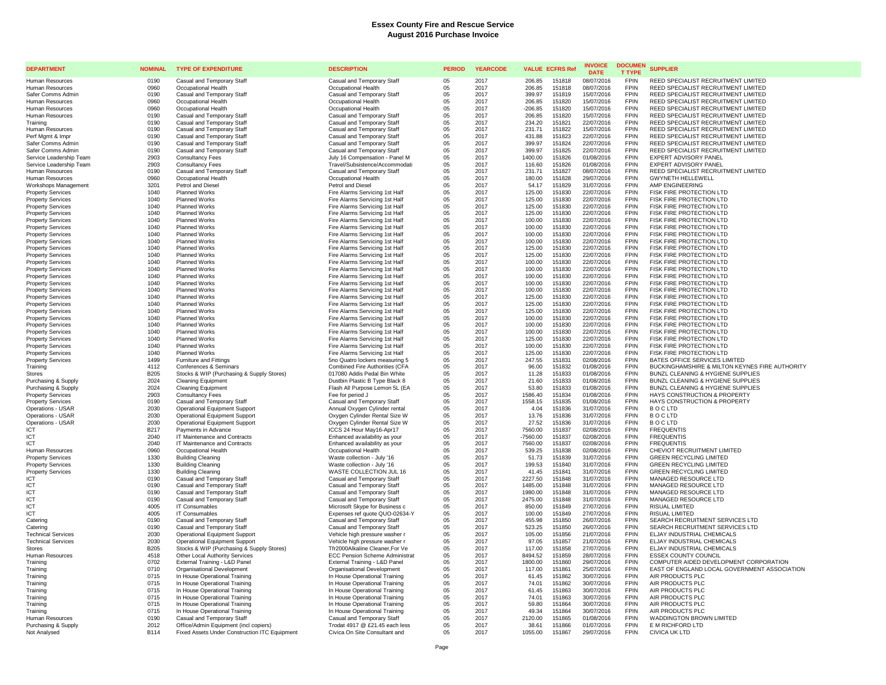| <b>DEPARTMENT</b>                                    | <b>NOMINAL</b> | <b>TYPE OF EXPENDITURE</b>                                                        | <b>DESCRIPTION</b>                                                | <b>PERIOD</b> | <b>YEARCODE</b> | <b>VALUE ECFRS Ref</b> |                  | <b>INVOICE</b><br><b>DATE</b> | <b>DOCUMEN</b><br><b>T TYPE</b> | <b>SUPPLIER</b>                                                            |
|------------------------------------------------------|----------------|-----------------------------------------------------------------------------------|-------------------------------------------------------------------|---------------|-----------------|------------------------|------------------|-------------------------------|---------------------------------|----------------------------------------------------------------------------|
| Human Resources                                      | 0190           | Casual and Temporary Staff                                                        | Casual and Temporary Staff                                        | 0.5           | 2017            | 206.85                 | 151818           | 08/07/2016                    | <b>FPIN</b>                     | REED SPECIALIST RECRUITMENT LIMITED                                        |
| <b>Human Resources</b>                               | 0960           | Occupational Health                                                               | Occupational Health                                               | 05            | 2017            | 206.85                 | 151818           | 08/07/2016                    | <b>FPIN</b>                     | REED SPECIALIST RECRUITMENT LIMITED                                        |
| Safer Comms Admin                                    | 0190           | Casual and Temporary Staff                                                        | Casual and Temporary Staff                                        | 05            | 2017            | 399.97                 | 151819           | 15/07/2016                    | <b>FPIN</b>                     | REED SPECIALIST RECRUITMENT LIMITED                                        |
| <b>Human Resources</b>                               | 0960           | Occupational Health                                                               | Occupational Health                                               | 05            | 2017            | 206.85                 | 151820           | 15/07/2016                    | <b>FPIN</b>                     | REED SPECIALIST RECRUITMENT LIMITED                                        |
| Human Resources                                      | 0960           | Occupational Health                                                               | Occupational Health                                               | 05            | 2017            | $-206.85$              | 151820           | 15/07/2016                    | <b>FPIN</b><br><b>FPIN</b>      | REED SPECIALIST RECRUITMENT LIMITED                                        |
| Human Resources<br>Training                          | 0190<br>0190   | Casual and Temporary Staff<br>Casual and Temporary Staff                          | Casual and Temporary Staff<br>Casual and Temporary Staff          | 05<br>05      | 2017<br>2017    | 206.85<br>234.20       | 151820<br>151821 | 15/07/2016<br>22/07/2016      | <b>FPIN</b>                     | REED SPECIALIST RECRUITMENT LIMITED<br>REED SPECIALIST RECRUITMENT LIMITED |
| Human Resources                                      | 0190           | Casual and Temporary Staff                                                        | Casual and Temporary Staff                                        | 05            | 2017            | 231.71                 | 151822           | 15/07/2016                    | <b>FPIN</b>                     | REED SPECIALIST RECRUITMENT LIMITED                                        |
| Perf Mamt & Impr                                     | 0190           | Casual and Temporary Staff                                                        | Casual and Temporary Staff                                        | 05            | 2017            | 431.88                 | 151823           | 22/07/2016                    | <b>FPIN</b>                     | REED SPECIALIST RECRUITMENT LIMITED                                        |
| Safer Comms Admin                                    | 0190           | Casual and Temporary Staff                                                        | Casual and Temporary Staff                                        | 05            | 2017            | 399.97                 | 151824           | 22/07/2016                    | <b>FPIN</b>                     | REED SPECIALIST RECRUITMENT LIMITED                                        |
| Safer Comms Admin                                    | 0190           | Casual and Temporary Staff                                                        | Casual and Temporary Staff                                        | 05            | 2017            | 399.97                 | 151825           | 22/07/2016                    | <b>FPIN</b>                     | REED SPECIALIST RECRUITMENT LIMITED                                        |
| Service Leadership Team                              | 2903           | <b>Consultancy Fees</b>                                                           | July 16 Compensation - Panel M                                    | 05            | 2017            | 1400.00                | 151826           | 01/08/2016                    | <b>FPIN</b>                     | <b>EXPERT ADVISORY PANEL</b>                                               |
| Service Leadership Team                              | 2903           | <b>Consultancy Fees</b>                                                           | Travel/Subsistence/Accommodati                                    | 05            | 2017            | 116.60                 | 151826           | 01/08/2016                    | <b>FPIN</b>                     | EXPERT ADVISORY PANEL                                                      |
| Human Resources                                      | 0190           | Casual and Temporary Staff                                                        | Casual and Temporary Staff                                        | 05            | 2017            | 231.71                 | 151827           | 08/07/2016                    | <b>FPIN</b>                     | REED SPECIALIST RECRUITMENT LIMITED                                        |
| Human Resources                                      | 0960           | Occupational Health                                                               | Occupational Health                                               | 05            | 2017            | 180.00                 | 151828           | 29/07/2016                    | <b>FPIN</b>                     | <b>GWYNETH HELLEWELL</b>                                                   |
| Workshops Management                                 | 3201           | Petrol and Diesel                                                                 | Petrol and Diesel                                                 | 05            | 2017            | 54.17                  | 151829<br>151830 | 31/07/2016                    | <b>FPIN</b><br><b>FPIN</b>      | AMP ENGINEERING                                                            |
| <b>Property Services</b><br><b>Property Services</b> | 1040<br>1040   | <b>Planned Works</b><br><b>Planned Works</b>                                      | Fire Alarms Servicing 1st Half<br>Fire Alarms Servicing 1st Half  | 05<br>05      | 2017<br>2017    | 125.00<br>125.00       | 151830           | 22/07/2016<br>22/07/2016      | <b>FPIN</b>                     | FISK FIRE PROTECTION LTD<br>FISK FIRE PROTECTION LTD                       |
| <b>Property Services</b>                             | 1040           | <b>Planned Works</b>                                                              | Fire Alarms Servicing 1st Half                                    | 05            | 2017            | 125.00                 | 151830           | 22/07/2016                    | <b>FPIN</b>                     | FISK FIRE PROTECTION LTD                                                   |
| <b>Property Services</b>                             | 1040           | Planned Works                                                                     | Fire Alarms Servicing 1st Half                                    | 05            | 2017            | 125.00                 | 151830           | 22/07/2016                    | <b>FPIN</b>                     | FISK FIRE PROTECTION LTD                                                   |
| <b>Property Services</b>                             | 1040           | <b>Planned Works</b>                                                              | Fire Alarms Servicing 1st Half                                    | 05            | 2017            | 100.00                 | 151830           | 22/07/2016                    | <b>FPIN</b>                     | FISK FIRE PROTECTION LTD                                                   |
| <b>Property Services</b>                             | 1040           | <b>Planned Works</b>                                                              | Fire Alarms Servicing 1st Half                                    | 05            | 2017            | 100.00                 | 151830           | 22/07/2016                    | <b>FPIN</b>                     | FISK FIRE PROTECTION LTD                                                   |
| <b>Property Services</b>                             | 1040           | <b>Planned Works</b>                                                              | Fire Alarms Servicing 1st Half                                    | 05            | 2017            | 100.00                 | 151830           | 22/07/2016                    | <b>FPIN</b>                     | FISK FIRE PROTECTION LTD                                                   |
| <b>Property Services</b>                             | 1040           | <b>Planned Works</b>                                                              | Fire Alarms Servicing 1st Half                                    | 05            | 2017            | 100.00                 | 151830           | 22/07/2016                    | <b>FPIN</b>                     | FISK FIRE PROTECTION LTD                                                   |
| <b>Property Services</b>                             | 1040           | Planned Works                                                                     | Fire Alarms Servicing 1st Half                                    | 05            | 2017            | 125.00                 | 151830           | 22/07/2016                    | <b>FPIN</b>                     | FISK FIRE PROTECTION LTD                                                   |
| <b>Property Services</b>                             | 1040           | <b>Planned Works</b>                                                              | Fire Alarms Servicing 1st Half                                    | 05            | 2017            | 125.00                 | 151830           | 22/07/2016                    | <b>FPIN</b>                     | FISK FIRE PROTECTION LTD                                                   |
| <b>Property Services</b>                             | 1040           | <b>Planned Works</b><br><b>Planned Works</b>                                      | Fire Alarms Servicing 1st Half                                    | 05            | 2017<br>2017    | 100.00                 | 151830<br>151830 | 22/07/2016                    | <b>FPIN</b><br><b>FPIN</b>      | FISK FIRE PROTECTION LTD<br>FISK FIRE PROTECTION LTD                       |
| <b>Property Services</b><br><b>Property Services</b> | 1040<br>1040   | <b>Planned Works</b>                                                              | Fire Alarms Servicing 1st Half<br>Fire Alarms Servicing 1st Half  | 05<br>05      | 2017            | 100.00<br>100.00       | 151830           | 22/07/2016<br>22/07/2016      | <b>FPIN</b>                     | FISK FIRE PROTECTION LTD                                                   |
| <b>Property Services</b>                             | 1040           | Planned Works                                                                     | Fire Alarms Servicing 1st Half                                    | 05            | 2017            | 100.00                 | 151830           | 22/07/2016                    | <b>FPIN</b>                     | FISK FIRE PROTECTION LTD                                                   |
| <b>Property Services</b>                             | 1040           | Planned Works                                                                     | Fire Alarms Servicing 1st Half                                    | 05            | 2017            | 100.00                 | 151830           | 22/07/2016                    | <b>FPIN</b>                     | FISK FIRE PROTECTION LTD                                                   |
| <b>Property Services</b>                             | 1040           | <b>Planned Works</b>                                                              | Fire Alarms Servicing 1st Half                                    | 05            | 2017            | 125.00                 | 151830           | 22/07/2016                    | <b>FPIN</b>                     | FISK FIRE PROTECTION LTD                                                   |
| <b>Property Services</b>                             | 1040           | <b>Planned Works</b>                                                              | Fire Alarms Servicing 1st Half                                    | 05            | 2017            | 125.00                 | 151830           | 22/07/2016                    | <b>FPIN</b>                     | FISK FIRE PROTECTION LTD                                                   |
| <b>Property Services</b>                             | 1040           | <b>Planned Works</b>                                                              | Fire Alarms Servicing 1st Half                                    | 05            | 2017            | 125.00                 | 151830           | 22/07/2016                    | <b>FPIN</b>                     | FISK FIRE PROTECTION LTD                                                   |
| <b>Property Services</b>                             | 1040           | Planned Works                                                                     | Fire Alarms Servicing 1st Half                                    | 05            | 2017            | 100.00                 | 151830           | 22/07/2016                    | <b>FPIN</b>                     | FISK FIRE PROTECTION LTD                                                   |
| <b>Property Services</b>                             | 1040           | Planned Works                                                                     | Fire Alarms Servicing 1st Half                                    | 05            | 2017            | 100.00                 | 151830           | 22/07/2016                    | <b>FPIN</b>                     | FISK FIRE PROTECTION LTD                                                   |
| <b>Property Services</b>                             | 1040           | <b>Planned Works</b>                                                              | Fire Alarms Servicing 1st Half                                    | 05            | 2017            | 100.00                 | 151830           | 22/07/2016                    | <b>FPIN</b>                     | FISK FIRE PROTECTION LTD                                                   |
| <b>Property Services</b>                             | 1040<br>1040   | <b>Planned Works</b><br><b>Planned Works</b>                                      | Fire Alarms Servicing 1st Half<br>Fire Alarms Servicing 1st Half  | 05<br>05      | 2017<br>2017    | 125.00<br>100.00       | 151830<br>151830 | 22/07/2016<br>22/07/2016      | <b>FPIN</b><br><b>FPIN</b>      | FISK FIRE PROTECTION LTD<br>FISK FIRE PROTECTION LTD                       |
| <b>Property Services</b><br><b>Property Services</b> | 1040           | Planned Works                                                                     | Fire Alarms Servicing 1st Half                                    | 0.5           | 2017            | 125.00                 | 151830           | 22/07/2016                    | <b>FPIN</b>                     | FISK FIRE PROTECTION LTD                                                   |
| <b>Property Services</b>                             | 1499           | Furniture and Fittings                                                            | 5no Quatro lockers measuring 5                                    | 05            | 2017            | 247.55                 | 151831           | 02/08/2016                    | <b>FPIN</b>                     | BATES OFFICE SERVICES LIMITED                                              |
| Training                                             | 4112           | Conferences & Seminars                                                            | Combined Fire Authorities (CFA                                    | 05            | 2017            | 96.00                  | 151832           | 01/08/2016                    | <b>FPIN</b>                     | BUCKINGHAMSHIRE & MILTON KEYNES FIRE AUTHORITY                             |
| Stores                                               | <b>B205</b>    | Stocks & WIP (Purchasing & Supply Stores)                                         | 017080 Addis Pedal Bin White                                      | 05            | 2017            | 11.28                  | 151833           | 01/08/2016                    | <b>FPIN</b>                     | BUNZL CLEANING & HYGIENE SUPPLIES                                          |
| Purchasing & Supply                                  | 2024           | <b>Cleaning Equipment</b>                                                         | Dustbin Plastic B Type Black 8                                    | 05            | 2017            | 21.60                  | 151833           | 01/08/2016                    | <b>FPIN</b>                     | BUNZL CLEANING & HYGIENE SUPPLIES                                          |
| Purchasing & Supply                                  | 2024           | <b>Cleaning Equipment</b>                                                         | Flash All Purpose Lemon 5L (EA                                    | 05            | 2017            | 53.80                  | 151833           | 01/08/2016                    | <b>FPIN</b>                     | <b>BUNZL CLEANING &amp; HYGIENE SUPPLIES</b>                               |
| <b>Property Services</b>                             | 2903           | <b>Consultancy Fees</b>                                                           | Fee for period J                                                  | 05            | 2017            | 1586.40                | 151834           | 01/08/2016                    | <b>FPIN</b>                     | HAYS CONSTRUCTION & PROPERTY                                               |
| <b>Property Services</b>                             | 0190           | Casual and Temporary Staff                                                        | Casual and Temporary Staff                                        | 05            | 2017            | 1558.15                | 151835           | 01/08/2016                    | <b>FPIN</b>                     | HAYS CONSTRUCTION & PROPERTY                                               |
| Operations - USAR<br>Operations - USAR               | 2030<br>2030   | <b>Operational Equipment Support</b><br><b>Operational Equipment Support</b>      | Annual Oxygen Cylinder rental<br>Oxygen Cylinder Rental Size W    | 05<br>05      | 2017<br>2017    | 4.04<br>13.76          | 151836<br>151836 | 31/07/2016<br>31/07/2016      | <b>FPIN</b><br><b>FPIN</b>      | <b>BOCLTD</b><br><b>BOCLTD</b>                                             |
| Operations - USAR                                    | 2030           | <b>Operational Equipment Support</b>                                              | Oxygen Cylinder Rental Size W                                     | 05            | 2017            | 27.52                  | 151836           | 31/07/2016                    | <b>FPIN</b>                     | <b>BOCLTD</b>                                                              |
| ICT                                                  | B217           | Payments in Advance                                                               | ICCS 24 Hour May16-Apr17                                          | 05            | 2017            | 7560.00                | 151837           | 02/08/2016                    | <b>FPIN</b>                     | <b>FREQUENTIS</b>                                                          |
| ICT                                                  | 2040           | IT Maintenance and Contracts                                                      | Enhanced availability as your                                     | 05            | 2017            | $-7560.00$             | 151837           | 02/08/2016                    | <b>FPIN</b>                     | <b>FREQUENTIS</b>                                                          |
| ICT                                                  | 2040           | IT Maintenance and Contracts                                                      | Enhanced availability as your                                     | 05            | 2017            | 7560.00                | 151837           | 02/08/2016                    | <b>FPIN</b>                     | <b>FREQUENTIS</b>                                                          |
| Human Resources                                      | 0960           | Occupational Health                                                               | Occupational Health                                               | 05            | 2017            | 539.25                 | 151838           | 02/08/2016                    | <b>FPIN</b>                     | CHEVIOT RECRUITMENT LIMITED                                                |
| <b>Property Services</b>                             | 1330           | <b>Building Cleaning</b>                                                          | Waste collection - July '16                                       | 05            | 2017            | 51.73                  | 151839           | 31/07/2016                    | <b>FPIN</b>                     | <b>GREEN RECYCLING LIMITED</b>                                             |
| <b>Property Services</b>                             | 1330           | <b>Building Cleaning</b>                                                          | Waste collection - July '16                                       | 05            | 2017            | 199.53                 | 151840           | 31/07/2016                    | <b>FPIN</b>                     | <b>GREEN RECYCLING LIMITED</b>                                             |
| <b>Property Services</b><br>ICT                      | 1330<br>0190   | <b>Building Cleaning</b>                                                          | WASTE COLLECTION JUL 16                                           | 05<br>05      | 2017<br>2017    | 41.45                  | 151841<br>151848 | 31/07/2016                    | <b>FPIN</b><br><b>FPIN</b>      | <b>GREEN RECYCLING LIMITED</b><br>MANAGED RESOURCE LTD                     |
| ICT                                                  | 0190           | Casual and Temporary Staff<br>Casual and Temporary Staff                          | Casual and Temporary Staff<br>Casual and Temporary Staff          | 05            | 2017            | 2227.50<br>1485.00     | 151848           | 31/07/2016<br>31/07/2016      | <b>FPIN</b>                     | MANAGED RESOURCE LTD                                                       |
| ICT                                                  | 0190           | Casual and Temporary Staff                                                        | Casual and Temporary Staff                                        | 05            | 2017            | 1980.00                | 151848           | 31/07/2016                    | <b>FPIN</b>                     | MANAGED RESOURCE LTD                                                       |
| ICT                                                  | 0190           | Casual and Temporary Staff                                                        | Casual and Temporary Staff                                        | 05            | 2017            | 2475.00                | 151848           | 31/07/2016                    | <b>FPIN</b>                     | MANAGED RESOURCE LTD                                                       |
| ICT                                                  | 4005           | IT Consumables                                                                    | Microsoft Skype for Business c                                    | 0.5           | 2017            | 850.00                 | 151849           | 27/07/2016                    | <b>FPIN</b>                     | RISUAL LIMITED                                                             |
| ICT                                                  | 4005           | IT Consumables                                                                    | Expenses ref quote QUO-02634-Y                                    | 05            | 2017            | 100.00                 | 151849           | 27/07/2016                    | <b>FPIN</b>                     | RISUAL LIMITED                                                             |
| Catering                                             | 0190           | Casual and Temporary Staff                                                        | Casual and Temporary Staff                                        | 05            | 2017            | 455.98                 | 151850           | 26/07/2016                    | <b>FPIN</b>                     | SEARCH RECRUITMENT SERVICES LTD                                            |
| Catering                                             | 0190           | Casual and Temporary Staff                                                        | Casual and Temporary Staff                                        | 05            | 2017            | 523.25                 | 151850           | 26/07/2016                    | <b>FPIN</b>                     | SEARCH RECRUITMENT SERVICES LTD                                            |
| <b>Technical Services</b>                            | 2030<br>2030   | <b>Operational Equipment Support</b>                                              | Vehicle high pressure washer r                                    | 05            | 2017<br>2017    | 105.00                 | 151856           | 21/07/2016<br>21/07/2016      | <b>FPIN</b><br><b>FPIN</b>      | ELJAY INDUSTRIAL CHEMICALS<br>ELJAY INDUSTRIAL CHEMICALS                   |
| <b>Technical Services</b><br><b>Stores</b>           | <b>B205</b>    | <b>Operational Equipment Support</b><br>Stocks & WIP (Purchasing & Supply Stores) | Vehicle high pressure washer r<br>Tfr2000Alkaline Cleaner, For Ve | 05<br>05      | 2017            | 97.05<br>117.00        | 151857<br>151858 | 27/07/2016                    | <b>FPIN</b>                     | ELJAY INDUSTRIAL CHEMICALS                                                 |
| Human Resources                                      | 4518           | Other Local Authority Services                                                    | <b>ECC Pension Scheme Administrat</b>                             | 05            | 2017            | 8494.52                | 151859           | 28/07/2016                    | <b>FPIN</b>                     | <b>ESSEX COUNTY COUNCIL</b>                                                |
| Training                                             | 0702           | External Training - L&D Panel                                                     | External Training - L&D Panel                                     | 05            | 2017            | 1800.00                | 151860           | 29/07/2016                    | <b>FPIN</b>                     | COMPUTER AIDED DEVELOPMENT CORPORATION                                     |
| Training                                             | 0710           | Organisational Development                                                        | Organisational Development                                        | 05            | 2017            | 117.00                 | 151861           | 25/07/2016                    | <b>FPIN</b>                     | EAST OF ENGLAND LOCAL GOVERNMENT ASSOCIATION                               |
| Training                                             | 0715           | In House Operational Training                                                     | In House Operational Training                                     | 05            | 2017            | 61.45                  | 151862           | 30/07/2016                    | <b>FPIN</b>                     | AIR PRODUCTS PLC                                                           |
| Training                                             | 0715           | In House Operational Training                                                     | In House Operational Training                                     | 0.5           | 2017            | 74.01                  | 151862           | 30/07/2016                    | <b>FPIN</b>                     | AIR PRODUCTS PLC                                                           |
| Training                                             | 0715           | In House Operational Training                                                     | In House Operational Training                                     | 05            | 2017            | 61.45                  | 151863           | 30/07/2016                    | <b>FPIN</b>                     | AIR PRODUCTS PLC                                                           |
| Training                                             | 0715           | In House Operational Training                                                     | In House Operational Training                                     | 05            | 2017            | 74.01                  | 151863           | 30/07/2016                    | <b>FPIN</b>                     | AIR PRODUCTS PLC                                                           |
| Training                                             | 0715           | In House Operational Training                                                     | In House Operational Training                                     | 05            | 2017            | 59.80                  | 151864           | 30/07/2016                    | <b>FPIN</b><br><b>FPIN</b>      | AIR PRODUCTS PLC                                                           |
| Training<br>Human Resources                          | 0715<br>0190   | In House Operational Training<br>Casual and Temporary Staff                       | In House Operational Training<br>Casual and Temporary Staff       | 05<br>05      | 2017<br>2017    | 49.34<br>2120.00       | 151864<br>151865 | 30/07/2016<br>01/08/2016      | <b>FPIN</b>                     | AIR PRODUCTS PLC<br><b>WADDINGTON BROWN LIMITED</b>                        |
| Purchasing & Supply                                  | 2012           | Office/Admin Equipment (incl copiers)                                             | Trodat 4917 @ £21.45 each less                                    | 05            | 2017            | 38.61                  | 151866           | 01/07/2016                    | <b>FPIN</b>                     | E M RICHFORD LTD                                                           |
| Not Analysed                                         | <b>B114</b>    | Fixed Assets Under Construction ITC Equipment                                     | Civica On Site Consultant and                                     | 0.5           | 2017            | 1055.00                | 151867           | 29/07/2016                    | <b>FPIN</b>                     | CIVICA UK LTD                                                              |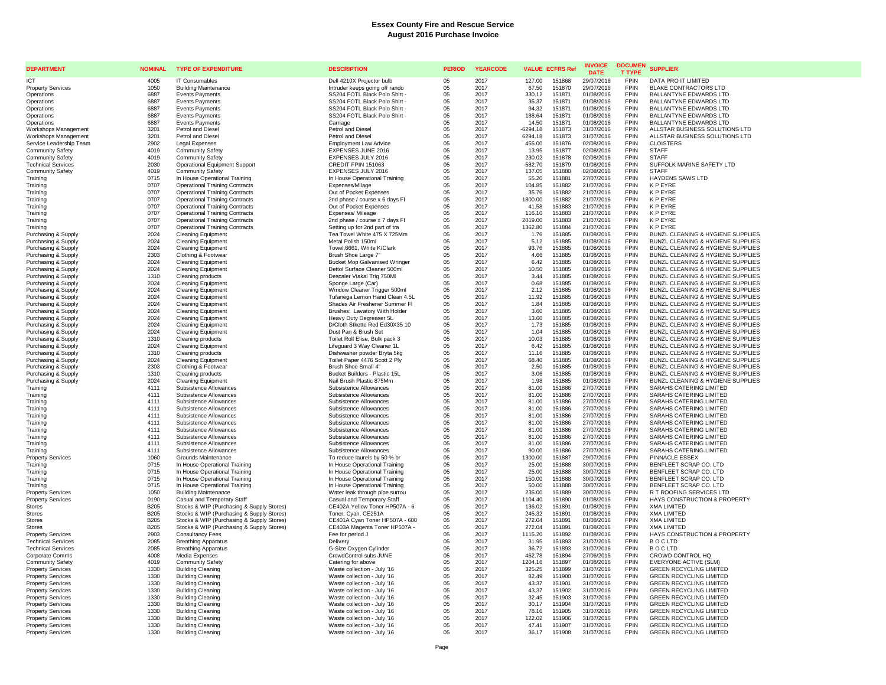| <b>DEPARTMENT</b>                                    | <b>NOMINAL</b> | <b>TYPE OF EXPENDITURE</b>                                                     | <b>DESCRIPTION</b>                                             | <b>PERIOD</b>  | <b>YEARCODE</b> |                     | <b>VALUE ECFRS Ref</b> | <b>INVOICE</b><br><b>DATE</b> | <b>DOCUMEN</b><br><b>T TYPE</b> | <b>SUPPLIER</b>                                                        |
|------------------------------------------------------|----------------|--------------------------------------------------------------------------------|----------------------------------------------------------------|----------------|-----------------|---------------------|------------------------|-------------------------------|---------------------------------|------------------------------------------------------------------------|
| <b>ICT</b>                                           | 4005           | <b>IT Consumables</b>                                                          | Dell 4210X Projector bulb                                      | 0 <sub>5</sub> | 2017            | 127.00              | 151868                 | 29/07/2016                    | <b>FPIN</b>                     | DATA PRO IT LIMITED                                                    |
| <b>Property Services</b>                             | 1050           | <b>Building Maintenance</b>                                                    | Intruder keeps going off rando                                 | 05             | 2017            | 67.50               | 151870                 | 29/07/2016                    | <b>FPIN</b>                     | <b>BLAKE CONTRACTORS LTD</b>                                           |
| Operations                                           | 6887           | <b>Events Payments</b>                                                         | SS204 FOTL Black Polo Shirt -                                  | 05             | 2017            | 330.12              | 151871                 | 01/08/2016                    | <b>FPIN</b>                     | BALLANTYNE EDWARDS LTD                                                 |
| Operations<br>Operations                             | 6887<br>6887   | <b>Events Payments</b><br><b>Events Payments</b>                               | SS204 FOTL Black Polo Shirt -<br>SS204 FOTL Black Polo Shirt - | 05<br>05       | 2017<br>2017    | 35.37<br>94.32      | 151871<br>151871       | 01/08/2016<br>01/08/2016      | <b>FPIN</b><br><b>FPIN</b>      | BALLANTYNE EDWARDS LTD<br>BALLANTYNE EDWARDS LTD                       |
| Operations                                           | 6887           | <b>Events Payments</b>                                                         | SS204 FOTL Black Polo Shirt -                                  | 05             | 2017            | 188.64              | 151871                 | 01/08/2016                    | <b>FPIN</b>                     | <b>BALLANTYNE EDWARDS LTD</b>                                          |
| Operations                                           | 6887           | <b>Events Payments</b>                                                         | Carriage                                                       | 05             | 2017            | 14.50               | 151871                 | 01/08/2016                    | FPIN                            | BALLANTYNE EDWARDS LTD                                                 |
| Workshops Management                                 | 3201           | Petrol and Diesel                                                              | Petrol and Diesel                                              | 05             | 2017            | $-6294.18$          | 151873                 | 31/07/2016                    | <b>FPIN</b>                     | ALLSTAR BUSINESS SOLUTIONS LTD                                         |
| Workshops Management                                 | 3201           | Petrol and Diese                                                               | <b>Petrol and Diesel</b>                                       | 05             | 2017            | 6294.18             | 151873                 | 31/07/2016                    | <b>FPIN</b>                     | ALLSTAR BUSINESS SOLUTIONS LTD                                         |
| Service Leadership Team                              | 2902           | Legal Expenses                                                                 | <b>Employment Law Advice</b>                                   | 05             | 2017            | 455.00              | 151876                 | 02/08/2016                    | FPIN                            | <b>CLOISTERS</b>                                                       |
| <b>Community Safety</b>                              | 4019           | <b>Community Safety</b>                                                        | EXPENSES JUNE 2016                                             | 05             | 2017            | 13.95               | 151877                 | 02/08/2016                    | <b>FPIN</b>                     | <b>STAFF</b>                                                           |
| <b>Community Safety</b><br><b>Technical Services</b> | 4019<br>2030   | <b>Community Safety</b>                                                        | <b>EXPENSES JULY 2016</b><br>CREDIT FPIN 151063                | 05             | 2017            | 230.02              | 151878<br>151879       | 02/08/2016<br>01/08/2016      | <b>FPIN</b><br><b>FPIN</b>      | <b>STAFF</b><br>SUFFOLK MARINE SAFETY LTD                              |
| <b>Community Safety</b>                              | 4019           | <b>Operational Equipment Support</b><br><b>Community Safety</b>                | EXPENSES JULY 2016                                             | 05<br>05       | 2017<br>2017    | $-582.70$<br>137.05 | 151880                 | 02/08/2016                    | FPIN                            | <b>STAFF</b>                                                           |
| Training                                             | 0715           | In House Operational Training                                                  | In House Operational Training                                  | 05             | 2017            | 55.20               | 151881                 | 27/07/2016                    | <b>FPIN</b>                     | <b>HAYDENS SAWS LTD</b>                                                |
| Training                                             | 0707           | <b>Operational Training Contracts</b>                                          | Expenses/Milage                                                | 05             | 2017            | 104.85              | 151882                 | 21/07/2016                    | <b>FPIN</b>                     | <b>KPEYRE</b>                                                          |
| Training                                             | 0707           | <b>Operational Training Contracts</b>                                          | Out of Pocket Expenses                                         | 05             | 2017            | 35.76               | 151882                 | 21/07/2016                    | <b>FPIN</b>                     | <b>KPEYRE</b>                                                          |
| Training                                             | 0707           | <b>Operational Training Contracts</b>                                          | 2nd phase / course x 6 days FI                                 | 05             | 2017            | 1800.00             | 151882                 | 21/07/2016                    | FPIN                            | <b>KPEYRE</b>                                                          |
| Training                                             | 0707           | <b>Operational Training Contracts</b>                                          | Out of Pocket Expenses                                         | 05             | 2017            | 41.58               | 151883<br>151883       | 21/07/2016                    | <b>FPIN</b>                     | <b>KPEYRE</b><br><b>K P FYRE</b>                                       |
| Training<br>Training                                 | 0707<br>0707   | <b>Operational Training Contracts</b><br><b>Operational Training Contracts</b> | Expenses/ Mileage<br>2nd phase / course x 7 days FI            | 05<br>05       | 2017<br>2017    | 116.10<br>2019.00   | 151883                 | 21/07/2016<br>21/07/2016      | <b>FPIN</b><br>FPIN             | <b>KPEYRE</b>                                                          |
| Training                                             | 0707           | <b>Operational Training Contracts</b>                                          | Setting up for 2nd part of tra                                 | 05             | 2017            | 1362.80             | 151884                 | 21/07/2016                    | <b>FPIN</b>                     | K P EYRE                                                               |
| Purchasing & Supply                                  | 2024           | <b>Cleaning Equipment</b>                                                      | Tea Towel White 475 X 725Mm                                    | 05             | 2017            | 1.76                | 151885                 | 01/08/2016                    | <b>FPIN</b>                     | <b>BUNZL CLEANING &amp; HYGIENE SUPPLIES</b>                           |
| Purchasing & Supply                                  | 2024           | <b>Cleaning Equipment</b>                                                      | Metal Polish 150ml                                             | 05             | 2017            | 5.12                | 151885                 | 01/08/2016                    | <b>FPIN</b>                     | BUNZL CLEANING & HYGIENE SUPPLIES                                      |
| Purchasing & Supply                                  | 2024           | <b>Cleaning Equipment</b>                                                      | Towel, 6661, White K/Clark                                     | 05             | 2017            | 93.76               | 151885                 | 01/08/2016                    | <b>FPIN</b>                     | BUNZL CLEANING & HYGIENE SUPPLIES                                      |
| Purchasing & Supply                                  | 2303           | Clothing & Footwear                                                            | Brush Shoe Large 7"                                            | 05             | 2017            | 4.66                | 151885                 | 01/08/2016                    | <b>FPIN</b>                     | BUNZL CLEANING & HYGIENE SUPPLIES                                      |
| Purchasing & Supply                                  | 2024           | <b>Cleaning Equipment</b>                                                      | <b>Bucket Mop Galvanised Wringer</b>                           | 05             | 2017            | 6.42                | 151885                 | 01/08/2016                    | <b>FPIN</b>                     | BUNZL CLEANING & HYGIENE SUPPLIES                                      |
| Purchasing & Supply                                  | 2024           | <b>Cleaning Equipment</b>                                                      | Dettol Surface Cleaner 500ml<br>Descaler Viakal Trig 750Ml     | 05             | 2017            | 10.50<br>3.44       | 151885<br>151885       | 01/08/2016                    | <b>FPIN</b><br>FPIN             | BUNZL CLEANING & HYGIENE SUPPLIES<br>BUNZL CLEANING & HYGIENE SUPPLIES |
| Purchasing & Supply<br>Purchasing & Supply           | 1310<br>2024   | Cleaning products<br><b>Cleaning Equipment</b>                                 | Sponge Large (Car)                                             | 05<br>05       | 2017<br>2017    | 0.68                | 151885                 | 01/08/2016<br>01/08/2016      | FPIN                            | BUNZL CLEANING & HYGIENE SUPPLIES                                      |
| Purchasing & Supply                                  | 2024           | <b>Cleaning Equipment</b>                                                      | Window Cleaner Trigger 500ml                                   | 05             | 2017            | 2.12                | 151885                 | 01/08/2016                    | FPIN                            | BUNZL CLEANING & HYGIENE SUPPLIES                                      |
| Purchasing & Supply                                  | 2024           | <b>Cleaning Equipment</b>                                                      | Tufanega Lemon Hand Clean 4.5L                                 | 05             | 2017            | 11.92               | 151885                 | 01/08/2016                    | FPIN                            | BUNZL CLEANING & HYGIENE SUPPLIES                                      |
| Purchasing & Supply                                  | 2024           | <b>Cleaning Equipment</b>                                                      | Shades Air Freshener Summer FI                                 | 05             | 2017            | 1.84                | 151885                 | 01/08/2016                    | <b>FPIN</b>                     | BUNZL CLEANING & HYGIENE SUPPLIES                                      |
| Purchasing & Supply                                  | 2024           | <b>Cleaning Equipment</b>                                                      | Brushes: Lavatory With Holder                                  | 05             | 2017            | 3.60                | 151885                 | 01/08/2016                    | <b>FPIN</b>                     | BUNZL CLEANING & HYGIENE SUPPLIES                                      |
| Purchasing & Supply                                  | 2024           | <b>Cleaning Equipment</b>                                                      | Heavy Duty Degreaser 5L                                        | 05             | 2017            | 13.60               | 151885                 | 01/08/2016                    | <b>FPIN</b>                     | BUNZL CLEANING & HYGIENE SUPPLIES                                      |
| Purchasing & Supply                                  | 2024           | <b>Cleaning Equipment</b>                                                      | D/Cloth Stkette Red Ed30X35 10                                 | 05             | 2017            | 1.73                | 151885                 | 01/08/2016                    | <b>FPIN</b><br><b>FPIN</b>      | BUNZL CLEANING & HYGIENE SUPPLIES                                      |
| Purchasing & Supply<br>Purchasing & Supply           | 2024<br>1310   | Cleaning Equipment<br>Cleaning products                                        | Dust Pan & Brush Set<br>Toilet Roll Elise, Bulk pack 3         | 05<br>05       | 2017<br>2017    | 1.04<br>10.03       | 151885<br>151885       | 01/08/2016<br>01/08/2016      | <b>FPIN</b>                     | BUNZL CLEANING & HYGIENE SUPPLIES<br>BUNZL CLEANING & HYGIENE SUPPLIES |
| Purchasing & Supply                                  | 2024           | <b>Cleaning Equipment</b>                                                      | Lifeguard 3 Way Cleaner 1L                                     | $05\,$         | 2017            | 6.42                | 151885                 | 01/08/2016                    | <b>FPIN</b>                     | BUNZL CLEANING & HYGIENE SUPPLIES                                      |
| Purchasing & Supply                                  | 1310           | Cleaning products                                                              | Dishwasher powder Bryta 5kg                                    | 05             | 2017            | 11.16               | 151885                 | 01/08/2016                    | <b>FPIN</b>                     | BUNZL CLEANING & HYGIENE SUPPLIES                                      |
| Purchasing & Supply                                  | 2024           | <b>Cleaning Equipment</b>                                                      | Toilet Paper 4476 Scott 2 Ply                                  | 05             | 2017            | 68.40               | 151885                 | 01/08/2016                    | <b>FPIN</b>                     | BUNZL CLEANING & HYGIENE SUPPLIES                                      |
| Purchasing & Supply                                  | 2303           | Clothing & Footwear                                                            | Brush Shoe Small 4"                                            | 05             | 2017            | 2.50                | 151885                 | 01/08/2016                    | FPIN                            | BUNZL CLEANING & HYGIENE SUPPLIES                                      |
| Purchasing & Supply                                  | 1310           | Cleaning products                                                              | Bucket Builders - Plastic 15L                                  | 05             | 2017            | 3.06                | 151885                 | 01/08/2016                    | <b>FPIN</b>                     | BUNZL CLEANING & HYGIENE SUPPLIES                                      |
| Purchasing & Supply<br>Training                      | 2024<br>4111   | Cleaning Equipment<br>Subsistence Allowances                                   | Nail Brush Plastic 875Mm<br>Subsistence Allowances             | 05             | 2017<br>2017    | 1.98<br>81.00       | 151885<br>151886       | 01/08/2016<br>27/07/2016      | <b>FPIN</b><br><b>FPIN</b>      | BUNZL CLEANING & HYGIENE SUPPLIES<br>SARAHS CATERING LIMITED           |
| Training                                             | 4111           | Subsistence Allowances                                                         | Subsistence Allowances                                         | 05<br>05       | 2017            | 81.00               | 151886                 | 27/07/2016                    | <b>FPIN</b>                     | SARAHS CATERING LIMITED                                                |
| Training                                             | 4111           | Subsistence Allowances                                                         | Subsistence Allowances                                         | 05             | 2017            | 81.00               | 151886                 | 27/07/2016                    | <b>FPIN</b>                     | SARAHS CATERING LIMITED                                                |
| Training                                             | 4111           | Subsistence Allowances                                                         | Subsistence Allowances                                         | 05             | 2017            | 81.00               | 151886                 | 27/07/2016                    | <b>FPIN</b>                     | SARAHS CATERING LIMITED                                                |
| Training                                             | 4111           | Subsistence Allowances                                                         | Subsistence Allowances                                         | 05             | 2017            | 81.00               | 151886                 | 27/07/2016                    | <b>FPIN</b>                     | <b>SARAHS CATERING LIMITED</b>                                         |
| Training                                             | 4111           | Subsistence Allowances                                                         | Subsistence Allowances                                         | 05             | 2017            | 81.00               | 151886                 | 27/07/2016                    | <b>FPIN</b>                     | SARAHS CATERING LIMITED                                                |
| Training                                             | 4111           | Subsistence Allowances                                                         | Subsistence Allowances                                         | 05             | 2017            | 81.00               | 151886                 | 27/07/2016                    | <b>FPIN</b>                     | SARAHS CATERING LIMITED                                                |
| Training<br>Training                                 | 4111<br>4111   | Subsistence Allowances<br>Subsistence Allowances                               | Subsistence Allowances<br>Subsistence Allowances               | 05<br>05       | 2017<br>2017    | 81.00<br>81.00      | 151886<br>151886       | 27/07/2016<br>27/07/2016      | <b>FPIN</b><br><b>FPIN</b>      | SARAHS CATERING LIMITED<br>SARAHS CATERING LIMITED                     |
| Training                                             | 4111           | Subsistence Allowances                                                         | Subsistence Allowances                                         | 05             | 2017            | 90.00               | 151886                 | 27/07/2016                    | <b>FPIN</b>                     | SARAHS CATERING LIMITED                                                |
| <b>Property Services</b>                             | 1060           | Grounds Maintenance                                                            | To reduce laurels by 50 % br                                   | 05             | 2017            | 1300.00             | 151887                 | 29/07/2016                    | <b>FPIN</b>                     | PINNACLE ESSEX                                                         |
| Training                                             | 0715           | In House Operational Training                                                  | In House Operational Training                                  | 05             | 2017            | 25.00               | 151888                 | 30/07/2016                    | FPIN                            | BENFLEET SCRAP CO. LTD                                                 |
| Training                                             | 0715           | In House Operational Training                                                  | In House Operational Training                                  | 05             | 2017            | 25.00               | 151888                 | 30/07/2016                    | FPIN                            | BENFLEET SCRAP CO. LTD                                                 |
| Training                                             | 0715           | In House Operational Training                                                  | In House Operational Training                                  | 05             | 2017            | 150.00              | 151888                 | 30/07/2016                    | <b>FPIN</b>                     | BENFLEET SCRAP CO. LTD                                                 |
| Training                                             | 0715           | In House Operational Training                                                  | In House Operational Training                                  | 05             | 2017            | 50.00               | 151888                 | 30/07/2016                    | <b>FPIN</b>                     | BENFLEET SCRAP CO. LTD                                                 |
| <b>Property Services</b><br><b>Property Services</b> | 1050<br>0190   | <b>Building Maintenance</b><br>Casual and Temporary Staff                      | Water leak through pipe surrou<br>Casual and Temporary Staff   | 05             | 2017<br>2017    | 235.00<br>1104.40   | 151889<br>151890       | 30/07/2016<br>01/08/2016      | <b>FPIN</b><br><b>FPIN</b>      | <b>R T ROOFING SERVICES LTD</b><br>HAYS CONSTRUCTION & PROPERTY        |
| Stores                                               | <b>B205</b>    | Stocks & WIP (Purchasing & Supply Stores)                                      | CE402A Yellow Toner HP507A - 6                                 | 05<br>05       | 2017            | 136.02              | 151891                 | 01/08/2016                    | FPIN                            | <b>XMA LIMITED</b>                                                     |
| <b>Stores</b>                                        | <b>B205</b>    | Stocks & WIP (Purchasing & Supply Stores)                                      | Toner, Cyan, CE251A                                            | 05             | 2017            | 245.32              | 151891                 | 01/08/2016                    | <b>FPIN</b>                     | <b>XMA LIMITED</b>                                                     |
| Stores                                               | <b>B205</b>    | Stocks & WIP (Purchasing & Supply Stores)                                      | CE401A Cyan Toner HP507A - 600                                 | 05             | 2017            | 272.04              | 151891                 | 01/08/2016                    | <b>FPIN</b>                     | <b>XMA LIMITED</b>                                                     |
| <b>Stores</b>                                        | <b>B205</b>    | Stocks & WIP (Purchasing & Supply Stores)                                      | CE403A Magenta Toner HP507A -                                  | 05             | 2017            | 272.04              | 151891                 | 01/08/2016                    | FPIN                            | <b>XMA LIMITED</b>                                                     |
| <b>Property Services</b>                             | 2903           | <b>Consultancy Fees</b>                                                        | Fee for period J                                               | 05             | 2017            | 1115.20             | 151892                 | 01/08/2016                    | <b>FPIN</b>                     | HAYS CONSTRUCTION & PROPERTY                                           |
| <b>Technical Services</b>                            | 2085           | <b>Breathing Apparatus</b>                                                     | Delivery                                                       | 05             | 2017            | 31.95               | 151893                 | 31/07/2016                    | FPIN                            | <b>BOCLTD</b>                                                          |
| <b>Technical Services</b>                            | 2085<br>4008   | <b>Breathing Apparatus</b>                                                     | G-Size Oxygen Cylinder                                         | 05<br>05       | 2017            | 36.72<br>462.78     | 151893<br>151894       | 31/07/2016<br>27/06/2016      | FPIN<br><b>FPIN</b>             | <b>BOCLTD</b><br>CROWD CONTROL HQ                                      |
| Corporate Comms<br><b>Community Safety</b>           | 4019           | Media Expenses<br><b>Community Safety</b>                                      | CrowdControl subs JUNE<br>Catering for above                   | 05             | 2017<br>2017    | 1204.16             | 151897                 | 01/08/2016                    | <b>FPIN</b>                     | EVERYONE ACTIVE (SLM)                                                  |
| <b>Property Services</b>                             | 1330           | <b>Building Cleaning</b>                                                       | Waste collection - July '16                                    | 05             | 2017            | 325.25              | 151899                 | 31/07/2016                    | <b>FPIN</b>                     | <b>GREEN RECYCLING LIMITED</b>                                         |
| <b>Property Services</b>                             | 1330           | Building Cleaning                                                              | Waste collection - July '16                                    | 05             | 2017            | 82.49               | 151900                 | 31/07/2016                    | <b>FPIN</b>                     | <b>GREEN RECYCLING LIMITED</b>                                         |
| <b>Property Services</b>                             | 1330           | <b>Building Cleaning</b>                                                       | Waste collection - July '16                                    | 05             | 2017            | 43.37               | 151901                 | 31/07/2016                    | FPIN                            | <b>GREEN RECYCLING LIMITED</b>                                         |
| <b>Property Services</b>                             | 1330           | <b>Building Cleaning</b>                                                       | Waste collection - July '16                                    | 05             | 2017            | 43.37               | 151902                 | 31/07/2016                    | <b>FPIN</b>                     | <b>GREEN RECYCLING LIMITED</b>                                         |
| <b>Property Services</b>                             | 1330           | <b>Building Cleaning</b>                                                       | Waste collection - July '16                                    | 05             | 2017            | 32.45               | 151903                 | 31/07/2016                    | <b>FPIN</b>                     | <b>GREEN RECYCLING LIMITED</b>                                         |
| <b>Property Services</b>                             | 1330           | <b>Building Cleaning</b>                                                       | Waste collection - July '16                                    | 05             | 2017            | 30.17               | 151904                 | 31/07/2016                    | FPIN                            | <b>GREEN RECYCLING LIMITED</b>                                         |
| <b>Property Services</b><br><b>Property Services</b> | 1330<br>1330   | <b>Building Cleaning</b><br><b>Building Cleaning</b>                           | Waste collection - July '16<br>Waste collection - July '16     | 05<br>05       | 2017<br>2017    | 78.16<br>122.02     | 151905<br>151906       | 31/07/2016<br>31/07/2016      | <b>FPIN</b><br><b>FPIN</b>      | <b>GREEN RECYCLING LIMITED</b><br><b>GREEN RECYCLING LIMITED</b>       |
| <b>Property Services</b>                             | 1330           | <b>Building Cleaning</b>                                                       | Waste collection - July '16                                    | 05             | 2017            | 47.41               | 151907                 | 31/07/2016                    | <b>FPIN</b>                     | <b>GREEN RECYCLING LIMITED</b>                                         |
| <b>Property Services</b>                             | 1330           | <b>Building Cleaning</b>                                                       | Waste collection - July '16                                    | 05             | 2017            | 36.17               | 151908                 | 31/07/2016                    | <b>FPIN</b>                     | <b>GREEN RECYCLING LIMITED</b>                                         |
|                                                      |                |                                                                                |                                                                |                |                 |                     |                        |                               |                                 |                                                                        |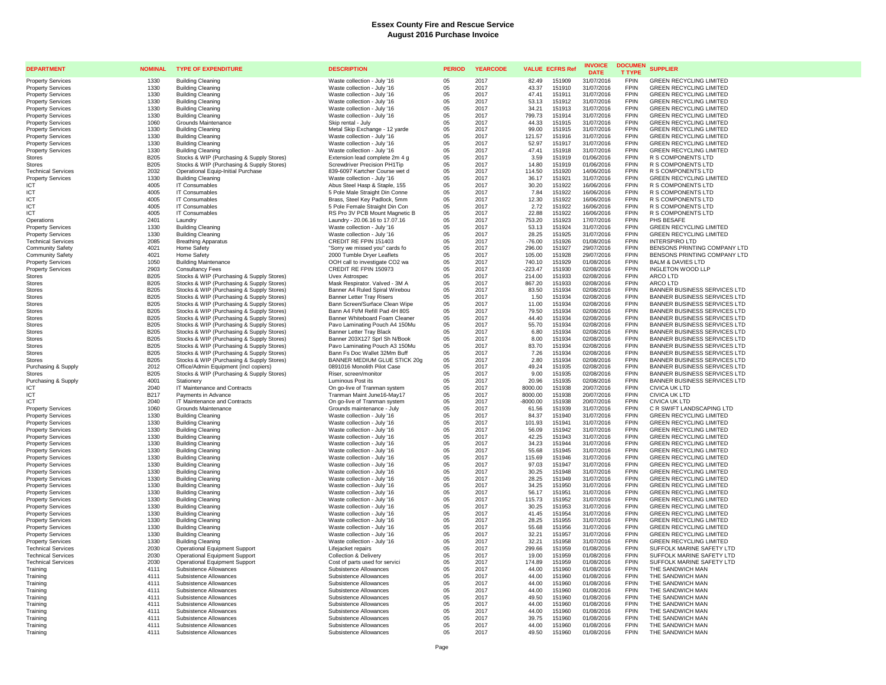| <b>DEPARTMENT</b>                                      | <b>NOMINAL</b>      | <b>TYPE OF EXPENDITURE</b>                                                         | <b>DESCRIPTION</b>                                            | <b>PERIOD</b>       | <b>YEARCODE</b> |                     | <b>VALUE ECFRS Ref</b> | <b>INVOICE</b><br><b>DATE</b> | <b>DOCUMEN</b><br><b>T TYPE</b> | <b>SUPPLIER</b>                                                  |
|--------------------------------------------------------|---------------------|------------------------------------------------------------------------------------|---------------------------------------------------------------|---------------------|-----------------|---------------------|------------------------|-------------------------------|---------------------------------|------------------------------------------------------------------|
| <b>Property Services</b>                               | 1330                | <b>Building Cleaning</b>                                                           | Waste collection - July '16                                   | 05                  | 2017            | 82.49               | 151909                 | 31/07/2016                    | <b>FPIN</b>                     | <b>GREEN RECYCLING LIMITED</b>                                   |
| <b>Property Services</b>                               | 1330                | <b>Building Cleaning</b>                                                           | Waste collection - July '16                                   | 05                  | 2017            | 43.37               | 151910                 | 31/07/2016                    | FPIN                            | <b>GREEN RECYCLING LIMITED</b>                                   |
| <b>Property Services</b>                               | 1330                | <b>Building Cleaning</b>                                                           | Waste collection - July '16                                   | 05                  | 2017            | 47.41               | 151911                 | 31/07/2016                    | <b>FPIN</b>                     | <b>GREEN RECYCLING LIMITED</b>                                   |
| <b>Property Services</b>                               | 1330                | <b>Building Cleaning</b>                                                           | Waste collection - July '16                                   | 05                  | 2017            | 53.13               | 151912                 | 31/07/2016                    | <b>FPIN</b>                     | <b>GREEN RECYCLING LIMITED</b>                                   |
| <b>Property Services</b>                               | 1330                | <b>Building Cleaning</b>                                                           | Waste collection - July '16                                   | 05                  | 2017            | 34.21               | 151913                 | 31/07/2016                    | <b>FPIN</b>                     | <b>GREEN RECYCLING LIMITED</b>                                   |
| <b>Property Services</b>                               | 1330                | Building Cleaning                                                                  | Waste collection - July '16                                   | 05                  | 2017            | 799.73              | 151914                 | 31/07/2016                    | <b>FPIN</b>                     | <b>GREEN RECYCLING LIMITED</b>                                   |
| <b>Property Services</b>                               | 1060                | Grounds Maintenance                                                                | Skip rental - July                                            | 05                  | 2017            | 44.33               | 151915                 | 31/07/2016                    | FPIN                            | <b>GREEN RECYCLING LIMITED</b>                                   |
| <b>Property Services</b>                               | 1330                | <b>Building Cleaning</b>                                                           | Metal Skip Exchange - 12 yarde                                | 05                  | 2017            | 99.00               | 151915                 | 31/07/2016                    | <b>FPIN</b>                     | <b>GREEN RECYCLING LIMITED</b>                                   |
| <b>Property Services</b>                               | 1330                | <b>Building Cleaning</b>                                                           | Waste collection - July '16                                   | $0.5\,$             | 2017            | 121.57              | 151916                 | 31/07/2016                    | <b>FPIN</b>                     | <b>GREEN RECYCLING LIMITED</b>                                   |
| <b>Property Services</b>                               | 1330                | <b>Building Cleaning</b>                                                           | Waste collection - July '16                                   | 05                  | 2017            | 52.97               | 151917                 | 31/07/2016                    | FPIN<br><b>FPIN</b>             | <b>GREEN RECYCLING LIMITED</b>                                   |
| <b>Property Services</b><br><b>Stores</b>              | 1330<br><b>B205</b> | <b>Building Cleaning</b><br>Stocks & WIP (Purchasing & Supply Stores)              | Waste collection - July '16<br>Extension lead complete 2m 4 g | 05<br>$0.5^{\circ}$ | 2017<br>2017    | 47.41<br>3.59       | 151918<br>151919       | 31/07/2016<br>01/06/2016      | <b>FPIN</b>                     | <b>GREEN RECYCLING LIMITED</b><br>R S COMPONENTS LTD             |
| <b>Stores</b>                                          | <b>B205</b>         | Stocks & WIP (Purchasing & Supply Stores)                                          | Screwdriver Precision PH1Tip                                  | 05                  | 2017            | 14.80               | 151919                 | 01/06/2016                    | <b>FPIN</b>                     | R S COMPONENTS LTD                                               |
| <b>Technical Services</b>                              | 2032                | Operational Equip-Initial Purchase                                                 | 839-6097 Kartcher Course wet d                                | 05                  | 2017            | 114.50              | 151920                 | 14/06/2016                    | <b>FPIN</b>                     | R S COMPONENTS LTD                                               |
| <b>Property Services</b>                               | 1330                | <b>Building Cleaning</b>                                                           | Waste collection - July '16                                   | 05                  | 2017            | 36.17               | 151921                 | 31/07/2016                    | FPIN                            | <b>GREEN RECYCLING LIMITED</b>                                   |
| ICT                                                    | 4005                | <b>IT Consumables</b>                                                              | Abus Steel Hasp & Staple, 155                                 | 05                  | 2017            | 30.20               | 151922                 | 16/06/2016                    | <b>FPIN</b>                     | <b>R S COMPONENTS LTD</b>                                        |
| ICT                                                    | 4005                | <b>IT Consumables</b>                                                              | 5 Pole Male Straight Din Conne                                | 05                  | 2017            | 7.84                | 151922                 | 16/06/2016                    | <b>FPIN</b>                     | R S COMPONENTS LTD                                               |
| ICT                                                    | 4005                | IT Consumables                                                                     | Brass, Steel Key Padlock, 5mm                                 | 05                  | 2017            | 12.30               | 151922                 | 16/06/2016                    | <b>FPIN</b>                     | R S COMPONENTS LTD                                               |
| ICT                                                    | 4005                | <b>IT Consumables</b>                                                              | 5 Pole Female Straight Din Con                                | 05                  | 2017            | 2.72                | 151922                 | 16/06/2016                    | <b>FPIN</b>                     | R S COMPONENTS LTD                                               |
| <b>ICT</b>                                             | 4005                | <b>IT Consumables</b>                                                              | RS Pro 3V PCB Mount Magnetic B                                | 05                  | 2017            | 22.88               | 151922                 | 16/06/2016                    | <b>FPIN</b>                     | R S COMPONENTS LTD                                               |
| Operations                                             | 2401                | Laundry                                                                            | Laundry - 20.06.16 to 17.07.16                                | 05                  | 2017            | 753.20              | 151923                 | 17/07/2016                    | <b>FPIN</b>                     | PHS BESAFE                                                       |
| <b>Property Services</b>                               | 1330                | <b>Building Cleaning</b>                                                           | Waste collection - July '16                                   | 05                  | 2017            | 53.13               | 151924                 | 31/07/2016                    | <b>FPIN</b>                     | <b>GREEN RECYCLING LIMITED</b>                                   |
| <b>Property Services</b>                               | 1330                | <b>Building Cleaning</b>                                                           | Waste collection - July '16                                   | 05                  | 2017            | 28.25               | 151925                 | 31/07/2016                    | <b>FPIN</b>                     | <b>GREEN RECYCLING LIMITED</b>                                   |
| <b>Technical Services</b>                              | 2085                | <b>Breathing Apparatus</b>                                                         | CREDIT RE FPIN 151403                                         | 05                  | 2017            | $-76.00$            | 151926                 | 01/08/2016                    | <b>FPIN</b>                     | <b>INTERSPIRO LTD</b>                                            |
| <b>Community Safety</b>                                | 4021                | Home Safety                                                                        | "Sorry we missed you" cards fo                                | 05                  | 2017            | 296.00              | 151927                 | 29/07/2016                    | <b>FPIN</b>                     | BENSONS PRINTING COMPANY LTD                                     |
| <b>Community Safety</b>                                | 4021                | Home Safety                                                                        | 2000 Tumble Dryer Leaflets                                    | 05                  | 2017            | 105.00              | 151928                 | 29/07/2016                    | <b>FPIN</b><br><b>FPIN</b>      | BENSONS PRINTING COMPANY LTD                                     |
| <b>Property Services</b>                               | 1050<br>2903        | <b>Building Maintenance</b><br><b>Consultancy Fees</b>                             | OOH call to investigate CO2 wa<br>CREDIT RE FPIN 150973       | 05<br>05            | 2017<br>2017    | 740.10<br>$-223.47$ | 151929<br>151930       | 01/08/2016<br>02/08/2016      | <b>FPIN</b>                     | <b>BALM &amp; DAVIES LTD</b><br><b>INGLETON WOOD LLP</b>         |
| <b>Property Services</b><br>Stores                     | B <sub>205</sub>    | Stocks & WIP (Purchasing & Supply Stores)                                          | Uvex Astrospec                                                | 05                  | 2017            | 214.00              | 151933                 | 02/08/2016                    | <b>FPIN</b>                     | ARCO LTD                                                         |
| <b>Stores</b>                                          | <b>B205</b>         | Stocks & WIP (Purchasing & Supply Stores)                                          | Mask Respirator. Valved - 3M A                                | 05                  | 2017            | 867.20              | 151933                 | 02/08/2016                    | <b>FPIN</b>                     | ARCO LTD                                                         |
| <b>Stores</b>                                          | <b>B205</b>         | Stocks & WIP (Purchasing & Supply Stores)                                          | Banner A4 Ruled Spiral Wirebou                                | 05                  | 2017            | 83.50               | 151934                 | 02/08/2016                    | <b>FPIN</b>                     | <b>BANNER BUSINESS SERVICES LTD</b>                              |
| Stores                                                 | <b>B205</b>         | Stocks & WIP (Purchasing & Supply Stores)                                          | <b>Banner Letter Tray Risers</b>                              | 05                  | 2017            | 1.50                | 151934                 | 02/08/2016                    | <b>FPIN</b>                     | BANNER BUSINESS SERVICES LTD                                     |
| <b>Stores</b>                                          | <b>B205</b>         | Stocks & WIP (Purchasing & Supply Stores)                                          | Bann Screen/Surface Clean Wipe                                | 05                  | 2017            | 11.00               | 151934                 | 02/08/2016                    | <b>FPIN</b>                     | <b>BANNER BUSINESS SERVICES LTD</b>                              |
| <b>Stores</b>                                          | <b>B205</b>         | Stocks & WIP (Purchasing & Supply Stores)                                          | Bann A4 Ft/M Refill Pad 4H 80S                                | 05                  | 2017            | 79.50               | 151934                 | 02/08/2016                    | <b>FPIN</b>                     | BANNER BUSINESS SERVICES LTD                                     |
| <b>Stores</b>                                          | <b>B205</b>         | Stocks & WIP (Purchasing & Supply Stores)                                          | Banner Whiteboard Foam Cleaner                                | 05                  | 2017            | 44.40               | 151934                 | 02/08/2016                    | <b>FPIN</b>                     | BANNER BUSINESS SERVICES LTD                                     |
| <b>Stores</b>                                          | <b>B205</b>         | Stocks & WIP (Purchasing & Supply Stores)                                          | Pavo Laminating Pouch A4 150Mu                                | 05                  | 2017            | 55.70               | 151934                 | 02/08/2016                    | <b>FPIN</b>                     | BANNER BUSINESS SERVICES LTD                                     |
| <b>Stores</b>                                          | <b>B205</b>         | Stocks & WIP (Purchasing & Supply Stores)                                          | Banner Letter Tray Black                                      | 05                  | 2017            | 6.80                | 151934                 | 02/08/2016                    | FPIN                            | BANNER BUSINESS SERVICES LTD                                     |
| Stores                                                 | <b>B205</b>         | Stocks & WIP (Purchasing & Supply Stores)                                          | Banner 203X127 Sprl Sh N/Book                                 | 05                  | 2017            | 8.00                | 151934                 | 02/08/2016                    | <b>FPIN</b>                     | BANNER BUSINESS SERVICES LTD                                     |
| <b>Stores</b>                                          | <b>B205</b>         | Stocks & WIP (Purchasing & Supply Stores)                                          | Pavo Laminating Pouch A3 150Mu                                | 05                  | 2017            | 83.70               | 151934                 | 02/08/2016                    | <b>FPIN</b>                     | BANNER BUSINESS SERVICES LTD                                     |
| <b>Stores</b>                                          | <b>B205</b>         | Stocks & WIP (Purchasing & Supply Stores)                                          | Bann Fs Doc Wallet 32Mm Buff                                  | 05                  | 2017            | 7.26                | 151934                 | 02/08/2016                    | <b>FPIN</b>                     | BANNER BUSINESS SERVICES LTD                                     |
| <b>Stores</b>                                          | <b>B205</b>         | Stocks & WIP (Purchasing & Supply Stores)                                          | BANNER MEDIUM GLUE STICK 20g                                  | 05<br>05            | 2017            | 2.80                | 151934                 | 02/08/2016                    | <b>FPIN</b><br><b>FPIN</b>      | BANNER BUSINESS SERVICES LTD                                     |
| Purchasing & Supply<br><b>Stores</b>                   | 2012<br><b>B205</b> | Office/Admin Equipment (incl copiers)<br>Stocks & WIP (Purchasing & Supply Stores) | 0891016 Monolith Pilot Case<br>Riser, screen/monitor          | 05                  | 2017<br>2017    | 49.24<br>9.00       | 151935<br>151935       | 02/08/2016<br>02/08/2016      | FPIN                            | BANNER BUSINESS SERVICES LTD<br>BANNER BUSINESS SERVICES LTD     |
| Purchasing & Supply                                    | 4001                | Stationerv                                                                         | Luminous Post its                                             | 05                  | 2017            | 20.96               | 151935                 | 02/08/2016                    | FPIN                            | BANNER BUSINESS SERVICES LTD                                     |
| ICT                                                    | 2040                | IT Maintenance and Contracts                                                       | On go-live of Tranman system                                  | 05                  | 2017            | 8000.00             | 151938                 | 20/07/2016                    | <b>FPIN</b>                     | <b>CIVICA UK LTD</b>                                             |
| ICT                                                    | B217                | Payments in Advance                                                                | Tranman Maint June16-May17                                    | 05                  | 2017            | 8000.00             | 151938                 | 20/07/2016                    | <b>FPIN</b>                     | <b>CIVICA UK LTD</b>                                             |
| ICT                                                    | 2040                | IT Maintenance and Contracts                                                       | On go-live of Tranman system                                  | 05                  | 2017            | $-8000.00$          | 151938                 | 20/07/2016                    | <b>FPIN</b>                     | <b>CIVICA UK LTD</b>                                             |
| <b>Property Services</b>                               | 1060                | Grounds Maintenance                                                                | Grounds maintenance - July                                    | 05                  | 2017            | 61.56               | 151939                 | 31/07/2016                    | <b>FPIN</b>                     | C R SWIFT LANDSCAPING LTD                                        |
| <b>Property Services</b>                               | 1330                | Building Cleaning                                                                  | Waste collection - July '16                                   | 05                  | 2017            | 84.37               | 151940                 | 31/07/2016                    | <b>FPIN</b>                     | <b>GREEN RECYCLING LIMITED</b>                                   |
| <b>Property Services</b>                               | 1330                | <b>Building Cleaning</b>                                                           | Waste collection - July '16                                   | 05                  | 2017            | 101.93              | 151941                 | 31/07/2016                    | <b>FPIN</b>                     | <b>GREEN RECYCLING LIMITED</b>                                   |
| <b>Property Services</b>                               | 1330                | <b>Building Cleaning</b>                                                           | Waste collection - July '16                                   | 05                  | 2017            | 56.09               | 151942                 | 31/07/2016                    | <b>FPIN</b>                     | <b>GREEN RECYCLING LIMITED</b>                                   |
| <b>Property Services</b>                               | 1330                | <b>Building Cleaning</b>                                                           | Waste collection - July '16                                   | 05                  | 2017            | 42.25               | 151943                 | 31/07/2016                    | <b>FPIN</b>                     | <b>GREEN RECYCLING LIMITED</b>                                   |
| <b>Property Services</b>                               | 1330                | <b>Building Cleaning</b>                                                           | Waste collection - July '16                                   | 05                  | 2017            | 34.23               | 151944                 | 31/07/2016                    | <b>FPIN</b>                     | <b>GREEN RECYCLING LIMITED</b>                                   |
| <b>Property Services</b>                               | 1330                | <b>Building Cleaning</b>                                                           | Waste collection - July '16                                   | 05                  | 2017            | 55.68               | 151945                 | 31/07/2016                    | <b>FPIN</b><br><b>FPIN</b>      | <b>GREEN RECYCLING LIMITED</b><br><b>GREEN RECYCLING LIMITED</b> |
| <b>Property Services</b>                               | 1330<br>1330        | <b>Building Cleaning</b><br><b>Building Cleaning</b>                               | Waste collection - July '16<br>Waste collection - July '16    | 05<br>05            | 2017<br>2017    | 115.69<br>97.03     | 151946<br>151947       | 31/07/2016<br>31/07/2016      | <b>FPIN</b>                     | <b>GREEN RECYCLING LIMITED</b>                                   |
| <b>Property Services</b><br><b>Property Services</b>   | 1330                | <b>Building Cleaning</b>                                                           | Waste collection - July '16                                   | 05                  | 2017            | 30.25               | 151948                 | 31/07/2016                    | <b>FPIN</b>                     | <b>GREEN RECYCLING LIMITED</b>                                   |
| <b>Property Services</b>                               | 1330                | <b>Building Cleaning</b>                                                           | Waste collection - July '16                                   | 05                  | 2017            | 28.25               | 151949                 | 31/07/2016                    | FPIN                            | <b>GREEN RECYCLING LIMITED</b>                                   |
| <b>Property Services</b>                               | 1330                | <b>Building Cleaning</b>                                                           | Waste collection - July '16                                   | 05                  | 2017            | 34.25               | 151950                 | 31/07/2016                    | <b>FPIN</b>                     | <b>GREEN RECYCLING LIMITED</b>                                   |
| <b>Property Services</b>                               | 1330                | <b>Building Cleaning</b>                                                           | Waste collection - July '16                                   | 05                  | 2017            | 56.17               | 151951                 | 31/07/2016                    | <b>FPIN</b>                     | <b>GREEN RECYCLING LIMITED</b>                                   |
| <b>Property Services</b>                               | 1330                | <b>Building Cleaning</b>                                                           | Waste collection - July '16                                   | 05                  | 2017            | 115.73              | 151952                 | 31/07/2016                    | <b>FPIN</b>                     | <b>GREEN RECYCLING LIMITED</b>                                   |
| <b>Property Services</b>                               | 1330                | <b>Building Cleaning</b>                                                           | Waste collection - July '16                                   | 05                  | 2017            | 30.25               | 151953                 | 31/07/2016                    | <b>FPIN</b>                     | <b>GREEN RECYCLING LIMITED</b>                                   |
| <b>Property Services</b>                               | 1330                | <b>Building Cleaning</b>                                                           | Waste collection - July '16                                   | 05                  | 2017            | 41.45               | 151954                 | 31/07/2016                    | <b>FPIN</b>                     | <b>GREEN RECYCLING LIMITED</b>                                   |
| <b>Property Services</b>                               | 1330                | <b>Building Cleaning</b>                                                           | Waste collection - July '16                                   | 05                  | 2017            | 28.25               | 151955                 | 31/07/2016                    | <b>FPIN</b>                     | <b>GREEN RECYCLING LIMITED</b>                                   |
| <b>Property Services</b>                               | 1330                | <b>Building Cleaning</b>                                                           | Waste collection - July '16                                   | 05                  | 2017            | 55.68               | 151956                 | 31/07/2016                    | <b>FPIN</b>                     | GREEN RECYCLING LIMITED                                          |
| <b>Property Services</b>                               | 1330                | <b>Building Cleaning</b>                                                           | Waste collection - July '16                                   | 05                  | 2017            | 32.21               | 151957                 | 31/07/2016                    | <b>FPIN</b>                     | <b>GREEN RECYCLING LIMITED</b>                                   |
| <b>Property Services</b>                               | 1330<br>2030        | <b>Building Cleaning</b>                                                           | Waste collection - July '16                                   | 05<br>05            | 2017<br>2017    | 32.21<br>299.66     | 151958<br>151959       | 31/07/2016<br>01/08/2016      | <b>FPIN</b><br><b>FPIN</b>      | <b>GREEN RECYCLING LIMITED</b><br>SUFFOLK MARINE SAFETY LTD      |
| <b>Technical Services</b><br><b>Technical Services</b> | 2030                | <b>Operational Equipment Support</b><br><b>Operational Equipment Support</b>       | Lifejacket repairs<br>Collection & Delivery                   | 05                  | 2017            | 19.00               | 151959                 | 01/08/2016                    | <b>FPIN</b>                     | SUFFOLK MARINE SAFETY LTD                                        |
| <b>Technical Services</b>                              | 2030                | <b>Operational Equipment Support</b>                                               | Cost of parts used for servici                                | 05                  | 2017            | 174.89              | 151959                 | 01/08/2016                    | <b>FPIN</b>                     | SUFFOLK MARINE SAFETY LTD                                        |
| Training                                               | 4111                | Subsistence Allowances                                                             | Subsistence Allowances                                        | 05                  | 2017            | 44.00               | 151960                 | 01/08/2016                    | <b>FPIN</b>                     | THE SANDWICH MAN                                                 |
| Training                                               | 4111                | Subsistence Allowances                                                             | Subsistence Allowances                                        | 05                  | 2017            | 44.00               | 151960                 | 01/08/2016                    | <b>FPIN</b>                     | THE SANDWICH MAN                                                 |
| Training                                               | 4111                | Subsistence Allowances                                                             | Subsistence Allowances                                        | 05                  | 2017            | 44.00               | 151960                 | 01/08/2016                    | <b>FPIN</b>                     | THE SANDWICH MAN                                                 |
| Training                                               | 4111                | Subsistence Allowances                                                             | Subsistence Allowances                                        | 05                  | 2017            | 44.00               | 151960                 | 01/08/2016                    | FPIN                            | THE SANDWICH MAN                                                 |
| Training                                               | 4111                | Subsistence Allowances                                                             | Subsistence Allowances                                        | 05                  | 2017            | 49.50               | 151960                 | 01/08/2016                    | <b>FPIN</b>                     | THE SANDWICH MAN                                                 |
| Training                                               | 4111                | Subsistence Allowances                                                             | Subsistence Allowances                                        | $0.5^{\circ}$       | 2017            | 44.00               | 151960                 | 01/08/2016                    | <b>FPIN</b>                     | THE SANDWICH MAN                                                 |
| Training                                               | 4111                | Subsistence Allowances                                                             | Subsistence Allowances                                        | 05                  | 2017            | 44.00               | 151960                 | 01/08/2016                    | <b>FPIN</b>                     | THE SANDWICH MAN                                                 |
| Training                                               | 4111<br>4111        | Subsistence Allowances                                                             | Subsistence Allowances                                        | 05                  | 2017            | 39.75               | 151960                 | 01/08/2016                    | <b>FPIN</b><br><b>FPIN</b>      | THE SANDWICH MAN                                                 |
| Training<br>Training                                   | 4111                | Subsistence Allowances<br>Subsistence Allowances                                   | Subsistence Allowances<br>Subsistence Allowances              | 05<br>05            | 2017<br>2017    | 44.00<br>49.50      | 151960<br>151960       | 01/08/2016<br>01/08/2016      | <b>FPIN</b>                     | THE SANDWICH MAN<br>THE SANDWICH MAN                             |
|                                                        |                     |                                                                                    |                                                               |                     |                 |                     |                        |                               |                                 |                                                                  |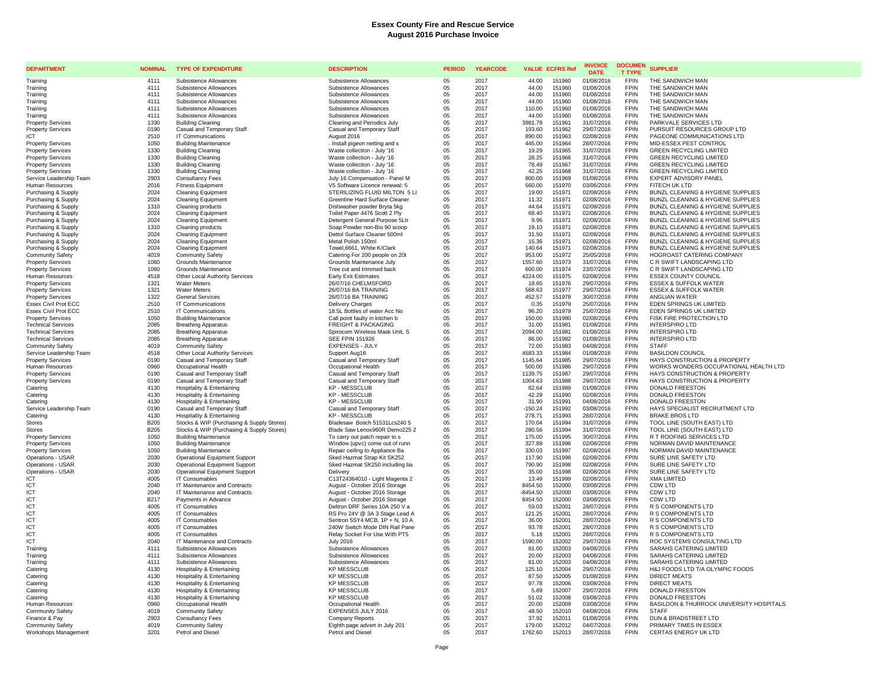| <b>DEPARTMENT</b>                                      | <b>NOMINAL</b>      | <b>TYPE OF EXPENDITURE</b>                                          | <b>DESCRIPTION</b>                                               | <b>PERIOD</b> | <b>YEARCODE</b> | <b>VALUE ECFRS Ref</b> |                  | <b>INVOICE</b><br><b>DATE</b> | <b>DOCUMEN</b><br><b>T TYPE</b> | <b>SUPPLIER</b>                                         |
|--------------------------------------------------------|---------------------|---------------------------------------------------------------------|------------------------------------------------------------------|---------------|-----------------|------------------------|------------------|-------------------------------|---------------------------------|---------------------------------------------------------|
| Training                                               | 4111                | Subsistence Allowances                                              | Subsistence Allowances                                           | 0.5           | 2017            | 44.00                  | 151960           | 01/08/2016                    | <b>FPIN</b>                     | THE SANDWICH MAN                                        |
| Training                                               | 4111                | Subsistence Allowances                                              | Subsistence Allowances                                           | 05            | 2017            | 44.00                  | 151960           | 01/08/2016                    | FPIN                            | THE SANDWICH MAN                                        |
| Training                                               | 4111                | Subsistence Allowances                                              | Subsistence Allowances                                           | 05            | 2017            | 44.00                  | 151960           | 01/08/2016                    | <b>FPIN</b>                     | THE SANDWICH MAN                                        |
| Training                                               | 4111                | Subsistence Allowances                                              | Subsistence Allowances                                           | 05            | 2017            | 44.00                  | 151960           | 01/08/2016                    | <b>FPIN</b>                     | THE SANDWICH MAN                                        |
| Training                                               | 4111                | Subsistence Allowances                                              | Subsistence Allowances                                           | 05            | 2017            | 110.00                 | 151960           | 01/08/2016                    | <b>FPIN</b>                     | THE SANDWICH MAN                                        |
| Training                                               | 4111                | Subsistence Allowances                                              | Subsistence Allowances                                           | 05            | 2017            | 44.00                  | 151960           | 01/08/2016                    | <b>FPIN</b>                     | THE SANDWICH MAN                                        |
| <b>Property Services</b>                               | 1330                | <b>Building Cleaning</b>                                            | Cleaning and Periodics July                                      | 05            | 2017            | 3981.78                | 151961           | 31/07/2016                    | <b>FPIN</b>                     | PARKVALE SERVICES LTD                                   |
| <b>Property Services</b>                               | 0190                | Casual and Temporary Staff                                          | Casual and Temporary Staff                                       | 05            | 2017            | 193.60                 | 151962           | 29/07/2016                    | <b>FPIN</b>                     | PURSUIT RESOURCES GROUP LTD                             |
| ICT                                                    | 2510                | IT Communications                                                   | August 2016                                                      | 05            | 2017            | 890.00                 | 151963           | 02/08/2016                    | <b>FPIN</b>                     | PAGEONE COMMUNICATIONS LTD                              |
| <b>Property Services</b>                               | 1050                | <b>Building Maintenance</b>                                         | . Install pigeon netting and s                                   | 05            | 2017            | 445.00                 | 151964           | 28/07/2016                    | <b>FPIN</b>                     | MID-ESSEX PEST CONTROL                                  |
| <b>Property Services</b>                               | 1330                | <b>Building Cleaning</b>                                            | Waste collection - July '16                                      | 05            | 2017            | 19.29                  | 151965           | 31/07/2016                    | <b>FPIN</b>                     | <b>GREEN RECYCLING LIMITED</b>                          |
| <b>Property Services</b>                               | 1330                | <b>Building Cleaning</b>                                            | Waste collection - July '16                                      | 05            | 2017            | 28.25                  | 151966           | 31/07/2016                    | <b>FPIN</b>                     | <b>GREEN RECYCLING LIMITED</b>                          |
| <b>Property Services</b>                               | 1330                | <b>Building Cleaning</b>                                            | Waste collection - July '16                                      | 05            | 2017            | 78.49                  | 151967           | 31/07/2016                    | <b>FPIN</b><br><b>FPIN</b>      | <b>GREEN RECYCLING LIMITED</b>                          |
| <b>Property Services</b><br>Service Leadership Team    | 1330<br>2903        | <b>Building Cleaning</b><br><b>Consultancy Fees</b>                 | Waste collection - July '16<br>July 16 Compensation - Panel M    | 05<br>05      | 2017<br>2017    | 42.25<br>800.00        | 151968<br>151969 | 31/07/2016<br>01/08/2016      | <b>FPIN</b>                     | <b>GREEN RECYCLING LIMITED</b><br>EXPERT ADVISORY PANEL |
| Human Resources                                        | 2016                | <b>Fitness Equipment</b>                                            | V5 Software Licence renewal: 5                                   | 05            | 2017            | 560.00                 | 151970           | 03/06/2016                    | <b>FPIN</b>                     | FITECH UK LTD                                           |
| Purchasing & Supply                                    | 2024                | <b>Cleaning Equipment</b>                                           | STERILIZING FLUID MILTON 5 LI                                    | 05            | 2017            | 19.00                  | 151971           | 02/08/2016                    | <b>FPIN</b>                     | BUNZL CLEANING & HYGIENE SUPPLIES                       |
| Purchasing & Supply                                    | 2024                | <b>Cleaning Equipment</b>                                           | Greenline Hard Surface Cleaner                                   | 05            | 2017            | 11.32                  | 151971           | 02/08/2016                    | <b>FPIN</b>                     | BUNZL CLEANING & HYGIENE SUPPLIES                       |
| Purchasing & Supply                                    | 1310                | Cleaning products                                                   | Dishwasher powder Bryta 5kg                                      | 05            | 2017            | 44.64                  | 151971           | 02/08/2016                    | <b>FPIN</b>                     | BUNZL CLEANING & HYGIENE SUPPLIES                       |
| Purchasing & Supply                                    | 2024                | <b>Cleaning Equipment</b>                                           | Toilet Paper 4476 Scott 2 Ply                                    | 05            | 2017            | 68.40                  | 151971           | 02/08/2016                    | <b>FPIN</b>                     | BUNZL CLEANING & HYGIENE SUPPLIES                       |
| Purchasing & Supply                                    | 2024                | <b>Cleaning Equipment</b>                                           | Detergent General Purpose 5Ltr                                   | 05            | 2017            | 9.96                   | 151971           | 02/08/2016                    | <b>FPIN</b>                     | BUNZL CLEANING & HYGIENE SUPPLIES                       |
| Purchasing & Supply                                    | 1310                | Cleaning products                                                   | Soap Powder non-Bio 90 scoop                                     | 05            | 2017            | 19.10                  | 151971           | 02/08/2016                    | <b>FPIN</b>                     | BUNZL CLEANING & HYGIENE SUPPLIES                       |
| Purchasing & Supply                                    | 2024                | <b>Cleaning Equipment</b>                                           | Dettol Surface Cleaner 500ml                                     | 05            | 2017            | 31.50                  | 151971           | 02/08/2016                    | <b>FPIN</b>                     | BUNZL CLEANING & HYGIENE SUPPLIES                       |
| Purchasing & Supply                                    | 2024                | <b>Cleaning Equipment</b>                                           | Metal Polish 150ml                                               | 05            | 2017            | 15.36                  | 151971           | 02/08/2016                    | <b>FPIN</b>                     | BUNZL CLEANING & HYGIENE SUPPLIES                       |
| Purchasing & Supply                                    | 2024                | <b>Cleaning Equipment</b>                                           | Towel, 6661, White K/Clark                                       | 05            | 2017            | 140.64                 | 151971           | 02/08/2016                    | <b>FPIN</b>                     | BUNZL CLEANING & HYGIENE SUPPLIES                       |
| <b>Community Safety</b>                                | 4019                | Community Safety                                                    | Catering For 200 people on 20t                                   | 05            | 2017            | 953.00                 | 151972           | 25/05/2016                    | <b>FPIN</b>                     | HOGROAST CATERING COMPANY                               |
| <b>Property Services</b>                               | 1060                | Grounds Maintenance                                                 | Grounds Maintenance July                                         | 05            | 2017            | 1557.60                | 151973           | 31/07/2016                    | <b>FPIN</b>                     | C R SWIFT LANDSCAPING LTD                               |
| <b>Property Services</b>                               | 1060                | Grounds Maintenance                                                 | Tree cut and trimmed back                                        | 05            | 2017            | 600.00                 | 151974           | 23/07/2016                    | <b>FPIN</b>                     | C R SWIFT LANDSCAPING LTD                               |
| Human Resources                                        | 4518                | Other Local Authority Services                                      | <b>Early Exit Estimates</b>                                      | 05            | 2017            | 4224.00                | 151975           | 02/08/2016                    | <b>FPIN</b>                     | <b>ESSEX COUNTY COUNCIL</b>                             |
| <b>Property Services</b>                               | 1321                | Water Meters                                                        | 26/07/16 CHELMSFORD                                              | 05            | 2017            | 18.65                  | 151976           | 29/07/2016                    | <b>FPIN</b>                     | <b>ESSEX &amp; SUFFOLK WATER</b>                        |
| <b>Property Services</b>                               | 1321                | <b>Water Meters</b>                                                 | 26/07/16 BA TRAINING                                             | 05            | 2017            | 568.63                 | 151977           | 29/07/2016                    | <b>FPIN</b>                     | <b>ESSEX &amp; SUFFOLK WATER</b>                        |
| <b>Property Services</b>                               | 1322                | <b>General Services</b>                                             | 26/07/16 BA TRAINING                                             | 05            | 2017            | 452.57                 | 151978           | 30/07/2016                    | <b>FPIN</b>                     | ANGLIAN WATER                                           |
| Essex Civil Prot ECC                                   | 2510                | <b>IT Communications</b>                                            | <b>Delivery Charges</b>                                          | 05            | 2017            | 0.35                   | 151979           | 25/07/2016                    | <b>FPIN</b>                     | EDEN SPRINGS UK LIMITED                                 |
| Essex Civil Prot ECC                                   | 2510                | IT Communications                                                   | 18.5L Bottles of water Acc No                                    | 05            | 2017            | 96.20                  | 151979           | 25/07/2016                    | <b>FPIN</b>                     | <b>EDEN SPRINGS UK LIMITED</b>                          |
| <b>Property Services</b>                               | 1050<br>2085        | <b>Building Maintenance</b>                                         | Call point faulty in kitchen b<br><b>FREIGHT &amp; PACKAGING</b> | 05            | 2017<br>2017    | 150.00                 | 151980<br>151981 | 02/08/2016                    | <b>FPIN</b><br><b>FPIN</b>      | FISK FIRE PROTECTION LTD<br><b>INTERSPIRO LTD</b>       |
| <b>Technical Services</b><br><b>Technical Services</b> | 2085                | <b>Breathing Apparatus</b>                                          | Spirocom Wireless Mask Unit, S                                   | 05<br>05      | 2017            | 31.00<br>2094.00       | 151981           | 01/08/2016<br>01/08/2016      | <b>FPIN</b>                     | <b>INTERSPIRO LTD</b>                                   |
| <b>Technical Services</b>                              | 2085                | <b>Breathing Apparatus</b><br><b>Breathing Apparatus</b>            | <b>SEE FPIN 151926</b>                                           | 05            | 2017            | 86.00                  | 151982           | 01/08/2016                    | <b>FPIN</b>                     | <b>INTERSPIRO LTD</b>                                   |
| <b>Community Safety</b>                                | 4019                | <b>Community Safety</b>                                             | <b>EXPENSES - JULY</b>                                           | 05            | 2017            | 72.00                  | 151983           | 04/08/2016                    | <b>FPIN</b>                     | <b>STAFF</b>                                            |
| Service Leadership Team                                | 4518                | Other Local Authority Services                                      | Support Aug16                                                    | 05            | 2017            | 4583.33                | 151984           | 01/08/2016                    | <b>FPIN</b>                     | <b>BASILDON COUNCIL</b>                                 |
| <b>Property Services</b>                               | 0190                | Casual and Temporary Staff                                          | Casual and Temporary Staff                                       | 05            | 2017            | 1145.64                | 151985           | 29/07/2016                    | <b>FPIN</b>                     | HAYS CONSTRUCTION & PROPERTY                            |
| Human Resources                                        | 0960                | Occupational Health                                                 | Occupational Health                                              | 05            | 2017            | 500.00                 | 151986           | 29/07/2016                    | <b>FPIN</b>                     | WORKS WONDERS OCCUPATIONAL HEALTH LTD                   |
| <b>Property Services</b>                               | 0190                | Casual and Temporary Staff                                          | Casual and Temporary Staff                                       | 05            | 2017            | 1139.75                | 151987           | 29/07/2016                    | <b>FPIN</b>                     | HAYS CONSTRUCTION & PROPERTY                            |
| <b>Property Services</b>                               | 0190                | Casual and Temporary Staff                                          | Casual and Temporary Staff                                       | 05            | 2017            | 1004.63                | 151988           | 29/07/2016                    | <b>FPIN</b>                     | HAYS CONSTRUCTION & PROPERTY                            |
| Catering                                               | 4130                | Hospitality & Entertaining                                          | <b>KP-MESSCLUB</b>                                               | 05            | 2017            | 82.64                  | 151989           | 01/08/2016                    | <b>FPIN</b>                     | <b>DONALD FREESTON</b>                                  |
| Catering                                               | 4130                | <b>Hospitality &amp; Entertaining</b>                               | <b>KP-MESSCLUB</b>                                               | 05            | 2017            | 42.29                  | 151990           | 02/08/2016                    | <b>FPIN</b>                     | DONALD FREESTON                                         |
| Catering                                               | 4130                | <b>Hospitality &amp; Entertaining</b>                               | <b>KP - MESSCLUB</b>                                             | 05            | 2017            | 31.90                  | 151991           | 04/08/2016                    | <b>FPIN</b>                     | DONALD FREESTON                                         |
| Service Leadership Team                                | 0190                | Casual and Temporary Staff                                          | Casual and Temporary Staff                                       | 05            | 2017            | $-150.24$              | 151992           | 03/08/2016                    | <b>FPIN</b>                     | HAYS SPECIALIST RECRUITMENT LTD                         |
| Catering                                               | 4130                | <b>Hospitality &amp; Entertaining</b>                               | <b>KP - MESSCLUB</b>                                             | 05            | 2017            | 278.71                 | 151993           | 28/07/2016                    | <b>FPIN</b>                     | <b>BRAKE BROS LTD</b>                                   |
| <b>Stores</b>                                          | <b>B205</b>         | Stocks & WIP (Purchasing & Supply Stores)                           | Bladesaw Bosch 51531Lcs240 5                                     | 05            | 2017            | 170.04                 | 151994           | 31/07/2016                    | <b>FPIN</b>                     | TOOL LINE (SOUTH EAST) LTD                              |
| <b>Stores</b>                                          | <b>B205</b><br>1050 | Stocks & WIP (Purchasing & Supply Stores)                           | Blade Saw Lenox960R Demo225 2                                    | 05            | 2017<br>2017    | 280.56                 | 151994<br>151995 | 31/07/2016                    | <b>FPIN</b><br><b>FPIN</b>      | TOOL LINE (SOUTH EAST) LTD                              |
| <b>Property Services</b><br><b>Property Services</b>   | 1050                | <b>Building Maintenance</b><br><b>Building Maintenance</b>          | To carry out patch repair to s<br>Window (upvc) come out of runn | 05<br>05      | 2017            | 175.00<br>327.89       | 151996           | 30/07/2016<br>02/08/2016      | <b>FPIN</b>                     | R T ROOFING SERVICES LTD<br>NORMAN DAVID MAINTENANCE    |
| <b>Property Services</b>                               | 1050                | <b>Building Maintenance</b>                                         | Repair ceiling to Appliance Ba                                   | 05            | 2017            | 330.03                 | 151997           | 02/08/2016                    | <b>FPIN</b>                     | NORMAN DAVID MAINTENANCE                                |
| Operations - USAR                                      | 2030                | Operational Equipment Support                                       | Sked Hazmat Strap Kit SK252                                      | 05            | 2017            | 117.90                 | 151998           | 02/08/2016                    | <b>FPIN</b>                     | SURE LINE SAFETY LTD                                    |
| Operations - USAR                                      | 2030                | <b>Operational Equipment Support</b>                                | Sked Hazmat SK250 including ba                                   | 05            | 2017            | 790.90                 | 151998           | 02/08/2016                    | <b>FPIN</b>                     | SURE LINE SAFETY LTD                                    |
| Operations - USAR                                      | 2030                | <b>Operational Equipment Support</b>                                | Delivery                                                         | 05            | 2017            | 35.00                  | 151998           | 02/08/2016                    | <b>FPIN</b>                     | SURE LINE SAFETY LTD                                    |
| ICT                                                    | 4005                | IT Consumables                                                      | C13T24364010 - Light Magenta 2                                   | 05            | 2017            | 13.49                  | 151999           | 02/08/2016                    | <b>FPIN</b>                     | <b>XMA LIMITED</b>                                      |
| ICT                                                    | 2040                | IT Maintenance and Contracts                                        | August - October 2016 Storage                                    | 05            | 2017            | 8454.50                | 152000           | 03/08/2016                    | <b>FPIN</b>                     | CDW LTD                                                 |
| ICT                                                    | 2040                | IT Maintenance and Contracts                                        | August - October 2016 Storage                                    | 05            | 2017            | -8454.50               | 152000           | 03/08/2016                    | <b>FPIN</b>                     | CDW LTD                                                 |
| ICT                                                    | <b>B217</b>         | Payments in Advance                                                 | August - October 2016 Storage                                    | 05            | 2017            | 8454.50                | 152000           | 03/08/2016                    | <b>FPIN</b>                     | CDW LTD                                                 |
| ICT                                                    | 4005                | IT Consumables                                                      | Deltron DRF Series 10A 250 V a                                   | 05            | 2017            | 59.03                  | 152001           | 28/07/2016                    | <b>FPIN</b>                     | R S COMPONENTS LTD                                      |
| ICT                                                    | 4005                | IT Consumables                                                      | RS Pro 24V @ 3A 3 Stage Lead A                                   | 05            | 2017            | 121.25                 | 152001           | 28/07/2016                    | <b>FPIN</b>                     | R S COMPONENTS LTD                                      |
| <b>ICT</b>                                             | 4005                | <b>IT Consumables</b>                                               | Sentron 5SY4 MCB, 1P + N, 10 A                                   | 05            | 2017            | 36.00                  | 152001           | 28/07/2016                    | <b>FPIN</b>                     | R S COMPONENTS LTD                                      |
| ICT                                                    | 4005                | IT Consumables                                                      | 240W Switch Mode DIN Rail Pane                                   | 05            | 2017            | 93.78                  | 152001           | 28/07/2016                    | <b>FPIN</b>                     | R S COMPONENTS LTD                                      |
| ICT                                                    | 4005                | <b>IT Consumables</b>                                               | Relay Socket For Use With PT5                                    | 05            | 2017            | 5.18                   | 152001           | 28/07/2016                    | <b>FPIN</b>                     | R S COMPONENTS LTD                                      |
| ICT                                                    | 2040                | IT Maintenance and Contracts                                        | <b>July 2016</b>                                                 | 05            | 2017            | 1590.00                | 152002           | 29/07/2016                    | <b>FPIN</b>                     | ROC SYSTEMS CONSULTING LTD                              |
| Training                                               | 4111                | Subsistence Allowances                                              | Subsistence Allowances                                           | 05            | 2017            | 81.00                  | 152003           | 04/08/2016                    | <b>FPIN</b>                     | SARAHS CATERING LIMITED                                 |
| Training                                               | 4111                | Subsistence Allowances                                              | Subsistence Allowances                                           | 05            | 2017            | 20.00                  | 152003           | 04/08/2016                    | <b>FPIN</b>                     | SARAHS CATERING LIMITED                                 |
| Training                                               | 4111                | Subsistence Allowances                                              | Subsistence Allowances                                           | 05            | 2017            | 81.00                  | 152003           | 04/08/2016                    | <b>FPIN</b>                     | SARAHS CATERING LIMITED                                 |
| Catering                                               | 4130                | Hospitality & Entertaining                                          | <b>KP MESSCLUB</b>                                               | 05            | 2017            | 125.10                 | 152004           | 29/07/2016                    | <b>FPIN</b>                     | H&J FOODS LTD T/A OLYMPIC FOODS                         |
| Catering                                               | 4130<br>4130        | Hospitality & Entertaining                                          | <b>KP MESSCLUB</b>                                               | 05            | 2017<br>2017    | 87.50                  | 152005<br>152006 | 01/08/2016                    | <b>FPIN</b><br><b>FPIN</b>      | <b>DIRECT MEATS</b><br>DIRECT MEATS                     |
| Catering<br>Catering                                   | 4130                | <b>Hospitality &amp; Entertaining</b><br>Hospitality & Entertaining | <b>KP MESSCLUB</b><br><b>KP MESSCLUB</b>                         | 05<br>05      | 2017            | 97.78<br>5.89          | 152007           | 03/08/2016<br>29/07/2016      | <b>FPIN</b>                     | DONALD FREESTON                                         |
| Catering                                               | 4130                | Hospitality & Entertaining                                          | <b>KP MESSCLUB</b>                                               | 05            | 2017            | 51.02                  | 152008           | 03/08/2016                    | <b>FPIN</b>                     | DONALD FREESTON                                         |
| <b>Human Resources</b>                                 | 0960                | Occupational Health                                                 | Occupational Health                                              | 05            | 2017            | 20.00                  | 152009           | 03/08/2016                    | <b>FPIN</b>                     | BASILDON & THURROCK UNIVERSITY HOSPITALS                |
| <b>Community Safety</b>                                | 4019                | <b>Community Safety</b>                                             | EXPENSES JULY 2016                                               | 05            | 2017            | 48.50                  | 152010           | 04/08/2016                    | <b>FPIN</b>                     | <b>STAFF</b>                                            |
| Finance & Pay                                          | 2903                | <b>Consultancy Fees</b>                                             | <b>Company Reports</b>                                           | 05            | 2017            | 37.92                  | 152011           | 01/08/2016                    | <b>FPIN</b>                     | DUN & BRADSTREET LTD                                    |
| <b>Community Safety</b>                                | 4019                | <b>Community Safety</b>                                             | Eighth page advert in July 201                                   | 05            | 2017            | 179.00                 | 152012           | 04/07/2016                    | <b>FPIN</b>                     | PRIMARY TIMES IN ESSEX                                  |
| Workshops Management                                   | 3201                | Petrol and Diesel                                                   | Petrol and Diesel                                                | 05            | 2017            | 1762.60                | 152013           | 28/07/2016                    | <b>FPIN</b>                     | CERTAS ENERGY UK LTD                                    |
|                                                        |                     |                                                                     |                                                                  |               |                 |                        |                  |                               |                                 |                                                         |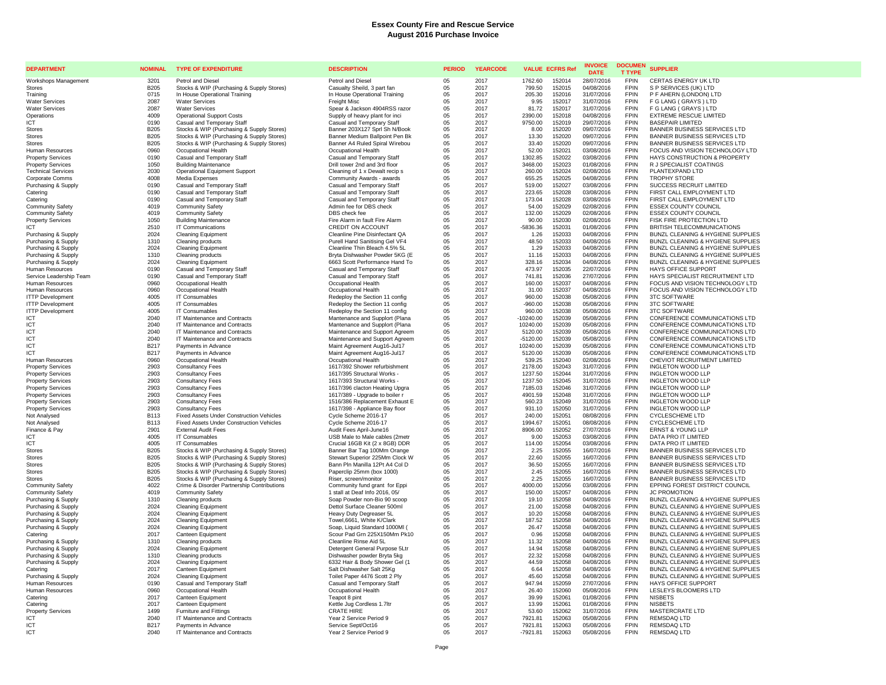| <b>DEPARTMENT</b>                                  | <b>NOMINAL</b>           | <b>TYPE OF EXPENDITURE</b>                                                                         | <b>DESCRIPTION</b>                                              | <b>PERIOD</b> | <b>YEARCODE</b> | <b>VALUE ECFRS Ref</b>                    | <b>INVOICE</b><br><b>DATE</b> | <b>DOCUMEN</b><br><b>T TYPE</b> | <b>SUPPLIER</b>                                                        |
|----------------------------------------------------|--------------------------|----------------------------------------------------------------------------------------------------|-----------------------------------------------------------------|---------------|-----------------|-------------------------------------------|-------------------------------|---------------------------------|------------------------------------------------------------------------|
| Workshops Management                               | 3201                     | Petrol and Diesel                                                                                  | <b>Petrol and Diesel</b>                                        | 05            | 2017            | 1762.60<br>152014                         | 28/07/2016                    | <b>FPIN</b>                     | CERTAS ENERGY UK LTD                                                   |
| <b>Stores</b>                                      | <b>B205</b>              | Stocks & WIP (Purchasing & Supply Stores)                                                          | Casualty Sheild, 3 part fan                                     | 05            | 2017            | 799.50<br>152015                          | 04/08/2016                    | <b>FPIN</b>                     | S P SERVICES (UK) LTD                                                  |
| Training                                           | 0715                     | In House Operational Training                                                                      | In House Operational Training                                   | 05            | 2017            | 152016<br>205.30                          | 31/07/2016                    | <b>FPIN</b>                     | P F AHERN (LONDON) LTD                                                 |
| <b>Water Services</b>                              | 2087                     | <b>Water Services</b>                                                                              | Freight Misc                                                    | 05            | 2017            | 9.95<br>152017                            | 31/07/2016                    | <b>FPIN</b>                     | F G LANG ( GRAYS ) LTD                                                 |
| <b>Water Services</b>                              | 2087                     | <b>Water Services</b>                                                                              | Spear & Jackson 4904RSS razor                                   | 05            | 2017            | 81.72<br>152017                           | 31/07/2016                    | <b>FPIN</b><br><b>FPIN</b>      | F G LANG ( GRAYS ) LTD                                                 |
| Operations<br><b>ICT</b>                           | 4009<br>0190             | <b>Operational Support Costs</b><br>Casual and Temporary Staff                                     | Supply of heavy plant for inci<br>Casual and Temporary Staff    | 05<br>05      | 2017<br>2017    | 152018<br>2390.00<br>9750.00<br>152019    | 04/08/2016<br>29/07/2016      | <b>FPIN</b>                     | <b>EXTREME RESCUE LIMITED</b><br><b>BASEPAIR LIMITED</b>               |
| Stores                                             | <b>B205</b>              | Stocks & WIP (Purchasing & Supply Stores)                                                          | Banner 203X127 Sprl Sh N/Book                                   | 05            | 2017            | 8.00<br>152020                            | 09/07/2016                    | <b>FPIN</b>                     | BANNER BUSINESS SERVICES LTD                                           |
| Stores                                             | B205                     | Stocks & WIP (Purchasing & Supply Stores)                                                          | Banner Medium Ballpoint Pen Bk                                  | 05            | 2017            | 13.30<br>152020                           | 09/07/2016                    | <b>FPIN</b>                     | <b>BANNER BUSINESS SERVICES LTD</b>                                    |
| <b>Stores</b>                                      | <b>B205</b>              | Stocks & WIP (Purchasing & Supply Stores)                                                          | Banner A4 Ruled Spiral Wirebou                                  | 05            | 2017            | 33.40<br>152020                           | 09/07/2016                    | <b>FPIN</b>                     | <b>BANNER BUSINESS SERVICES LTD</b>                                    |
| Human Resources                                    | 0960                     | Occupational Health                                                                                | Occupational Health                                             | 05            | 2017            | 152021<br>52.00                           | 03/08/2016                    | <b>FPIN</b>                     | FOCUS AND VISION TECHNOLOGY LTD                                        |
| <b>Property Services</b>                           | 0190                     | Casual and Temporary Staff                                                                         | Casual and Temporary Staff                                      | 0.5           | 2017            | 1302.85<br>152022                         | 03/08/2016                    | <b>FPIN</b>                     | HAYS CONSTRUCTION & PROPERTY                                           |
| <b>Property Services</b>                           | 1050                     | <b>Building Maintenance</b>                                                                        | Drill tower 2nd and 3rd floor                                   | 05            | 2017            | 3468.00<br>152023                         | 01/08/2016                    | <b>FPIN</b>                     | R J SPECIALIST COATINGS                                                |
| <b>Technical Services</b>                          | 2030                     | <b>Operational Equipment Support</b>                                                               | Cleaning of 1 x Dewalt recip s                                  | 05            | 2017            | 152024<br>260.00                          | 02/08/2016                    | <b>FPIN</b>                     | PLANTEXPAND LTD                                                        |
| Corporate Comms                                    | 4008                     | Media Expenses                                                                                     | Community Awards - awards                                       | 05            | 2017            | 152025<br>655.25                          | 04/08/2016                    | <b>FPIN</b>                     | <b>TROPHY STORE</b>                                                    |
| Purchasing & Supply<br>Catering                    | 0190<br>0190             | Casual and Temporary Staff                                                                         | Casual and Temporary Staff                                      | 05<br>05      | 2017<br>2017    | 519.00<br>152027<br>223.65<br>152028      | 03/08/2016<br>03/08/2016      | <b>FPIN</b><br><b>FPIN</b>      | SUCCESS RECRUIT LIMITED<br>FIRST CALL EMPLOYMENT LTD                   |
| Catering                                           | 0190                     | Casual and Temporary Staff<br>Casual and Temporary Staff                                           | Casual and Temporary Staff<br>Casual and Temporary Staff        | 05            | 2017            | 152028<br>173.04                          | 03/08/2016                    | <b>FPIN</b>                     | FIRST CALL EMPLOYMENT LTD                                              |
| <b>Community Safety</b>                            | 4019                     | <b>Community Safety</b>                                                                            | Admin fee for DBS check                                         | 05            | 2017            | 152029<br>54.00                           | 02/08/2016                    | <b>FPIN</b>                     | <b>ESSEX COUNTY COUNCIL</b>                                            |
| <b>Community Safety</b>                            | 4019                     | Community Safety                                                                                   | DBS check fee                                                   | 05            | 2017            | 152029<br>132.00                          | 02/08/2016                    | <b>FPIN</b>                     | <b>ESSEX COUNTY COUNCIL</b>                                            |
| <b>Property Services</b>                           | 1050                     | <b>Building Maintenance</b>                                                                        | Fire Alarm in fault Fire Alarm                                  | 05            | 2017            | 90.00<br>152030                           | 02/08/2016                    | <b>FPIN</b>                     | FISK FIRE PROTECTION LTD                                               |
| <b>ICT</b>                                         | 2510                     | <b>IT Communications</b>                                                                           | CREDIT ON ACCOUNT                                               | 05            | 2017            | -5836.36<br>152031                        | 01/08/2016                    | <b>FPIN</b>                     | BRITISH TELECOMMUNICATIONS                                             |
| Purchasing & Supply                                | 2024                     | Cleaning Equipment                                                                                 | Cleanline Pine Disinfectant QA                                  | 05            | 2017            | 152033<br>1.26                            | 04/08/2016                    | <b>FPIN</b>                     | BUNZL CLEANING & HYGIENE SUPPLIES                                      |
| Purchasing & Supply                                | 1310                     | Cleaning products                                                                                  | Purell Hand Sanitising Gel VF4                                  | 05            | 2017            | 48.50<br>152033                           | 04/08/2016                    | <b>FPIN</b>                     | BUNZL CLEANING & HYGIENE SUPPLIES                                      |
| Purchasing & Supply                                | 2024                     | <b>Cleaning Equipment</b>                                                                          | Cleanline Thin Bleach 4.5% 5L                                   | 05            | 2017            | 152033<br>1.29                            | 04/08/2016                    | <b>FPIN</b>                     | BUNZL CLEANING & HYGIENE SUPPLIES                                      |
| Purchasing & Supply                                | 1310                     | Cleaning products                                                                                  | Bryta Dishwasher Powder 5KG (E                                  | 05            | 2017            | 11.16<br>152033                           | 04/08/2016                    | <b>FPIN</b>                     | BUNZL CLEANING & HYGIENE SUPPLIES                                      |
| Purchasing & Supply                                | 2024                     | <b>Cleaning Equipment</b>                                                                          | 6663 Scott Performance Hand To                                  | 05            | 2017            | 328.16<br>152034                          | 04/08/2016                    | <b>FPIN</b>                     | BUNZL CLEANING & HYGIENE SUPPLIES                                      |
| Human Resources                                    | 0190<br>0190             | Casual and Temporary Staff<br>Casual and Temporary Staff                                           | Casual and Temporary Staff<br>Casual and Temporary Staff        | 05<br>05      | 2017<br>2017    | 152035<br>473.97<br>741.81<br>152036      | 22/07/2016<br>27/07/2016      | <b>FPIN</b><br><b>FPIN</b>      | <b>HAYS OFFICE SUPPORT</b><br>HAYS SPECIALIST RECRUITMENT LTD          |
| Service Leadership Team<br>Human Resources         | 0960                     | Occupational Health                                                                                | Occupational Health                                             | 05            | 2017            | 152037<br>160.00                          | 04/08/2016                    | <b>FPIN</b>                     | FOCUS AND VISION TECHNOLOGY LTD                                        |
| Human Resources                                    | 0960                     | Occupational Health                                                                                | Occupational Health                                             | 05            | 2017            | 31.00<br>152037                           | 04/08/2016                    | <b>FPIN</b>                     | FOCUS AND VISION TECHNOLOGY LTD                                        |
| <b>ITTP Development</b>                            | 4005                     | IT Consumables                                                                                     | Redeploy the Section 11 config                                  | 05            | 2017            | 960.00<br>152038                          | 05/08/2016                    | <b>FPIN</b>                     | <b>3TC SOFTWARE</b>                                                    |
| <b>ITTP Development</b>                            | 4005                     | <b>IT Consumables</b>                                                                              | Redeploy the Section 11 config                                  | 05            | 2017            | 152038<br>$-960.00$                       | 05/08/2016                    | <b>FPIN</b>                     | <b>3TC SOFTWARE</b>                                                    |
| <b>ITTP Development</b>                            | 4005                     | IT Consumables                                                                                     | Redeploy the Section 11 config                                  | 05            | 2017            | 960.00<br>152038                          | 05/08/2016                    | <b>FPIN</b>                     | <b>3TC SOFTWARE</b>                                                    |
| ICT                                                | 2040                     | IT Maintenance and Contracts                                                                       | Mantenance and Supplort (Plana                                  | 05            | 2017            | $-10240.00$<br>152039                     | 05/08/2016                    | <b>FPIN</b>                     | CONFERENCE COMMUNICATIONS LTD                                          |
| ICT                                                | 2040                     | IT Maintenance and Contracts                                                                       | Mantenance and Supplort (Plana                                  | 05            | 2017            | 152039<br>10240.00                        | 05/08/2016                    | <b>FPIN</b>                     | CONFERENCE COMMUNICATIONS LTD                                          |
| ICT                                                | 2040                     | IT Maintenance and Contracts                                                                       | Maintenance and Support Agreem                                  | 05            | 2017            | 5120.00<br>152039                         | 05/08/2016                    | <b>FPIN</b>                     | CONFERENCE COMMUNICATIONS LTD                                          |
| ICT                                                | 2040                     | IT Maintenance and Contracts                                                                       | Maintenance and Support Agreem                                  | 05            | 2017            | 152039<br>$-5120.00$                      | 05/08/2016                    | <b>FPIN</b>                     | CONFERENCE COMMUNICATIONS LTD                                          |
| ICT                                                | <b>B217</b>              | Payments in Advance                                                                                | Maint Agreement Aug16-Jul17<br>Maint Agreement Aug16-Jul17      | 05<br>05      | 2017            | 10240.00<br>152039<br>152039              | 05/08/2016                    | <b>FPIN</b><br><b>FPIN</b>      | CONFERENCE COMMUNICATIONS LTD<br>CONFERENCE COMMUNICATIONS LTD         |
| ICT<br>Human Resources                             | B217<br>0960             | Payments in Advance<br>Occupational Health                                                         | Occupational Health                                             | 05            | 2017<br>2017    | 5120.00<br>152040<br>539.25               | 05/08/2016<br>02/08/2016      | <b>FPIN</b>                     | CHEVIOT RECRUITMENT LIMITED                                            |
| <b>Property Services</b>                           | 2903                     | <b>Consultancy Fees</b>                                                                            | 1617/392 Shower refurbishment                                   | 05            | 2017            | 2178.00<br>152043                         | 31/07/2016                    | <b>FPIN</b>                     | <b>INGLETON WOOD LLP</b>                                               |
| <b>Property Services</b>                           | 2903                     | <b>Consultancy Fees</b>                                                                            | 1617/395 Structural Works -                                     | 05            | 2017            | 1237.50<br>152044                         | 31/07/2016                    | <b>FPIN</b>                     | <b>INGLETON WOOD LLP</b>                                               |
| <b>Property Services</b>                           | 2903                     | <b>Consultancy Fees</b>                                                                            | 1617/393 Structural Works -                                     | 05            | 2017            | 152045<br>1237.50                         | 31/07/2016                    | <b>FPIN</b>                     | <b>INGLETON WOOD LLP</b>                                               |
| <b>Property Services</b>                           | 2903                     | <b>Consultancy Fees</b>                                                                            | 1617/396 clacton Heating Upgra                                  | 05            | 2017            | 7185.03<br>152046                         | 31/07/2016                    | <b>FPIN</b>                     | <b>INGLETON WOOD LLP</b>                                               |
| <b>Property Services</b>                           | 2903                     | <b>Consultancy Fees</b>                                                                            | 1617/389 - Upgrade to boiler r                                  | 05            | 2017            | 152048<br>4901.59                         | 31/07/2016                    | <b>FPIN</b>                     | <b>INGLETON WOOD LLP</b>                                               |
| <b>Property Services</b>                           | 2903                     | <b>Consultancy Fees</b>                                                                            | 1516/386 Replacement Exhaust E                                  | 05            | 2017            | 152049<br>560.23                          | 31/07/2016                    | <b>FPIN</b>                     | <b>INGLETON WOOD LLP</b>                                               |
| <b>Property Services</b>                           | 2903                     | <b>Consultancy Fees</b>                                                                            | 1617/398 - Appliance Bay floor                                  | 05            | 2017            | 152050<br>931.10                          | 31/07/2016                    | <b>FPIN</b>                     | <b>INGLETON WOOD LLP</b>                                               |
| Not Analysed<br>Not Analysed                       | B113<br>B113             | <b>Fixed Assets Under Construction Vehicles</b><br><b>Fixed Assets Under Construction Vehicles</b> | Cycle Scheme 2016-17<br>Cvcle Scheme 2016-17                    | 05<br>05      | 2017<br>2017    | 152051<br>240.00<br>1994.67<br>152051     | 08/08/2016<br>08/08/2016      | <b>FPIN</b><br><b>FPIN</b>      | <b>CYCLESCHEME LTD</b><br><b>CYCLESCHEME LTD</b>                       |
| Finance & Pay                                      | 2901                     | <b>External Audit Fees</b>                                                                         | Audit Fees April-June16                                         | 05            | 2017            | 8906.00<br>152052                         | 27/07/2016                    | <b>FPIN</b>                     | <b>ERNST &amp; YOUNG LLP</b>                                           |
| ICT                                                | 4005                     | IT Consumables                                                                                     | USB Male to Male cables (2metr                                  | 05            | 2017            | 152053<br>9.00                            | 03/08/2016                    | <b>FPIN</b>                     | DATA PRO IT LIMITED                                                    |
| ICT                                                | 4005                     | IT Consumables                                                                                     | Crucial 16GB Kit (2 x 8GB) DDR                                  | 05            | 2017            | 114.00<br>152054                          | 03/08/2016                    | <b>FPIN</b>                     | DATA PRO IT LIMITED                                                    |
| <b>Stores</b>                                      | <b>B205</b>              | Stocks & WIP (Purchasing & Supply Stores)                                                          | Banner Bar Tag 100Mm Orange                                     | 05            | 2017            | 2.25<br>152055                            | 16/07/2016                    | <b>FPIN</b>                     | BANNER BUSINESS SERVICES LTD                                           |
| <b>Stores</b>                                      | <b>B205</b>              | Stocks & WIP (Purchasing & Supply Stores)                                                          | Stewart Superior 225Mm Clock W                                  | 05            | 2017            | 22.60<br>152055                           | 16/07/2016                    | <b>FPIN</b>                     | <b>BANNER BUSINESS SERVICES LTD</b>                                    |
| <b>Stores</b>                                      | B205                     | Stocks & WIP (Purchasing & Supply Stores)                                                          | Bann Pin Manilla 12Pt A4 Col D                                  | 05            | 2017            | 152055<br>36.50                           | 16/07/2016                    | <b>FPIN</b>                     | BANNER BUSINESS SERVICES LTD                                           |
| <b>Stores</b>                                      | <b>B205</b>              | Stocks & WIP (Purchasing & Supply Stores)                                                          | Paperclip 25mm (box 1000)                                       | 05            | 2017            | 2.45<br>152055                            | 16/07/2016                    | <b>FPIN</b>                     | <b>BANNER BUSINESS SERVICES LTD</b>                                    |
| <b>Stores</b>                                      | <b>B205</b>              | Stocks & WIP (Purchasing & Supply Stores)                                                          | Riser, screen/monitor                                           | 05            | 2017<br>2017    | 2.25<br>152055<br>152056                  | 16/07/2016                    | <b>FPIN</b><br><b>FPIN</b>      | <b>BANNER BUSINESS SERVICES LTD</b><br>EPPING FOREST DISTRICT COUNCIL  |
| <b>Community Safety</b><br><b>Community Safety</b> | 4022<br>4019             | Crime & Disorder Partnership Contributions<br><b>Community Safety</b>                              | Community fund grant for Eppi<br>1 stall at Deaf Info 2016, 05/ | 05<br>05      | 2017            | 4000.00<br>152057<br>150.00               | 03/08/2016<br>04/08/2016      | <b>FPIN</b>                     | <b>JC PROMOTION</b>                                                    |
| Purchasing & Supply                                | 1310                     | Cleaning products                                                                                  | Soap Powder non-Bio 90 scoop                                    | 05            | 2017            | 19.10<br>152058                           | 04/08/2016                    | <b>FPIN</b>                     | BUNZL CLEANING & HYGIENE SUPPLIES                                      |
| Purchasing & Supply                                | 2024                     | <b>Cleaning Equipment</b>                                                                          | Dettol Surface Cleaner 500ml                                    | 05            | 2017            | 21.00<br>152058                           | 04/08/2016                    | <b>FPIN</b>                     | BUNZL CLEANING & HYGIENE SUPPLIES                                      |
| Purchasing & Supply                                | 2024                     | <b>Cleaning Equipment</b>                                                                          | Heavy Duty Degreaser 5L                                         | 05            | 2017            | 152058<br>10.20                           | 04/08/2016                    | <b>FPIN</b>                     | BUNZL CLEANING & HYGIENE SUPPLIES                                      |
| Purchasing & Supply                                | 2024                     | <b>Cleaning Equipment</b>                                                                          | Towel, 6661, White K/Clark                                      | 05            | 2017            | 187.52<br>152058                          | 04/08/2016                    | <b>FPIN</b>                     | BUNZL CLEANING & HYGIENE SUPPLIES                                      |
| Purchasing & Supply                                | 2024                     | <b>Cleaning Equipment</b>                                                                          | Soap, Liquid Standard 1000Ml (                                  | 05            | 2017            | 26.47<br>152058                           | 04/08/2016                    | <b>FPIN</b>                     | BUNZL CLEANING & HYGIENE SUPPLIES                                      |
| Catering                                           | 2017                     | Canteen Equipment                                                                                  | Scour Pad Grn 225X150Mm Pk10                                    | 05            | 2017            | 152058<br>0.96                            | 04/08/2016                    | <b>FPIN</b>                     | BUNZL CLEANING & HYGIENE SUPPLIES                                      |
| Purchasing & Supply                                | 1310                     | Cleaning products                                                                                  | Cleanline Rinse Aid 5L                                          | 05            | 2017            | 152058<br>11.32                           | 04/08/2016                    | <b>FPIN</b>                     | BUNZL CLEANING & HYGIENE SUPPLIES                                      |
| Purchasing & Supply                                | 2024                     | <b>Cleaning Equipment</b>                                                                          | Detergent General Purpose 5Ltr                                  | 05<br>05      | 2017            | 152058<br>14.94                           | 04/08/2016                    | <b>FPIN</b><br><b>FPIN</b>      | BUNZL CLEANING & HYGIENE SUPPLIES                                      |
| Purchasing & Supply<br>Purchasing & Supply         | 1310<br>2024             | Cleaning products<br><b>Cleaning Equipment</b>                                                     | Dishwasher powder Bryta 5kg<br>6332 Hair & Body Shower Gel (1   | 05            | 2017<br>2017    | 22.32<br>152058<br>44.59<br>152058        | 04/08/2016<br>04/08/2016      | <b>FPIN</b>                     | BUNZL CLEANING & HYGIENE SUPPLIES<br>BUNZL CLEANING & HYGIENE SUPPLIES |
| Catering                                           | 2017                     | Canteen Equipment                                                                                  | Salt Dishwasher Salt 25Kg                                       | 05            | 2017            | 152058<br>6.64                            | 04/08/2016                    | <b>FPIN</b>                     | BUNZL CLEANING & HYGIENE SUPPLIES                                      |
| Purchasing & Supply                                | 2024                     | <b>Cleaning Equipment</b>                                                                          | Toilet Paper 4476 Scott 2 Ply                                   | 05            | 2017            | 45.60<br>152058                           | 04/08/2016                    | <b>FPIN</b>                     | BUNZL CLEANING & HYGIENE SUPPLIES                                      |
| Human Resources                                    | 0190                     | Casual and Temporary Staff                                                                         | Casual and Temporary Staff                                      | 05            | 2017            | 947.94<br>152059                          | 27/07/2016                    | <b>FPIN</b>                     | <b>HAYS OFFICE SUPPORT</b>                                             |
| Human Resources                                    | 0960                     | Occupational Health                                                                                | Occupational Health                                             | 05            | 2017            | 152060<br>26.40                           | 05/08/2016                    | <b>FPIN</b>                     | <b>LESLEYS BLOOMERS LTD</b>                                            |
| Catering                                           | 2017                     | Canteen Equipment                                                                                  | Teapot 8 pint                                                   | 05            | 2017            | 39.99<br>152061                           | 01/08/2016                    | <b>FPIN</b>                     | <b>NISBETS</b>                                                         |
| Catering                                           | 2017                     | Canteen Equipment                                                                                  | Kettle Jug Cordless 1.7ltr                                      | 05            | 2017            | 152061<br>13.99                           | 01/08/2016                    | <b>FPIN</b>                     | <b>NISBETS</b>                                                         |
| <b>Property Services</b>                           | 1499                     | <b>Furniture and Fittings</b>                                                                      | <b>CRATE HIRE</b>                                               | 05            | 2017            | 53.60<br>152062                           | 31/07/2016                    | <b>FPIN</b>                     | MASTERCRATE LTD                                                        |
| ICT                                                | 2040                     | IT Maintenance and Contracts                                                                       | Year 2 Service Period 9                                         | 05            | 2017            | 152063<br>7921.81                         | 05/08/2016                    | <b>FPIN</b><br><b>FPIN</b>      | REMSDAQ LTD<br>REMSDAO LTD                                             |
| ICT<br>ICT                                         | B <sub>217</sub><br>2040 | Payments in Advance<br>IT Maintenance and Contracts                                                | Service Sept/Oct16<br>Year 2 Service Period 9                   | 05<br>$0.5\,$ | 2017<br>2017    | 152063<br>7921.81<br>$-7921.81$<br>152063 | 05/08/2016<br>05/08/2016      | <b>FPIN</b>                     | <b>REMSDAQ LTD</b>                                                     |
|                                                    |                          |                                                                                                    |                                                                 |               |                 |                                           |                               |                                 |                                                                        |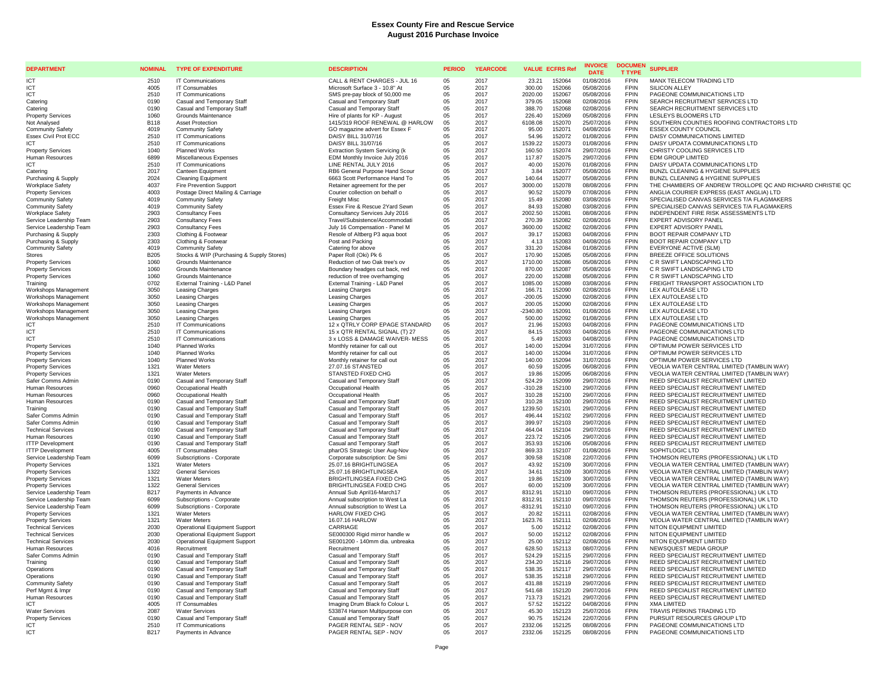| <b>DEPARTMENT</b>                                    | <b>NOMINAL</b> | <b>TYPE OF EXPENDITURE</b>                          | <b>DESCRIPTION</b>                                           | <b>PERIOD</b> | <b>YEARCODE</b> |                     | <b>VALUE ECFRS Ref</b> | <b>INVOICE</b><br><b>DATE</b> | <b>DOCUMEN</b><br><b>T TYPE</b> | <b>SUPPLIER</b>                                                                          |
|------------------------------------------------------|----------------|-----------------------------------------------------|--------------------------------------------------------------|---------------|-----------------|---------------------|------------------------|-------------------------------|---------------------------------|------------------------------------------------------------------------------------------|
| <b>ICT</b>                                           | 2510           | IT Communications                                   | CALL & RENT CHARGES - JUL 16                                 | 0.5           | 2017            | 23.21               | 152064                 | 01/08/2016                    | <b>FPIN</b>                     | MANX TELECOM TRADING LTD                                                                 |
| ICT                                                  | 4005           | IT Consumables                                      | Microsoft Surface 3 - 10.8" At                               | 05            | 2017            | 300.00              | 152066                 | 05/08/2016                    | <b>FPIN</b>                     | <b>SILICON ALLEY</b>                                                                     |
| ICT                                                  | 2510           | IT Communications                                   | SMS pre-pay block of 50,000 me                               | 05            | 2017            | 2020.00             | 152067                 | 05/08/2016                    | <b>FPIN</b>                     | PAGEONE COMMUNICATIONS LTD                                                               |
| Catering                                             | 0190           | Casual and Temporary Staff                          | Casual and Temporary Staff                                   | 05            | 2017            | 379.05              | 152068                 | 02/08/2016                    | <b>FPIN</b>                     | SEARCH RECRUITMENT SERVICES LTD                                                          |
| Catering                                             | 0190           | Casual and Temporary Staff                          | Casual and Temporary Staff<br>Hire of plants for KP - August | 05            | 2017            | 388.70              | 152068                 | 02/08/2016                    | <b>FPIN</b><br><b>FPIN</b>      | SEARCH RECRUITMENT SERVICES LTD<br>LESLEYS BLOOMERS LTD                                  |
| <b>Property Services</b><br>Not Analysed             | 1060<br>B118   | Grounds Maintenance<br><b>Asset Protection</b>      | 1415/319 ROOF RENEWAL @ HARLOW                               | 05<br>05      | 2017<br>2017    | 226.40<br>6108.08   | 152069<br>152070       | 05/08/2016<br>25/07/2016      | <b>FPIN</b>                     | SOUTHERN COUNTIES ROOFING CONTRACTORS LTD                                                |
| <b>Community Safety</b>                              | 4019           | <b>Community Safety</b>                             | GO magazine advert for Essex F                               | 05            | 2017            | 95.00               | 152071                 | 04/08/2016                    | <b>FPIN</b>                     | <b>ESSEX COUNTY COUNCIL</b>                                                              |
| <b>Essex Civil Prot ECC</b>                          | 2510           | IT Communications                                   | DAISY BILL 31/07/16                                          | 05            | 2017            | 54.96               | 152072                 | 01/08/2016                    | <b>FPIN</b>                     | DAISY COMMUNICATIONS LIMITED                                                             |
| <b>ICT</b>                                           | 2510           | <b>IT Communications</b>                            | DAISY BILL 31/07/16                                          | 05            | 2017            | 1539.22             | 152073                 | 01/08/2016                    | <b>FPIN</b>                     | DAISY UPDATA COMMUNICATIONS LTD                                                          |
| <b>Property Services</b>                             | 1040           | <b>Planned Works</b>                                | <b>Extraction System Servicing (k</b>                        | 05            | 2017            | 160.50              | 152074                 | 29/07/2016                    | <b>FPIN</b>                     | CHRISTY COOLING SERVICES LTD                                                             |
| <b>Human Resources</b>                               | 6899           | Miscellaneous Expenses                              | EDM Monthly Invoice July 2016                                | 05            | 2017            | 117.87              | 152075                 | 29/07/2016                    | <b>FPIN</b>                     | <b>EDM GROUP LIMITED</b>                                                                 |
| <b>ICT</b>                                           | 2510           | IT Communications                                   | LINE RENTAL JULY 2016                                        | 05            | 2017            | 40.00               | 152076                 | 01/08/2016                    | <b>FPIN</b>                     | DAISY UPDATA COMMUNICATIONS LTD                                                          |
| Catering                                             | 2017           | Canteen Equipment                                   | RB6 General Purpose Hand Scour                               | 05            | 2017            | 3.84                | 152077                 | 05/08/2016                    | <b>FPIN</b>                     | BUNZL CLEANING & HYGIENE SUPPLIES                                                        |
| Purchasing & Supply                                  | 2024           | <b>Cleaning Equipment</b>                           | 6663 Scott Performance Hand To                               | 05            | 2017            | 140.64              | 152077                 | 05/08/2016                    | <b>FPIN</b>                     | BUNZL CLEANING & HYGIENE SUPPLIES                                                        |
| <b>Workplace Safety</b>                              | 4037           | <b>Fire Prevention Support</b>                      | Retainer agreement for the per                               | 05            | 2017            | 3000.00             | 152078                 | 08/08/2016                    | <b>FPIN</b>                     | THE CHAMBERS OF ANDREW TROLLOPE QC AND RICHARD CHRISTIE QC                               |
| <b>Property Services</b>                             | 4003           | Postage Direct Mailing & Carriage                   | Courier collection on behalf o                               | 05            | 2017            | 90.52               | 152079                 | 07/08/2016                    | <b>FPIN</b><br><b>FPIN</b>      | ANGLIA COURIER EXPRESS (EAST ANGLIA) LTD                                                 |
| <b>Community Safety</b><br><b>Community Safety</b>   | 4019<br>4019   | <b>Community Safety</b><br><b>Community Safety</b>  | Freight Misc<br>Essex Fire & Rescue 2Yard Sewn               | 05<br>05      | 2017<br>2017    | 15.49<br>84.93      | 152080<br>152080       | 03/08/2016<br>03/08/2016      | <b>FPIN</b>                     | SPECIALISED CANVAS SERVICES T/A FLAGMAKERS<br>SPECIALISED CANVAS SERVICES T/A FLAGMAKERS |
| Workplace Safety                                     | 2903           | <b>Consultancy Fees</b>                             | Consultancy Services July 2016                               | 05            | 2017            | 2002.50             | 152081                 | 08/08/2016                    | <b>FPIN</b>                     | INDEPENDENT FIRE RISK ASSESSMENTS LTD                                                    |
| Service Leadership Team                              | 2903           | <b>Consultancy Fees</b>                             | Travel/Subsistence/Accommodati                               | 05            | 2017            | 270.39              | 152082                 | 02/08/2016                    | <b>FPIN</b>                     | EXPERT ADVISORY PANEL                                                                    |
| Service Leadership Team                              | 2903           | <b>Consultancy Fees</b>                             | July 16 Compensation - Panel M                               | 05            | 2017            | 3600.00             | 152082                 | 02/08/2016                    | <b>FPIN</b>                     | <b>EXPERT ADVISORY PANEL</b>                                                             |
| Purchasing & Supply                                  | 2303           | Clothing & Footwear                                 | Resole of Altberg P3 aqua boot                               | 05            | 2017            | 39.17               | 152083                 | 04/08/2016                    | <b>FPIN</b>                     | <b>BOOT REPAIR COMPANY LTD</b>                                                           |
| Purchasing & Supply                                  | 2303           | Clothing & Footwear                                 | Post and Packing                                             | 05            | 2017            | 4.13                | 152083                 | 04/08/2016                    | <b>FPIN</b>                     | BOOT REPAIR COMPANY LTD                                                                  |
| <b>Community Safety</b>                              | 4019           | <b>Community Safety</b>                             | Catering for above                                           | 05            | 2017            | 331.20              | 152084                 | 01/08/2016                    | <b>FPIN</b>                     | EVERYONE ACTIVE (SLM)                                                                    |
| Stores                                               | B205           | Stocks & WIP (Purchasing & Supply Stores)           | Paper Roll (Oki) Pk 6                                        | 05            | 2017            | 170.90              | 152085                 | 05/08/2016                    | <b>FPIN</b>                     | BREEZE OFFICE SOLUTIONS                                                                  |
| <b>Property Services</b>                             | 1060           | Grounds Maintenance                                 | Reduction of two Oak tree's ov                               | 05            | 2017            | 1710.00             | 152086                 | 05/08/2016                    | <b>FPIN</b>                     | C R SWIFT LANDSCAPING LTD                                                                |
| <b>Property Services</b>                             | 1060           | Grounds Maintenance                                 | Boundary headges cut back, red                               | 05            | 2017            | 870.00              | 152087                 | 05/08/2016                    | <b>FPIN</b>                     | C R SWIFT LANDSCAPING LTD                                                                |
| <b>Property Services</b>                             | 1060           | Grounds Maintenance                                 | reduction of tree overhamging                                | 05            | 2017            | 220.00              | 152088                 | 05/08/2016                    | <b>FPIN</b>                     | C R SWIFT LANDSCAPING LTD                                                                |
| Training                                             | 0702           | External Training - L&D Panel                       | External Training - L&D Panel                                | 05            | 2017            | 1085.00             | 152089                 | 03/08/2016                    | <b>FPIN</b><br><b>FPIN</b>      | FREIGHT TRANSPORT ASSOCIATION LTD                                                        |
| Workshops Management                                 | 3050<br>3050   | Leasing Charges                                     | Leasing Charges                                              | 05<br>05      | 2017<br>2017    | 166.71<br>$-200.05$ | 152090<br>152090       | 02/08/2016                    | <b>FPIN</b>                     | LEX AUTOLEASE LTD<br>LEX AUTOLEASE LTD                                                   |
| Workshops Management<br>Workshops Management         | 3050           | Leasing Charges<br>Leasing Charges                  | Leasing Charges<br>Leasing Charges                           | 05            | 2017            | 200.05              | 152090                 | 02/08/2016<br>02/08/2016      | <b>FPIN</b>                     | LEX AUTOLEASE LTD                                                                        |
| Workshops Management                                 | 3050           | Leasing Charges                                     | Leasing Charges                                              | 05            | 2017            | $-2340.80$          | 152091                 | 01/08/2016                    | <b>FPIN</b>                     | LEX AUTOLEASE LTD                                                                        |
| Workshops Management                                 | 3050           | <b>Leasing Charges</b>                              | Leasing Charges                                              | 05            | 2017            | 500.00              | 152092                 | 01/08/2016                    | <b>FPIN</b>                     | LEX AUTOLEASE LTD                                                                        |
| <b>ICT</b>                                           | 2510           | <b>IT Communications</b>                            | 12 x QTRLY CORP EPAGE STANDARD                               | 05            | 2017            | 21.96               | 152093                 | 04/08/2016                    | <b>FPIN</b>                     | PAGEONE COMMUNICATIONS LTD                                                               |
| ICT                                                  | 2510           | IT Communications                                   | 15 x QTR RENTAL SIGNAL (T) 27                                | 05            | 2017            | 84.15               | 152093                 | 04/08/2016                    | <b>FPIN</b>                     | PAGEONE COMMUNICATIONS LTD                                                               |
| ICT                                                  | 2510           | IT Communications                                   | 3 x LOSS & DAMAGE WAIVER-MESS                                | 05            | 2017            | 5.49                | 152093                 | 04/08/2016                    | <b>FPIN</b>                     | PAGEONE COMMUNICATIONS LTD                                                               |
| <b>Property Services</b>                             | 1040           | <b>Planned Works</b>                                | Monthly retainer for call out                                | 05            | 2017            | 140.00              | 152094                 | 31/07/2016                    | <b>FPIN</b>                     | OPTIMUM POWER SERVICES LTD                                                               |
| <b>Property Services</b>                             | 1040           | <b>Planned Works</b>                                | Monthly retainer for call out                                | 05            | 2017            | 140.00              | 152094                 | 31/07/2016                    | <b>FPIN</b>                     | OPTIMUM POWER SERVICES LTD                                                               |
| <b>Property Services</b>                             | 1040           | Planned Works                                       | Monthly retainer for call out                                | 05            | 2017            | 140.00              | 152094                 | 31/07/2016                    | <b>FPIN</b>                     | OPTIMUM POWER SERVICES LTD                                                               |
| <b>Property Services</b>                             | 1321           | <b>Water Meters</b>                                 | 27.07.16 STANSTED                                            | 05            | 2017            | 60.59               | 152095                 | 06/08/2016                    | <b>FPIN</b>                     | VEOLIA WATER CENTRAL LIMITED (TAMBLIN WAY)                                               |
| <b>Property Services</b>                             | 1321<br>0190   | <b>Water Meters</b>                                 | STANSTED FIXED CHG                                           | 05            | 2017<br>2017    | 19.86               | 152095                 | 06/08/2016                    | <b>FPIN</b><br><b>FPIN</b>      | VEOLIA WATER CENTRAL LIMITED (TAMBLIN WAY)                                               |
| Safer Comms Admin<br>Human Resources                 | 0960           | Casual and Temporary Staff<br>Occupational Health   | Casual and Temporary Staff<br>Occupational Health            | 05<br>05      | 2017            | 524.29<br>$-310.28$ | 152099<br>152100       | 29/07/2016<br>29/07/2016      | <b>FPIN</b>                     | REED SPECIALIST RECRUITMENT LIMITED<br>REED SPECIALIST RECRUITMENT LIMITED               |
| Human Resources                                      | 0960           | Occupational Health                                 | Occupational Health                                          | 05            | 2017            | 310.28              | 152100                 | 29/07/2016                    | <b>FPIN</b>                     | REED SPECIALIST RECRUITMENT LIMITED                                                      |
| Human Resources                                      | 0190           | Casual and Temporary Staff                          | Casual and Temporary Staff                                   | 05            | 2017            | 310.28              | 152100                 | 29/07/2016                    | <b>FPIN</b>                     | REED SPECIALIST RECRUITMENT LIMITED                                                      |
| Training                                             | 0190           | Casual and Temporary Staff                          | Casual and Temporary Staff                                   | 05            | 2017            | 1239.50             | 152101                 | 29/07/2016                    | <b>FPIN</b>                     | REED SPECIALIST RECRUITMENT LIMITED                                                      |
| Safer Comms Admin                                    | 0190           | Casual and Temporary Staff                          | Casual and Temporary Staff                                   | 05            | 2017            | 496.44              | 152102                 | 29/07/2016                    | <b>FPIN</b>                     | REED SPECIALIST RECRUITMENT LIMITED                                                      |
| Safer Comms Admin                                    | 0190           | Casual and Temporary Staff                          | Casual and Temporary Staff                                   | 05            | 2017            | 399.97              | 152103                 | 29/07/2016                    | <b>FPIN</b>                     | REED SPECIALIST RECRUITMENT LIMITED                                                      |
| <b>Technical Services</b>                            | 0190           | Casual and Temporary Staff                          | Casual and Temporary Staff                                   | 05            | 2017            | 464.04              | 152104                 | 29/07/2016                    | <b>FPIN</b>                     | REED SPECIALIST RECRUITMENT LIMITED                                                      |
| Human Resources                                      | 0190           | Casual and Temporary Staff                          | Casual and Temporary Staff                                   | 05            | 2017            | 223.72              | 152105                 | 29/07/2016                    | <b>FPIN</b>                     | REED SPECIALIST RECRUITMENT LIMITED                                                      |
| <b>ITTP Development</b>                              | 0190           | Casual and Temporary Staff                          | Casual and Temporary Staff                                   | 05            | 2017            | 353.93              | 152106                 | 05/08/2016                    | <b>FPIN</b>                     | REED SPECIALIST RECRUITMENT LIMITED                                                      |
| <b>ITTP Development</b>                              | 4005           | IT Consumables                                      | pharOS Strategic User Aug-Nov                                | 05            | 2017            | 869.33              | 152107                 | 01/08/2016                    | <b>FPIN</b>                     | SOPHTLOGIC LTD                                                                           |
| Service Leadership Team                              | 6099<br>1321   | Subscriptions - Corporate<br><b>Water Meters</b>    | Corporate subscription: De Smi<br>25.07.16 BRIGHTLINGSEA     | 05<br>05      | 2017<br>2017    | 309.58<br>43.92     | 152108<br>152109       | 22/07/2016<br>30/07/2016      | <b>FPIN</b><br><b>FPIN</b>      | THOMSON REUTERS (PROFESSIONAL) UK LTD<br>VEOLIA WATER CENTRAL LIMITED (TAMBLIN WAY)      |
| <b>Property Services</b><br><b>Property Services</b> | 1322           | <b>General Services</b>                             | 25.07.16 BRIGHTLINGSEA                                       | 05            | 2017            | 34.61               | 152109                 | 30/07/2016                    | <b>FPIN</b>                     | VEOLIA WATER CENTRAL LIMITED (TAMBLIN WAY)                                               |
| <b>Property Services</b>                             | 1321           | <b>Water Meters</b>                                 | <b>BRIGHTLINGSEA FIXED CHG</b>                               | 05            | 2017            | 19.86               | 152109                 | 30/07/2016                    | <b>FPIN</b>                     | VEOLIA WATER CENTRAL LIMITED (TAMBLIN WAY)                                               |
| <b>Property Services</b>                             | 1322           | <b>General Services</b>                             | <b>BRIGHTLINGSEA FIXED CHG</b>                               | 05            | 2017            | 60.00               | 152109                 | 30/07/2016                    | <b>FPIN</b>                     | VEOLIA WATER CENTRAL LIMITED (TAMBLIN WAY)                                               |
| Service Leadership Team                              | B217           | Payments in Advance                                 | Annual Sub April16-March17                                   | 05            | 2017            | 8312.91             | 152110                 | 09/07/2016                    | <b>FPIN</b>                     | THOMSON REUTERS (PROFESSIONAL) UK LTD                                                    |
| Service Leadership Team                              | 6099           | Subscriptions - Corporate                           | Annual subscription to West La                               | 05            | 2017            | 8312.91             | 152110                 | 09/07/2016                    | <b>FPIN</b>                     | THOMSON REUTERS (PROFESSIONAL) UK LTD                                                    |
| Service Leadership Team                              | 6099           | Subscriptions - Corporate                           | Annual subscription to West La                               | 05            | 2017            | $-8312.91$          | 152110                 | 09/07/2016                    | <b>FPIN</b>                     | THOMSON REUTERS (PROFESSIONAL) UK LTD                                                    |
| <b>Property Services</b>                             | 1321           | Water Meters                                        | HARLOW FIXED CHG                                             | 05            | 2017            | 20.82               | 152111                 | 02/08/2016                    | <b>FPIN</b>                     | VEOLIA WATER CENTRAL LIMITED (TAMBLIN WAY)                                               |
| <b>Property Services</b>                             | 1321           | <b>Water Meters</b>                                 | 16.07.16 HARLOW                                              | 05            | 2017            | 1623.76             | 152111                 | 02/08/2016                    | <b>FPIN</b>                     | VEOLIA WATER CENTRAL LIMITED (TAMBLIN WAY)                                               |
| <b>Technical Services</b>                            | 2030           | Operational Equipment Support                       | CARRIAGE                                                     | 05            | 2017            | 5.00                | 152112                 | 02/08/2016                    | <b>FPIN</b>                     | NITON EQUIPMENT LIMITED                                                                  |
| <b>Technical Services</b>                            | 2030           | <b>Operational Equipment Support</b>                | SE000300 Rigid mirror handle w                               | 05            | 2017            | 50.00               | 152112                 | 02/08/2016                    | <b>FPIN</b>                     | NITON EQUIPMENT LIMITED                                                                  |
| <b>Technical Services</b>                            | 2030<br>4016   | <b>Operational Equipment Support</b><br>Recruitment | SE001200 - 140mm dia. unbreaka                               | 05            | 2017            | 25.00               | 152112                 | 02/08/2016                    | <b>FPIN</b><br><b>FPIN</b>      | NITON EQUIPMENT LIMITED                                                                  |
| Human Resources<br>Safer Comms Admin                 | 0190           | Casual and Temporary Staff                          | Recruitment<br>Casual and Temporary Staff                    | 05<br>05      | 2017<br>2017    | 628.50<br>524.29    | 152113<br>152115       | 08/07/2016<br>29/07/2016      | <b>FPIN</b>                     | NEWSQUEST MEDIA GROUP<br>REED SPECIALIST RECRUITMENT LIMITED                             |
| Training                                             | 0190           | Casual and Temporary Staff                          | Casual and Temporary Staff                                   | 05            | 2017            | 234.20              | 152116                 | 29/07/2016                    | <b>FPIN</b>                     | REED SPECIALIST RECRUITMENT LIMITED                                                      |
| Operations                                           | 0190           | Casual and Temporary Staff                          | Casual and Temporary Staff                                   | 05            | 2017            | 538.35              | 152117                 | 29/07/2016                    | <b>FPIN</b>                     | REED SPECIALIST RECRUITMENT LIMITED                                                      |
| Operations                                           | 0190           | Casual and Temporary Staff                          | Casual and Temporary Staff                                   | 05            | 2017            | 538.35              | 152118                 | 29/07/2016                    | <b>FPIN</b>                     | REED SPECIALIST RECRUITMENT LIMITED                                                      |
| <b>Community Safety</b>                              | 0190           | Casual and Temporary Staff                          | Casual and Temporary Staff                                   | 05            | 2017            | 431.88              | 152119                 | 29/07/2016                    | <b>FPIN</b>                     | REED SPECIALIST RECRUITMENT LIMITED                                                      |
| Perf Mgmt & Impr                                     | 0190           | Casual and Temporary Staff                          | Casual and Temporary Staff                                   | 05            | 2017            | 541.68              | 152120                 | 29/07/2016                    | <b>FPIN</b>                     | REED SPECIALIST RECRUITMENT LIMITED                                                      |
| <b>Human Resources</b>                               | 0190           | Casual and Temporary Staff                          | Casual and Temporary Staff                                   | 05            | 2017            | 713.73              | 152121                 | 29/07/2016                    | <b>FPIN</b>                     | REED SPECIALIST RECRUITMENT LIMITED                                                      |
| <b>ICT</b>                                           | 4005           | IT Consumables                                      | Imaging Drum Black fo Colour L                               | 05            | 2017            | 57.52               | 152122                 | 04/08/2016                    | <b>FPIN</b>                     | <b>XMA LIMITED</b>                                                                       |
| <b>Water Services</b>                                | 2087           | <b>Water Services</b>                               | 533874 Hanson Multipurpose con                               | 05            | 2017            | 45.30               | 152123                 | 25/07/2016                    | <b>FPIN</b>                     | TRAVIS PERKINS TRADING LTD                                                               |
| <b>Property Services</b>                             | 0190           | Casual and Temporary Staff                          | Casual and Temporary Staff                                   | 05            | 2017            | 90.75               | 152124                 | 22/07/2016                    | <b>FPIN</b>                     | PURSUIT RESOURCES GROUP LTD                                                              |
| ICT                                                  | 2510           | IT Communications                                   | PAGER RENTAL SEP - NOV                                       | 05<br>05      | 2017            | 2332.06             | 152125                 | 08/08/2016                    | <b>FPIN</b><br><b>FPIN</b>      | PAGEONE COMMUNICATIONS LTD                                                               |
| ICT                                                  | B217           | Payments in Advance                                 | PAGER RENTAL SEP - NOV                                       |               | 2017            | 2332.06             | 152125                 | 08/08/2016                    |                                 | PAGEONE COMMUNICATIONS LTD                                                               |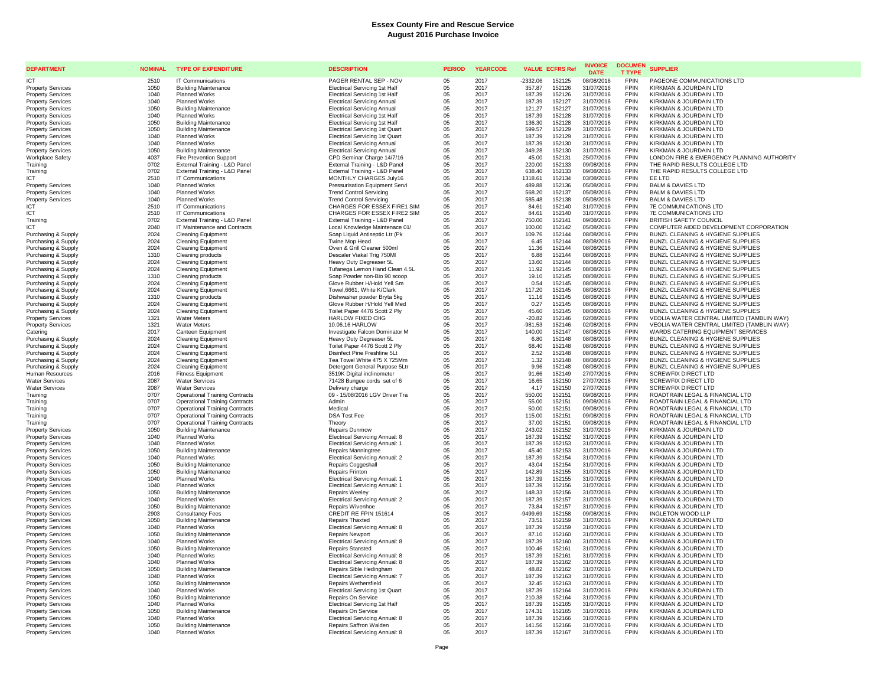| <b>DEPARTMENT</b>                                    | <b>NOMINAL</b> | <b>TYPE OF EXPENDITURE</b>                                                     | <b>DESCRIPTION</b>                                                         | <b>PERIOD</b>    | <b>YEARCODE</b> | <b>VALUE ECFRS Ref</b>                | <b>INVOICE</b><br><b>DATE</b> | <b>DOCUMEN</b><br><b>T TYPE</b> | <b>SUPPLIER</b>                                                         |
|------------------------------------------------------|----------------|--------------------------------------------------------------------------------|----------------------------------------------------------------------------|------------------|-----------------|---------------------------------------|-------------------------------|---------------------------------|-------------------------------------------------------------------------|
| <b>ICT</b>                                           | 2510           | <b>IT Communications</b>                                                       | PAGER RENTAL SEP - NOV                                                     | 0.5 <sub>0</sub> | 2017            | $-2332.06$<br>152125                  | 08/08/2016                    | <b>FPIN</b>                     | PAGEONE COMMUNICATIONS LTD                                              |
| <b>Property Services</b>                             | 1050           | <b>Building Maintenance</b>                                                    | <b>Electrical Servicing 1st Half</b>                                       | 05               | 2017            | 152126<br>357.87                      | 31/07/2016                    | <b>FPIN</b>                     | KIRKMAN & JOURDAIN LTD                                                  |
| <b>Property Services</b>                             | 1040           | Planned Works                                                                  | <b>Electrical Servicing 1st Half</b>                                       | 05               | 2017            | 187.39<br>152126                      | 31/07/2016                    | <b>FPIN</b>                     | KIRKMAN & JOURDAIN LTD                                                  |
| <b>Property Services</b>                             | 1040           | <b>Planned Works</b>                                                           | <b>Electrical Servicing Annual</b>                                         | 05               | 2017            | 187.39<br>152127                      | 31/07/2016                    | <b>FPIN</b>                     | KIRKMAN & JOURDAIN LTD                                                  |
| <b>Property Services</b><br><b>Property Services</b> | 1050<br>1040   | <b>Building Maintenance</b><br><b>Planned Works</b>                            | <b>Electrical Servicing Annual</b><br><b>Electrical Servicing 1st Half</b> | 05<br>05         | 2017<br>2017    | 121.27<br>152127<br>187.39<br>152128  | 31/07/2016<br>31/07/2016      | <b>FPIN</b><br><b>FPIN</b>      | KIRKMAN & JOURDAIN LTD<br>KIRKMAN & JOURDAIN LTD                        |
| <b>Property Services</b>                             | 1050           | <b>Building Maintenance</b>                                                    | <b>Electrical Servicing 1st Half</b>                                       | 05               | 2017            | 136.30<br>152128                      | 31/07/2016                    | <b>FPIN</b>                     | KIRKMAN & JOURDAIN LTD                                                  |
| <b>Property Services</b>                             | 1050           | <b>Building Maintenance</b>                                                    | <b>Electrical Servicing 1st Quart</b>                                      | 05               | 2017            | 599.57<br>152129                      | 31/07/2016                    | <b>FPIN</b>                     | KIRKMAN & JOURDAIN LTD                                                  |
| <b>Property Services</b>                             | 1040           | <b>Planned Works</b>                                                           | <b>Electrical Servicing 1st Quart</b>                                      | 05               | 2017            | 187.39<br>152129                      | 31/07/2016                    | <b>FPIN</b>                     | KIRKMAN & JOURDAIN LTD                                                  |
| <b>Property Services</b>                             | 1040           | <b>Planned Works</b>                                                           | <b>Electrical Servicing Annual</b>                                         | 05               | 2017            | 187.39<br>152130                      | 31/07/2016                    | <b>FPIN</b>                     | KIRKMAN & JOURDAIN LTD                                                  |
| <b>Property Services</b>                             | 1050           | <b>Building Maintenance</b>                                                    | <b>Electrical Servicing Annual</b>                                         | 05               | 2017            | 349.28<br>152130                      | 31/07/2016                    | <b>FPIN</b>                     | KIRKMAN & JOURDAIN LTD                                                  |
| <b>Workplace Safety</b>                              | 4037           | <b>Fire Prevention Support</b>                                                 | CPD Seminar Charge 14/7/16                                                 | 05               | 2017            | 45.00<br>152131                       | 25/07/2016                    | <b>FPIN</b>                     | LONDON FIRE & EMERGENCY PLANNING AUTHORITY                              |
| Training                                             | 0702           | External Training - L&D Panel                                                  | External Training - L&D Panel                                              | 05               | 2017            | 220.00<br>152133                      | 09/08/2016                    | <b>FPIN</b><br><b>FPIN</b>      | THE RAPID RESULTS COLLEGE LTD                                           |
| Training<br><b>ICT</b>                               | 0702<br>2510   | External Training - L&D Panel<br>IT Communications                             | External Training - L&D Panel<br>MONTHLY CHARGES July16                    | 05<br>05         | 2017<br>2017    | 638.40<br>152133<br>1318.61<br>152134 | 09/08/2016<br>03/08/2016      | <b>FPIN</b>                     | THE RAPID RESULTS COLLEGE LTD<br>FF LTD                                 |
| <b>Property Services</b>                             | 1040           | <b>Planned Works</b>                                                           | <b>Pressurisation Equipment Servi</b>                                      | 05               | 2017            | 489.88<br>152136                      | 05/08/2016                    | <b>FPIN</b>                     | <b>BALM &amp; DAVIES LTD</b>                                            |
| <b>Property Services</b>                             | 1040           | <b>Planned Works</b>                                                           | <b>Trend Control Servicing</b>                                             | 05               | 2017            | 568.20<br>152137                      | 05/08/2016                    | <b>FPIN</b>                     | <b>BALM &amp; DAVIES LTD</b>                                            |
| <b>Property Services</b>                             | 1040           | <b>Planned Works</b>                                                           | <b>Trend Control Servicing</b>                                             | 05               | 2017            | 585.48<br>152138                      | 05/08/2016                    | <b>FPIN</b>                     | <b>BALM &amp; DAVIES LTD</b>                                            |
| ICT                                                  | 2510           | <b>IT Communications</b>                                                       | CHARGES FOR ESSEX FIRE1 SIM                                                | 05               | 2017            | 84.61<br>152140                       | 31/07/2016                    | <b>FPIN</b>                     | 7E COMMUNICATIONS LTD                                                   |
| IC <sub>1</sub><br>Training                          | 2510           | IT Communications                                                              | CHARGES FOR ESSEX FIRE2 SIM                                                | 05<br>05         | 2017            | 84.61<br>152140                       | 31/07/2016                    | <b>FPIN</b>                     | <b>7E COMMUNICATIONS LTD</b>                                            |
| ICT                                                  | 0702<br>2040   | External Training - L&D Panel<br>IT Maintenance and Contracts                  | External Training - L&D Panel<br>Local Knowledge Maintenace 01/            | 05               | 2017<br>2017    | 750.00<br>152141<br>100.00<br>152142  | 09/08/2016<br>05/08/2016      | <b>FPIN</b><br><b>FPIN</b>      | <b>BRITISH SAFETY COUNCIL</b><br>COMPUTER AIDED DEVELOPMENT CORPORATION |
| Purchasing & Supply                                  | 2024           | <b>Cleaning Equipment</b>                                                      | Soap Liquid Antiseptic Ltr (Pk                                             | 05               | 2017            | 109.76<br>152144                      | 08/08/2016                    | <b>FPIN</b>                     | BUNZL CLEANING & HYGIENE SUPPLIES                                       |
| Purchasing & Supply                                  | 2024           | <b>Cleaning Equipment</b>                                                      | Twine Mop Head                                                             | 05               | 2017            | 6.45<br>152144                        | 08/08/2016                    | <b>FPIN</b>                     | BUNZL CLEANING & HYGIENE SUPPLIES                                       |
| Purchasing & Supply                                  | 2024           | <b>Cleaning Equipment</b>                                                      | Oven & Grill Cleaner 500ml                                                 | 05               | 2017            | 11.36<br>152144                       | 08/08/2016                    | <b>FPIN</b>                     | BUNZL CLEANING & HYGIENE SUPPLIES                                       |
| Purchasing & Supply                                  | 1310           | Cleaning products                                                              | Descaler Viakal Trig 750Ml                                                 | 05               | 2017            | 6.88<br>152144                        | 08/08/2016                    | <b>FPIN</b>                     | BUNZL CLEANING & HYGIENE SUPPLIES                                       |
| Purchasing & Supply                                  | 2024           | <b>Cleaning Equipment</b>                                                      | Heavy Duty Degreaser 5L                                                    | 05               | 2017            | 13.60<br>152144                       | 08/08/2016                    | <b>FPIN</b>                     | BUNZL CLEANING & HYGIENE SUPPLIES                                       |
| Purchasing & Supply                                  | 2024           | <b>Cleaning Equipment</b>                                                      | Tufanega Lemon Hand Clean 4.5L                                             | 05               | 2017            | 11.92<br>152145                       | 08/08/2016                    | <b>FPIN</b>                     | BUNZL CLEANING & HYGIENE SUPPLIES                                       |
| Purchasing & Supply                                  | 1310           | Cleaning products                                                              | Soap Powder non-Bio 90 scoop                                               | 05               | 2017            | 19.10<br>152145                       | 08/08/2016                    | <b>FPIN</b>                     | BUNZL CLEANING & HYGIENE SUPPLIES                                       |
| Purchasing & Supply<br>Purchasing & Supply           | 2024<br>2024   | <b>Cleaning Equipment</b><br><b>Cleaning Equipment</b>                         | Glove Rubber H/Hold Yell Sm<br>Towel, 6661, White K/Clark                  | 05<br>05         | 2017<br>2017    | 0.54<br>152145<br>117.20<br>152145    | 08/08/2016<br>08/08/2016      | <b>FPIN</b><br><b>FPIN</b>      | BUNZL CLEANING & HYGIENE SUPPLIES<br>BUNZL CLEANING & HYGIENE SUPPLIES  |
| Purchasing & Supply                                  | 1310           | Cleaning products                                                              | Dishwasher powder Bryta 5kg                                                | 05               | 2017            | 11.16<br>152145                       | 08/08/2016                    | <b>FPIN</b>                     | BUNZL CLEANING & HYGIENE SUPPLIES                                       |
| Purchasing & Supply                                  | 2024           | <b>Cleaning Equipment</b>                                                      | Glove Rubber H/Hold Yell Med                                               | 05               | 2017            | 0.27<br>152145                        | 08/08/2016                    | <b>FPIN</b>                     | BUNZL CLEANING & HYGIENE SUPPLIES                                       |
| Purchasing & Supply                                  | 2024           | <b>Cleaning Equipment</b>                                                      | Toilet Paper 4476 Scott 2 Ply                                              | 05               | 2017            | 45.60<br>152145                       | 08/08/2016                    | <b>FPIN</b>                     | BUNZL CLEANING & HYGIENE SUPPLIES                                       |
| <b>Property Services</b>                             | 1321           | <b>Water Meters</b>                                                            | <b>HARLOW FIXED CHG</b>                                                    | 05               | 2017            | $-20.82$<br>152146                    | 02/08/2016                    | <b>FPIN</b>                     | VEOLIA WATER CENTRAL LIMITED (TAMBLIN WAY)                              |
| <b>Property Services</b>                             | 1321           | <b>Water Meters</b>                                                            | 10.06.16 HARLOW                                                            | 05               | 2017            | $-981.53$<br>152146                   | 02/08/2016                    | <b>FPIN</b>                     | VEOLIA WATER CENTRAL LIMITED (TAMBLIN WAY)                              |
| Catering                                             | 2017           | Canteen Equipment                                                              | Investigate Falcon Dominator M                                             | $05\,$           | 2017            | 140.00<br>152147                      | 08/08/2016                    | <b>FPIN</b>                     | WARDS CATERING EQUIPMENT SERVICES                                       |
| Purchasing & Supply                                  | 2024<br>2024   | Cleaning Equipment                                                             | Heavy Duty Degreaser 5L                                                    | 05<br>05         | 2017<br>2017    | 152148<br>6.80<br>152148              | 08/08/2016<br>08/08/2016      | <b>FPIN</b><br><b>FPIN</b>      | BUNZL CLEANING & HYGIENE SUPPLIES<br>BUNZL CLEANING & HYGIENE SUPPLIES  |
| Purchasing & Supply<br>Purchasing & Supply           | 2024           | <b>Cleaning Equipment</b><br><b>Cleaning Equipment</b>                         | Toilet Paper 4476 Scott 2 Ply<br>Disinfect Pine Freshline 5Lt              | 05               | 2017            | 68.40<br>2.52<br>152148               | 08/08/2016                    | <b>FPIN</b>                     | BUNZL CLEANING & HYGIENE SUPPLIES                                       |
| Purchasing & Supply                                  | 2024           | <b>Cleaning Equipment</b>                                                      | Tea Towel White 475 X 725Mm                                                | 05               | 2017            | 1.32<br>152148                        | 08/08/2016                    | <b>FPIN</b>                     | BUNZL CLEANING & HYGIENE SUPPLIES                                       |
| Purchasing & Supply                                  | 2024           | <b>Cleaning Equipment</b>                                                      | Detergent General Purpose 5Ltr                                             | 05               | 2017            | 9.96<br>152148                        | 08/08/2016                    | <b>FPIN</b>                     | BUNZL CLEANING & HYGIENE SUPPLIES                                       |
| Human Resources                                      | 2016           | <b>Fitness Equipment</b>                                                       | 3519K Digital inclinometer                                                 | 05               | 2017            | 91.66<br>152149                       | 27/07/2016                    | <b>FPIN</b>                     | <b>SCREWFIX DIRECT LTD</b>                                              |
| <b>Water Services</b>                                | 2087           | <b>Water Services</b>                                                          | 71428 Bungee cords set of 6                                                | 05               | 2017            | 16.65<br>152150                       | 27/07/2016                    | <b>FPIN</b>                     | <b>SCREWFIX DIRECT LTD</b>                                              |
| <b>Water Services</b>                                | 2087           | <b>Water Services</b>                                                          | Delivery charge<br>09 - 15/08/2016 LGV Driver Tra                          | 05               | 2017            | 4.17<br>152150                        | 27/07/2016                    | <b>FPIN</b><br><b>FPIN</b>      | <b>SCREWFIX DIRECT LTD</b>                                              |
| Training<br>Training                                 | 0707<br>0707   | <b>Operational Training Contracts</b><br><b>Operational Training Contracts</b> | Admin                                                                      | 05<br>05         | 2017<br>2017    | 550.00<br>152151<br>55.00<br>152151   | 09/08/2016<br>09/08/2016      | <b>FPIN</b>                     | ROADTRAIN LEGAL & FINANCIAL LTD<br>ROADTRAIN LEGAL & FINANCIAL LTD      |
| Training                                             | 0707           | <b>Operational Training Contracts</b>                                          | Medical                                                                    | 05               | 2017            | 50.00<br>152151                       | 09/08/2016                    | <b>FPIN</b>                     | ROADTRAIN LEGAL & FINANCIAL LTD                                         |
| Traininc                                             | 0707           | <b>Operational Training Contracts</b>                                          | <b>DSA Test Fee</b>                                                        | 05               | 2017            | 115.00<br>152151                      | 09/08/2016                    | <b>FPIN</b>                     | ROADTRAIN LEGAL & FINANCIAL LTD                                         |
| Training                                             | 0707           | <b>Operational Training Contracts</b>                                          | Theory                                                                     | 05               | 2017            | 37.00<br>152151                       | 09/08/2016                    | <b>FPIN</b>                     | ROADTRAIN LEGAL & FINANCIAL LTD                                         |
| <b>Property Services</b>                             | 1050           | <b>Building Maintenance</b>                                                    | Repairs Dunmow                                                             | 05               | 2017            | 243.02<br>152152                      | 31/07/2016                    | <b>FPIN</b>                     | KIRKMAN & JOURDAIN LTD                                                  |
| <b>Property Services</b>                             | 1040           | Planned Works                                                                  | Electrical Servicing Annual: 8                                             | 05               | 2017            | 187.39<br>152152                      | 31/07/2016                    | <b>FPIN</b>                     | KIRKMAN & JOURDAIN LTD                                                  |
| <b>Property Services</b>                             | 1040           | Planned Works                                                                  | <b>Electrical Servicing Annual: 1</b>                                      | 05               | 2017            | 187.39<br>152153                      | 31/07/2016                    | <b>FPIN</b>                     | KIRKMAN & JOURDAIN LTD                                                  |
| <b>Property Services</b><br><b>Property Services</b> | 1050<br>1040   | <b>Building Maintenance</b><br><b>Planned Works</b>                            | Repairs Manningtree<br><b>Electrical Servicing Annual: 2</b>               | 05<br>05         | 2017<br>2017    | 45.40<br>152153<br>187.39<br>152154   | 31/07/2016<br>31/07/2016      | <b>FPIN</b><br><b>FPIN</b>      | KIRKMAN & JOURDAIN LTD<br>KIRKMAN & JOURDAIN LTD                        |
| <b>Property Services</b>                             | 1050           | <b>Building Maintenance</b>                                                    | Repairs Coggeshall                                                         | 05               | 2017            | 152154<br>43.04                       | 31/07/2016                    | <b>FPIN</b>                     | KIRKMAN & JOURDAIN LTD                                                  |
| <b>Property Services</b>                             | 1050           | <b>Building Maintenance</b>                                                    | Repairs Frinton                                                            | 05               | 2017            | 142.89<br>152155                      | 31/07/2016                    | <b>FPIN</b>                     | KIRKMAN & JOURDAIN LTD                                                  |
| <b>Property Services</b>                             | 1040           | Planned Works                                                                  | <b>Electrical Servicing Annual: 1</b>                                      | 05               | 2017            | 187.39<br>152155                      | 31/07/2016                    | <b>FPIN</b>                     | KIRKMAN & JOURDAIN LTD                                                  |
| <b>Property Services</b>                             | 1040           | Planned Works                                                                  | <b>Electrical Servicing Annual: 1</b>                                      | 05               | 2017            | 187.39<br>152156                      | 31/07/2016                    | <b>FPIN</b>                     | KIRKMAN & JOURDAIN LTD                                                  |
| <b>Property Services</b>                             | 1050           | <b>Building Maintenance</b>                                                    | <b>Repairs Weeley</b>                                                      | 05               | 2017            | 148.33<br>152156                      | 31/07/2016                    | <b>FPIN</b>                     | KIRKMAN & JOURDAIN LTD                                                  |
| <b>Property Services</b>                             | 1040<br>1050   | Planned Works<br><b>Building Maintenance</b>                                   | Electrical Servicing Annual: 2<br>Repairs Wivenhoe                         | 05<br>05         | 2017<br>2017    | 187.39<br>152157<br>73.84<br>152157   | 31/07/2016<br>31/07/2016      | <b>FPIN</b><br><b>FPIN</b>      | KIRKMAN & JOURDAIN LTD<br>KIRKMAN & JOURDAIN LTD                        |
| <b>Property Services</b><br><b>Property Services</b> | 2903           | <b>Consultancy Fees</b>                                                        | CREDIT RE FPIN 151614                                                      | 05               | 2017            | $-9499.69$<br>152158                  | 09/08/2016                    | <b>FPIN</b>                     | INGLETON WOOD LLP                                                       |
| <b>Property Services</b>                             | 1050           | <b>Building Maintenance</b>                                                    | <b>Repairs Thaxted</b>                                                     | 05               | 2017            | 73.51<br>152159                       | 31/07/2016                    | <b>FPIN</b>                     | KIRKMAN & JOURDAIN LTD                                                  |
| <b>Property Services</b>                             | 1040           | Planned Works                                                                  | <b>Electrical Servicing Annual: 8</b>                                      | 05               | 2017            | 187.39<br>152159                      | 31/07/2016                    | <b>FPIN</b>                     | KIRKMAN & JOURDAIN LTD                                                  |
| <b>Property Services</b>                             | 1050           | <b>Building Maintenance</b>                                                    | Repairs Newport                                                            | 05               | 2017            | 87.10<br>152160                       | 31/07/2016                    | <b>FPIN</b>                     | KIRKMAN & JOURDAIN LTD                                                  |
| <b>Property Services</b>                             | 1040           | <b>Planned Works</b>                                                           | Electrical Servicing Annual: 8                                             | 05               | 2017            | 187.39<br>152160                      | 31/07/2016                    | <b>FPIN</b>                     | KIRKMAN & JOURDAIN LTD                                                  |
| <b>Property Services</b>                             | 1050           | <b>Building Maintenance</b>                                                    | <b>Repairs Stansted</b>                                                    | 05               | 2017            | 100.46<br>152161                      | 31/07/2016                    | <b>FPIN</b>                     | KIRKMAN & JOURDAIN LTD                                                  |
| <b>Property Services</b><br><b>Property Services</b> | 1040<br>1040   | <b>Planned Works</b><br><b>Planned Works</b>                                   | Electrical Servicing Annual: 8<br>Electrical Servicing Annual: 8           | 05<br>05         | 2017<br>2017    | 187.39<br>152161<br>187.39<br>152162  | 31/07/2016<br>31/07/2016      | <b>FPIN</b><br><b>FPIN</b>      | KIRKMAN & JOURDAIN LTD<br>KIRKMAN & JOURDAIN LTD                        |
| <b>Property Services</b>                             | 1050           | <b>Building Maintenance</b>                                                    | Repairs Sible Hedingham                                                    | 05               | 2017            | 48.82<br>152162                       | 31/07/2016                    | <b>FPIN</b>                     | KIRKMAN & JOURDAIN LTD                                                  |
| <b>Property Services</b>                             | 1040           | <b>Planned Works</b>                                                           | <b>Electrical Servicing Annual: 7</b>                                      | 05               | 2017            | 187.39<br>152163                      | 31/07/2016                    | <b>FPIN</b>                     | KIRKMAN & JOURDAIN LTD                                                  |
| <b>Property Services</b>                             | 1050           | <b>Building Maintenance</b>                                                    | Repairs Wethersfield                                                       | 05               | 2017            | 32.45<br>152163                       | 31/07/2016                    | <b>FPIN</b>                     | KIRKMAN & JOURDAIN LTD                                                  |
| <b>Property Services</b>                             | 1040           | <b>Planned Works</b>                                                           | <b>Electrical Servicing 1st Quart</b>                                      | 05               | 2017            | 187.39<br>152164                      | 31/07/2016                    | <b>FPIN</b>                     | KIRKMAN & JOURDAIN LTD                                                  |
| <b>Property Services</b>                             | 1050           | <b>Building Maintenance</b>                                                    | Repairs On Service                                                         | 05               | 2017            | 210.38<br>152164                      | 31/07/2016                    | <b>FPIN</b>                     | KIRKMAN & JOURDAIN LTD                                                  |
| <b>Property Services</b>                             | 1040           | Planned Works                                                                  | <b>Electrical Servicing 1st Half</b>                                       | 05               | 2017            | 187.39<br>152165                      | 31/07/2016                    | <b>FPIN</b>                     | KIRKMAN & JOURDAIN LTD                                                  |
| <b>Property Services</b>                             | 1050           | <b>Building Maintenance</b>                                                    | Repairs On Service                                                         | 05               | 2017            | 174.31<br>152165                      | 31/07/2016                    | <b>FPIN</b><br><b>FPIN</b>      | KIRKMAN & JOURDAIN LTD                                                  |
| <b>Property Services</b><br><b>Property Services</b> | 1040<br>1050   | Planned Works<br><b>Building Maintenance</b>                                   | Electrical Servicing Annual: 8<br>Repairs Saffron Walden                   | 05<br>05         | 2017<br>2017    | 187.39<br>152166<br>141.56<br>152166  | 31/07/2016<br>31/07/2016      | <b>FPIN</b>                     | KIRKMAN & JOURDAIN LTD<br>KIRKMAN & JOURDAIN LTD                        |
| <b>Property Services</b>                             | 1040           | <b>Planned Works</b>                                                           | Electrical Servicing Annual: 8                                             | 0 <sub>5</sub>   | 2017            | 187.39<br>152167                      | 31/07/2016                    | <b>FPIN</b>                     | KIRKMAN & JOURDAIN LTD                                                  |
|                                                      |                |                                                                                |                                                                            |                  |                 |                                       |                               |                                 |                                                                         |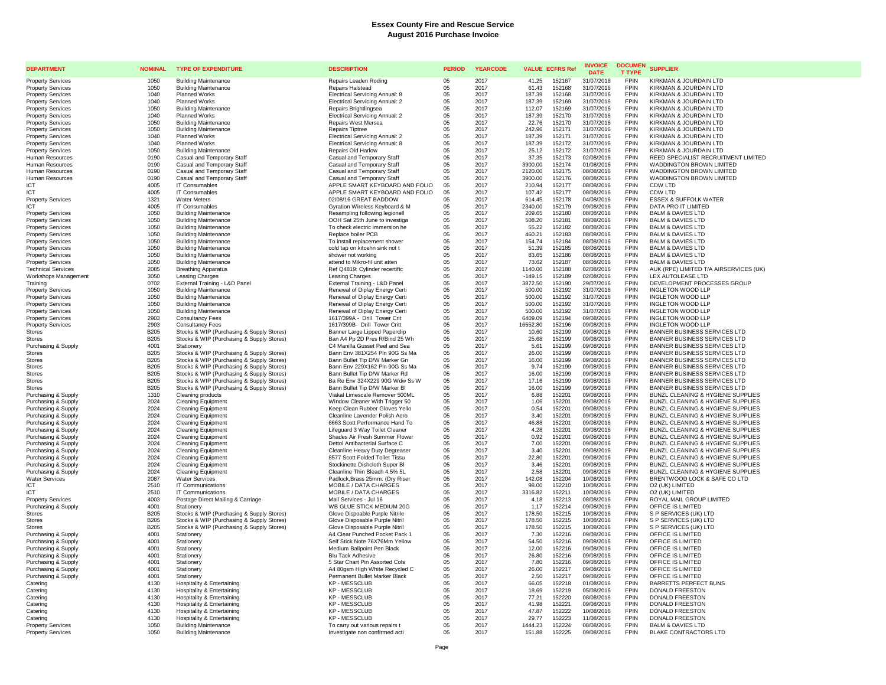| <b>DEPARTMENT</b>                                    | <b>NOMINAL</b> | <b>TYPE OF EXPENDITURE</b>                                 | <b>DESCRIPTION</b>                                               | <b>PERIOD</b> | <b>YEARCODE</b> |                   | <b>VALUE ECFRS Ref</b> | <b>INVOICE</b><br><b>DATE</b> | <b>DOCUMEN</b><br><b>T TYPE</b> | <b>SUPPLIER</b>                                                        |
|------------------------------------------------------|----------------|------------------------------------------------------------|------------------------------------------------------------------|---------------|-----------------|-------------------|------------------------|-------------------------------|---------------------------------|------------------------------------------------------------------------|
| <b>Property Services</b>                             | 1050           | <b>Building Maintenance</b>                                | Repairs Leaden Roding                                            | 05            | 2017            | 41.25             | 152167                 | 31/07/2016                    | <b>FPIN</b>                     | KIRKMAN & JOURDAIN LTD                                                 |
| <b>Property Services</b>                             | 1050           | <b>Building Maintenance</b>                                | <b>Repairs Halstead</b>                                          | 05            | 2017            | 61.43             | 152168                 | 31/07/2016                    | <b>FPIN</b>                     | KIRKMAN & JOURDAIN LTD                                                 |
| <b>Property Services</b>                             | 1040           | <b>Planned Works</b>                                       | Electrical Servicing Annual: 8                                   | 05            | 2017            | 187.39            | 152168                 | 31/07/2016                    | <b>FPIN</b>                     | KIRKMAN & JOURDAIN LTD                                                 |
| <b>Property Services</b>                             | 1040           | <b>Planned Works</b>                                       | Electrical Servicing Annual: 2                                   | 05            | 2017            | 187.39            | 152169                 | 31/07/2016                    | <b>FPIN</b>                     | KIRKMAN & JOURDAIN LTD                                                 |
| <b>Property Services</b>                             | 1050           | <b>Building Maintenance</b>                                | Repairs Brightlingsea                                            | 05            | 2017            | 112.07            | 152169                 | 31/07/2016                    | <b>FPIN</b><br><b>FPIN</b>      | KIRKMAN & JOURDAIN LTD                                                 |
| <b>Property Services</b>                             | 1040<br>1050   | Planned Works                                              | Electrical Servicing Annual: 2                                   | 05            | 2017<br>2017    | 187.39<br>22.76   | 152170                 | 31/07/2016                    | <b>FPIN</b>                     | KIRKMAN & JOURDAIN LTD<br>KIRKMAN & JOURDAIN LTD                       |
| <b>Property Services</b><br><b>Property Services</b> | 1050           | <b>Building Maintenance</b><br><b>Building Maintenance</b> | Repairs West Mersea<br>Repairs Tiptree                           | 05<br>05      | 2017            | 242.96            | 152170<br>152171       | 31/07/2016<br>31/07/2016      | <b>FPIN</b>                     | KIRKMAN & JOURDAIN LTD                                                 |
| <b>Property Services</b>                             | 1040           | <b>Planned Works</b>                                       | Electrical Servicing Annual: 2                                   | $0.5\,$       | 2017            | 187.39            | 152171                 | 31/07/2016                    | <b>FPIN</b>                     | KIRKMAN & JOURDAIN LTD                                                 |
| <b>Property Services</b>                             | 1040           | <b>Planned Works</b>                                       | Electrical Servicing Annual: 8                                   | 05            | 2017            | 187.39            | 152172                 | 31/07/2016                    | FPIN                            | KIRKMAN & JOURDAIN LTD                                                 |
| <b>Property Services</b>                             | 1050           | <b>Building Maintenance</b>                                | <b>Repairs Old Harlow</b>                                        | 05            | 2017            | 25.12             | 152172                 | 31/07/2016                    | <b>FPIN</b>                     | KIRKMAN & JOURDAIN LTD                                                 |
| Human Resources                                      | 0190           | Casual and Temporary Staff                                 | Casual and Temporary Staff                                       | 05            | 2017            | 37.35             | 152173                 | 02/08/2016                    | <b>FPIN</b>                     | REED SPECIALIST RECRUITMENT LIMITED                                    |
| Human Resources                                      | 0190           | Casual and Temporary Staff                                 | Casual and Temporary Staff                                       | 05            | 2017            | 3900.00           | 152174                 | 01/08/2016                    | <b>FPIN</b>                     | WADDINGTON BROWN LIMITED                                               |
| Human Resources                                      | 0190           | Casual and Temporary Staff                                 | Casual and Temporary Staff                                       | 05            | 2017            | 2120.00           | 152175                 | 08/08/2016                    | <b>FPIN</b>                     | WADDINGTON BROWN LIMITED                                               |
| Human Resources                                      | 0190           | Casual and Temporary Staff                                 | Casual and Temporary Staff                                       | 05            | 2017            | 3900.00           | 152176                 | 08/08/2016                    | FPIN                            | WADDINGTON BROWN LIMITED                                               |
| <b>ICT</b>                                           | 4005           | IT Consumables                                             | APPLE SMART KEYBOARD AND FOLIO                                   | 05            | 2017            | 210.94            | 152177                 | 08/08/2016                    | <b>FPIN</b>                     | CDW LTD                                                                |
| ICT                                                  | 4005           | <b>IT Consumables</b>                                      | APPLE SMART KEYBOARD AND FOLIO                                   | 05            | 2017            | 107.42            | 152177                 | 08/08/2016                    | <b>FPIN</b>                     | CDW LTD                                                                |
| <b>Property Services</b>                             | 1321           | <b>Water Meters</b>                                        | 02/08/16 GREAT BADDOW                                            | 05            | 2017            | 614.45            | 152178                 | 04/08/2016                    | <b>FPIN</b>                     | <b>ESSEX &amp; SUFFOLK WATER</b>                                       |
| <b>ICT</b>                                           | 4005<br>1050   | <b>IT Consumables</b><br><b>Building Maintenance</b>       | Gyration Wireless Keyboard & M                                   | 05<br>05      | 2017<br>2017    | 2340.00<br>209.65 | 152179<br>152180       | 09/08/2016<br>08/08/2016      | <b>FPIN</b><br><b>FPIN</b>      | DATA PRO IT LIMITED<br><b>BALM &amp; DAVIES LTD</b>                    |
| <b>Property Services</b><br><b>Property Services</b> | 1050           | <b>Building Maintenance</b>                                | Resampling following legionell<br>OOH Sat 25th June to investiga | 05            | 2017            | 508.20            | 152181                 | 08/08/2016                    | <b>FPIN</b>                     | <b>BALM &amp; DAVIES LTD</b>                                           |
| <b>Property Services</b>                             | 1050           | <b>Building Maintenance</b>                                | To check electric immersion he                                   | 05            | 2017            | 55.22             | 152182                 | 08/08/2016                    | <b>FPIN</b>                     | <b>BALM &amp; DAVIES LTD</b>                                           |
| <b>Property Services</b>                             | 1050           | <b>Building Maintenance</b>                                | Replace boiler PCB                                               | 05            | 2017            | 460.21            | 152183                 | 08/08/2016                    | <b>FPIN</b>                     | <b>BALM &amp; DAVIES LTD</b>                                           |
| <b>Property Services</b>                             | 1050           | <b>Building Maintenance</b>                                | To install replacement shower                                    | 05            | 2017            | 154.74            | 152184                 | 08/08/2016                    | <b>FPIN</b>                     | <b>BALM &amp; DAVIES LTD</b>                                           |
| <b>Property Services</b>                             | 1050           | <b>Building Maintenance</b>                                | cold tap on kitcehn sink not t                                   | 05            | 2017            | 51.39             | 152185                 | 08/08/2016                    | <b>FPIN</b>                     | <b>BALM &amp; DAVIES LTD</b>                                           |
| <b>Property Services</b>                             | 1050           | <b>Building Maintenance</b>                                | shower not working                                               | 05            | 2017            | 83.65             | 152186                 | 08/08/2016                    | <b>FPIN</b>                     | <b>BALM &amp; DAVIES LTD</b>                                           |
| <b>Property Services</b>                             | 1050           | <b>Building Maintenance</b>                                | attend to Mikro-fil unit atten                                   | 05            | 2017            | 73.62             | 152187                 | 08/08/2016                    | <b>FPIN</b>                     | <b>BALM &amp; DAVIES LTD</b>                                           |
| <b>Technical Services</b>                            | 2085           | <b>Breathing Apparatus</b>                                 | Ref Q4819: Cylinder recertific                                   | 05            | 2017            | 1140.00           | 152188                 | 02/08/2016                    | <b>FPIN</b>                     | AUK (RPE) LIMITED T/A AIRSERVICES (UK)                                 |
| Workshops Management                                 | 3050           | Leasing Charges                                            | Leasing Charges                                                  | 05            | 2017            | $-149.15$         | 152189                 | 02/08/2016                    | FPIN                            | LEX AUTOLEASE LTD                                                      |
| Training                                             | 0702           | External Training - L&D Panel                              | External Training - L&D Panel                                    | 05            | 2017            | 3872.50           | 152190                 | 29/07/2016                    | <b>FPIN</b>                     | DEVELOPMENT PROCESSES GROUP                                            |
| <b>Property Services</b>                             | 1050           | <b>Building Maintenance</b>                                | Renewal of Diplay Energy Certi                                   | 05            | 2017            | 500.00            | 152192                 | 31/07/2016                    | <b>FPIN</b>                     | <b>INGLETON WOOD LLP</b>                                               |
| <b>Property Services</b>                             | 1050           | <b>Building Maintenance</b>                                | Renewal of Diplay Energy Certi                                   | 05            | 2017            | 500.00            | 152192                 | 31/07/2016                    | <b>FPIN</b>                     | <b>INGLETON WOOD LLP</b>                                               |
| <b>Property Services</b>                             | 1050           | <b>Building Maintenance</b>                                | Renewal of Diplay Energy Certi                                   | 05            | 2017            | 500.00            | 152192                 | 31/07/2016                    | <b>FPIN</b>                     | <b>INGLETON WOOD LLP</b>                                               |
| <b>Property Services</b>                             | 1050<br>2903   | <b>Building Maintenance</b><br><b>Consultancy Fees</b>     | Renewal of Diplay Energy Certi<br>1617/399A - Drill Tower Crit   | 05<br>05      | 2017<br>2017    | 500.00<br>6409.09 | 152192<br>152194       | 31/07/2016<br>09/08/2016      | <b>FPIN</b><br><b>FPIN</b>      | <b>INGLETON WOOD LLP</b><br><b>INGLETON WOOD LLP</b>                   |
| <b>Property Services</b><br><b>Property Services</b> | 2903           | <b>Consultancy Fees</b>                                    | 1617/399B- Drill Tower Critt                                     | 05            | 2017            | 16552.80          | 152196                 | 09/08/2016                    | <b>FPIN</b>                     | <b>INGLETON WOOD LLP</b>                                               |
| <b>Stores</b>                                        | <b>B205</b>    | Stocks & WIP (Purchasing & Supply Stores)                  | Banner Large Lipped Paperclip                                    | 05            | 2017            | 10.60             | 152199                 | 09/08/2016                    | FPIN                            | BANNER BUSINESS SERVICES LTD                                           |
| Stores                                               | <b>B205</b>    | Stocks & WIP (Purchasing & Supply Stores)                  | Ban A4 Pp 2D Pres R/Bind 25 Wh                                   | 05            | 2017            | 25.68             | 152199                 | 09/08/2016                    | <b>FPIN</b>                     | BANNER BUSINESS SERVICES LTD                                           |
| Purchasing & Supply                                  | 4001           | Stationery                                                 | C4 Manilla Gusset Peel and Sea                                   | 05            | 2017            | 5.61              | 152199                 | 09/08/2016                    | <b>FPIN</b>                     | BANNER BUSINESS SERVICES LTD                                           |
| <b>Stores</b>                                        | B205           | Stocks & WIP (Purchasing & Supply Stores)                  | Bann Env 381X254 Pln 90G Ss Ma                                   | 05            | 2017            | 26.00             | 152199                 | 09/08/2016                    | FPIN                            | BANNER BUSINESS SERVICES LTD                                           |
| <b>Stores</b>                                        | <b>B205</b>    | Stocks & WIP (Purchasing & Supply Stores)                  | Bann Bullet Tip D/W Marker Gn                                    | 05            | 2017            | 16.00             | 152199                 | 09/08/2016                    | <b>FPIN</b>                     | <b>BANNER BUSINESS SERVICES LTD</b>                                    |
| <b>Stores</b>                                        | B205           | Stocks & WIP (Purchasing & Supply Stores)                  | Bann Env 229X162 Pln 90G Ss Ma                                   | 05            | 2017            | 9.74              | 152199                 | 09/08/2016                    | <b>FPIN</b>                     | BANNER BUSINESS SERVICES LTD                                           |
| <b>Stores</b>                                        | B205           | Stocks & WIP (Purchasing & Supply Stores)                  | Bann Bullet Tip D/W Marker Rd                                    | 05            | 2017            | 16.00             | 152199                 | 09/08/2016                    | <b>FPIN</b>                     | BANNER BUSINESS SERVICES LTD                                           |
| <b>Stores</b>                                        | <b>B205</b>    | Stocks & WIP (Purchasing & Supply Stores)                  | Ba Re Env 324X229 90G Wdw Ss W                                   | 05            | 2017            | 17.16             | 152199                 | 09/08/2016                    | <b>FPIN</b>                     | BANNER BUSINESS SERVICES LTD                                           |
| <b>Stores</b>                                        | <b>B205</b>    | Stocks & WIP (Purchasing & Supply Stores)                  | Bann Bullet Tip D/W Marker BI                                    | 05            | 2017            | 16.00             | 152199                 | 09/08/2016                    | <b>FPIN</b><br><b>FPIN</b>      | BANNER BUSINESS SERVICES LTD                                           |
| Purchasing & Supply                                  | 1310<br>2024   | Cleaning products                                          | Viakal Limescale Remover 500ML                                   | 05<br>05      | 2017            | 6.88              | 152201                 | 09/08/2016                    | <b>FPIN</b>                     | BUNZL CLEANING & HYGIENE SUPPLIES<br>BUNZL CLEANING & HYGIENE SUPPLIES |
| Purchasing & Supply                                  | 2024           | <b>Cleaning Equipment</b><br><b>Cleaning Equipment</b>     | Window Cleaner With Trigger 50<br>Keep Clean Rubber Gloves Yello | 05            | 2017<br>2017    | 1.06<br>0.54      | 152201<br>152201       | 09/08/2016<br>09/08/2016      | <b>FPIN</b>                     | BUNZL CLEANING & HYGIENE SUPPLIES                                      |
| Purchasing & Supply<br>Purchasing & Supply           | 2024           | Cleaning Equipment                                         | Cleanline Lavender Polish Aero                                   | 0.5           | 2017            | 3.40              | 152201                 | 09/08/2016                    | <b>FPIN</b>                     | BUNZL CLEANING & HYGIENE SUPPLIES                                      |
| Purchasing & Supply                                  | 2024           | <b>Cleaning Equipment</b>                                  | 6663 Scott Performance Hand To                                   | 05            | 2017            | 46.88             | 152201                 | 09/08/2016                    | FPIN                            | BUNZL CLEANING & HYGIENE SUPPLIES                                      |
| Purchasing & Supply                                  | 2024           | <b>Cleaning Equipment</b>                                  | Lifeguard 3 Way Toilet Cleaner                                   | 05            | 2017            | 4.28              | 152201                 | 09/08/2016                    | <b>FPIN</b>                     | BUNZL CLEANING & HYGIENE SUPPLIES                                      |
| Purchasing & Supply                                  | 2024           | <b>Cleaning Equipment</b>                                  | Shades Air Fresh Summer Flower                                   | 05            | 2017            | 0.92              | 152201                 | 09/08/2016                    | <b>FPIN</b>                     | BUNZL CLEANING & HYGIENE SUPPLIES                                      |
| Purchasing & Supply                                  | 2024           | <b>Cleaning Equipment</b>                                  | Dettol Antibacterial Surface C                                   | 05            | 2017            | 7.00              | 152201                 | 09/08/2016                    | FPIN                            | BUNZL CLEANING & HYGIENE SUPPLIES                                      |
| Purchasing & Supply                                  | 2024           | <b>Cleaning Equipment</b>                                  | Cleanline Heavy Duty Degreaser                                   | 05            | 2017            | 3.40              | 152201                 | 09/08/2016                    | <b>FPIN</b>                     | BUNZL CLEANING & HYGIENE SUPPLIES                                      |
| Purchasing & Supply                                  | 2024           | <b>Cleaning Equipment</b>                                  | 8577 Scott Folded Toilet Tissu                                   | 05            | 2017            | 22.80             | 152201                 | 09/08/2016                    | <b>FPIN</b>                     | BUNZL CLEANING & HYGIENE SUPPLIES                                      |
| Purchasing & Supply                                  | 2024           | <b>Cleaning Equipment</b>                                  | Stockinette Dishcloth Super BI                                   | 05            | 2017            | 3.46              | 152201                 | 09/08/2016                    | <b>FPIN</b>                     | BUNZL CLEANING & HYGIENE SUPPLIES                                      |
| Purchasing & Supply                                  | 2024           | <b>Cleaning Equipment</b>                                  | Cleanline Thin Bleach 4.5% 5L                                    | 05            | 2017            | 2.58              | 152201                 | 09/08/2016                    | <b>FPIN</b>                     | BUNZL CLEANING & HYGIENE SUPPLIES                                      |
| <b>Water Services</b>                                | 2087           | <b>Water Services</b>                                      | Padlock, Brass 25mm. (Dry Riser                                  | 05            | 2017            | 142.08            | 152204                 | 10/08/2016                    | FPIN<br><b>FPIN</b>             | BRENTWOOD LOCK & SAFE CO LTD                                           |
| ICT<br><b>ICT</b>                                    | 2510<br>2510   | IT Communications<br>IT Communications                     | MOBILE / DATA CHARGES<br>MOBILE / DATA CHARGES                   | 05<br>05      | 2017<br>2017    | 98.00<br>3316.82  | 152210<br>152211       | 10/08/2016<br>10/08/2016      | <b>FPIN</b>                     | O2 (UK) LIMITED<br>O2 (UK) LIMITED                                     |
| <b>Property Services</b>                             | 4003           | Postage Direct Mailing & Carriage                          | Mail Services - Jul 16                                           | 05            | 2017            | 4.18              | 152213                 | 08/08/2016                    | <b>FPIN</b>                     | ROYAL MAIL GROUP LIMITED                                               |
| Purchasing & Supply                                  | 4001           | Stationery                                                 | WB GLUE STICK MEDIUM 20G                                         | 05            | 2017            | 1.17              | 152214                 | 09/08/2016                    | <b>FPIN</b>                     | OFFICE IS LIMITED                                                      |
| <b>Stores</b>                                        | B205           | Stocks & WIP (Purchasing & Supply Stores)                  | Glove Dispoable Purple Nitrile                                   | 05            | 2017            | 178.50            | 152215                 | 10/08/2016                    | <b>FPIN</b>                     | S P SERVICES (UK) LTD                                                  |
| Stores                                               | B205           | Stocks & WIP (Purchasing & Supply Stores)                  | Glove Disposable Purple Nitril                                   | 05            | 2017            | 178.50            | 152215                 | 10/08/2016                    | <b>FPIN</b>                     | S P SERVICES (UK) LTD                                                  |
| <b>Stores</b>                                        | <b>B205</b>    | Stocks & WIP (Purchasing & Supply Stores)                  | Glove Disposable Purple Nitril                                   | 05            | 2017            | 178.50            | 152215                 | 10/08/2016                    | <b>FPIN</b>                     | S P SERVICES (UK) LTD                                                  |
| Purchasing & Supply                                  | 4001           | Stationery                                                 | A4 Clear Punched Pocket Pack 1                                   | 05            | 2017            | 7.30              | 152216                 | 09/08/2016                    | FPIN                            | OFFICE IS LIMITED                                                      |
| Purchasing & Supply                                  | 4001           | Stationery                                                 | Self Stick Note 76X76Mm Yellow                                   | 05            | 2017            | 54.50             | 152216                 | 09/08/2016                    | <b>FPIN</b>                     | OFFICE IS LIMITED                                                      |
| Purchasing & Supply                                  | 4001           | Stationery                                                 | Medium Ballpoint Pen Black                                       | 05            | 2017            | 12.00             | 152216                 | 09/08/2016                    | <b>FPIN</b>                     | OFFICE IS LIMITED                                                      |
| Purchasing & Supply                                  | 4001           | Stationen                                                  | <b>Blu Tack Adhesive</b>                                         | 05            | 2017            | 26.80             | 152216                 | 09/08/2016                    | <b>FPIN</b>                     | OFFICE IS LIMITED                                                      |
| Purchasing & Supply                                  | 4001           | Stationery                                                 | 5 Star Chart Pin Assorted Cols                                   | 05            | 2017            | 7.80              | 152216                 | 09/08/2016                    | <b>FPIN</b><br><b>FPIN</b>      | OFFICE IS LIMITED                                                      |
| Purchasing & Supply                                  | 4001           | Stationery                                                 | A4 80gsm High White Recycled C                                   | 0.5           | 2017            | 26.00             | 152217                 | 09/08/2016                    | <b>FPIN</b>                     | OFFICE IS LIMITED                                                      |
| Purchasing & Supply<br>Catering                      | 4001<br>4130   | Stationery<br><b>Hospitality &amp; Entertaining</b>        | Permanent Bullet Marker Black<br><b>KP-MESSCLUB</b>              | 05<br>$0.5\,$ | 2017<br>2017    | 2.50<br>66.05     | 152217<br>152218       | 09/08/2016<br>01/08/2016      | <b>FPIN</b>                     | OFFICE IS LIMITED<br><b>BARRETTS PERFECT BUNS</b>                      |
| Catering                                             | 4130           | <b>Hospitality &amp; Entertaining</b>                      | <b>KP - MESSCLUB</b>                                             | 05            | 2017            | 18.69             | 152219                 | 05/08/2016                    | FPIN                            | DONALD FREESTON                                                        |
| Catering                                             | 4130           | Hospitality & Entertaining                                 | <b>KP - MESSCLUB</b>                                             | 05            | 2017            | 77.21             | 152220                 | 08/08/2016                    | <b>FPIN</b>                     | DONALD FREESTON                                                        |
| Catering                                             | 4130           | Hospitality & Entertaining                                 | <b>KP - MESSCLUB</b>                                             | 0.5           | 2017            | 41.98             | 152221                 | 09/08/2016                    | <b>FPIN</b>                     | <b>DONALD FREESTON</b>                                                 |
| Catering                                             | 4130           | <b>Hospitality &amp; Entertaining</b>                      | <b>KP - MESSCLUB</b>                                             | 05            | 2017            | 47.87             | 152222                 | 10/08/2016                    | <b>FPIN</b>                     | <b>DONALD FREESTON</b>                                                 |
| Catering                                             | 4130           | <b>Hospitality &amp; Entertaining</b>                      | <b>KP-MESSCLUB</b>                                               | 05            | 2017            | 29.77             | 152223                 | 11/08/2016                    | <b>FPIN</b>                     | <b>DONALD FREESTON</b>                                                 |
| <b>Property Services</b>                             | 1050           | <b>Building Maintenance</b>                                | To carry out various repairs t                                   | 05            | 2017            | 1444.23           | 152224                 | 08/08/2016                    | <b>FPIN</b>                     | <b>BALM &amp; DAVIES LTD</b>                                           |
| <b>Property Services</b>                             | 1050           | <b>Building Maintenance</b>                                | Investigate non confirmed acti                                   | 05            | 2017            | 151.88            | 152225                 | 09/08/2016                    | <b>FPIN</b>                     | <b>BLAKE CONTRACTORS LTD</b>                                           |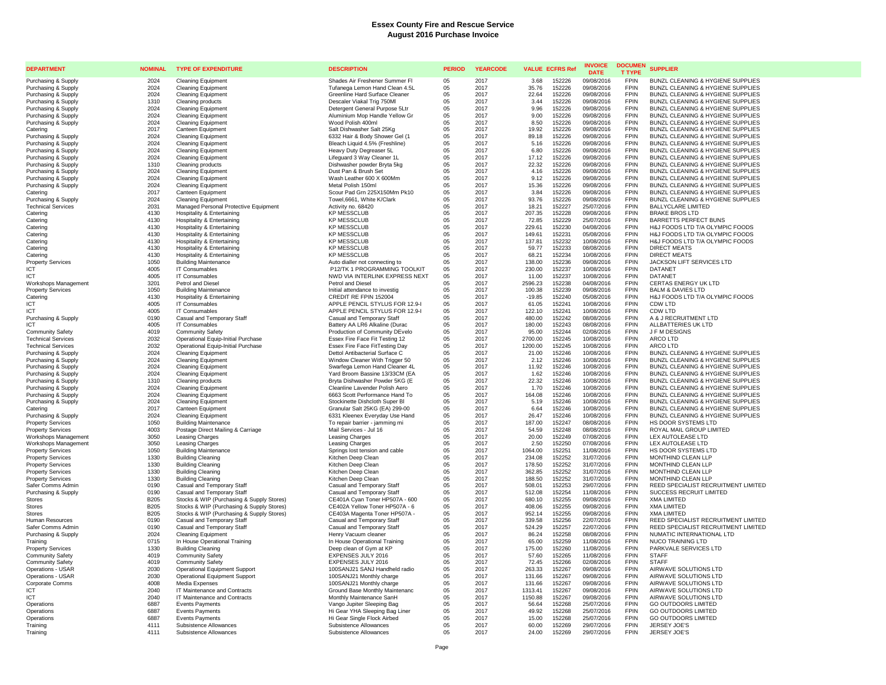| <b>DEPARTMENT</b>                      | <b>NOMINAL</b> | <b>TYPE OF EXPENDITURE</b>                                    | <b>DESCRIPTION</b>                                             | <b>PERIOD</b> | <b>YEARCODE</b> | <b>VALUE ECFRS Ref</b> |                  | <b>INVOICE</b><br><b>DATE</b> | <b>DOCUMEN</b><br><b>T TYPE</b> | <b>SUPPLIER</b>                                 |
|----------------------------------------|----------------|---------------------------------------------------------------|----------------------------------------------------------------|---------------|-----------------|------------------------|------------------|-------------------------------|---------------------------------|-------------------------------------------------|
| Purchasing & Supply                    | 2024           | Cleaning Equipment                                            | Shades Air Freshener Summer Fl                                 | 05            | 2017            | 3.68                   | 152226           | 09/08/2016                    | <b>FPIN</b>                     | BUNZL CLEANING & HYGIENE SUPPLIES               |
| Purchasing & Supply                    | 2024           | <b>Cleaning Equipment</b>                                     | Tufanega Lemon Hand Clean 4.5L                                 | 05            | 2017            | 35.76                  | 152226           | 09/08/2016                    | FPIN                            | BUNZL CLEANING & HYGIENE SUPPLIES               |
| Purchasing & Supply                    | 2024           | <b>Cleaning Equipment</b>                                     | Greenline Hard Surface Cleaner                                 | 05            | 2017            | 22.64                  | 152226           | 09/08/2016                    | <b>FPIN</b>                     | BUNZL CLEANING & HYGIENE SUPPLIES               |
| Purchasing & Supply                    | 1310           | Cleaning products                                             | Descaler Viakal Trig 750Ml                                     | 05            | 2017            | 3.44                   | 152226           | 09/08/2016                    | <b>FPIN</b>                     | BUNZL CLEANING & HYGIENE SUPPLIES               |
| Purchasing & Supply                    | 2024           | <b>Cleaning Equipment</b>                                     | Detergent General Purpose 5Ltr                                 | 05            | 2017            | 9.96                   | 152226           | 09/08/2016                    | <b>FPIN</b>                     | BUNZL CLEANING & HYGIENE SUPPLIES               |
| Purchasing & Supply                    | 2024           | <b>Cleaning Equipment</b>                                     | Aluminium Mop Handle Yellow Gr                                 | 05            | 2017            | 9.00                   | 152226           | 09/08/2016                    | <b>FPIN</b>                     | BUNZL CLEANING & HYGIENE SUPPLIES               |
| Purchasing & Supply                    | 2024           | <b>Cleaning Equipment</b>                                     | Wood Polish 400ml                                              | 05            | 2017            | 8.50                   | 152226           | 09/08/2016                    | FPIN                            | BUNZL CLEANING & HYGIENE SUPPLIES               |
| Catering                               | 2017           | Canteen Equipment                                             | Salt Dishwasher Salt 25Kg                                      | 05            | 2017            | 19.92                  | 152226           | 09/08/2016                    | <b>FPIN</b>                     | BUNZL CLEANING & HYGIENE SUPPLIES               |
| Purchasing & Supply                    | 2024           | <b>Cleaning Equipment</b>                                     | 6332 Hair & Body Shower Gel (1                                 | 05            | 2017            | 89.18                  | 152226           | 09/08/2016                    | <b>FPIN</b>                     | BUNZL CLEANING & HYGIENE SUPPLIES               |
| Purchasing & Supply                    | 2024           | <b>Cleaning Equipment</b>                                     | Bleach Liquid 4.5% (Freshline)                                 | 05            | 2017            | 5.16                   | 152226           | 09/08/2016                    | <b>FPIN</b>                     | BUNZL CLEANING & HYGIENE SUPPLIES               |
| Purchasing & Supply                    | 2024           | <b>Cleaning Equipment</b>                                     | Heavy Duty Degreaser 5L                                        | 05            | 2017            | 6.80                   | 152226           | 09/08/2016                    | <b>FPIN</b>                     | BUNZL CLEANING & HYGIENE SUPPLIES               |
| Purchasing & Supply                    | 2024           | <b>Cleaning Equipment</b>                                     | Lifequard 3 Way Cleaner 1L                                     | $0.5^{\circ}$ | 2017            | 17.12                  | 152226           | 09/08/2016                    | <b>FPIN</b>                     | BUNZL CLEANING & HYGIENE SUPPLIES               |
| Purchasing & Supply                    | 1310           | Cleaning products                                             | Dishwasher powder Bryta 5kg                                    | 05            | 2017            | 22.32                  | 152226           | 09/08/2016                    | <b>FPIN</b>                     | BUNZL CLEANING & HYGIENE SUPPLIES               |
| Purchasing & Supply                    | 2024           | <b>Cleaning Equipment</b>                                     | Dust Pan & Brush Set                                           | 05            | 2017            | 4.16                   | 152226           | 09/08/2016                    | <b>FPIN</b>                     | BUNZL CLEANING & HYGIENE SUPPLIES               |
| Purchasing & Supply                    | 2024           | <b>Cleaning Equipment</b>                                     | Wash Leather 600 X 600Mm                                       | 05            | 2017            | 9.12                   | 152226           | 09/08/2016                    | <b>FPIN</b>                     | BUNZL CLEANING & HYGIENE SUPPLIES               |
| Purchasing & Supply                    | 2024           | <b>Cleaning Equipment</b>                                     | Metal Polish 150ml                                             | 05            | 2017            | 15.36                  | 152226           | 09/08/2016                    | <b>FPIN</b>                     | BUNZL CLEANING & HYGIENE SUPPLIES               |
| Catering                               | 2017           | Canteen Equipment                                             | Scour Pad Grn 225X150Mm Pk10                                   | 05            | 2017            | 3.84                   | 152226           | 09/08/2016                    | <b>FPIN</b>                     | BUNZL CLEANING & HYGIENE SUPPLIES               |
| Purchasing & Supply                    | 2024           | <b>Cleaning Equipment</b>                                     | Towel, 6661, White K/Clark                                     | 05            | 2017            | 93.76                  | 152226           | 09/08/2016                    | <b>FPIN</b>                     | BUNZL CLEANING & HYGIENE SUPPLIES               |
| <b>Technical Services</b>              | 2031           | Managed Personal Protective Equipment                         | Activity no. 68420                                             | 05            | 2017            | 18.21                  | 152227           | 25/07/2016                    | <b>FPIN</b>                     | <b>BALLYCLARE LIMITED</b>                       |
| Catering                               | 4130           | Hospitality & Entertaining                                    | <b>KP MESSCLUB</b>                                             | 05            | 2017            | 207.35                 | 152228           | 09/08/2016                    | <b>FPIN</b>                     | <b>BRAKE BROS LTD</b>                           |
| Catering                               | 4130           | <b>Hospitality &amp; Entertaining</b>                         | <b>KP MESSCLUB</b>                                             | 05            | 2017            | 72.85                  | 152229           | 25/07/2016                    | <b>FPIN</b><br><b>FPIN</b>      | <b>BARRETTS PERFECT BUNS</b>                    |
| Catering                               | 4130           | <b>Hospitality &amp; Entertaining</b>                         | <b>KP MESSCLUB</b>                                             | 05            | 2017            | 229.61                 | 152230           | 04/08/2016                    |                                 | H&J FOODS LTD T/A OLYMPIC FOODS                 |
| Catering                               | 4130           | <b>Hospitality &amp; Entertaining</b>                         | <b>KP MESSCLUB</b>                                             | 05            | 2017            | 149.61                 | 152231           | 05/08/2016                    | <b>FPIN</b><br><b>FPIN</b>      | H&J FOODS LTD T/A OLYMPIC FOODS                 |
| Catering                               | 4130<br>4130   | Hospitality & Entertaining                                    | <b>KP MESSCLUB</b><br><b>KP MESSCLUB</b>                       | 05<br>05      | 2017<br>2017    | 137.81<br>59.77        | 152232<br>152233 | 10/08/2016<br>08/08/2016      | <b>FPIN</b>                     | H&J FOODS LTD T/A OLYMPIC FOODS<br>DIRECT MEATS |
| Catering                               | 4130           | Hospitality & Entertaining                                    |                                                                |               |                 |                        |                  |                               | <b>FPIN</b>                     | <b>DIRECT MEATS</b>                             |
| Catering                               | 1050           | <b>Hospitality &amp; Entertaining</b><br>Building Maintenance | <b>KP MESSCLUB</b>                                             | 05            | 2017<br>2017    | 68.21<br>138.00        | 152234<br>152236 | 10/08/2016<br>09/08/2016      | <b>FPIN</b>                     | JACKSON LIFT SERVICES LTD                       |
| <b>Property Services</b><br><b>ICT</b> | 4005           | IT Consumables                                                | Auto dialler not connecting to<br>P12/TK 1 PROGRAMMING TOOLKIT | 05<br>05      | 2017            | 230.00                 | 152237           | 10/08/2016                    | <b>FPIN</b>                     | DATANET                                         |
| <b>ICT</b>                             | 4005           | IT Consumables                                                | NWD VIA INTERLINK EXPRESS NEXT                                 | 05            | 2017            | 11.00                  | 152237           | 10/08/2016                    | <b>FPIN</b>                     | DATANET                                         |
| Workshops Management                   | 3201           | Petrol and Diese                                              | Petrol and Diese                                               | 05            | 2017            | 2596.23                | 152238           | 04/08/2016                    | <b>FPIN</b>                     | CERTAS ENERGY UK LTD                            |
| <b>Property Services</b>               | 1050           | <b>Building Maintenance</b>                                   | Initial attendance to investig                                 | 05            | 2017            | 100.38                 | 152239           | 09/08/2016                    | <b>FPIN</b>                     | <b>BALM &amp; DAVIES LTD</b>                    |
|                                        | 4130           |                                                               |                                                                |               | 2017            |                        | 152240           | 05/08/2016                    | <b>FPIN</b>                     | H&J FOODS LTD T/A OLYMPIC FOODS                 |
| Catering<br><b>ICT</b>                 | 4005           | Hospitality & Entertaining<br><b>IT Consumables</b>           | CREDIT RE FPIN 152004<br>APPLE PENCIL STYLUS FOR 12.9-I        | 05<br>05      | 2017            | $-19.85$<br>61.05      | 152241           | 10/08/2016                    | <b>FPIN</b>                     | CDW LTD                                         |
| <b>ICT</b>                             | 4005           | IT Consumables                                                | APPLE PENCIL STYLUS FOR 12.9-I                                 | 05            | 2017            | 122.10                 | 152241           | 10/08/2016                    | <b>FPIN</b>                     | CDW LTD                                         |
| Purchasing & Supply                    | 0190           | Casual and Temporary Staff                                    | Casual and Temporary Staff                                     | 05            | 2017            | 480.00                 | 152242           | 08/08/2016                    | <b>FPIN</b>                     | A & J RECRUITMENT LTD                           |
| ICT                                    | 4005           | <b>IT Consumables</b>                                         | Battery AA LR6 Alkaline (Durac                                 | 05            | 2017            | 180.00                 | 152243           | 08/08/2016                    | <b>FPIN</b>                     | ALLBATTERIES UK LTD                             |
| <b>Community Safety</b>                | 4019           | <b>Community Safety</b>                                       | Production of Community DEvelo                                 | 05            | 2017            | 95.00                  | 152244           | 02/08/2016                    | <b>FPIN</b>                     | J F M DESIGNS                                   |
| <b>Technical Services</b>              | 2032           | Operational Equip-Initial Purchase                            | Essex Fire Face Fit Testing 12                                 | 05            | 2017            | 2700.00                | 152245           | 10/08/2016                    | <b>FPIN</b>                     | <b>ARCO LTD</b>                                 |
| <b>Technical Services</b>              | 2032           | Operational Equip-Initial Purchase                            | Essex Fire Face FitTesting Day                                 | 05            | 2017            | 1200.00                | 152245           | 10/08/2016                    | <b>FPIN</b>                     | <b>ARCO LTD</b>                                 |
| Purchasing & Supply                    | 2024           | <b>Cleaning Equipment</b>                                     | Dettol Antibacterial Surface C                                 | 05            | 2017            | 21.00                  | 152246           | 10/08/2016                    | <b>FPIN</b>                     | BUNZL CLEANING & HYGIENE SUPPLIES               |
| Purchasing & Supply                    | 2024           | Cleaning Equipment                                            | Window Cleaner With Trigger 50                                 | 05            | 2017            | 2.12                   | 152246           | 10/08/2016                    | <b>FPIN</b>                     | <b>BUNZL CLEANING &amp; HYGIENE SUPPLIES</b>    |
| Purchasing & Supply                    | 2024           | <b>Cleaning Equipment</b>                                     | Swarfega Lemon Hand Cleaner 4L                                 | 05            | 2017            | 11.92                  | 152246           | 10/08/2016                    | <b>FPIN</b>                     | BUNZL CLEANING & HYGIENE SUPPLIES               |
| Purchasing & Supply                    | 2024           | <b>Cleaning Equipment</b>                                     | Yard Broom Bassine 13/33CM (EA                                 | 05            | 2017            | 1.62                   | 152246           | 10/08/2016                    | <b>FPIN</b>                     | BUNZL CLEANING & HYGIENE SUPPLIES               |
| Purchasing & Supply                    | 1310           | Cleaning products                                             | Bryta Dishwasher Powder 5KG (E                                 | 05            | 2017            | 22.32                  | 152246           | 10/08/2016                    | <b>FPIN</b>                     | BUNZL CLEANING & HYGIENE SUPPLIES               |
| Purchasing & Supply                    | 2024           | <b>Cleaning Equipment</b>                                     | Cleanline Lavender Polish Aero                                 | 05            | 2017            | 1.70                   | 152246           | 10/08/2016                    | <b>FPIN</b>                     | BUNZL CLEANING & HYGIENE SUPPLIES               |
| Purchasing & Supply                    | 2024           | <b>Cleaning Equipment</b>                                     | 6663 Scott Performance Hand To                                 | 05            | 2017            | 164.08                 | 152246           | 10/08/2016                    | <b>FPIN</b>                     | BUNZL CLEANING & HYGIENE SUPPLIES               |
| Purchasing & Supply                    | 2024           | <b>Cleaning Equipment</b>                                     | Stockinette Dishcloth Super BI                                 | 05            | 2017            | 5.19                   | 152246           | 10/08/2016                    | <b>FPIN</b>                     | BUNZL CLEANING & HYGIENE SUPPLIES               |
| Catering                               | 2017           | Canteen Equipment                                             | Granular Salt 25KG (EA) 299-00                                 | 05            | 2017            | 6.64                   | 152246           | 10/08/2016                    | <b>FPIN</b>                     | BUNZL CLEANING & HYGIENE SUPPLIES               |
| Purchasing & Supply                    | 2024           | Cleaning Equipment                                            | 6331 Kleenex Everyday Use Hand                                 | 05            | 2017            | 26.47                  | 152246           | 10/08/2016                    | <b>FPIN</b>                     | BUNZL CLEANING & HYGIENE SUPPLIES               |
| <b>Property Services</b>               | 1050           | <b>Building Maintenance</b>                                   | To repair barrier - jamming mi                                 | 05            | 2017            | 187.00                 | 152247           | 08/08/2016                    | <b>FPIN</b>                     | HS DOOR SYSTEMS LTD                             |
| <b>Property Services</b>               | 4003           | Postage Direct Mailing & Carriage                             | Mail Services - Jul 16                                         | 05            | 2017            | 54.59                  | 152248           | 08/08/2016                    | <b>FPIN</b>                     | ROYAL MAIL GROUP LIMITED                        |
| Workshops Management                   | 3050           | <b>Leasing Charges</b>                                        | Leasing Charges                                                | 05            | 2017            | 20.00                  | 152249           | 07/08/2016                    | <b>FPIN</b>                     | LEX AUTOLEASE LTD                               |
| Workshops Management                   | 3050           | <b>Leasing Charges</b>                                        | Leasing Charges                                                | 05            | 2017            | 2.50                   | 152250           | 07/08/2016                    | <b>FPIN</b>                     | LEX AUTOLEASE LTD                               |
| <b>Property Services</b>               | 1050           | <b>Building Maintenance</b>                                   | Springs lost tension and cable                                 | 05            | 2017            | 1064.00                | 152251           | 11/08/2016                    | <b>FPIN</b>                     | HS DOOR SYSTEMS LTD                             |
| <b>Property Services</b>               | 1330           | <b>Building Cleaning</b>                                      | Kitchen Deep Clean                                             | 05            | 2017            | 234.08                 | 152252           | 31/07/2016                    | <b>FPIN</b>                     | MONTHIND CLEAN LLP                              |
| <b>Property Services</b>               | 1330           | <b>Building Cleaning</b>                                      | Kitchen Deep Clean                                             | 05            | 2017            | 178.50                 | 152252           | 31/07/2016                    | <b>FPIN</b>                     | MONTHIND CLEAN LLP                              |
| <b>Property Services</b>               | 1330           | <b>Building Cleaning</b>                                      | Kitchen Deep Clean                                             | 05            | 2017            | 362.85                 | 152252           | 31/07/2016                    | <b>FPIN</b>                     | MONTHIND CLEAN LLP                              |
| <b>Property Services</b>               | 1330           | <b>Building Cleaning</b>                                      | Kitchen Deep Clean                                             | 05            | 2017            | 188.50                 | 152252           | 31/07/2016                    | <b>FPIN</b>                     | MONTHIND CLEAN LLP                              |
| Safer Comms Admin                      | 0190           | Casual and Temporary Staff                                    | Casual and Temporary Staff                                     | 05            | 2017            | 508.01                 | 152253           | 29/07/2016                    | <b>FPIN</b>                     | REED SPECIALIST RECRUITMENT LIMITED             |
| Purchasing & Supply                    | 0190           | Casual and Temporary Staff                                    | Casual and Temporary Staff                                     | 05            | 2017            | 512.08                 | 152254           | 11/08/2016                    | <b>FPIN</b>                     | SUCCESS RECRUIT LIMITED                         |
| <b>Stores</b>                          | B205           | Stocks & WIP (Purchasing & Supply Stores)                     | CE401A Cyan Toner HP507A - 600                                 | 05            | 2017            | 680.10                 | 152255           | 09/08/2016                    | <b>FPIN</b>                     | <b>XMA LIMITED</b>                              |
| <b>Stores</b>                          | <b>B205</b>    | Stocks & WIP (Purchasing & Supply Stores)                     | CE402A Yellow Toner HP507A - 6                                 | 05            | 2017            | 408.06                 | 152255           | 09/08/2016                    | <b>FPIN</b>                     | <b>XMA LIMITED</b>                              |
| <b>Stores</b>                          | <b>B205</b>    | Stocks & WIP (Purchasing & Supply Stores)                     | CE403A Magenta Toner HP507A -                                  | 05            | 2017            | 952.14                 | 152255           | 09/08/2016                    | <b>FPIN</b>                     | <b>XMA LIMITED</b>                              |
| Human Resources                        | 0190           | Casual and Temporary Staff                                    | Casual and Temporary Staff                                     | 05            | 2017            | 339.58                 | 152256           | 22/07/2016                    | <b>FPIN</b>                     | REED SPECIALIST RECRUITMENT LIMITED             |
| Safer Comms Admir                      | 0190           | Casual and Temporary Staff                                    | Casual and Temporary Staff                                     | 05            | 2017            | 524.29                 | 152257           | 22/07/2016                    | <b>FPIN</b>                     | REED SPECIALIST RECRUITMENT LIMITED             |
| Purchasing & Supply                    | 2024           | <b>Cleaning Equipment</b>                                     | Henry Vacuum cleaner                                           | 05            | 2017            | 86.24                  | 152258           | 08/08/2016                    | FPIN                            | NUMATIC INTERNATIONAL LTD                       |
| Training                               | 0715           | In House Operational Training                                 | In House Operational Training                                  | 05            | 2017            | 65.00                  | 152259           | 11/08/2016                    | <b>FPIN</b>                     | <b>NUCO TRAINING LTD</b>                        |
| <b>Property Services</b>               | 1330           | Building Cleaning                                             | Deep clean of Gym at KP                                        | 05            | 2017            | 175.00                 | 152260           | 11/08/2016                    | <b>FPIN</b>                     | PARKVALE SERVICES LTD                           |
| <b>Community Safety</b>                | 4019           | <b>Community Safety</b>                                       | EXPENSES JULY 2016                                             | 05            | 2017            | 57.60                  | 152265           | 11/08/2016                    | <b>FPIN</b>                     | <b>STAFF</b>                                    |
| <b>Community Safety</b>                | 4019           | <b>Community Safety</b>                                       | EXPENSES JULY 2016                                             | 05            | 2017            | 72.45                  | 152266           | 02/08/2016                    | <b>FPIN</b>                     | <b>STAFF</b>                                    |
| Operations - USAR                      | 2030           | <b>Operational Equipment Support</b>                          | 100SANJ21 SANJ Handheld radio                                  | 05            | 2017            | 263.33                 | 152267           | 09/08/2016                    | <b>FPIN</b><br><b>FPIN</b>      | AIRWAVE SOLUTIONS LTD                           |
| Operations - USAR                      | 2030<br>4008   | <b>Operational Equipment Support</b>                          | 100SANJ21 Monthly charge                                       | 05            | 2017            | 131.66                 | 152267           | 09/08/2016<br>09/08/2016      | <b>EPIN</b>                     | AIRWAVE SOLUTIONS LTD                           |
| Corporate Comms<br>ICT                 | 2040           | Media Expenses                                                | 100SANJ21 Monthly charge<br>Ground Base Monthly Maintenanc     | 05<br>05      | 2017<br>2017    | 131.66                 | 152267<br>152267 | 09/08/2016                    | FPIN                            | AIRWAVE SOLUTIONS LTD<br>AIRWAVE SOLUTIONS LTD  |
| ICT                                    | 2040           | IT Maintenance and Contracts<br>IT Maintenance and Contracts  | Monthly Maintenance SanH                                       | 05            | 2017            | 1313.41                | 152267           | 09/08/2016                    | <b>FPIN</b>                     | AIRWAVE SOLUTIONS LTD                           |
| Operations                             | 6887           | <b>Events Payments</b>                                        | Vango Jupiter Sleeping Bag                                     | $0.5^{\circ}$ | 2017            | 1150.88<br>56.64       | 152268           | 25/07/2016                    | <b>FPIN</b>                     | <b>GO OUTDOORS LIMITED</b>                      |
| Operations                             | 6887           | <b>Events Payments</b>                                        | Hi Gear YHA Sleeping Bag Liner                                 | 05            | 2017            | 49.92                  | 152268           | 25/07/2016                    | <b>FPIN</b>                     | <b>GO OUTDOORS LIMITED</b>                      |
| Operations                             | 6887           | <b>Events Payments</b>                                        | Hi Gear Single Flock Airbed                                    | 05            | 2017            | 15.00                  | 152268           | 25/07/2016                    | <b>FPIN</b>                     | <b>GO OUTDOORS LIMITED</b>                      |
| Training                               | 4111           | Subsistence Allowances                                        | Subsistence Allowances                                         | 05            | 2017            | 60.00                  | 152269           | 29/07/2016                    | <b>FPIN</b>                     | JERSEY JOE'S                                    |
| Training                               | 4111           | Subsistence Allowances                                        | Subsistence Allowances                                         | 05            | 2017            | 24.00                  | 152269           | 29/07/2016                    | <b>FPIN</b>                     | JERSEY JOE'S                                    |
|                                        |                |                                                               |                                                                |               |                 |                        |                  |                               |                                 |                                                 |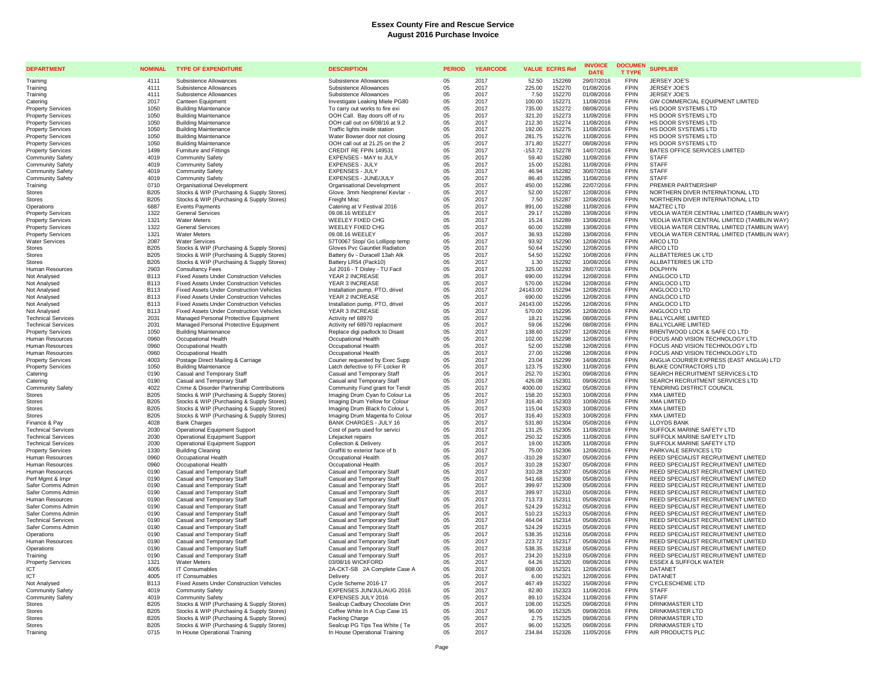| <b>DEPARTMENT</b>                            | <b>NOMINAL</b>             | <b>TYPE OF EXPENDITURE</b>                                                                  | <b>DESCRIPTION</b>                                               | <b>PERIOD</b> | <b>YEARCODE</b> | <b>VALUE ECFRS Ref</b>                  | <b>INVOICE</b><br><b>DATE</b> | <b>DOCUMEN</b><br><b>T TYPE</b> | <b>SUPPLIER</b>                                                            |
|----------------------------------------------|----------------------------|---------------------------------------------------------------------------------------------|------------------------------------------------------------------|---------------|-----------------|-----------------------------------------|-------------------------------|---------------------------------|----------------------------------------------------------------------------|
| Training                                     | 4111                       | Subsistence Allowances                                                                      | Subsistence Allowances                                           | 05            | 2017            | 52.50<br>152269                         | 29/07/2016                    | <b>FPIN</b>                     | <b>JERSEY JOE'S</b>                                                        |
| Training                                     | 4111                       | Subsistence Allowances                                                                      | Subsistence Allowances                                           | 05            | 2017            | 225.00<br>152270                        | 01/08/2016                    | <b>FPIN</b>                     | JERSEY JOE'S                                                               |
| Training                                     | 4111                       | Subsistence Allowances                                                                      | Subsistence Allowances                                           | 05            | 2017            | 152270<br>7.50                          | 01/08/2016                    | <b>FPIN</b><br><b>FPIN</b>      | JERSEY JOE'S<br>GW COMMERCIAL EQUIPMENT LIMITED                            |
| Catering<br><b>Property Services</b>         | 2017<br>1050               | Canteen Equipment<br><b>Building Maintenance</b>                                            | Investigate Leaking Miele PG80<br>To carry out works to fire exi | 05<br>05      | 2017<br>2017    | 100.00<br>152271<br>735.00<br>152272    | 11/08/2016<br>08/08/2016      | <b>FPIN</b>                     | HS DOOR SYSTEMS LTD                                                        |
| <b>Property Services</b>                     | 1050                       | <b>Building Maintenance</b>                                                                 | OOH Call. Bay doors off of ru                                    | 05            | 2017            | 321.20<br>152273                        | 11/08/2016                    | <b>FPIN</b>                     | HS DOOR SYSTEMS LTD                                                        |
| <b>Property Services</b>                     | 1050                       | <b>Building Maintenance</b>                                                                 | OOH call out on 6/08/16 at 9.2                                   | 05            | 2017            | 212.30<br>152274                        | 11/08/2016                    | <b>FPIN</b>                     | HS DOOR SYSTEMS LTD                                                        |
| <b>Property Services</b>                     | 1050                       | <b>Building Maintenance</b>                                                                 | Traffic lights inside station                                    | 05            | 2017            | 192.00<br>152275                        | 11/08/2016                    | <b>FPIN</b>                     | HS DOOR SYSTEMS LTD                                                        |
| <b>Property Services</b>                     | 1050                       | <b>Building Maintenance</b>                                                                 | Water Bowser door not closing                                    | 05            | 2017            | 281.75<br>152276                        | 11/08/2016                    | <b>FPIN</b>                     | HS DOOR SYSTEMS LTD                                                        |
| <b>Property Services</b>                     | 1050<br>1499               | <b>Building Maintenance</b><br>Furniture and Fittings                                       | OOH call out at 21.25 on the 2<br>CREDIT RE FPIN 149531          | 05            | 2017<br>2017    | 371.80<br>152277                        | 08/08/2016                    | FPIN<br><b>FPIN</b>             | HS DOOR SYSTEMS LTD                                                        |
| <b>Property Services</b><br>Community Safety | 4019                       | <b>Community Safety</b>                                                                     | EXPENSES - MAY to JULY                                           | 05<br>05      | 2017            | $-153.72$<br>152278<br>152280<br>59.40  | 14/07/2016<br>11/08/2016      | <b>FPIN</b>                     | BATES OFFICE SERVICES LIMITED<br><b>STAFF</b>                              |
| <b>Community Safety</b>                      | 4019                       | <b>Community Safety</b>                                                                     | <b>EXPENSES - JULY</b>                                           | 05            | 2017            | 15.00<br>152281                         | 11/08/2016                    | <b>FPIN</b>                     | <b>STAFF</b>                                                               |
| Community Safety                             | 4019                       | Community Safety                                                                            | <b>EXPENSES - JULY</b>                                           | 05            | 2017            | 46.94<br>152282                         | 30/07/2016                    | <b>FPIN</b>                     | <b>STAFF</b>                                                               |
| <b>Community Safety</b>                      | 4019                       | <b>Community Safety</b>                                                                     | EXPENSES - JUNE/JULY                                             | 05            | 2017            | 86.40<br>152285                         | 11/08/2016                    | <b>FPIN</b>                     | <b>STAFF</b>                                                               |
| Training                                     | 0710                       | Organisational Development                                                                  | Organisational Development                                       | 05            | 2017            | 450.00<br>152286                        | 22/07/2016                    | <b>FPIN</b><br><b>FPIN</b>      | PREMIER PARTNERSHIP                                                        |
| <b>Stores</b><br><b>Stores</b>               | <b>B205</b><br><b>B205</b> | Stocks & WIP (Purchasing & Supply Stores)<br>Stocks & WIP (Purchasing & Supply Stores)      | Glove. 3mm Neoprene/ Kevlar<br>Freight Misc                      | 05<br>05      | 2017<br>2017    | 52.00<br>152287<br>7.50<br>152287       | 12/08/2016<br>12/08/2016      | FPIN                            | NORTHERN DIVER INTERNATIONAL LTD<br>NORTHERN DIVER INTERNATIONAL LTD       |
| Operations                                   | 6887                       | <b>Events Payments</b>                                                                      | Catering at V Festival 2016                                      | $05\,$        | 2017            | 891.00<br>152288                        | 11/08/2016                    | <b>FPIN</b>                     | <b>MAZTEC LTD</b>                                                          |
| <b>Property Services</b>                     | 1322                       | <b>General Services</b>                                                                     | 09.08.16 WEELEY                                                  | 05            | 2017            | 152289<br>29.17                         | 13/08/2016                    | <b>FPIN</b>                     | VEOLIA WATER CENTRAL LIMITED (TAMBLIN WAY)                                 |
| <b>Property Services</b>                     | 1321                       | <b>Water Meters</b>                                                                         | WEELEY FIXED CHG                                                 | 05            | 2017            | 15.24<br>152289                         | 13/08/2016                    | FPIN                            | VEOLIA WATER CENTRAL LIMITED (TAMBLIN WAY)                                 |
| <b>Property Services</b>                     | 1322                       | <b>General Services</b>                                                                     | WEELEY FIXED CHG                                                 | 05            | 2017            | 60.00<br>152289                         | 13/08/2016                    | <b>FPIN</b>                     | VEOLIA WATER CENTRAL LIMITED (TAMBLIN WAY)                                 |
| <b>Property Services</b>                     | 1321                       | <b>Water Meters</b>                                                                         | 09.08.16 WEELEY                                                  | 05            | 2017            | 36.93<br>152289                         | 13/08/2016                    | <b>FPIN</b><br><b>FPIN</b>      | VEOLIA WATER CENTRAL LIMITED (TAMBLIN WAY)                                 |
| <b>Water Services</b><br><b>Stores</b>       | 2087<br><b>B205</b>        | <b>Water Services</b><br>Stocks & WIP (Purchasing & Supply Stores)                          | 57T0067 Stop/ Go Lollipop temp<br>Gloves Pvc Gauntlet Radiation  | 05<br>05      | 2017<br>2017    | 93.92<br>152290<br>50.64<br>152290      | 12/08/2016<br>12/08/2016      | <b>FPIN</b>                     | ARCO LTD<br>ARCO LTD                                                       |
| <b>Stores</b>                                | <b>B205</b>                | Stocks & WIP (Purchasing & Supply Stores)                                                   | Battery 6v - Duracell 13ah Alk                                   | 05            | 2017            | 54.50<br>152292                         | 10/08/2016                    | <b>FPIN</b>                     | ALLBATTERIES UK LTD                                                        |
| Stores                                       | <b>B205</b>                | Stocks & WIP (Purchasing & Supply Stores)                                                   | Battery LR54 (Pack10)                                            | 05            | 2017            | 1.30<br>152292                          | 10/08/2016                    | FPIN                            | ALLBATTERIES UK LTD                                                        |
| <b>Human Resources</b>                       | 2903                       | <b>Consultancy Fees</b>                                                                     | Jul 2016 - T Disley - TU Facil                                   | 05            | 2017            | 325.00<br>152293                        | 28/07/2016                    | <b>FPIN</b>                     | <b>DOLPHYN</b>                                                             |
| Not Analysed                                 | <b>B113</b>                | Fixed Assets Under Construction Vehicles                                                    | YEAR 2 INCREASE                                                  | 05            | 2017            | 690.00<br>152294                        | 12/08/2016                    | FPIN                            | ANGLOCO LTD                                                                |
| Not Analysed                                 | <b>B113</b><br><b>B113</b> | Fixed Assets Under Construction Vehicles<br><b>Fixed Assets Under Construction Vehicles</b> | YEAR 3 INCREASE<br>Installation pump, PTO, drivel                | 05<br>05      | 2017<br>2017    | 570.00<br>152294<br>24143.00<br>152294  | 12/08/2016<br>12/08/2016      | <b>FPIN</b><br><b>FPIN</b>      | ANGLOCO LTD<br>ANGLOCO LTD                                                 |
| Not Analysed<br>Not Analysed                 | <b>B113</b>                | <b>Fixed Assets Under Construction Vehicles</b>                                             | YEAR 2 INCREASE                                                  | 05            | 2017            | 690.00<br>152295                        | 12/08/2016                    | <b>FPIN</b>                     | ANGLOCO LTD                                                                |
| Not Analysed                                 | <b>B113</b>                | <b>Fixed Assets Under Construction Vehicles</b>                                             | Installation pump, PTO, drivel                                   | 05            | 2017            | 24143.00<br>152295                      | 12/08/2016                    | <b>FPIN</b>                     | ANGLOCO LTD                                                                |
| Not Analysed                                 | <b>B113</b>                | <b>Fixed Assets Under Construction Vehicles</b>                                             | YEAR 3 INCREASE                                                  | 05            | 2017            | 570.00<br>152295                        | 12/08/2016                    | <b>FPIN</b>                     | ANGLOCO LTD                                                                |
| <b>Technical Services</b>                    | 2031                       | Managed Personal Protective Equipment                                                       | Activity ref 68970                                               | 05            | 2017            | 18.21<br>152296                         | 08/08/2016                    | <b>FPIN</b>                     | <b>BALLYCLARE LIMITED</b>                                                  |
| <b>Technical Services</b>                    | 2031                       | Managed Personal Protective Equipment                                                       | Activity ref 68970 replacment                                    | 05            | 2017            | 59.06<br>152296                         | 08/08/2016                    | <b>FPIN</b>                     | <b>BALLYCLARE LIMITED</b>                                                  |
| <b>Property Services</b><br>Human Resources  | 1050<br>0960               | <b>Building Maintenance</b><br>Occupational Health                                          | Replace digi padlock to Disast<br>Occupational Health            | 05<br>05      | 2017<br>2017    | 138.60<br>152297<br>102.00<br>152298    | 12/08/2016<br>12/08/2016      | <b>FPIN</b><br><b>FPIN</b>      | BRENTWOOD LOCK & SAFE CO LTD<br>FOCUS AND VISION TECHNOLOGY LTD            |
| Human Resources                              | 0960                       | Occupational Health                                                                         | Occupational Health                                              | 05            | 2017            | 152298<br>52.00                         | 12/08/2016                    | <b>FPIN</b>                     | FOCUS AND VISION TECHNOLOGY LTD                                            |
| Human Resources                              | 0960                       | Occupational Health                                                                         | Occupational Health                                              | 05            | 2017            | 27.00<br>152298                         | 12/08/2016                    | <b>FPIN</b>                     | FOCUS AND VISION TECHNOLOGY LTD                                            |
| <b>Property Services</b>                     | 4003                       | Postage Direct Mailing & Carriage                                                           | Courier requested by Exec Supp                                   | 05            | 2017            | 23.04<br>152299                         | 14/08/2016                    | <b>FPIN</b>                     | ANGLIA COURIER EXPRESS (EAST ANGLIA) LTD                                   |
| <b>Property Services</b>                     | 1050                       | <b>Building Maintenance</b>                                                                 | Latch defective to FF Locker R                                   | 05            | 2017            | 123.75<br>152300                        | 11/08/2016                    | <b>FPIN</b>                     | <b>BLAKE CONTRACTORS LTD</b>                                               |
| Catering<br>Catering                         | 0190<br>0190               | Casual and Temporary Staff<br>Casual and Temporary Staff                                    | Casual and Temporary Staff<br>Casual and Temporary Staff         | 05<br>05      | 2017<br>2017    | 252.70<br>152301<br>152301<br>426.08    | 09/08/2016<br>09/08/2016      | FPIN<br><b>FPIN</b>             | SEARCH RECRUITMENT SERVICES LTD<br>SEARCH RECRUITMENT SERVICES LTD         |
| <b>Community Safety</b>                      | 4022                       | Crime & Disorder Partnership Contributions                                                  | Community Fund grant for Tendr                                   | 05            | 2017            | 4000.00<br>152302                       | 05/08/2016                    | <b>FPIN</b>                     | TENDRING DISTRICT COUNCIL                                                  |
| <b>Stores</b>                                | <b>B205</b>                | Stocks & WIP (Purchasing & Supply Stores)                                                   | Imaging Drum Cyan fo Colour La                                   | 05            | 2017            | 158.20<br>152303                        | 10/08/2016                    | <b>FPIN</b>                     | <b>XMA LIMITED</b>                                                         |
| <b>Stores</b>                                | B205                       | Stocks & WIP (Purchasing & Supply Stores)                                                   | Imaging Drum Yellow for Colour                                   | 05            | 2017            | 316.40<br>152303                        | 10/08/2016                    | <b>FPIN</b>                     | <b>XMA LIMITED</b>                                                         |
| <b>Stores</b>                                | <b>B205</b>                | Stocks & WIP (Purchasing & Supply Stores)                                                   | Imaging Drum Black fo Colour L                                   | 05            | 2017            | 115.04<br>152303                        | 10/08/2016                    | <b>FPIN</b>                     | <b>XMA LIMITED</b>                                                         |
| <b>Stores</b><br>Finance & Pav               | B <sub>205</sub><br>4028   | Stocks & WIP (Purchasing & Supply Stores)<br><b>Bank Charges</b>                            | Imaging Drum Magenta fo Colour<br><b>BANK CHARGES - JULY 16</b>  | 05<br>05      | 2017<br>2017    | 316.40<br>152303<br>531.80<br>152304    | 10/08/2016<br>05/08/2016      | <b>FPIN</b><br><b>FPIN</b>      | <b>XMA LIMITED</b><br><b>LLOYDS BANK</b>                                   |
| <b>Technical Services</b>                    | 2030                       | <b>Operational Equipment Support</b>                                                        | Cost of parts used for servici                                   | 05            | 2017            | 131.25<br>152305                        | 11/08/2016                    | FPIN                            | SUFFOLK MARINE SAFETY LTD                                                  |
| <b>Technical Services</b>                    | 2030                       | Operational Equipment Support                                                               | Lifejacket repairs                                               | 05            | 2017            | 152305<br>250.32                        | 11/08/2016                    | <b>FPIN</b>                     | SUFFOLK MARINE SAFETY LTD                                                  |
| <b>Technical Services</b>                    | 2030                       | <b>Operational Equipment Support</b>                                                        | <b>Collection &amp; Delivery</b>                                 | 05            | 2017            | 19.00<br>152305                         | 11/08/2016                    | <b>FPIN</b>                     | SUFFOLK MARINE SAFETY LTD                                                  |
| <b>Property Services</b>                     | 1330                       | <b>Building Cleaning</b>                                                                    | Graffiti to exterior face of b                                   | 05            | 2017            | 75.00<br>152306                         | 12/08/2016                    | <b>FPIN</b>                     | PARKVALE SERVICES LTD                                                      |
| Human Resources<br>Human Resources           | 0960<br>0960               | Occupational Health<br>Occupational Health                                                  | Occupational Health<br>Occupational Health                       | 05<br>05      | 2017<br>2017    | $-310.28$<br>152307<br>310.28<br>152307 | 05/08/2016<br>05/08/2016      | <b>FPIN</b><br><b>FPIN</b>      | REED SPECIALIST RECRUITMENT LIMITED<br>REED SPECIALIST RECRUITMENT LIMITED |
| Human Resources                              | 0190                       | Casual and Temporary Staff                                                                  | Casual and Temporary Staff                                       | 05            | 2017            | 310.28<br>152307                        | 05/08/2016                    | <b>FPIN</b>                     | REED SPECIALIST RECRUITMENT LIMITED                                        |
| Perf Mamt & Impr                             | 0190                       | Casual and Temporary Staff                                                                  | Casual and Temporary Staff                                       | 05            | 2017            | 541.68<br>152308                        | 05/08/2016                    | <b>FPIN</b>                     | REED SPECIALIST RECRUITMENT LIMITED                                        |
| Safer Comms Admin                            | 0190                       | Casual and Temporary Staff                                                                  | Casual and Temporary Staff                                       | 05            | 2017            | 399.97<br>152309                        | 05/08/2016                    | FPIN                            | REED SPECIALIST RECRUITMENT LIMITED                                        |
| Safer Comms Admin                            | 0190                       | Casual and Temporary Staff                                                                  | Casual and Temporary Staff                                       | 05            | 2017            | 152310<br>399.97                        | 05/08/2016                    | <b>FPIN</b>                     | REED SPECIALIST RECRUITMENT LIMITED                                        |
| Human Resources                              | 0190                       | Casual and Temporary Staff                                                                  | Casual and Temporary Staff                                       | 05            | 2017            | 713.73<br>152311                        | 05/08/2016                    | <b>FPIN</b><br><b>FPIN</b>      | REED SPECIALIST RECRUITMENT LIMITED                                        |
| Safer Comms Admin<br>Safer Comms Admin       | 0190<br>0190               | Casual and Temporary Staff<br>Casual and Temporary Staff                                    | Casual and Temporary Staff<br>Casual and Temporary Staff         | 05<br>05      | 2017<br>2017    | 524.29<br>152312<br>510.23<br>152313    | 05/08/2016<br>05/08/2016      | <b>FPIN</b>                     | REED SPECIALIST RECRUITMENT LIMITED<br>REED SPECIALIST RECRUITMENT LIMITED |
| <b>Technical Services</b>                    | 0190                       | Casual and Temporary Staff                                                                  | Casual and Temporary Staff                                       | 05            | 2017            | 464.04<br>152314                        | 05/08/2016                    | <b>FPIN</b>                     | REED SPECIALIST RECRUITMENT LIMITED                                        |
| Safer Comms Admin                            | 0190                       | Casual and Temporary Staff                                                                  | Casual and Temporary Staff                                       | 05            | 2017            | 524.29<br>152315                        | 05/08/2016                    | <b>FPIN</b>                     | REED SPECIALIST RECRUITMENT LIMITED                                        |
| Operations                                   | 0190                       | Casual and Temporary Staff                                                                  | Casual and Temporary Staff                                       | 05            | 2017            | 538.35<br>152316                        | 05/08/2016                    | <b>FPIN</b>                     | REED SPECIALIST RECRUITMENT LIMITED                                        |
| Human Resources                              | 0190                       | Casual and Temporary Staff                                                                  | Casual and Temporary Staff                                       | 05            | 2017            | 223.72<br>152317                        | 05/08/2016                    | <b>FPIN</b>                     | REED SPECIALIST RECRUITMENT LIMITED                                        |
| Operations<br>Training                       | 0190<br>0190               | Casual and Temporary Staff<br>Casual and Temporary Staff                                    | Casual and Temporary Staff<br>Casual and Temporary Staff         | 05<br>05      | 2017<br>2017    | 538.35<br>152318<br>234.20<br>152319    | 05/08/2016<br>05/08/2016      | <b>FPIN</b><br><b>FPIN</b>      | REED SPECIALIST RECRUITMENT LIMITED<br>REED SPECIALIST RECRUITMENT LIMITED |
| <b>Property Services</b>                     | 1321                       | <b>Water Meters</b>                                                                         | 03/08/16 WICKFORD                                                | 05            | 2017            | 64.26<br>152320                         | 09/08/2016                    | <b>FPIN</b>                     | <b>ESSEX &amp; SUFFOLK WATER</b>                                           |
| <b>ICT</b>                                   | 4005                       | IT Consumables                                                                              | 2A-CKT-SB 2A Complete Case A                                     | 05            | 2017            | 608.00<br>152321                        | 12/08/2016                    | <b>FPIN</b>                     | DATANET                                                                    |
| ICT                                          | 4005                       | IT Consumables                                                                              | Delivery                                                         | 05            | 2017            | 6.00<br>152321                          | 12/08/2016                    | <b>FPIN</b>                     | DATANET                                                                    |
| Not Analysed                                 | <b>B113</b>                | Fixed Assets Under Construction Vehicles                                                    | Cycle Scheme 2016-17                                             | 05            | 2017            | 467.49<br>152322                        | 15/08/2016                    | <b>FPIN</b>                     | <b>CYCLESCHEME LTD</b>                                                     |
| <b>Community Safety</b>                      | 4019                       | <b>Community Safety</b>                                                                     | EXPENSES JUN/JUL/AUG 2016                                        | 05            | 2017            | 82.80<br>152323                         | 11/08/2016                    | <b>FPIN</b>                     | <b>STAFF</b>                                                               |
| <b>Community Safety</b><br>Stores            | 4019<br>B <sub>205</sub>   | <b>Community Safety</b><br>Stocks & WIP (Purchasing & Supply Stores)                        | EXPENSES JULY 2016<br>Sealcup Cadbury Chocolate Drin             | 05<br>05      | 2017<br>2017    | 152324<br>89.10<br>108.00<br>152325     | 11/08/2016<br>09/08/2016      | <b>FPIN</b><br><b>FPIN</b>      | <b>STAFF</b><br>DRINKMASTER LTD                                            |
| <b>Stores</b>                                | <b>B205</b>                | Stocks & WIP (Purchasing & Supply Stores)                                                   | Coffee White In A Cup Case 15                                    | 05            | 2017            | 96.00<br>152325                         | 09/08/2016                    | <b>FPIN</b>                     | <b>DRINKMASTER LTD</b>                                                     |
| <b>Stores</b>                                | <b>B205</b>                | Stocks & WIP (Purchasing & Supply Stores)                                                   | Packing Charge                                                   | 05            | 2017            | 2.75<br>152325                          | 09/08/2016                    | <b>FPIN</b>                     | DRINKMASTER LTD                                                            |
| Stores                                       | <b>B205</b>                | Stocks & WIP (Purchasing & Supply Stores)                                                   | Sealcup PG Tips Tea White (Te                                    | 05            | 2017            | 96.00<br>152325                         | 09/08/2016                    | <b>FPIN</b>                     | DRINKMASTER LTD                                                            |
| Training                                     | 0715                       | In House Operational Training                                                               | In House Operational Training                                    | 05            | 2017            | 234.84<br>152326                        | 11/05/2016                    | <b>FPIN</b>                     | AIR PRODUCTS PLC                                                           |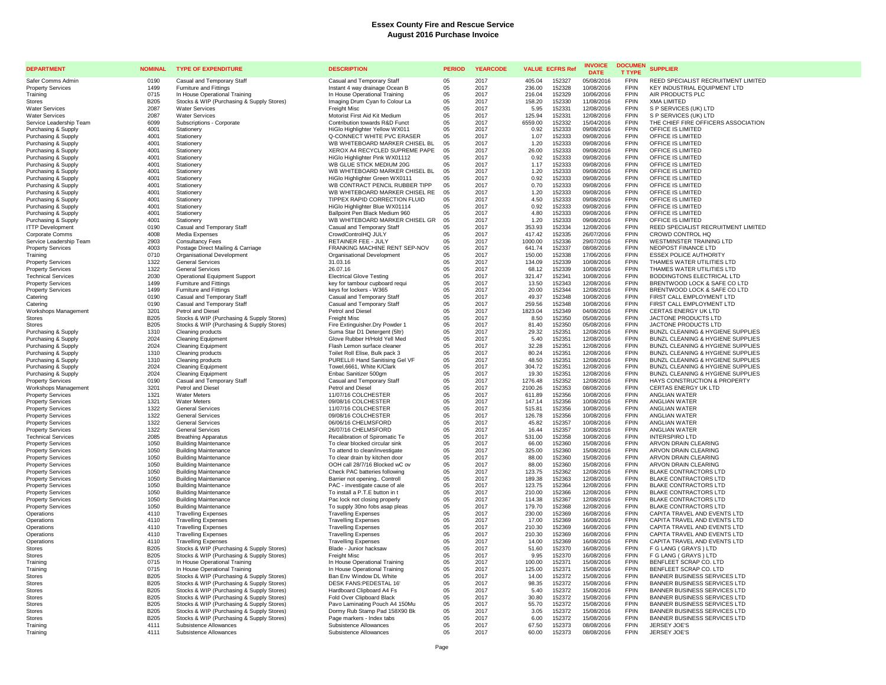| <b>DEPARTMENT</b>                                    | <b>NOMINAL</b>             | <b>TYPE OF EXPENDITURE</b>                                                             | <b>DESCRIPTION</b>                                               | <b>PERIOD</b> | <b>YEARCODE</b> | <b>VALUE ECFRS Ref</b>                | <b>INVOICE</b><br><b>DATE</b> | <b>DOCUMEN</b><br><b>T TYPE</b> | <b>SUPPLIER</b>                                                        |
|------------------------------------------------------|----------------------------|----------------------------------------------------------------------------------------|------------------------------------------------------------------|---------------|-----------------|---------------------------------------|-------------------------------|---------------------------------|------------------------------------------------------------------------|
| Safer Comms Admin                                    | 0190                       | Casual and Temporary Staff                                                             | Casual and Temporary Staff                                       | 05            | 2017            | 405.04<br>152327                      | 05/08/2016                    | <b>FPIN</b>                     | REED SPECIALIST RECRUITMENT LIMITED                                    |
| <b>Property Services</b>                             | 1499                       | <b>Furniture and Fittings</b>                                                          | Instant 4 way drainage Ocean B                                   | 05            | 2017            | 236.00<br>152328                      | 10/08/2016                    | <b>FPIN</b>                     | KEY INDUSTRIAL EQUIPMENT LTD                                           |
| Training                                             | 0715                       | In House Operational Training                                                          | In House Operational Training                                    | 05            | 2017            | 152329<br>216.04                      | 10/06/2016                    | <b>FPIN</b><br><b>FPIN</b>      | AIR PRODUCTS PLC                                                       |
| <b>Stores</b><br><b>Water Services</b>               | <b>B205</b><br>2087        | Stocks & WIP (Purchasing & Supply Stores)<br><b>Water Services</b>                     | Imaging Drum Cyan fo Colour La<br>Freight Misc                   | 05<br>05      | 2017<br>2017    | 158.20<br>152330<br>5.95<br>152331    | 11/08/2016<br>12/08/2016      | <b>FPIN</b>                     | <b>XMA LIMITED</b><br>S P SERVICES (UK) LTD                            |
| <b>Water Services</b>                                | 2087                       | <b>Water Services</b>                                                                  | Motorist First Aid Kit Medium                                    | 05            | 2017            | 152331<br>125.94                      | 12/08/2016                    | <b>FPIN</b>                     | S P SERVICES (UK) LTD                                                  |
| Service Leadership Team                              | 6099                       | Subscriptions - Corporate                                                              | Contribution towards R&D Funct                                   | 05            | 2017            | 6559.00<br>152332                     | 15/04/2016                    | <b>FPIN</b>                     | THE CHIEF FIRE OFFICERS ASSOCIATION                                    |
| Purchasing & Supply                                  | 4001                       | Stationery                                                                             | HiGlo Highlighter Yellow WX011                                   | 05            | 2017            | 0.92<br>152333                        | 09/08/2016                    | <b>FPIN</b>                     | OFFICE IS LIMITED                                                      |
| Purchasing & Supply                                  | 4001                       | Stationery                                                                             | Q-CONNECT WHITE PVC ERASER                                       | 05            | 2017            | 152333<br>1.07                        | 09/08/2016                    | <b>FPIN</b>                     | OFFICE IS LIMITED                                                      |
| Purchasing & Supply                                  | 4001                       | Stationen                                                                              | WB WHITEBOARD MARKER CHISEL BL                                   | 05            | 2017            | 1.20<br>152333                        | 09/08/2016                    | <b>FPIN</b>                     | OFFICE IS LIMITED                                                      |
| Purchasing & Supply                                  | 4001<br>4001               | Stationery                                                                             | XEROX A4 RECYCLED SUPREME PAPE<br>HiGlo Highlighter Pink WX01112 | 05            | 2017<br>2017    | 152333<br>26.00<br>152333<br>0.92     | 09/08/2016<br>09/08/2016      | <b>FPIN</b><br><b>FPIN</b>      | OFFICE IS LIMITED<br>OFFICE IS LIMITED                                 |
| Purchasing & Supply<br>Purchasing & Supply           | 4001                       | Stationery<br>Stationen                                                                | WB GLUE STICK MEDIUM 20G                                         | 05<br>05      | 2017            | 152333<br>1.17                        | 09/08/2016                    | <b>FPIN</b>                     | OFFICE IS LIMITED                                                      |
| Purchasing & Supply                                  | 4001                       | Stationery                                                                             | WB WHITEBOARD MARKER CHISEL BL                                   | 05            | 2017            | 152333<br>1.20                        | 09/08/2016                    | <b>FPIN</b>                     | OFFICE IS LIMITED                                                      |
| Purchasing & Supply                                  | 4001                       | Stationery                                                                             | HiGlo Highlighter Green WX0111                                   | 05            | 2017            | 152333<br>0.92                        | 09/08/2016                    | <b>FPIN</b>                     | OFFICE IS LIMITED                                                      |
| Purchasing & Supply                                  | 4001                       | Stationery                                                                             | WB CONTRACT PENCIL RUBBER TIPP                                   | 0.5           | 2017            | 0.70<br>152333                        | 09/08/2016                    | <b>FPIN</b>                     | OFFICE IS LIMITED                                                      |
| Purchasing & Supply                                  | 4001                       | Stationery                                                                             | WB WHITEBOARD MARKER CHISEL RE                                   | 05            | 2017            | 152333<br>1.20                        | 09/08/2016                    | <b>FPIN</b>                     | OFFICE IS LIMITED                                                      |
| Purchasing & Supply                                  | 4001<br>4001               | Stationery                                                                             | TIPPEX RAPID CORRECTION FLUID                                    | 05<br>05      | 2017<br>2017    | 152333<br>4.50<br>152333<br>0.92      | 09/08/2016                    | <b>FPIN</b><br><b>FPIN</b>      | OFFICE IS LIMITED<br>OFFICE IS LIMITED                                 |
| Purchasing & Supply<br>Purchasing & Supply           | 4001                       | Stationery<br>Stationery                                                               | HiGlo Highlighter Blue WX01114<br>Ballpoint Pen Black Medium 960 | 05            | 2017            | 152333<br>4.80                        | 09/08/2016<br>09/08/2016      | <b>FPIN</b>                     | OFFICE IS LIMITED                                                      |
| Purchasing & Supply                                  | 4001                       | Stationen                                                                              | WB WHITEBOARD MARKER CHISEL GR                                   | 05            | 2017            | 1.20<br>152333                        | 09/08/2016                    | <b>FPIN</b>                     | OFFICE IS LIMITED                                                      |
| <b>ITTP Development</b>                              | 0190                       | Casual and Temporary Staff                                                             | Casual and Temporary Staff                                       | 05            | 2017            | 353.93<br>152334                      | 12/08/2016                    | <b>FPIN</b>                     | REED SPECIALIST RECRUITMENT LIMITED                                    |
| Corporate Comms                                      | 4008                       | Media Expenses                                                                         | CrowdControlHQ JULY                                              | $0.5^{\circ}$ | 2017            | 417.42<br>152335                      | 26/07/2016                    | <b>FPIN</b>                     | CROWD CONTROL HQ                                                       |
| Service Leadership Team                              | 2903                       | <b>Consultancy Fees</b>                                                                | RETAINER FEE - JULY                                              | 05            | 2017            | 1000.00<br>152336                     | 29/07/2016                    | <b>FPIN</b>                     | <b>WESTMINSTER TRAINING LTD</b>                                        |
| <b>Property Services</b>                             | 4003                       | Postage Direct Mailing & Carriage                                                      | FRANKING MACHINE RENT SEP-NOV                                    | 05            | 2017            | 152337<br>641.74                      | 08/08/2016                    | <b>FPIN</b><br><b>FPIN</b>      | NEOPOST FINANCE LTD                                                    |
| Training<br><b>Property Services</b>                 | 0710<br>1322               | Organisational Development<br><b>General Services</b>                                  | Organisational Development<br>31.03.16                           | 05<br>05      | 2017<br>2017    | 150.00<br>152338<br>152339<br>134.09  | 17/06/2016<br>10/08/2016      | <b>FPIN</b>                     | <b>ESSEX POLICE AUTHORITY</b><br>THAMES WATER UTILITIES LTD            |
| <b>Property Services</b>                             | 1322                       | <b>General Services</b>                                                                | 26.07.16                                                         | 05            | 2017            | 152339<br>68.12                       | 10/08/2016                    | <b>FPIN</b>                     | THAMES WATER UTILITIES LTD                                             |
| <b>Technical Services</b>                            | 2030                       | <b>Operational Equipment Support</b>                                                   | <b>Electrical Glove Testing</b>                                  | 05            | 2017            | 321.47<br>152341                      | 10/08/2016                    | <b>FPIN</b>                     | BODDINGTONS ELECTRICAL LTD                                             |
| <b>Property Services</b>                             | 1499                       | Furniture and Fittings                                                                 | key for tambour cupboard requi                                   | 05            | 2017            | 152343<br>13.50                       | 12/08/2016                    | <b>FPIN</b>                     | BRENTWOOD LOCK & SAFE CO LTD                                           |
| <b>Property Services</b>                             | 1499                       | <b>Furniture and Fittings</b>                                                          | keys for lockers - W365                                          | 05            | 2017            | 20.00<br>152344                       | 12/08/2016                    | <b>FPIN</b>                     | BRENTWOOD LOCK & SAFE CO LTD                                           |
| Caterino                                             | 0190                       | Casual and Temporary Staff                                                             | Casual and Temporary Staff                                       | 05            | 2017            | 49.37<br>152348                       | 10/08/2016                    | <b>FPIN</b><br><b>FPIN</b>      | FIRST CALL EMPLOYMENT LTD                                              |
| Caterino<br>Workshops Management                     | 0190<br>3201               | Casual and Temporary Staff<br>Petrol and Diesel                                        | Casual and Temporary Staff<br>Petrol and Diesel                  | 05<br>05      | 2017<br>2017    | 152348<br>259.56<br>1823.04<br>152349 | 10/08/2016<br>04/08/2016      | <b>FPIN</b>                     | FIRST CALL EMPLOYMENT LTD<br>CERTAS ENERGY UK LTD                      |
| <b>Stores</b>                                        | <b>B205</b>                | Stocks & WIP (Purchasing & Supply Stores)                                              | Freight Misc                                                     | 05            | 2017            | 8.50<br>152350                        | 05/08/2016                    | <b>FPIN</b>                     | JACTONE PRODUCTS LTD                                                   |
| Stores                                               | <b>B205</b>                | Stocks & WIP (Purchasing & Supply Stores)                                              | Fire Extinguisher. Dry Powder 1                                  | 05            | 2017            | 152350<br>81.40                       | 05/08/2016                    | <b>FPIN</b>                     | JACTONE PRODUCTS LTD                                                   |
| Purchasing & Supply                                  | 1310                       | Cleaning products                                                                      | Suma Star D1 Detergent (5ltr)                                    | 05            | 2017            | 29.32<br>152351                       | 12/08/2016                    | <b>FPIN</b>                     | BUNZL CLEANING & HYGIENE SUPPLIES                                      |
| Purchasing & Supply                                  | 2024                       | <b>Cleaning Equipment</b>                                                              | Glove Rubber H/Hold Yell Med                                     | 05            | 2017            | 152351<br>5.40                        | 12/08/2016                    | <b>FPIN</b>                     | BUNZL CLEANING & HYGIENE SUPPLIES                                      |
| Purchasing & Supply                                  | 2024                       | <b>Cleaning Equipment</b>                                                              | Flash Lemon surface cleaner                                      | 05            | 2017            | 152351<br>32.28                       | 12/08/2016                    | <b>FPIN</b>                     | BUNZL CLEANING & HYGIENE SUPPLIES                                      |
| Purchasing & Supply                                  | 1310<br>1310               | Cleaning products                                                                      | Toilet Roll Elise, Bulk pack 3<br>PURELL® Hand Sanitising Gel VF | 05<br>$05\,$  | 2017<br>2017    | 152351<br>80.24<br>152351<br>48.50    | 12/08/2016<br>12/08/2016      | <b>FPIN</b><br><b>FPIN</b>      | BUNZL CLEANING & HYGIENE SUPPLIES<br>BUNZL CLEANING & HYGIENE SUPPLIES |
| Purchasing & Supply<br>Purchasing & Supply           | 2024                       | Cleaning products<br><b>Cleaning Equipment</b>                                         | Towel 6661. White K/Clark                                        | 05            | 2017            | 304.72<br>152351                      | 12/08/2016                    | <b>FPIN</b>                     | BUNZL CLEANING & HYGIENE SUPPLIES                                      |
| Purchasing & Supply                                  | 2024                       | <b>Cleaning Equipment</b>                                                              | Enbac Sanitizer 500gm                                            | 05            | 2017            | 19.30<br>152351                       | 12/08/2016                    | <b>FPIN</b>                     | BUNZL CLEANING & HYGIENE SUPPLIES                                      |
| <b>Property Services</b>                             | 0190                       | Casual and Temporary Staff                                                             | Casual and Temporary Staff                                       | 05            | 2017            | 1276.48<br>152352                     | 12/08/2016                    | <b>FPIN</b>                     | HAYS CONSTRUCTION & PROPERTY                                           |
| Workshops Management                                 | 3201                       | Petrol and Diesel                                                                      | Petrol and Diesel                                                | 05            | 2017            | 2100.26<br>152353                     | 08/08/2016                    | <b>FPIN</b>                     | CERTAS ENERGY UK LTD                                                   |
| <b>Property Services</b>                             | 1321                       | <b>Water Meters</b>                                                                    | 11/07/16 COLCHESTER                                              | $05\,$        | 2017            | 152356<br>611.89                      | 10/08/2016                    | <b>FPIN</b>                     | ANGLIAN WATER                                                          |
| <b>Property Services</b><br><b>Property Services</b> | 1321<br>1322               | <b>Water Meters</b><br><b>General Services</b>                                         | 09/08/16 COLCHESTER<br>11/07/16 COLCHESTER                       | 05<br>05      | 2017<br>2017    | 152356<br>147.14<br>152356<br>515.81  | 10/08/2016<br>10/08/2016      | <b>FPIN</b><br><b>FPIN</b>      | ANGLIAN WATER<br>ANGLIAN WATER                                         |
| <b>Property Services</b>                             | 1322                       | <b>General Services</b>                                                                | 09/08/16 COLCHESTER                                              | 05            | 2017            | 152356<br>126.78                      | 10/08/2016                    | <b>FPIN</b>                     | ANGLIAN WATER                                                          |
| <b>Property Services</b>                             | 1322                       | <b>General Services</b>                                                                | 06/06/16 CHELMSFORD                                              | 05            | 2017            | 45.82<br>152357                       | 10/08/2016                    | <b>FPIN</b>                     | <b>ANGLIAN WATER</b>                                                   |
| <b>Property Services</b>                             | 1322                       | <b>General Services</b>                                                                | 26/07/16 CHELMSFORD                                              | 05            | 2017            | 152357<br>16.44                       | 10/08/2016                    | <b>FPIN</b>                     | ANGLIAN WATER                                                          |
| <b>Technical Services</b>                            | 2085                       | <b>Breathing Apparatus</b>                                                             | Recalibration of Spiromatic Te                                   | 05            | 2017            | 152358<br>531.00                      | 10/08/2016                    | <b>FPIN</b>                     | <b>INTERSPIRO LTD</b>                                                  |
| <b>Property Services</b>                             | 1050                       | <b>Building Maintenance</b>                                                            | To clear blocked circular sink                                   | 05            | 2017            | 66.00<br>152360                       | 15/08/2016                    | <b>FPIN</b>                     | ARVON DRAIN CLEARING                                                   |
| <b>Property Services</b><br><b>Property Services</b> | 1050<br>1050               | <b>Building Maintenance</b><br><b>Building Maintenance</b>                             | To attend to clean/investigate<br>To clear drain by kitchen door | 05<br>$05\,$  | 2017<br>2017    | 325.00<br>152360<br>152360<br>88.00   | 15/08/2016<br>15/08/2016      | <b>FPIN</b><br><b>FPIN</b>      | ARVON DRAIN CLEARING<br>ARVON DRAIN CLEARING                           |
| <b>Property Services</b>                             | 1050                       | <b>Building Maintenance</b>                                                            | OOH call 28/7/16 Blocked wC ov                                   | 05            | 2017            | 88.00<br>152360                       | 15/08/2016                    | <b>FPIN</b>                     | ARVON DRAIN CLEARING                                                   |
| <b>Property Services</b>                             | 1050                       | <b>Building Maintenance</b>                                                            | Check PAC batteries following                                    | 05            | 2017            | 152362<br>123.75                      | 12/08/2016                    | <b>FPIN</b>                     | <b>BLAKE CONTRACTORS LTD</b>                                           |
| <b>Property Services</b>                             | 1050                       | <b>Building Maintenance</b>                                                            | Barrier not opening Controll                                     | 05            | 2017            | 189.38<br>152363                      | 12/08/2016                    | <b>FPIN</b>                     | <b>BLAKE CONTRACTORS LTD</b>                                           |
| <b>Property Services</b>                             | 1050                       | <b>Building Maintenance</b>                                                            | PAC - investigate cause of ale                                   | 05            | 2017            | 123.75<br>152364                      | 12/08/2016                    | FPIN                            | <b>BLAKE CONTRACTORS LTD</b>                                           |
| <b>Property Services</b><br><b>Property Services</b> | 1050<br>1050               | <b>Building Maintenance</b><br><b>Building Maintenance</b>                             | To install a P.T.E button in t                                   | 05            | 2017<br>2017    | 152366<br>210.00<br>114.38<br>152367  | 12/08/2016<br>12/08/2016      | <b>FPIN</b><br><b>FPIN</b>      | <b>BLAKE CONTRACTORS LTD</b><br><b>BLAKE CONTRACTORS LTD</b>           |
| <b>Property Services</b>                             | 1050                       | <b>Building Maintenance</b>                                                            | Pac lock not closing properly<br>To supply 30no fobs asap pleas  | 05<br>05      | 2017            | 179.70<br>152368                      | 12/08/2016                    | <b>FPIN</b>                     | BLAKE CONTRACTORS LTD                                                  |
| Operations                                           | 4110                       | <b>Travelling Expenses</b>                                                             | <b>Travelling Expenses</b>                                       | 05            | 2017            | 152369<br>230.00                      | 16/08/2016                    | <b>FPIN</b>                     | CAPITA TRAVEL AND EVENTS LTD                                           |
| Operations                                           | 4110                       | <b>Travelling Expenses</b>                                                             | <b>Travelling Expenses</b>                                       | 05            | 2017            | 17.00<br>152369                       | 16/08/2016                    | <b>FPIN</b>                     | CAPITA TRAVEL AND EVENTS LTD                                           |
| Operations                                           | 4110                       | <b>Travelling Expenses</b>                                                             | <b>Travelling Expenses</b>                                       | 05            | 2017            | 210.30<br>152369                      | 16/08/2016                    | <b>FPIN</b>                     | CAPITA TRAVEL AND EVENTS LTD                                           |
| Operations                                           | 4110                       | <b>Travelling Expenses</b>                                                             | <b>Travelling Expenses</b>                                       | 05            | 2017            | 152369<br>210.30                      | 16/08/2016                    | <b>FPIN</b>                     | CAPITA TRAVEL AND EVENTS LTD                                           |
| Operations                                           | 4110                       | <b>Travelling Expenses</b>                                                             | <b>Travelling Expenses</b>                                       | 05            | 2017<br>2017    | 152369<br>14.00                       | 16/08/2016                    | <b>FPIN</b><br><b>FPIN</b>      | CAPITA TRAVEL AND EVENTS LTD                                           |
| Stores<br>Stores                                     | <b>B205</b><br><b>B205</b> | Stocks & WIP (Purchasing & Supply Stores)<br>Stocks & WIP (Purchasing & Supply Stores) | Blade - Junior hacksaw<br><b>Freight Misc</b>                    | 05<br>05      | 2017            | 51.60<br>152370<br>9.95<br>152370     | 16/08/2016<br>16/08/2016      | <b>FPIN</b>                     | F G LANG ( GRAYS ) LTD<br>F G LANG ( GRAYS ) LTD                       |
| Training                                             | 0715                       | In House Operational Training                                                          | In House Operational Training                                    | 05            | 2017            | 100.00<br>152371                      | 15/08/2016                    | <b>FPIN</b>                     | BENFLEET SCRAP CO. LTD                                                 |
| Training                                             | 0715                       | In House Operational Training                                                          | In House Operational Training                                    | 05            | 2017            | 152371<br>125.00                      | 15/08/2016                    | <b>FPIN</b>                     | BENFLEET SCRAP CO. LTD                                                 |
| <b>Stores</b>                                        | B205                       | Stocks & WIP (Purchasing & Supply Stores)                                              | Ban Env Window DL White                                          | 05            | 2017            | 14.00<br>152372                       | 15/08/2016                    | <b>FPIN</b>                     | BANNER BUSINESS SERVICES LTD                                           |
| <b>Stores</b>                                        | B205                       | Stocks & WIP (Purchasing & Supply Stores)                                              | DESK FANS:PEDESTAL 16'                                           | 05            | 2017            | 98.35<br>152372                       | 15/08/2016                    | <b>FPIN</b>                     | BANNER BUSINESS SERVICES LTD                                           |
| <b>Stores</b>                                        | <b>B205</b><br><b>B205</b> | Stocks & WIP (Purchasing & Supply Stores)                                              | Hardboard Clipboard A4 Fs                                        | 05            | 2017<br>2017    | 152372<br>5.40<br>152372              | 15/08/2016                    | <b>FPIN</b><br><b>FPIN</b>      | BANNER BUSINESS SERVICES LTD                                           |
| Stores<br><b>Stores</b>                              | <b>B205</b>                | Stocks & WIP (Purchasing & Supply Stores)<br>Stocks & WIP (Purchasing & Supply Stores) | Fold Over Clipboard Black<br>Pavo Laminating Pouch A4 150Mu      | 05<br>05      | 2017            | 30.80<br>55.70<br>152372              | 15/08/2016<br>15/08/2016      | <b>FPIN</b>                     | BANNER BUSINESS SERVICES LTD<br>BANNER BUSINESS SERVICES LTD           |
| <b>Stores</b>                                        | <b>B205</b>                | Stocks & WIP (Purchasing & Supply Stores)                                              | Dormy Rub Stamp Pad 158X90 Bk                                    | 05            | 2017            | 152372<br>3.05                        | 15/08/2016                    | <b>FPIN</b>                     | <b>BANNER BUSINESS SERVICES LTD</b>                                    |
| <b>Stores</b>                                        | <b>B205</b>                | Stocks & WIP (Purchasing & Supply Stores)                                              | Page markers - Index tabs                                        | 05            | 2017            | 152372<br>6.00                        | 15/08/2016                    | <b>FPIN</b>                     | BANNER BUSINESS SERVICES LTD                                           |
| Traininc                                             | 4111                       | Subsistence Allowances                                                                 | Subsistence Allowances                                           | 05            | 2017            | 152373<br>67.50                       | 08/08/2016                    | <b>FPIN</b>                     | JERSEY JOE'S                                                           |
| Training                                             | 4111                       | Subsistence Allowances                                                                 | Subsistence Allowances                                           | 05            | 2017            | 60.00<br>152373                       | 08/08/2016                    | <b>FPIN</b>                     | JERSEY JOE'S                                                           |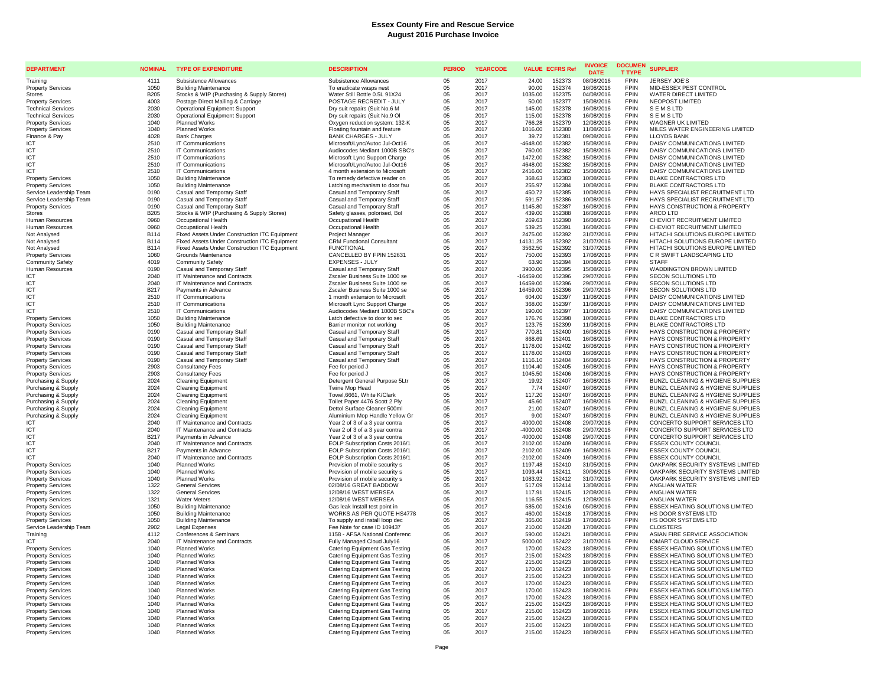| <b>DEPARTMENT</b>                                    | <b>NOMINAL</b>             | <b>TYPE OF EXPENDITURE</b>                                                                     | <b>DESCRIPTION</b>                                               | <b>PERIOD</b> | <b>YEARCODE</b> | <b>VALUE ECFRS Ref</b>                    | <b>INVOICE</b><br><b>DATE</b> | <b>DOCUMEN</b><br><b>T TYPE</b> | <b>SUPPLIER</b>                                                      |
|------------------------------------------------------|----------------------------|------------------------------------------------------------------------------------------------|------------------------------------------------------------------|---------------|-----------------|-------------------------------------------|-------------------------------|---------------------------------|----------------------------------------------------------------------|
| Training                                             | 4111                       | Subsistence Allowances                                                                         | Subsistence Allowances                                           | 05            | 2017            | 24.00<br>152373                           | 08/08/2016                    | <b>FPIN</b>                     | JERSEY JOE'S                                                         |
| <b>Property Services</b>                             | 1050                       | <b>Building Maintenance</b>                                                                    | To eradicate wasps nest                                          | 05            | 2017            | 90.00<br>152374                           | 16/08/2016                    | <b>FPIN</b>                     | MID-ESSEX PEST CONTROL                                               |
| Stores                                               | <b>B205</b>                | Stocks & WIP (Purchasing & Supply Stores)                                                      | Water Still Bottle 0.5L 91X24                                    | 05            | 2017            | 1035.00<br>152375                         | 04/08/2016                    | <b>FPIN</b>                     | WATER DIRECT LIMITED                                                 |
| <b>Property Services</b>                             | 4003                       | Postage Direct Mailing & Carriage                                                              | POSTAGE RECREDIT - JULY                                          | 05            | 2017            | 50.00<br>152377                           | 15/08/2016                    | <b>FPIN</b>                     | NEOPOST LIMITED                                                      |
| <b>Technical Services</b>                            | 2030                       | Operational Equipment Support                                                                  | Dry suit repairs (Suit No.6 M                                    | 05            | 2017            | 145.00<br>152378                          | 16/08/2016                    | <b>FPIN</b>                     | <b>SEMSLTD</b>                                                       |
| <b>Technical Services</b>                            | 2030                       | <b>Operational Equipment Support</b>                                                           | Dry suit repairs (Suit No.9 OI                                   | 05            | 2017            | 152378<br>115.00                          | 16/08/2016                    | <b>FPIN</b>                     | <b>SEMSLTD</b>                                                       |
| <b>Property Services</b>                             | 1040                       | Planned Works                                                                                  | Oxygen reduction system: 132-K                                   | 05            | 2017            | 152379<br>766.28                          | 12/08/2016                    | <b>FPIN</b>                     | WAGNER UK LIMITED                                                    |
| <b>Property Services</b>                             | 1040                       | <b>Planned Works</b>                                                                           | Floating fountain and feature                                    | 05            | 2017            | 152380<br>1016.00                         | 11/08/2016                    | <b>FPIN</b>                     | MILES WATER ENGINEERING LIMITED                                      |
| Finance & Pay                                        | 4028                       | <b>Bank Charges</b>                                                                            | <b>BANK CHARGES - JULY</b>                                       | 05            | 2017            | 152381<br>39.72                           | 09/08/2016                    | <b>FPIN</b>                     | <b>LLOYDS BANK</b>                                                   |
| <b>ICT</b>                                           | 2510                       | IT Communications                                                                              | Microsoft/Lync/Autoc Jul-Oct16                                   | 05            | 2017            | $-4648.00$<br>152382                      | 15/08/2016                    | <b>FPIN</b>                     | DAISY COMMUNICATIONS LIMITED                                         |
| ICT                                                  | 2510<br>2510               | IT Communications<br>IT Communications                                                         | Audiocodes Mediant 1000B SBC's                                   | 05            | 2017<br>2017    | 152382<br>760.00<br>1472.00<br>152382     | 15/08/2016<br>15/08/2016      | <b>FPIN</b><br><b>FPIN</b>      | DAISY COMMUNICATIONS LIMITED<br>DAISY COMMUNICATIONS LIMITED         |
| ICT<br>ICT                                           | 2510                       | IT Communications                                                                              | Microsoft Lync Support Charge                                    | 05            | 2017            | 4648.00<br>152382                         | 15/08/2016                    | <b>FPIN</b>                     | DAISY COMMUNICATIONS LIMITED                                         |
| ICT                                                  | 2510                       | IT Communications                                                                              | Microsoft/Lync/Autoc Jul-Oct16<br>4 month extension to Microsoft | 05<br>05      | 2017            | 152382<br>2416.00                         | 15/08/2016                    | <b>FPIN</b>                     | DAISY COMMUNICATIONS LIMITED                                         |
| <b>Property Services</b>                             | 1050                       | <b>Building Maintenance</b>                                                                    | To remedy defective reader on                                    | 05            | 2017            | 152383<br>368.63                          | 10/08/2016                    | <b>FPIN</b>                     | BLAKE CONTRACTORS LTD                                                |
| <b>Property Services</b>                             | 1050                       | <b>Building Maintenance</b>                                                                    | Latching mechanism to door fau                                   | 05            | 2017            | 255.97<br>152384                          | 10/08/2016                    | <b>FPIN</b>                     | <b>BLAKE CONTRACTORS LTD</b>                                         |
| Service Leadership Team                              | 0190                       | Casual and Temporary Staff                                                                     | Casual and Temporary Staff                                       | 05            | 2017            | 152385<br>450.72                          | 10/08/2016                    | <b>FPIN</b>                     | HAYS SPECIALIST RECRUITMENT LTD                                      |
| Service Leadership Team                              | 0190                       | Casual and Temporary Staff                                                                     | Casual and Temporary Staff                                       | 05            | 2017            | 591.57<br>152386                          | 10/08/2016                    | <b>FPIN</b>                     | HAYS SPECIALIST RECRUITMENT LTD                                      |
| <b>Property Services</b>                             | 0190                       | Casual and Temporary Staff                                                                     | Casual and Temporary Staff                                       | 05            | 2017            | 152387<br>1145.80                         | 16/08/2016                    | <b>FPIN</b>                     | HAYS CONSTRUCTION & PROPERTY                                         |
| <b>Stores</b>                                        | <b>B205</b>                | Stocks & WIP (Purchasing & Supply Stores)                                                      | Safety glasses, polorised, Bol                                   | 05            | 2017            | 439.00<br>152388                          | 16/08/2016                    | <b>FPIN</b>                     | ARCO LTD                                                             |
| Human Resources                                      | 0960                       | Occupational Health                                                                            | Occupational Health                                              | 05            | 2017            | 269.63<br>152390                          | 16/08/2016                    | <b>FPIN</b>                     | CHEVIOT RECRUITMENT LIMITED                                          |
| Human Resources                                      | 0960                       | Occupational Health                                                                            | Occupational Health                                              | 05            | 2017            | 152391<br>539.25                          | 16/08/2016                    | <b>FPIN</b>                     | CHEVIOT RECRUITMENT LIMITED                                          |
| Not Analysed                                         | <b>B114</b>                | Fixed Assets Under Construction ITC Equipment                                                  | Project Manager                                                  | 05            | 2017            | 152392<br>2475.00                         | 31/07/2016                    | <b>FPIN</b><br><b>FPIN</b>      | HITACHI SOLUTIONS EUROPE LIMITED                                     |
| Not Analysed                                         | <b>B114</b><br><b>B114</b> | Fixed Assets Under Construction ITC Equipment<br>Fixed Assets Under Construction ITC Equipment | <b>CRM Functional Consultant</b><br><b>FUNCTIONAL</b>            | 05<br>05      | 2017<br>2017    | 152392<br>14131.25<br>3562.50<br>152392   | 31/07/2016<br>31/07/2016      | <b>FPIN</b>                     | HITACHI SOLUTIONS EUROPE LIMITED<br>HITACHI SOLUTIONS EUROPE LIMITED |
| Not Analysed<br><b>Property Services</b>             | 1060                       | Grounds Maintenance                                                                            | CANCELLED BY FPIN 152631                                         | 05            | 2017            | 750.00<br>152393                          | 17/08/2016                    | <b>FPIN</b>                     | C R SWIFT LANDSCAPING LTD                                            |
| Community Safety                                     | 4019                       | <b>Community Safety</b>                                                                        | <b>EXPENSES - JULY</b>                                           | 05            | 2017            | 152394<br>63.90                           | 10/08/2016                    | <b>FPIN</b>                     | <b>STAFF</b>                                                         |
| Human Resources                                      | 0190                       | Casual and Temporary Staff                                                                     | Casual and Temporary Staff                                       | 05            | 2017            | 3900.00<br>152395                         | 15/08/2016                    | <b>FPIN</b>                     | WADDINGTON BROWN LIMITED                                             |
| <b>ICT</b>                                           | 2040                       | IT Maintenance and Contracts                                                                   | Zscaler Business Suite 1000 se                                   | 05            | 2017            | 152396<br>$-16459.00$                     | 29/07/2016                    | <b>FPIN</b>                     | SECON SOLUTIONS LTD                                                  |
| ICT                                                  | 2040                       | IT Maintenance and Contracts                                                                   | Zscaler Business Suite 1000 se                                   | 05            | 2017            | 16459.00<br>152396                        | 29/07/2016                    | <b>FPIN</b>                     | <b>SECON SOLUTIONS LTD</b>                                           |
| ICT                                                  | <b>B217</b>                | Payments in Advance                                                                            | Zscaler Business Suite 1000 se                                   | 05            | 2017            | 152396<br>16459.00                        | 29/07/2016                    | <b>FPIN</b>                     | <b>SECON SOLUTIONS LTD</b>                                           |
| ICT                                                  | 2510                       | IT Communications                                                                              | 1 month extension to Microsoft                                   | 05            | 2017            | 152397<br>604.00                          | 11/08/2016                    | <b>FPIN</b>                     | DAISY COMMUNICATIONS LIMITED                                         |
| ICT                                                  | 2510                       | IT Communications                                                                              | Microsoft Lync Support Charge                                    | 05            | 2017            | 368.00<br>152397                          | 11/08/2016                    | <b>FPIN</b>                     | DAISY COMMUNICATIONS LIMITED                                         |
| <b>ICT</b>                                           | 2510                       | IT Communications                                                                              | Audiocodes Mediant 1000B SBC's                                   | 05            | 2017            | 190.00<br>152397                          | 11/08/2016                    | <b>FPIN</b>                     | DAISY COMMUNICATIONS LIMITED                                         |
| <b>Property Services</b>                             | 1050                       | <b>Building Maintenance</b>                                                                    | Latch defective to door to sec                                   | 05            | 2017            | 152398<br>176.76                          | 10/08/2016                    | <b>FPIN</b>                     | <b>BLAKE CONTRACTORS LTD</b>                                         |
| <b>Property Services</b>                             | 1050                       | <b>Building Maintenance</b>                                                                    | Barrier monitor not working                                      | 05            | 2017            | 152399<br>123.75                          | 11/08/2016                    | <b>FPIN</b>                     | <b>BLAKE CONTRACTORS LTD</b>                                         |
| <b>Property Services</b>                             | 0190<br>0190               | Casual and Temporary Staff                                                                     | Casual and Temporary Staff                                       | 05            | 2017<br>2017    | 770.81<br>152400<br>152401<br>868.69      | 16/08/2016<br>16/08/2016      | <b>FPIN</b><br><b>FPIN</b>      | HAYS CONSTRUCTION & PROPERTY<br>HAYS CONSTRUCTION & PROPERTY         |
| <b>Property Services</b><br><b>Property Services</b> | 0190                       | Casual and Temporary Staff<br>Casual and Temporary Staff                                       | Casual and Temporary Staff<br>Casual and Temporary Staff         | 05<br>05      | 2017            | 152402<br>1178.00                         | 16/08/2016                    | <b>FPIN</b>                     | HAYS CONSTRUCTION & PROPERTY                                         |
| <b>Property Services</b>                             | 0190                       | Casual and Temporary Staff                                                                     | Casual and Temporary Staff                                       | 05            | 2017            | 152403<br>1178.00                         | 16/08/2016                    | <b>FPIN</b>                     | HAYS CONSTRUCTION & PROPERTY                                         |
| <b>Property Services</b>                             | 0190                       | Casual and Temporary Staff                                                                     | Casual and Temporary Staff                                       | 05            | 2017            | 1116.10<br>152404                         | 16/08/2016                    | <b>FPIN</b>                     | HAYS CONSTRUCTION & PROPERTY                                         |
| <b>Property Services</b>                             | 2903                       | <b>Consultancy Fees</b>                                                                        | Fee for period J                                                 | 05            | 2017            | 1104.40<br>152405                         | 16/08/2016                    | <b>FPIN</b>                     | HAYS CONSTRUCTION & PROPERTY                                         |
| <b>Property Services</b>                             | 2903                       | <b>Consultancy Fees</b>                                                                        | Fee for period J                                                 | 05            | 2017            | 152406<br>1045.50                         | 16/08/2016                    | <b>FPIN</b>                     | HAYS CONSTRUCTION & PROPERTY                                         |
| Purchasing & Supply                                  | 2024                       | <b>Cleaning Equipment</b>                                                                      | Detergent General Purpose 5Ltr                                   | 05            | 2017            | 19.92<br>152407                           | 16/08/2016                    | <b>FPIN</b>                     | BUNZL CLEANING & HYGIENE SUPPLIES                                    |
| Purchasing & Supply                                  | 2024                       | <b>Cleaning Equipment</b>                                                                      | Twine Mop Head                                                   | 05            | 2017            | 7.74<br>152407                            | 16/08/2016                    | <b>FPIN</b>                     | BUNZL CLEANING & HYGIENE SUPPLIES                                    |
| Purchasing & Supply                                  | 2024                       | <b>Cleaning Equipment</b>                                                                      | Towel.6661. White K/Clark                                        | 05            | 2017            | 117.20<br>152407                          | 16/08/2016                    | <b>FPIN</b>                     | BUNZL CLEANING & HYGIENE SUPPLIES                                    |
| Purchasing & Supply                                  | 2024                       | <b>Cleaning Equipment</b>                                                                      | Toilet Paper 4476 Scott 2 Ply                                    | 05            | 2017            | 152407<br>45.60                           | 16/08/2016                    | <b>FPIN</b>                     | BUNZL CLEANING & HYGIENE SUPPLIES                                    |
| Purchasing & Supply                                  | 2024                       | <b>Cleaning Equipment</b>                                                                      | Dettol Surface Cleaner 500ml                                     | 05            | 2017            | 152407<br>21.00                           | 16/08/2016                    | <b>FPIN</b>                     | BUNZL CLEANING & HYGIENE SUPPLIES                                    |
| Purchasing & Supply                                  | 2024                       | <b>Cleaning Equipment</b>                                                                      | Aluminium Mop Handle Yellow Gr                                   | 05            | 2017            | 9.00<br>152407                            | 16/08/2016                    | <b>FPIN</b><br><b>FPIN</b>      | BUNZL CLEANING & HYGIENE SUPPLIES                                    |
| ICT<br><b>ICT</b>                                    | 2040<br>2040               | IT Maintenance and Contracts<br>IT Maintenance and Contracts                                   | Year 2 of 3 of a 3 year contra                                   | 05<br>05      | 2017<br>2017    | 4000.00<br>152408<br>152408<br>$-4000.00$ | 29/07/2016<br>29/07/2016      | <b>FPIN</b>                     | CONCERTO SUPPORT SERVICES LTD<br>CONCERTO SUPPORT SERVICES LTD       |
| ICT                                                  | <b>B217</b>                | Payments in Advance                                                                            | Year 2 of 3 of a 3 year contra<br>Year 2 of 3 of a 3 year contra | 05            | 2017            | 152408<br>4000.00                         | 29/07/2016                    | <b>FPIN</b>                     | CONCERTO SUPPORT SERVICES LTD                                        |
| ICT                                                  | 2040                       | IT Maintenance and Contracts                                                                   | EOLP Subscription Costs 2016/1                                   | 05            | 2017            | 2102.00<br>152409                         | 16/08/2016                    | <b>FPIN</b>                     | <b>ESSEX COUNTY COUNCIL</b>                                          |
| ICT                                                  | B <sub>217</sub>           | Payments in Advance                                                                            | EOLP Subscription Costs 2016/1                                   | 05            | 2017            | 152409<br>2102.00                         | 16/08/2016                    | <b>FPIN</b>                     | <b>ESSEX COUNTY COUNCIL</b>                                          |
| <b>ICT</b>                                           | 2040                       | IT Maintenance and Contracts                                                                   | EOLP Subscription Costs 2016/1                                   | 05            | 2017            | $-2102.00$<br>152409                      | 16/08/2016                    | <b>FPIN</b>                     | <b>ESSEX COUNTY COUNCIL</b>                                          |
| <b>Property Services</b>                             | 1040                       | <b>Planned Works</b>                                                                           | Provision of mobile security s                                   | 05            | 2017            | 152410<br>1197.48                         | 31/05/2016                    | <b>FPIN</b>                     | OAKPARK SECURITY SYSTEMS LIMITED                                     |
| <b>Property Services</b>                             | 1040                       | <b>Planned Works</b>                                                                           | Provision of mobile security s                                   | 05            | 2017            | 1093.44<br>152411                         | 30/06/2016                    | <b>FPIN</b>                     | OAKPARK SECURITY SYSTEMS LIMITED                                     |
| <b>Property Services</b>                             | 1040                       | Planned Works                                                                                  | Provision of mobile security s                                   | 05            | 2017            | 1083.92<br>152412                         | 31/07/2016                    | <b>FPIN</b>                     | OAKPARK SECURITY SYSTEMS LIMITED                                     |
| <b>Property Services</b>                             | 1322                       | <b>General Services</b>                                                                        | 02/08/16 GREAT BADDOW                                            | 05            | 2017            | 152414<br>517.09                          | 13/08/2016                    | <b>FPIN</b>                     | ANGLIAN WATER                                                        |
| <b>Property Services</b>                             | 1322                       | <b>General Services</b>                                                                        | 12/08/16 WEST MERSEA                                             | 05            | 2017            | 152415<br>117.91                          | 12/08/2016                    | <b>FPIN</b><br><b>FPIN</b>      | ANGLIAN WATER                                                        |
| <b>Property Services</b>                             | 1321<br>1050               | <b>Water Meters</b><br><b>Building Maintenance</b>                                             | 12/08/16 WEST MERSEA                                             | 05<br>05      | 2017<br>2017    | 152415<br>116.55<br>152416<br>585.00      | 12/08/2016<br>05/08/2016      | <b>FPIN</b>                     | ANGLIAN WATER<br>ESSEX HEATING SOLUTIONS LIMITED                     |
| <b>Property Services</b><br><b>Property Services</b> | 1050                       | <b>Building Maintenance</b>                                                                    | Gas leak Install test point in<br>WORKS AS PER QUOTE HS4778      | 05            | 2017            | 460.00<br>152418                          | 17/08/2016                    | <b>FPIN</b>                     | HS DOOR SYSTEMS LTD                                                  |
| <b>Property Services</b>                             | 1050                       | <b>Building Maintenance</b>                                                                    | To supply and install loop dec                                   | 05            | 2017            | 152419<br>365.00                          | 17/08/2016                    | <b>FPIN</b>                     | HS DOOR SYSTEMS LTD                                                  |
| Service Leadership Team                              | 2902                       | Legal Expenses                                                                                 | Fee Note for case ID 109437                                      | 05            | 2017            | 210.00<br>152420                          | 17/08/2016                    | <b>FPIN</b>                     | <b>CLOISTERS</b>                                                     |
| Training                                             | 4112                       | Conferences & Seminars                                                                         | 1158 - AFSA National Conferenc                                   | 05            | 2017            | 590.00<br>152421                          | 18/08/2016                    | <b>FPIN</b>                     | ASIAN FIRE SERVICE ASSOCIATION                                       |
| <b>ICT</b>                                           | 2040                       | IT Maintenance and Contracts                                                                   | Fully Managed Cloud July16                                       | 05            | 2017            | 5000.00<br>152422                         | 31/07/2016                    | <b>FPIN</b>                     | IOMART CLOUD SERVICE                                                 |
| <b>Property Services</b>                             | 1040                       | Planned Works                                                                                  | Catering Equipment Gas Testing                                   | 05            | 2017            | 170.00<br>152423                          | 18/08/2016                    | <b>FPIN</b>                     | ESSEX HEATING SOLUTIONS LIMITED                                      |
| <b>Property Services</b>                             | 1040                       | <b>Planned Works</b>                                                                           | Catering Equipment Gas Testing                                   | 05            | 2017            | 152423<br>215.00                          | 18/08/2016                    | <b>FPIN</b>                     | ESSEX HEATING SOLUTIONS LIMITED                                      |
| <b>Property Services</b>                             | 1040                       | <b>Planned Works</b>                                                                           | Catering Equipment Gas Testing                                   | 05            | 2017            | 152423<br>215.00                          | 18/08/2016                    | <b>FPIN</b>                     | <b>ESSEX HEATING SOLUTIONS LIMITED</b>                               |
| <b>Property Services</b>                             | 1040                       | Planned Works                                                                                  | Catering Equipment Gas Testing                                   | 05            | 2017            | 152423<br>170.00                          | 18/08/2016                    | <b>FPIN</b>                     | ESSEX HEATING SOLUTIONS LIMITED                                      |
| <b>Property Services</b>                             | 1040                       | <b>Planned Works</b>                                                                           | Catering Equipment Gas Testing                                   | 05            | 2017            | 152423<br>215.00                          | 18/08/2016                    | <b>FPIN</b>                     | ESSEX HEATING SOLUTIONS LIMITED                                      |
| <b>Property Services</b>                             | 1040<br>1040               | Planned Works<br><b>Planned Works</b>                                                          | Catering Equipment Gas Testing                                   | 05<br>05      | 2017<br>2017    | 170.00<br>152423                          | 18/08/2016                    | <b>FPIN</b><br><b>FPIN</b>      | ESSEX HEATING SOLUTIONS LIMITED                                      |
| <b>Property Services</b><br><b>Property Services</b> | 1040                       | <b>Planned Works</b>                                                                           | Catering Equipment Gas Testing<br>Catering Equipment Gas Testing | 05            | 2017            | 170.00<br>152423<br>152423<br>170.00      | 18/08/2016<br>18/08/2016      | <b>FPIN</b>                     | ESSEX HEATING SOLUTIONS LIMITED<br>ESSEX HEATING SOLUTIONS LIMITED   |
| <b>Property Services</b>                             | 1040                       | Planned Works                                                                                  | Catering Equipment Gas Testing                                   | 05            | 2017            | 215.00<br>152423                          | 18/08/2016                    | <b>FPIN</b>                     | ESSEX HEATING SOLUTIONS LIMITED                                      |
| <b>Property Services</b>                             | 1040                       | <b>Planned Works</b>                                                                           | Catering Equipment Gas Testing                                   | 05            | 2017            | 152423<br>215.00                          | 18/08/2016                    | <b>FPIN</b>                     | ESSEX HEATING SOLUTIONS LIMITED                                      |
| <b>Property Services</b>                             | 1040                       | <b>Planned Works</b>                                                                           | Catering Equipment Gas Testing                                   | 05            | 2017            | 215.00<br>152423                          | 18/08/2016                    | <b>FPIN</b>                     | <b>ESSEX HEATING SOLUTIONS LIMITED</b>                               |
| <b>Property Services</b>                             | 1040                       | <b>Planned Works</b>                                                                           | Catering Equipment Gas Testing                                   | 05            | 2017            | 152423<br>215.00                          | 18/08/2016                    | <b>FPIN</b>                     | <b>ESSEX HEATING SOLUTIONS LIMITED</b>                               |
| <b>Property Services</b>                             | 1040                       | <b>Planned Works</b>                                                                           | Catering Equipment Gas Testing                                   | 0.5           | 2017            | 152423<br>215.00                          | 18/08/2016                    | <b>FPIN</b>                     | ESSEX HEATING SOLUTIONS LIMITED                                      |
|                                                      |                            |                                                                                                |                                                                  |               |                 |                                           |                               |                                 |                                                                      |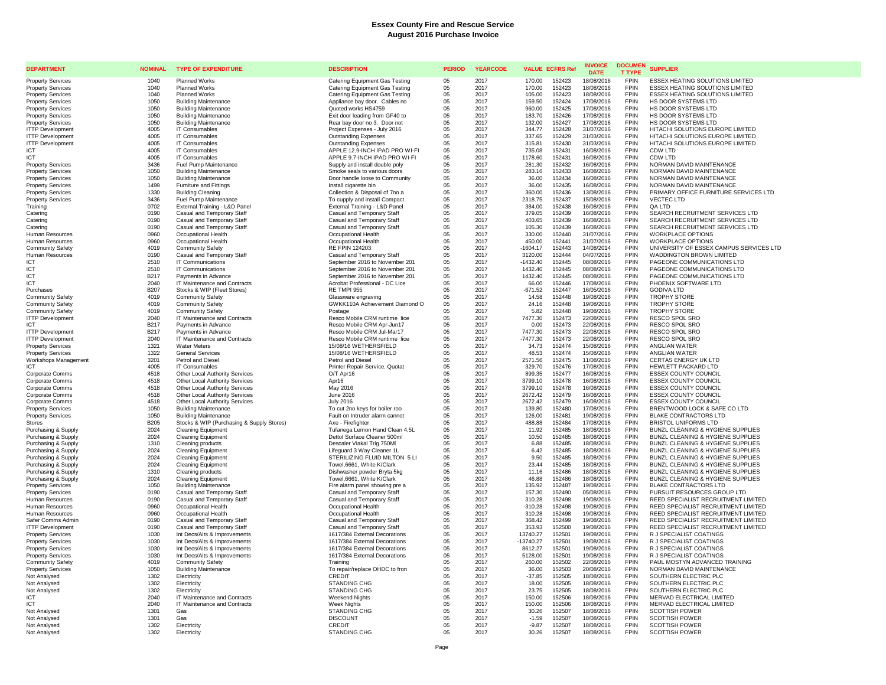| <b>DEPARTMENT</b>                                  | <b>NOMINAL</b>      | <b>TYPE OF EXPENDITURE</b>                                               | <b>DESCRIPTION</b>                                            | <b>PERIOD</b> | <b>YEARCODE</b> | <b>VALUE ECFRS Ref</b>                    | <b>INVOICE</b><br><b>DATE</b> | <b>DOCUMEN</b><br><b>T TYPE</b> | <b>SUPPLIER</b>                                                            |
|----------------------------------------------------|---------------------|--------------------------------------------------------------------------|---------------------------------------------------------------|---------------|-----------------|-------------------------------------------|-------------------------------|---------------------------------|----------------------------------------------------------------------------|
| <b>Property Services</b>                           | 1040                | <b>Planned Works</b>                                                     | <b>Catering Equipment Gas Testing</b>                         | 05            | 2017            | 170.00<br>152423                          | 18/08/2016                    | <b>FPIN</b>                     | <b>ESSEX HEATING SOLUTIONS LIMITED</b>                                     |
| <b>Property Services</b>                           | 1040                | <b>Planned Works</b>                                                     | Catering Equipment Gas Testing                                | 05            | 2017            | 170.00<br>152423                          | 18/08/2016                    | <b>FPIN</b>                     | ESSEX HEATING SOLUTIONS LIMITED                                            |
| <b>Property Services</b>                           | 1040                | <b>Planned Works</b>                                                     | <b>Catering Equipment Gas Testing</b>                         | 05            | 2017            | 152423<br>105.00                          | 18/08/2016                    | <b>FPIN</b>                     | ESSEX HEATING SOLUTIONS LIMITED                                            |
| <b>Property Services</b>                           | 1050                | <b>Building Maintenance</b>                                              | Appliance bay door. Cables no                                 | 05            | 2017            | 159.50<br>152424                          | 17/08/2016                    | <b>FPIN</b>                     | HS DOOR SYSTEMS LTD                                                        |
| <b>Property Services</b>                           | 1050                | <b>Building Maintenance</b>                                              | Quoted works HS4759                                           | 05            | 2017            | 960.00<br>152425                          | 17/08/2016                    | <b>FPIN</b>                     | HS DOOR SYSTEMS LTD                                                        |
| <b>Property Services</b>                           | 1050                | <b>Building Maintenance</b>                                              | Exit door leading from GF40 to                                | 05            | 2017            | 152426<br>183.70                          | 17/08/2016                    | <b>FPIN</b>                     | HS DOOR SYSTEMS LTD                                                        |
| <b>Property Services</b>                           | 1050                | <b>Building Maintenance</b>                                              | Rear bay door no 3. Door not                                  | 05            | 2017            | 132.00<br>152427                          | 17/08/2016                    | <b>FPIN</b>                     | HS DOOR SYSTEMS LTD                                                        |
| <b>ITTP Development</b>                            | 4005                | IT Consumables                                                           | Project Expenses - July 2016                                  | 05            | 2017            | 344.77<br>152428                          | 31/07/2016                    | <b>FPIN</b><br><b>FPIN</b>      | HITACHI SOLUTIONS EUROPE LIMITED                                           |
| <b>ITTP Development</b>                            | 4005<br>4005        | IT Consumables<br>IT Consumables                                         | <b>Outstanding Expenses</b>                                   | 05<br>05      | 2017<br>2017    | 337.65<br>152429<br>315.81<br>152430      | 31/03/2016<br>31/03/2016      | <b>FPIN</b>                     | HITACHI SOLUTIONS EUROPE LIMITED<br>HITACHI SOLUTIONS EUROPE LIMITED       |
| <b>ITTP Development</b><br><b>ICT</b>              | 4005                | IT Consumables                                                           | <b>Outstanding Expenses</b><br>APPLE 12.9-INCH IPAD PRO WI-FI | 05            | 2017            | 735.08<br>152431                          | 16/08/2016                    | <b>FPIN</b>                     | CDW LTD                                                                    |
| <b>ICT</b>                                         | 4005                | IT Consumables                                                           | APPLE 9.7-INCH IPAD PRO WI-FI                                 | 05            | 2017            | 1178.60<br>152431                         | 16/08/2016                    | <b>FPIN</b>                     | CDW LTD                                                                    |
| <b>Property Services</b>                           | 3436                | Fuel Pump Maintenance                                                    | Supply and install double poly                                | 05            | 2017            | 281.30<br>152432                          | 16/08/2016                    | <b>FPIN</b>                     | NORMAN DAVID MAINTENANCE                                                   |
| <b>Property Services</b>                           | 1050                | <b>Building Maintenance</b>                                              | Smoke seals to various doors                                  | 05            | 2017            | 283.16<br>152433                          | 16/08/2016                    | <b>FPIN</b>                     | NORMAN DAVID MAINTENANCE                                                   |
| <b>Property Services</b>                           | 1050                | <b>Building Maintenance</b>                                              | Door handle loose to Community                                | 05            | 2017            | 36.00<br>152434                           | 16/08/2016                    | FPIN                            | NORMAN DAVID MAINTENANCE                                                   |
| <b>Property Services</b>                           | 1499                | Furniture and Fittings                                                   | Install cigarette bin                                         | 05            | 2017            | 36.00<br>152435                           | 16/08/2016                    | <b>FPIN</b>                     | NORMAN DAVID MAINTENANCE                                                   |
| <b>Property Services</b>                           | 1330                | Building Cleaning                                                        | Collection & Disposal of 7no a                                | 05            | 2017            | 360.00<br>152436                          | 13/08/2016                    | <b>FPIN</b>                     | PRIMARY OFFICE FURNITURE SERVICES LTD                                      |
| <b>Property Services</b>                           | 3436                | Fuel Pump Maintenance                                                    | To cupply and install Compact                                 | 05            | 2017            | 2318.75<br>152437                         | 15/08/2016                    | <b>FPIN</b>                     | <b>VECTEC LTD</b>                                                          |
| Training                                           | 0702                | External Training - L&D Panel                                            | External Training - L&D Panel                                 | 05            | 2017            | 384.00<br>152438                          | 16/08/2016                    | <b>FPIN</b>                     | <b>QA LTD</b>                                                              |
| Catering                                           | 0190                | Casual and Temporary Staff                                               | Casual and Temporary Staff                                    | 05            | 2017            | 379.05<br>152439                          | 16/08/2016                    | <b>FPIN</b>                     | SEARCH RECRUITMENT SERVICES LTD                                            |
| Catering                                           | 0190                | Casual and Temporary Staff                                               | Casual and Temporary Staff                                    | 05            | 2017            | 403.65<br>152439                          | 16/08/2016                    | <b>FPIN</b><br><b>FPIN</b>      | SEARCH RECRUITMENT SERVICES LTD                                            |
| Catering                                           | 0190                | Casual and Temporary Staff                                               | Casual and Temporary Staff                                    | 05            | 2017            | 105.30<br>152439                          | 16/08/2016                    | <b>FPIN</b>                     | SEARCH RECRUITMENT SERVICES LTD                                            |
| Human Resources<br>Human Resources                 | 0960<br>0960        | Occupational Health<br>Occupational Health                               | Occupational Health<br>Occupational Health                    | 05<br>05      | 2017<br>2017    | 330.00<br>152440<br>450.00<br>152441      | 31/07/2016<br>31/07/2016      | <b>FPIN</b>                     | <b>WORKPLACE OPTIONS</b><br>WORKPLACE OPTIONS                              |
| <b>Community Safety</b>                            | 4019                | <b>Community Safety</b>                                                  | <b>RE FPIN 124203</b>                                         | 05            | 2017            | $-1604.17$<br>152443                      | 14/08/2014                    | <b>FPIN</b>                     | UNIVERSITY OF ESSEX CAMPUS SERVICES LTD                                    |
| Human Resources                                    | 0190                | Casual and Temporary Staff                                               | Casual and Temporary Staff                                    | 05            | 2017            | 3120.00<br>152444                         | 04/07/2016                    | <b>FPIN</b>                     | WADDINGTON BROWN LIMITED                                                   |
| <b>ICT</b>                                         | 2510                | <b>IT Communications</b>                                                 | September 2016 to November 201                                | 05            | 2017            | $-1432.40$<br>152445                      | 08/08/2016                    | <b>FPIN</b>                     | PAGEONE COMMUNICATIONS LTD                                                 |
| ICT                                                | 2510                | IT Communications                                                        | September 2016 to November 201                                | 05            | 2017            | 1432.40<br>152445                         | 08/08/2016                    | <b>FPIN</b>                     | PAGEONE COMMUNICATIONS LTD                                                 |
| ICT                                                | <b>B217</b>         | Payments in Advance                                                      | September 2016 to November 201                                | 05            | 2017            | 1432.40<br>152445                         | 08/08/2016                    | <b>FPIN</b>                     | PAGEONE COMMUNICATIONS LTD                                                 |
| ICT                                                | 2040                | IT Maintenance and Contracts                                             | Acrobat Professional - DC Lice                                | 05            | 2017            | 66.00<br>152446                           | 17/08/2016                    | <b>FPIN</b>                     | PHOENIX SOFTWARE LTD                                                       |
| Purchases                                          | <b>B207</b>         | Stocks & WIP (Fleet Stores)                                              | RE TMPI 955                                                   | 05            | 2017            | $-671.52$<br>152447                       | 16/05/2016                    | <b>FPIN</b>                     | <b>GODIVA LTD</b>                                                          |
| <b>Community Safety</b>                            | 4019                | <b>Community Safety</b>                                                  | Glassware engraving                                           | 05            | 2017            | 14.58<br>152448                           | 19/08/2016                    | <b>FPIN</b>                     | <b>TROPHY STORE</b>                                                        |
| Community Safety                                   | 4019                | Community Safety                                                         | GWKK110A Achievement Diamond O                                | 05            | 2017            | 24.16<br>152448                           | 19/08/2016                    | <b>FPIN</b>                     | <b>TROPHY STORE</b>                                                        |
| <b>Community Safety</b>                            | 4019                | <b>Community Safety</b>                                                  | Postage                                                       | 05            | 2017            | 5.82<br>152448                            | 19/08/2016                    | <b>FPIN</b>                     | <b>TROPHY STORE</b>                                                        |
| <b>ITTP Development</b>                            | 2040                | IT Maintenance and Contracts                                             | Resco Mobile CRM runtime lice                                 | 05            | 2017            | 7477.30<br>152473                         | 22/08/2016                    | <b>FPIN</b><br><b>FPIN</b>      | RESCO SPOL SRO                                                             |
| ICT                                                | B217                | Payments in Advance                                                      | Resco Mobile CRM Apr-Jun17                                    | 05            | 2017            | 0.00<br>152473                            | 22/08/2016                    |                                 | RESCO SPOL SRO                                                             |
| <b>ITTP Development</b><br><b>ITTP Development</b> | B217<br>2040        | Payments in Advance<br>IT Maintenance and Contracts                      | Resco Mobile CRM Jul-Mar17<br>Resco Mobile CRM runtime lice   | 05<br>05      | 2017<br>2017    | 7477.30<br>152473<br>$-7477.30$<br>152473 | 22/08/2016<br>22/08/2016      | <b>FPIN</b><br><b>FPIN</b>      | RESCO SPOL SRO<br>RESCO SPOL SRO                                           |
| <b>Property Services</b>                           | 1321                | <b>Water Meters</b>                                                      | 15/08/16 WETHERSFIELD                                         | 05            | 2017            | 34.73<br>152474                           | 15/08/2016                    | <b>FPIN</b>                     | ANGLIAN WATER                                                              |
| <b>Property Services</b>                           | 1322                | <b>General Services</b>                                                  | 15/08/16 WETHERSFIELD                                         | 05            | 2017            | 48.53<br>152474                           | 15/08/2016                    | <b>FPIN</b>                     | ANGLIAN WATER                                                              |
| Workshops Management                               | 3201                | Petrol and Diesel                                                        | Petrol and Diese                                              | 05            | 2017            | 2571.56<br>152475                         | 11/08/2016                    | <b>FPIN</b>                     | <b>CERTAS ENERGY UK LTD</b>                                                |
|                                                    | 4005                | <b>IT Consumables</b>                                                    | Printer Repair Service. Quotat                                | 05            | 2017            | 329.70<br>152476                          | 17/08/2016                    | <b>FPIN</b>                     | <b>HEWLETT PACKARD LTD</b>                                                 |
| Corporate Comms                                    | 4518                | Other Local Authority Services                                           | O/T Apr16                                                     | 05            | 2017            | 899.35<br>152477                          | 16/08/2016                    | <b>FPIN</b>                     | <b>ESSEX COUNTY COUNCIL</b>                                                |
| Corporate Comms                                    | 4518                | Other Local Authority Services                                           | Apr16                                                         | 05            | 2017            | 3799.10<br>152478                         | 16/08/2016                    | <b>FPIN</b>                     | <b>ESSEX COUNTY COUNCIL</b>                                                |
| Corporate Comms                                    | 4518                | Other Local Authority Services                                           | May 2016                                                      | 05            | 2017            | 3799.10<br>152478                         | 16/08/2016                    | <b>FPIN</b>                     | <b>ESSEX COUNTY COUNCIL</b>                                                |
| <b>Corporate Comms</b>                             | 4518                | Other Local Authority Services                                           | June 2016                                                     | 05            | 2017            | 2672.42<br>152479                         | 16/08/2016                    | <b>FPIN</b>                     | <b>ESSEX COUNTY COUNCIL</b>                                                |
| Corporate Comms                                    | 4518                | Other Local Authority Services                                           | <b>July 2016</b>                                              | 05            | 2017            | 2672.42<br>152479                         | 16/08/2016                    | <b>FPIN</b>                     | <b>ESSEX COUNTY COUNCIL</b>                                                |
| <b>Property Services</b>                           | 1050                | <b>Building Maintenance</b>                                              | To cut 2no keys for boiler roo                                | 05            | 2017            | 139.80<br>152480                          | 17/08/2016                    | <b>FPIN</b>                     | BRENTWOOD LOCK & SAFE CO LTD                                               |
| <b>Property Services</b>                           | 1050<br><b>B205</b> | <b>Building Maintenance</b><br>Stocks & WIP (Purchasing & Supply Stores) | Fault on Intruder alarm cannot<br>Axe - Firefighter           | 05            | 2017<br>2017    | 126.00<br>152481<br>488.88<br>152484      | 19/08/2016<br>17/08/2016      | <b>FPIN</b><br><b>FPIN</b>      | <b>BLAKE CONTRACTORS LTD</b><br><b>BRISTOL UNIFORMS LTD</b>                |
| Stores<br>Purchasing & Supply                      | 2024                | <b>Cleaning Equipment</b>                                                | Tufanega Lemon Hand Clean 4.5L                                | 05<br>05      | 2017            | 11.92<br>152485                           | 18/08/2016                    | <b>EPIN</b>                     | BUNZL CLEANING & HYGIENE SUPPLIES                                          |
| Purchasing & Supply                                | 2024                | <b>Cleaning Equipment</b>                                                | Dettol Surface Cleaner 500ml                                  | 05            | 2017            | 10.50<br>152485                           | 18/08/2016                    | <b>FPIN</b>                     | BUNZL CLEANING & HYGIENE SUPPLIES                                          |
| Purchasing & Supply                                | 1310                | Cleaning products                                                        | Descaler Viakal Trig 750Ml                                    | 05            | 2017            | 6.88<br>152485                            | 18/08/2016                    | <b>FPIN</b>                     | BUNZL CLEANING & HYGIENE SUPPLIES                                          |
| Purchasing & Supply                                | 2024                | <b>Cleaning Equipment</b>                                                | Lifeguard 3 Way Cleaner 1L                                    | 05            | 2017            | 6.42<br>152485                            | 18/08/2016                    | <b>FPIN</b>                     | BUNZL CLEANING & HYGIENE SUPPLIES                                          |
| Purchasing & Supply                                | 2024                | <b>Cleaning Equipment</b>                                                | STERILIZING FLUID MILTON 5 LI                                 | 05            | 2017            | 9.50<br>152485                            | 18/08/2016                    | <b>FPIN</b>                     | BUNZL CLEANING & HYGIENE SUPPLIES                                          |
| Purchasing & Supply                                | 2024                | <b>Cleaning Equipment</b>                                                | Towel, 6661, White K/Clark                                    | 05            | 2017            | 23.44<br>152485                           | 18/08/2016                    | <b>FPIN</b>                     | BUNZL CLEANING & HYGIENE SUPPLIES                                          |
| Purchasing & Supply                                | 1310                | Cleaning products                                                        | Dishwasher powder Bryta 5kg                                   | 05            | 2017            | 152486<br>11.16                           | 18/08/2016                    | <b>FPIN</b>                     | BUNZL CLEANING & HYGIENE SUPPLIES                                          |
| Purchasing & Supply                                | 2024                | <b>Cleaning Equipment</b>                                                | Towel, 6661, White K/Clark                                    | 05            | 2017            | 46.88<br>152486                           | 18/08/2016                    | <b>FPIN</b>                     | BUNZL CLEANING & HYGIENE SUPPLIES                                          |
| <b>Property Services</b>                           | 1050                | <b>Building Maintenance</b>                                              | Fire alarm panel showing pre a                                | 05            | 2017            | 135.92<br>152487                          | 19/08/2016                    | <b>FPIN</b>                     | BLAKE CONTRACTORS LTD                                                      |
| <b>Property Services</b>                           | 0190                | Casual and Temporary Staff                                               | Casual and Temporary Staff                                    | 05            | 2017            | 157.30<br>152490                          | 05/08/2016                    | <b>FPIN</b>                     | PURSUIT RESOURCES GROUP LTD                                                |
| Human Resources                                    | 0190                | Casual and Temporary Staff                                               | Casual and Temporary Staff                                    | 05            | 2017            | 310.28<br>152498                          | 19/08/2016                    | <b>FPIN</b><br><b>FPIN</b>      | REED SPECIALIST RECRUITMENT LIMITED                                        |
| Human Resources<br>Human Resources                 | 0960<br>0960        | Occupational Health<br>Occupational Health                               | Occupational Health<br>Occupational Health                    | 05<br>05      | 2017<br>2017    | $-310.28$<br>152498<br>310.28<br>152498   | 19/08/2016<br>19/08/2016      | <b>FPIN</b>                     | REED SPECIALIST RECRUITMENT LIMITED<br>REED SPECIALIST RECRUITMENT LIMITED |
| Safer Comms Admin                                  | 0190                | Casual and Temporary Staff                                               | Casual and Temporary Staff                                    | 05            | 2017            | 368.42<br>152499                          | 19/08/2016                    | <b>FPIN</b>                     | REED SPECIALIST RECRUITMENT LIMITED                                        |
| <b>ITTP Development</b>                            | 0190                | Casual and Temporary Staff                                               | Casual and Temporary Staff                                    | 05            | 2017            | 353.93<br>152500                          | 19/08/2016                    | <b>FPIN</b>                     | REED SPECIALIST RECRUITMENT LIMITED                                        |
| <b>Property Services</b>                           | 1030                | Int Decs/Alts & Improvements                                             | 1617/384 External Decorations                                 | 05            | 2017            | 13740.27<br>152501                        | 19/08/2016                    | <b>FPIN</b>                     | R J SPECIALIST COATINGS                                                    |
| <b>Property Services</b>                           | 1030                | Int Decs/Alts & Improvements                                             | 1617/384 External Decorations                                 | 05            | 2017            | $-13740.27$<br>152501                     | 19/08/2016                    | <b>FPIN</b>                     | R J SPECIALIST COATINGS                                                    |
| <b>Property Services</b>                           | 1030                | Int Decs/Alts & Improvements                                             | 1617/384 External Decorations                                 | 05            | 2017            | 8612.27<br>152501                         | 19/08/2016                    | <b>FPIN</b>                     | R J SPECIALIST COATINGS                                                    |
| <b>Property Services</b>                           | 1030                | Int Decs/Alts & Improvements                                             | 1617/384 External Decorations                                 | 05            | 2017            | 5128.00<br>152501                         | 19/08/2016                    | <b>FPIN</b>                     | R J SPECIALIST COATINGS                                                    |
| <b>Community Safety</b>                            | 4019                | <b>Community Safety</b>                                                  | Training                                                      | 05            | 2017            | 260.00<br>152502                          | 22/08/2016                    | <b>FPIN</b>                     | PAUL MOSTYN ADVANCED TRAINING                                              |
| <b>Property Services</b>                           | 1050                | <b>Building Maintenance</b>                                              | To repair/replace OHDC to fron                                | 05            | 2017            | 36.00<br>152503                           | 20/08/2016                    | <b>FPIN</b>                     | NORMAN DAVID MAINTENANCE                                                   |
| Not Analysed                                       | 1302                | Electricity                                                              | CREDIT                                                        | 05            | 2017            | $-37.85$<br>152505                        | 18/08/2016                    | <b>FPIN</b>                     | SOUTHERN ELECTRIC PLC                                                      |
| Not Analysed                                       | 1302                | Electricity                                                              | STANDING CHG                                                  | 05            | 2017            | 18.00<br>152505                           | 18/08/2016                    | <b>FPIN</b>                     | SOUTHERN ELECTRIC PLC                                                      |
| Not Analysed                                       | 1302                | Electricity                                                              | <b>STANDING CHG</b>                                           | 05            | 2017            | 23.75<br>152505                           | 18/08/2016                    | <b>FPIN</b><br><b>FPIN</b>      | SOUTHERN ELECTRIC PLC                                                      |
| ICT<br><b>ICT</b>                                  | 2040<br>2040        | IT Maintenance and Contracts<br>IT Maintenance and Contracts             | <b>Weekend Nights</b><br><b>Week Nights</b>                   | 05<br>0.5     | 2017<br>2017    | 152506<br>150.00<br>150.00<br>152506      | 18/08/2016<br>18/08/2016      | <b>FPIN</b>                     | MERVAD ELECTRICAL LIMITED<br>MERVAD ELECTRICAL LIMITED                     |
| Not Analysed                                       | 1301                | Gas                                                                      | <b>STANDING CHG</b>                                           | 05            | 2017            | 30.26<br>152507                           | 18/08/2016                    | <b>FPIN</b>                     | <b>SCOTTISH POWER</b>                                                      |
| Not Analysed                                       | 1301                | Gas                                                                      | <b>DISCOUNT</b>                                               | 05            | 2017            | $-1.59$<br>152507                         | 18/08/2016                    | <b>FPIN</b>                     | <b>SCOTTISH POWER</b>                                                      |
| Not Analysed                                       | 1302                | Electricity                                                              | CREDIT                                                        | 05            | 2017            | $-9.87$<br>152507                         | 18/08/2016                    | <b>FPIN</b>                     | <b>SCOTTISH POWER</b>                                                      |
| Not Analysed                                       | 1302                | Electricity                                                              | <b>STANDING CHG</b>                                           | 05            | 2017            | 30.26<br>152507                           | 18/08/2016                    | <b>FPIN</b>                     | <b>SCOTTISH POWER</b>                                                      |
|                                                    |                     |                                                                          |                                                               |               |                 |                                           |                               |                                 |                                                                            |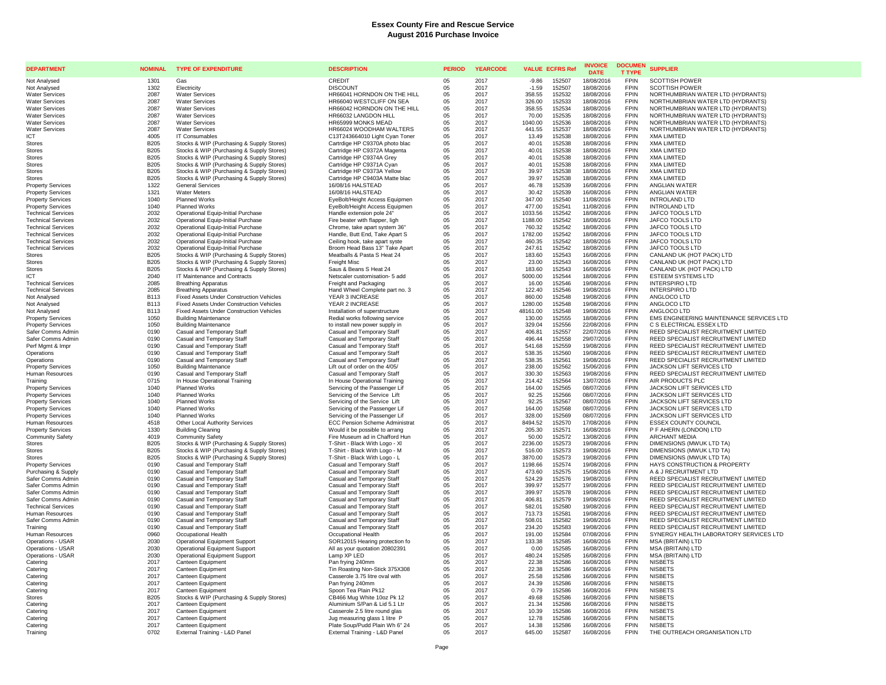| <b>DEPARTMENT</b>                                    | <b>NOMINAL</b>      | <b>TYPE OF EXPENDITURE</b>                                                   | <b>DESCRIPTION</b>                                               | <b>PERIOD</b> | <b>YEARCODE</b> | <b>VALUE ECFRS Ref</b>               | <b>INVOICE</b><br><b>DATE</b> | <b>DOCUMEN</b><br><b>T TYPE</b> | <b>SUPPLIER</b>                                                            |
|------------------------------------------------------|---------------------|------------------------------------------------------------------------------|------------------------------------------------------------------|---------------|-----------------|--------------------------------------|-------------------------------|---------------------------------|----------------------------------------------------------------------------|
| Not Analysed                                         | 1301                | Gas                                                                          | <b>CREDIT</b>                                                    | $0.5^{\circ}$ | 2017            | $-9.86$<br>152507                    | 18/08/2016                    | <b>FPIN</b>                     | <b>SCOTTISH POWER</b>                                                      |
| Not Analysed                                         | 1302                | Electricity                                                                  | <b>DISCOUNT</b>                                                  | 05            | 2017            | $-1.59$<br>152507                    | 18/08/2016                    | FPIN                            | <b>SCOTTISH POWER</b>                                                      |
| <b>Water Services</b>                                | 2087                | <b>Water Services</b>                                                        | HR66041 HORNDON ON THE HILL                                      | 05            | 2017            | 152532<br>358.55                     | 18/08/2016                    | <b>FPIN</b>                     | NORTHUMBRIAN WATER LTD (HYDRANTS)                                          |
| <b>Water Services</b>                                | 2087                | <b>Water Services</b>                                                        | HR66040 WESTCLIFF ON SEA                                         | 05            | 2017            | 326.00<br>152533                     | 18/08/2016                    | <b>FPIN</b>                     | NORTHUMBRIAN WATER LTD (HYDRANTS)                                          |
| <b>Water Services</b>                                | 2087                | <b>Water Services</b>                                                        | HR66042 HORNDON ON THE HILL                                      | 05            | 2017            | 358.55<br>152534                     | 18/08/2016                    | <b>FPIN</b><br><b>FPIN</b>      | NORTHUMBRIAN WATER LTD (HYDRANTS)                                          |
| <b>Water Services</b><br><b>Water Services</b>       | 2087<br>2087        | <b>Water Services</b><br><b>Water Services</b>                               | HR66032 LANGDON HILL<br>HR65999 MONKS MEAD                       | 05<br>05      | 2017<br>2017    | 70.00<br>152535<br>1040.00<br>152536 | 18/08/2016<br>18/08/2016      | <b>FPIN</b>                     | NORTHUMBRIAN WATER LTD (HYDRANTS)<br>NORTHUMBRIAN WATER LTD (HYDRANTS)     |
| <b>Water Services</b>                                | 2087                | <b>Water Services</b>                                                        | HR66024 WOODHAM WALTERS                                          | 05            | 2017            | 441.55<br>152537                     | 18/08/2016                    | FPIN                            | NORTHUMBRIAN WATER LTD (HYDRANTS)                                          |
| ICT                                                  | 4005                | IT Consumables                                                               | C13T243664010 Light Cyan Toner                                   | 05            | 2017            | 13.49<br>152538                      | 18/08/2016                    | <b>FPIN</b>                     | <b>XMA LIMITED</b>                                                         |
| Stores                                               | <b>B205</b>         | Stocks & WIP (Purchasing & Supply Stores)                                    | Cartrdige HP C9370A photo blac                                   | 05            | 2017            | 152538<br>40.01                      | 18/08/2016                    | FPIN                            | <b>XMA LIMITED</b>                                                         |
| Stores                                               | <b>B205</b>         | Stocks & WIP (Purchasing & Supply Stores)                                    | Cartridge HP C9372A Magenta                                      | 05            | 2017            | 152538<br>40.01                      | 18/08/2016                    | <b>FPIN</b>                     | <b>XMA LIMITED</b>                                                         |
| <b>Stores</b>                                        | B <sub>205</sub>    | Stocks & WIP (Purchasing & Supply Stores)                                    | Cartridge HP C9374A Grey                                         | 05            | 2017            | 152538<br>40.01                      | 18/08/2016                    | <b>FPIN</b>                     | <b>XMA LIMITED</b>                                                         |
| <b>Stores</b>                                        | B205                | Stocks & WIP (Purchasing & Supply Stores)                                    | Cartridge HP C9371A Cyan                                         | 05            | 2017            | 40.01<br>152538                      | 18/08/2016                    | <b>FPIN</b>                     | <b>XMA LIMITED</b>                                                         |
| <b>Stores</b>                                        | B205                | Stocks & WIP (Purchasing & Supply Stores)                                    | Cartridge HP C9373A Yellow                                       | 05            | 2017            | 39.97<br>152538                      | 18/08/2016                    | <b>FPIN</b>                     | <b>XMA LIMITED</b>                                                         |
| <b>Stores</b>                                        | B205                | Stocks & WIP (Purchasing & Supply Stores)                                    | Cartridge HP C9403A Matte blac                                   | 05            | 2017            | 39.97<br>152538                      | 18/08/2016                    | <b>FPIN</b>                     | <b>XMA LIMITED</b>                                                         |
| <b>Property Services</b>                             | 1322                | <b>General Services</b><br><b>Water Meters</b>                               | 16/08/16 HALSTEAD                                                | 05            | 2017<br>2017    | 46.78<br>152539<br>30.42             | 16/08/2016                    | <b>FPIN</b><br><b>FPIN</b>      | ANGLIAN WATER                                                              |
| <b>Property Services</b><br><b>Property Services</b> | 1321<br>1040        | Planned Works                                                                | 16/08/16 HALSTEAD<br>EyeBolt/Height Access Equipmen              | 05<br>05      | 2017            | 152539<br>347.00<br>152540           | 16/08/2016<br>11/08/2016      | FPIN                            | ANGLIAN WATER<br><b>INTROLAND LTD</b>                                      |
| <b>Property Services</b>                             | 1040                | <b>Planned Works</b>                                                         | EyeBolt/Height Access Equipmen                                   | 05            | 2017            | 152541<br>477.00                     | 11/08/2016                    | <b>FPIN</b>                     | <b>INTROLAND LTD</b>                                                       |
| <b>Technical Services</b>                            | 2032                | Operational Equip-Initial Purchase                                           | Handle extension pole 24"                                        | 05            | 2017            | 152542<br>1033.56                    | 18/08/2016                    | <b>FPIN</b>                     | JAFCO TOOLS LTD                                                            |
| <b>Technical Services</b>                            | 2032                | Operational Equip-Initial Purchase                                           | Fire beater with flapper, ligh                                   | 05            | 2017            | 1188.00<br>152542                    | 18/08/2016                    | <b>FPIN</b>                     | JAFCO TOOLS LTD                                                            |
| <b>Technical Services</b>                            | 2032                | Operational Equip-Initial Purchase                                           | Chrome, take apart system 36"                                    | 05            | 2017            | 760.32<br>152542                     | 18/08/2016                    | <b>FPIN</b>                     | JAFCO TOOLS LTD                                                            |
| <b>Technical Services</b>                            | 2032                | Operational Equip-Initial Purchase                                           | Handle, Butt End. Take Apart S.                                  | 05            | 2017            | 1782.00<br>152542                    | 18/08/2016                    | <b>FPIN</b>                     | JAFCO TOOLS LTD                                                            |
| <b>Technical Services</b>                            | 2032                | Operational Equip-Initial Purchase                                           | Ceiling hook, take apart syste                                   | 05            | 2017            | 460.35<br>152542                     | 18/08/2016                    | <b>FPIN</b>                     | JAFCO TOOLS LTD                                                            |
| <b>Technical Services</b>                            | 2032                | Operational Equip-Initial Purchase                                           | Broom Head Bass 13" Take Apart                                   | 05            | 2017            | 247.61<br>152542                     | 18/08/2016                    | <b>FPIN</b>                     | JAFCO TOOLS LTD                                                            |
| <b>Stores</b>                                        | <b>B205</b>         | Stocks & WIP (Purchasing & Supply Stores)                                    | Meatballs & Pasta S Heat 24                                      | 05            | 2017            | 183.60<br>152543                     | 16/08/2016                    | <b>FPIN</b>                     | CANLAND UK (HOT PACK) LTD                                                  |
| Stores                                               | <b>B205</b>         | Stocks & WIP (Purchasing & Supply Stores)                                    | Freight Misc                                                     | 05            | 2017<br>2017    | 23.00<br>152543<br>152543            | 16/08/2016<br>16/08/2016      | <b>FPIN</b><br><b>FPIN</b>      | CANLAND UK (HOT PACK) LTD<br>CANLAND UK (HOT PACK) LTD                     |
| <b>Stores</b><br><b>ICT</b>                          | <b>B205</b><br>2040 | Stocks & WIP (Purchasing & Supply Stores)<br>IT Maintenance and Contracts    | Saus & Beans S Heat 24<br>Netscaler customisation- 5 add         | 05<br>05      | 2017            | 183.60<br>5000.00<br>152544          | 18/08/2016                    | FPIN                            | <b>ESTEEM SYSTEMS LTD</b>                                                  |
| <b>Technical Services</b>                            | 2085                | <b>Breathing Apparatus</b>                                                   | Freight and Packaging                                            | 05            | 2017            | 152546<br>16.00                      | 19/08/2016                    | <b>FPIN</b>                     | <b>INTERSPIRO LTD</b>                                                      |
| <b>Technical Services</b>                            | 2085                | <b>Breathing Apparatus</b>                                                   | Hand Wheel Complete part no. 3                                   | 05            | 2017            | 122.40<br>152546                     | 19/08/2016                    | <b>FPIN</b>                     | <b>INTERSPIRO LTD</b>                                                      |
| Not Analysed                                         | B113                | <b>Fixed Assets Under Construction Vehicles</b>                              | YEAR 3 INCREASE                                                  | 05            | 2017            | 860.00<br>152548                     | 19/08/2016                    | <b>FPIN</b>                     | ANGLOCO LTD                                                                |
| Not Analysed                                         | <b>B113</b>         | Fixed Assets Under Construction Vehicles                                     | YEAR 2 INCREASE                                                  | 05            | 2017            | 152548<br>1280.00                    | 19/08/2016                    | <b>FPIN</b>                     | ANGLOCO LTD                                                                |
| Not Analysed                                         | B113                | <b>Fixed Assets Under Construction Vehicles</b>                              | Installation of superstructure                                   | 05            | 2017            | 48161.00<br>152548                   | 19/08/2016                    | FPIN                            | ANGLOCO LTD                                                                |
| <b>Property Services</b>                             | 1050                | <b>Building Maintenance</b>                                                  | Redial works following service                                   | 05            | 2017            | 130.00<br>152555                     | 18/08/2016                    | FPIN                            | EMS ENGINEERING MAINTENANCE SERVICES LTD                                   |
| <b>Property Services</b>                             | 1050                | <b>Building Maintenance</b>                                                  | to install new power supply in                                   | 05            | 2017            | 329.04<br>152556                     | 22/08/2016                    | <b>FPIN</b>                     | C S ELECTRICAL ESSEX LTD                                                   |
| Safer Comms Admin                                    | 0190                | Casual and Temporary Staff                                                   | Casual and Temporary Staff                                       | 05            | 2017            | 406.81<br>152557                     | 22/07/2016                    | <b>FPIN</b>                     | REED SPECIALIST RECRUITMENT LIMITED                                        |
| Safer Comms Admin<br>Perf Mamt & Impr                | 0190<br>0190        | Casual and Temporary Staff                                                   | Casual and Temporary Staff                                       | 05            | 2017<br>2017    | 152558<br>496.44<br>152559<br>541.68 | 29/07/2016                    | <b>FPIN</b><br><b>FPIN</b>      | REED SPECIALIST RECRUITMENT LIMITED<br>REED SPECIALIST RECRUITMENT LIMITED |
| Operations                                           | 0190                | Casual and Temporary Staff<br>Casual and Temporary Staff                     | Casual and Temporary Staff<br>Casual and Temporary Staff         | 05<br>05      | 2017            | 538.35<br>152560                     | 19/08/2016<br>19/08/2016      | <b>FPIN</b>                     | REED SPECIALIST RECRUITMENT LIMITED                                        |
| Operations                                           | 0190                | Casual and Temporary Staff                                                   | Casual and Temporary Staff                                       | 05            | 2017            | 152561<br>538.35                     | 19/08/2016                    | <b>FPIN</b>                     | REED SPECIALIST RECRUITMENT LIMITED                                        |
| <b>Property Services</b>                             | 1050                | <b>Building Maintenance</b>                                                  | Lift out of order on the 4/05/                                   | 05            | 2017            | 238.00<br>152562                     | 15/06/2016                    | <b>FPIN</b>                     | JACKSON LIFT SERVICES LTD                                                  |
| Human Resources                                      | 0190                | Casual and Temporary Staff                                                   | Casual and Temporary Staff                                       | 05            | 2017            | 330.30<br>152563                     | 19/08/2016                    | FPIN                            | REED SPECIALIST RECRUITMENT LIMITED                                        |
| Training                                             | 0715                | In House Operational Training                                                | In House Operational Training                                    | 05            | 2017            | 214.42<br>152564                     | 13/07/2016                    | <b>FPIN</b>                     | AIR PRODUCTS PLC                                                           |
| <b>Property Services</b>                             | 1040                | Planned Works                                                                | Servicing of the Passenger Lif                                   | 05            | 2017            | 164.00<br>152565                     | 08/07/2016                    | <b>FPIN</b>                     | JACKSON LIFT SERVICES LTD                                                  |
| <b>Property Services</b>                             | 1040                | <b>Planned Works</b>                                                         | Servicing of the Service Lift                                    | 05            | 2017            | 152566<br>92.25                      | 08/07/2016                    | <b>FPIN</b>                     | JACKSON LIFT SERVICES LTD                                                  |
| <b>Property Services</b>                             | 1040                | <b>Planned Works</b>                                                         | Servicing of the Service Lift                                    | 05            | 2017            | 92.25<br>152567                      | 08/07/2016                    | <b>FPIN</b>                     | <b>JACKSON LIFT SERVICES LTD</b>                                           |
| <b>Property Services</b>                             | 1040<br>1040        | <b>Planned Works</b><br><b>Planned Works</b>                                 | Servicing of the Passenger Lif<br>Servicing of the Passenger Lif | 05<br>05      | 2017<br>2017    | 152568<br>164.00<br>328.00<br>152569 | 08/07/2016<br>08/07/2016      | <b>FPIN</b><br><b>FPIN</b>      | JACKSON LIFT SERVICES LTD<br>JACKSON LIFT SERVICES LTD                     |
| <b>Property Services</b><br>Human Resources          | 4518                | Other Local Authority Services                                               | <b>ECC Pension Scheme Administrat</b>                            | 05            | 2017            | 8494.52<br>152570                    | 17/08/2016                    | <b>FPIN</b>                     | <b>ESSEX COUNTY COUNCIL</b>                                                |
| <b>Property Services</b>                             | 1330                | <b>Building Cleaning</b>                                                     | Would it be possible to arrang                                   | 05            | 2017            | 205.30<br>152571                     | 16/08/2016                    | FPIN                            | P F AHERN (LONDON) LTD                                                     |
| <b>Community Safety</b>                              | 4019                | <b>Community Safety</b>                                                      | Fire Museum ad in Chafford Hun                                   | 05            | 2017            | 152572<br>50.00                      | 13/08/2016                    | <b>FPIN</b>                     | <b>ARCHANT MEDIA</b>                                                       |
| <b>Stores</b>                                        | <b>B205</b>         | Stocks & WIP (Purchasing & Supply Stores)                                    | T-Shirt - Black With Logo - XI                                   | 05            | 2017            | 2236.00<br>152573                    | 19/08/2016                    | <b>FPIN</b>                     | DIMENSIONS (MWUK LTD TA)                                                   |
| <b>Stores</b>                                        | <b>B205</b>         | Stocks & WIP (Purchasing & Supply Stores)                                    | T-Shirt - Black With Logo - M                                    | 05            | 2017            | 516.00<br>152573                     | 19/08/2016                    | <b>FPIN</b>                     | DIMENSIONS (MWUK LTD TA)                                                   |
| <b>Stores</b>                                        | <b>B205</b>         | Stocks & WIP (Purchasing & Supply Stores)                                    | T-Shirt - Black With Logo - L                                    | 05            | 2017            | 3870.00<br>152573                    | 19/08/2016                    | <b>FPIN</b>                     | DIMENSIONS (MWUK LTD TA)                                                   |
| <b>Property Services</b>                             | 0190                | Casual and Temporary Staff                                                   | Casual and Temporary Staff                                       | 05            | 2017            | 1198.66<br>152574                    | 19/08/2016                    | <b>FPIN</b>                     | HAYS CONSTRUCTION & PROPERTY                                               |
| Purchasing & Supply<br>Safer Comms Admin             | 0190<br>0190        | Casual and Temporary Staff<br>Casual and Temporary Staff                     | Casual and Temporary Staff<br>Casual and Temporary Staff         | 05<br>05      | 2017<br>2017    | 473.60<br>152575<br>524.29<br>152576 | 15/08/2016<br>19/08/2016      | <b>FPIN</b><br><b>FPIN</b>      | A & J RECRUITMENT LTD<br>REED SPECIALIST RECRUITMENT LIMITED               |
| Safer Comms Admin                                    | 0190                | Casual and Temporary Staff                                                   | Casual and Temporary Staff                                       | 05            | 2017            | 399.97<br>152577                     | 19/08/2016                    | FPIN                            | REED SPECIALIST RECRUITMENT LIMITED                                        |
| Safer Comms Admin                                    | 0190                | Casual and Temporary Staff                                                   | Casual and Temporary Staff                                       | 05            | 2017            | 152578<br>399.97                     | 19/08/2016                    | <b>FPIN</b>                     | REED SPECIALIST RECRUITMENT LIMITED                                        |
| Safer Comms Admin                                    | 0190                | Casual and Temporary Staff                                                   | Casual and Temporary Staff                                       | 05            | 2017            | 406.81<br>152579                     | 19/08/2016                    | <b>FPIN</b>                     | REED SPECIALIST RECRUITMENT LIMITED                                        |
| <b>Technical Services</b>                            | 0190                | Casual and Temporary Staff                                                   | Casual and Temporary Staff                                       | 05            | 2017            | 582.01<br>152580                     | 19/08/2016                    | <b>FPIN</b>                     | REED SPECIALIST RECRUITMENT LIMITED                                        |
| Human Resources                                      | 0190                | Casual and Temporary Staff                                                   | Casual and Temporary Staff                                       | 05            | 2017            | 713.73<br>152581                     | 19/08/2016                    | <b>FPIN</b>                     | REED SPECIALIST RECRUITMENT LIMITED                                        |
| Safer Comms Admin                                    | 0190                | Casual and Temporary Staff                                                   | Casual and Temporary Staff                                       | 05            | 2017            | 508.01<br>152582                     | 19/08/2016                    | <b>FPIN</b>                     | REED SPECIALIST RECRUITMENT LIMITED                                        |
| Training                                             | 0190                | Casual and Temporary Staff                                                   | Casual and Temporary Staff                                       | 05            | 2017            | 234.20<br>152583                     | 19/08/2016                    | <b>FPIN</b>                     | REED SPECIALIST RECRUITMENT LIMITED                                        |
| Human Resources                                      | 0960                | Occupational Health                                                          | Occupational Health                                              | 05            | 2017            | 152584<br>191.00                     | 07/08/2016                    | <b>FPIN</b>                     | SYNERGY HEALTH LABORATORY SERVICES LTD                                     |
| Operations - USAR                                    | 2030                | <b>Operational Equipment Support</b>                                         | SOR12015 Hearing protection fo                                   | 05            | 2017            | 133.38<br>152585                     | 16/08/2016                    | <b>FPIN</b>                     | MSA (BRITAIN) LTD                                                          |
| Operations - USAR<br>Operations - USAR               | 2030<br>2030        | <b>Operational Equipment Support</b><br><b>Operational Equipment Support</b> | All as your quotation 20802391<br>Lamp XP LED                    | 05<br>05      | 2017<br>2017    | 152585<br>0.00<br>480.24<br>152585   | 16/08/2016<br>16/08/2016      | <b>FPIN</b><br><b>FPIN</b>      | MSA (BRITAIN) LTD<br>MSA (BRITAIN) LTD                                     |
| Catering                                             | 2017                | Canteen Equipment                                                            | Pan frying 240mm                                                 | 05            | 2017            | 22.38<br>152586                      | 16/08/2016                    | <b>FPIN</b>                     | <b>NISBETS</b>                                                             |
| Catering                                             | 2017                | Canteen Equipment                                                            | Tin Roasting Non-Stick 375X308                                   | 05            | 2017            | 152586<br>22.38                      | 16/08/2016                    | <b>FPIN</b>                     | <b>NISBETS</b>                                                             |
| Catering                                             | 2017                | Canteen Equipment                                                            | Casserole 3.75 litre oval with                                   | 05            | 2017            | 25.58<br>152586                      | 16/08/2016                    | <b>FPIN</b>                     | <b>NISBETS</b>                                                             |
| Catering                                             | 2017                | Canteen Equipment                                                            | Pan frying 240mm                                                 | 05            | 2017            | 24.39<br>152586                      | 16/08/2016                    | <b>FPIN</b>                     | <b>NISBETS</b>                                                             |
| Catering                                             | 2017                | Canteen Equipment                                                            | Spoon Tea Plain Pk12                                             | $0.5^{\circ}$ | 2017            | 152586<br>0.79                       | 16/08/2016                    | <b>FPIN</b>                     | <b>NISBETS</b>                                                             |
| Stores                                               | B205                | Stocks & WIP (Purchasing & Supply Stores)                                    | CB466 Mug White 10oz Pk 12                                       | 05            | 2017            | 152586<br>49.68                      | 16/08/2016                    | <b>FPIN</b>                     | <b>NISBETS</b>                                                             |
| Catering                                             | 2017                | Canteen Equipment                                                            | Aluminium S/Pan & Lid 5.1 Ltr                                    | 05            | 2017            | 21.34<br>152586                      | 16/08/2016                    | <b>FPIN</b>                     | <b>NISBETS</b>                                                             |
| Catering                                             | 2017                | Canteen Equipment                                                            | Casserole 2.5 litre round glas                                   | 05            | 2017            | 152586<br>10.39                      | 16/08/2016                    | <b>FPIN</b>                     | <b>NISBETS</b>                                                             |
| Catering                                             | 2017<br>2017        | Canteen Equipment                                                            | Jug measuring glass 1 litre P<br>Plate Soup/Pudd Plain Wh 6" 24  | 05<br>05      | 2017<br>2017    | 152586<br>12.78<br>152586<br>14.38   | 16/08/2016<br>16/08/2016      | <b>FPIN</b><br><b>FPIN</b>      | <b>NISBETS</b><br><b>NISBETS</b>                                           |
| Catering<br>Training                                 | 0702                | Canteen Equipment<br>External Training - L&D Panel                           | External Training - L&D Panel                                    | 05            | 2017            | 645.00<br>152587                     | 16/08/2016                    | <b>FPIN</b>                     | THE OUTREACH ORGANISATION LTD                                              |
|                                                      |                     |                                                                              |                                                                  |               |                 |                                      |                               |                                 |                                                                            |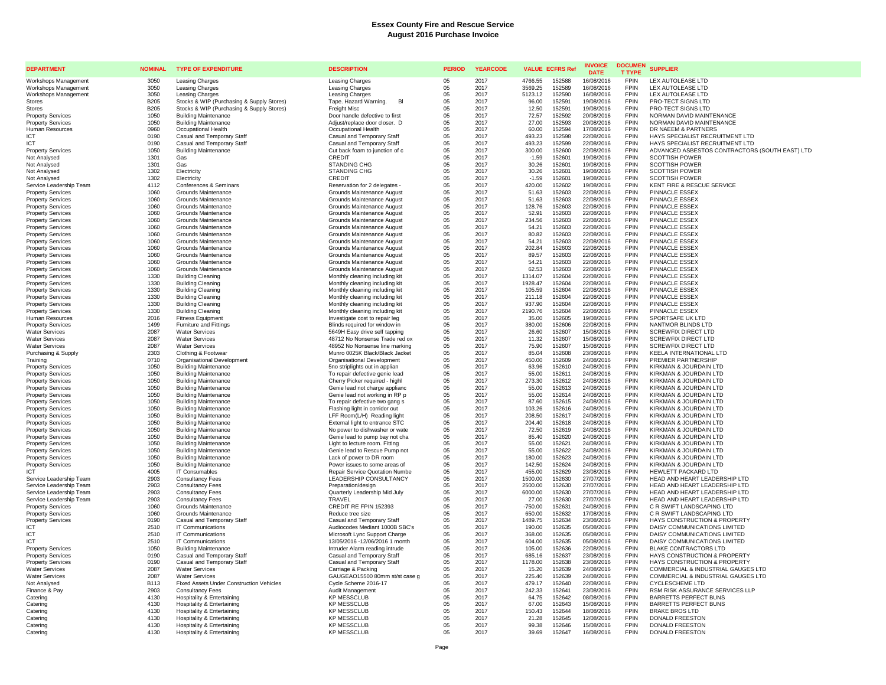| <b>DEPARTMENT</b>                                    | <b>NOMINAL</b> | <b>TYPE OF EXPENDITURE</b>                                               | <b>DESCRIPTION</b>                                               | <b>PERIOD</b> | <b>YEARCODE</b> | <b>VALUE ECFRS Ref</b>     |                  | <b>INVOICE</b><br><b>DATE</b> | <b>DOCUMEN</b><br><b>T TYPE</b> | <b>SUPPLIER</b>                                           |
|------------------------------------------------------|----------------|--------------------------------------------------------------------------|------------------------------------------------------------------|---------------|-----------------|----------------------------|------------------|-------------------------------|---------------------------------|-----------------------------------------------------------|
| Workshops Management                                 | 3050           | Leasing Charges                                                          | <b>Leasing Charges</b>                                           | 05            | 2017            | 4766.55                    | 152588           | 16/08/2016                    | <b>FPIN</b>                     | <b>LEX AUTOLEASE LTD</b>                                  |
| Workshops Management                                 | 3050           | Leasing Charges                                                          | Leasing Charges                                                  | 05            | 2017            | 3569.25                    | 152589           | 16/08/2016                    | <b>FPIN</b>                     | LEX AUTOLEASE LTD                                         |
| Workshops Management                                 | 3050           | Leasing Charges                                                          | Leasing Charges                                                  | 05            | 2017            | 5123.12                    | 152590           | 16/08/2016                    | <b>FPIN</b>                     | LEX AUTOLEASE LTD                                         |
| <b>Stores</b>                                        | <b>B205</b>    | Stocks & WIP (Purchasing & Supply Stores)                                | Tape. Hazard Warning.<br>BI                                      | 05            | 2017            | 96.00                      | 152591           | 19/08/2016                    | <b>FPIN</b>                     | PRO-TECT SIGNS LTD                                        |
| Stores                                               | <b>B205</b>    | Stocks & WIP (Purchasing & Supply Stores)<br><b>Building Maintenance</b> | Freight Misc                                                     | 05            | 2017            | 12.50                      | 152591           | 19/08/2016                    | <b>FPIN</b><br><b>FPIN</b>      | PRO-TECT SIGNS LTD<br>NORMAN DAVID MAINTENANCE            |
| <b>Property Services</b><br><b>Property Services</b> | 1050<br>1050   | <b>Building Maintenance</b>                                              | Door handle defective to first<br>Adjust/replace door closer. D  | 05<br>05      | 2017<br>2017    | 72.57<br>27.00             | 152592<br>152593 | 20/08/2016<br>20/08/2016      | <b>FPIN</b>                     | NORMAN DAVID MAINTENANCE                                  |
| Human Resources                                      | 0960           | Occupational Health                                                      | Occupational Health                                              | 05            | 2017            | 60.00                      | 152594           | 17/08/2016                    | <b>FPIN</b>                     | DR NAEEM & PARTNERS                                       |
| ICT                                                  | 0190           | Casual and Temporary Staff                                               | Casual and Temporary Staff                                       | 05            | 2017            | 493.23                     | 152598           | 22/08/2016                    | <b>FPIN</b>                     | HAYS SPECIALIST RECRUITMENT LTD                           |
| <b>ICT</b>                                           | 0190           | Casual and Temporary Staff                                               | Casual and Temporary Staff                                       | 05            | 2017            | 493.23                     | 152599           | 22/08/2016                    | FPIN                            | HAYS SPECIALIST RECRUITMENT LTD                           |
| <b>Property Services</b>                             | 1050           | <b>Building Maintenance</b>                                              | Cut back foam to junction of c                                   | 05            | 2017            | 300.00                     | 152600           | 22/08/2016                    | <b>FPIN</b>                     | ADVANCED ASBESTOS CONTRACTORS (SOUTH EAST) LTD            |
| Not Analysed                                         | 1301           | Gas                                                                      | CREDIT                                                           | 05            | 2017            | $-1.59$<br>152601          |                  | 19/08/2016                    | <b>FPIN</b>                     | <b>SCOTTISH POWER</b>                                     |
| Not Analysed                                         | 1301           | Gas                                                                      | <b>STANDING CHG</b>                                              | 05            | 2017            | 30.26                      | 152601           | 19/08/2016                    | <b>FPIN</b>                     | <b>SCOTTISH POWER</b>                                     |
| Not Analysed                                         | 1302           | Electricity                                                              | STANDING CHG                                                     | 05            | 2017            | 30.26<br>152601            |                  | 19/08/2016                    | <b>FPIN</b>                     | <b>SCOTTISH POWER</b>                                     |
| Not Analysed                                         | 1302           | Electricity                                                              | CREDIT                                                           | 05            | 2017            | $-1.59$                    | 152601           | 19/08/2016                    | <b>FPIN</b><br><b>FPIN</b>      | <b>SCOTTISH POWER</b>                                     |
| Service Leadership Team<br><b>Property Services</b>  | 4112<br>1060   | Conferences & Seminars<br>Grounds Maintenance                            | Reservation for 2 delegates -<br>Grounds Maintenance August      | 05<br>05      | 2017<br>2017    | 420.00<br>51.63            | 152602<br>152603 | 19/08/2016<br>22/08/2016      | <b>FPIN</b>                     | KENT FIRE & RESCUE SERVICE<br>PINNACLE ESSEX              |
| <b>Property Services</b>                             | 1060           | Grounds Maintenance                                                      | Grounds Maintenance August                                       | 05            | 2017            | 51.63                      | 152603           | 22/08/2016                    | FPIN                            | PINNACLE ESSEX                                            |
| <b>Property Services</b>                             | 1060           | Grounds Maintenance                                                      | Grounds Maintenance August                                       | 05            | 2017            | 128.76                     | 152603           | 22/08/2016                    | <b>FPIN</b>                     | PINNACLE ESSEX                                            |
| <b>Property Services</b>                             | 1060           | Grounds Maintenance                                                      | Grounds Maintenance August                                       | 05            | 2017            | 52.91                      | 152603           | 22/08/2016                    | <b>FPIN</b>                     | <b>PINNACLE ESSEX</b>                                     |
| <b>Property Services</b>                             | 1060           | Grounds Maintenance                                                      | Grounds Maintenance August                                       | 05            | 2017            | 234.56                     | 152603           | 22/08/2016                    | <b>FPIN</b>                     | <b>PINNACLE ESSEX</b>                                     |
| <b>Property Services</b>                             | 1060           | Grounds Maintenance                                                      | Grounds Maintenance August                                       | 05            | 2017            | 54.21                      | 152603           | 22/08/2016                    | <b>FPIN</b>                     | PINNACLE ESSEX                                            |
| <b>Property Services</b>                             | 1060           | Grounds Maintenance                                                      | Grounds Maintenance August                                       | 05            | 2017            | 80.82                      | 152603           | 22/08/2016                    | <b>FPIN</b>                     | PINNACLE ESSEX                                            |
| <b>Property Services</b>                             | 1060           | Grounds Maintenance                                                      | Grounds Maintenance August                                       | 05            | 2017            | 54.21                      | 152603           | 22/08/2016                    | <b>FPIN</b>                     | PINNACLE ESSEX                                            |
| <b>Property Services</b>                             | 1060           | Grounds Maintenance                                                      | Grounds Maintenance August                                       | 05<br>05      | 2017            | 202.84                     | 152603           | 22/08/2016                    | <b>FPIN</b><br><b>FPIN</b>      | PINNACLE ESSEX                                            |
| <b>Property Services</b><br><b>Property Services</b> | 1060<br>1060   | Grounds Maintenance<br>Grounds Maintenance                               | Grounds Maintenance August<br>Grounds Maintenance August         | 05            | 2017<br>2017    | 89.57<br>54.21<br>152603   | 152603           | 22/08/2016<br>22/08/2016      | <b>FPIN</b>                     | PINNACLE ESSEX<br>PINNACLE ESSEX                          |
| <b>Property Services</b>                             | 1060           | Grounds Maintenance                                                      | Grounds Maintenance August                                       | $05\,$        | 2017            | 62.53                      | 152603           | 22/08/2016                    | <b>FPIN</b>                     | <b>PINNACLE ESSEX</b>                                     |
| <b>Property Services</b>                             | 1330           | <b>Building Cleaning</b>                                                 | Monthly cleaning including kit                                   | 05            | 2017            | 1314.07                    | 152604           | 22/08/2016                    | <b>FPIN</b>                     | <b>PINNACLE ESSEX</b>                                     |
| <b>Property Services</b>                             | 1330           | <b>Building Cleaning</b>                                                 | Monthly cleaning including kit                                   | 05            | 2017            | 1928.47<br>152604          |                  | 22/08/2016                    | <b>FPIN</b>                     | PINNACLE ESSEX                                            |
| <b>Property Services</b>                             | 1330           | <b>Building Cleaning</b>                                                 | Monthly cleaning including kit                                   | 05            | 2017            | 105.59                     | 152604           | 22/08/2016                    | <b>FPIN</b>                     | PINNACLE ESSEX                                            |
| <b>Property Services</b>                             | 1330           | <b>Building Cleaning</b>                                                 | Monthly cleaning including kit                                   | 05            | 2017            | 211.18                     | 152604           | 22/08/2016                    | <b>FPIN</b>                     | <b>PINNACLE ESSEX</b>                                     |
| <b>Property Services</b>                             | 1330           | <b>Building Cleaning</b>                                                 | Monthly cleaning including kit                                   | 05            | 2017            | 937.90                     | 152604           | 22/08/2016                    | <b>FPIN</b>                     | PINNACLE ESSEX                                            |
| <b>Property Services</b>                             | 1330           | <b>Building Cleaning</b>                                                 | Monthly cleaning including kit                                   | 05            | 2017            | 2190.76                    | 152604           | 22/08/2016                    | <b>FPIN</b>                     | PINNACLE ESSEX                                            |
| Human Resources                                      | 2016<br>1499   | <b>Fitness Equipment</b><br><b>Furniture and Fittings</b>                | Investigate cost to repair leg                                   | 05<br>05      | 2017<br>2017    | 35.00<br>380.00            | 152605<br>152606 | 19/08/2016<br>22/08/2016      | <b>FPIN</b><br><b>FPIN</b>      | SPORTSAFE UK LTD<br>NANTMOR BLINDS LTD                    |
| <b>Property Services</b><br><b>Water Services</b>    | 2087           | <b>Water Services</b>                                                    | Blinds required for window in<br>5649H Easy drive self tapping   | 05            | 2017            | 26.60                      | 152607           | 15/08/2016                    | <b>FPIN</b>                     | <b>SCREWFIX DIRECT LTD</b>                                |
| <b>Water Services</b>                                | 2087           | <b>Water Services</b>                                                    | 48712 No Nonsense Trade red ox                                   | 05            | 2017            | 11.32                      | 152607           | 15/08/2016                    | <b>FPIN</b>                     | <b>SCREWEIX DIRECT LTD</b>                                |
| <b>Water Services</b>                                | 2087           | <b>Water Services</b>                                                    | 48952 No Nonsense line marking                                   | 05            | 2017            | 75.90                      | 152607           | 15/08/2016                    | <b>FPIN</b>                     | <b>SCREWFIX DIRECT LTD</b>                                |
| Purchasing & Supply                                  | 2303           | Clothing & Footwear                                                      | Munro 0025K Black/Black Jacket                                   | 05            | 2017            | 85.04                      | 152608           | 23/08/2016                    | <b>FPIN</b>                     | KEELA INTERNATIONAL LTD                                   |
| Training                                             | 0710           | Organisational Development                                               | Organisational Development                                       | 05            | 2017            | 450.00                     | 152609           | 24/08/2016                    | <b>FPIN</b>                     | PREMIER PARTNERSHIP                                       |
| <b>Property Services</b>                             | 1050           | <b>Building Maintenance</b>                                              | 5no striplights out in applian                                   | 05            | 2017            | 63.96                      | 152610           | 24/08/2016                    | <b>FPIN</b>                     | KIRKMAN & JOURDAIN LTD                                    |
| <b>Property Services</b>                             | 1050           | <b>Building Maintenance</b>                                              | To repair defective genie lead                                   | 05            | 2017            | 55.00                      | 152611           | 24/08/2016                    | <b>FPIN</b>                     | KIRKMAN & JOURDAIN LTD                                    |
| <b>Property Services</b>                             | 1050           | <b>Building Maintenance</b>                                              | Cherry Picker required - highl                                   | 05            | 2017            | 273.30                     | 152612           | 24/08/2016                    | <b>FPIN</b>                     | KIRKMAN & JOURDAIN LTD                                    |
| <b>Property Services</b>                             | 1050<br>1050   | <b>Building Maintenance</b><br><b>Building Maintenance</b>               | Genie lead not charge applianc                                   | 05<br>$05\,$  | 2017<br>2017    | 55.00<br>55.00             | 152613<br>152614 | 24/08/2016<br>24/08/2016      | <b>FPIN</b><br><b>FPIN</b>      | KIRKMAN & JOURDAIN LTD<br>KIRKMAN & JOURDAIN LTD          |
| <b>Property Services</b><br><b>Property Services</b> | 1050           | <b>Building Maintenance</b>                                              | Genie lead not working in RP p<br>To repair defective two gang s | 05            | 2017            | 87.60                      | 152615           | 24/08/2016                    | <b>FPIN</b>                     | KIRKMAN & JOURDAIN LTD                                    |
| <b>Property Services</b>                             | 1050           | <b>Building Maintenance</b>                                              | Flashing light in corridor out                                   | 05            | 2017            | 103.26                     | 152616           | 24/08/2016                    | <b>FPIN</b>                     | KIRKMAN & JOURDAIN LTD                                    |
| <b>Property Services</b>                             | 1050           | <b>Building Maintenance</b>                                              | LFF Room(L/H) Reading light                                      | 05            | 2017            | 208.50<br>152617           |                  | 24/08/2016                    | <b>FPIN</b>                     | KIRKMAN & JOURDAIN LTD                                    |
| <b>Property Services</b>                             | 1050           | <b>Building Maintenance</b>                                              | External light to entrance STC                                   | 05            | 2017            | 204.40                     | 152618           | 24/08/2016                    | <b>FPIN</b>                     | KIRKMAN & JOURDAIN LTD                                    |
| <b>Property Services</b>                             | 1050           | <b>Building Maintenance</b>                                              | No power to dishwasher or wate                                   | 05            | 2017            | 72.50                      | 152619           | 24/08/2016                    | <b>FPIN</b>                     | KIRKMAN & JOURDAIN LTD                                    |
| <b>Property Services</b>                             | 1050           | <b>Building Maintenance</b>                                              | Genie lead to pump bay not cha                                   | 05            | 2017            | 85.40                      | 152620           | 24/08/2016                    | <b>FPIN</b>                     | KIRKMAN & JOURDAIN LTD                                    |
| <b>Property Services</b>                             | 1050           | <b>Building Maintenance</b>                                              | Light to lecture room. Fitting                                   | 05            | 2017            | 55.00                      | 152621           | 24/08/2016                    | <b>FPIN</b>                     | KIRKMAN & JOURDAIN LTD                                    |
| <b>Property Services</b><br><b>Property Services</b> | 1050<br>1050   | <b>Building Maintenance</b><br><b>Building Maintenance</b>               | Genie lead to Rescue Pump not<br>Lack of power to DR room        | 05<br>05      | 2017<br>2017    | 55.00<br>180.00            | 152622<br>152623 | 24/08/2016<br>24/08/2016      | <b>FPIN</b><br><b>FPIN</b>      | KIRKMAN & JOURDAIN LTD<br>KIRKMAN & JOURDAIN LTD          |
| <b>Property Services</b>                             | 1050           | <b>Building Maintenance</b>                                              | Power issues to some areas of                                    | 05            | 2017            | 142.50                     | 152624           | 24/08/2016                    | <b>FPIN</b>                     | KIRKMAN & JOURDAIN LTD                                    |
| <b>ICT</b>                                           | 4005           | IT Consumables                                                           | Repair Service Quotation Numbe                                   | 05            | 2017            | 455.00                     | 152629           | 23/08/2016                    | <b>FPIN</b>                     | HEWLETT PACKARD LTD                                       |
| Service Leadership Team                              | 2903           | <b>Consultancy Fees</b>                                                  | LEADERSHIP CONSULTANCY                                           | 05            | 2017            | 1500.00                    | 152630           | 27/07/2016                    | <b>FPIN</b>                     | HEAD AND HEART LEADERSHIP LTD                             |
| Service Leadership Team                              | 2903           | <b>Consultancy Fees</b>                                                  | Preparation/design                                               | 05            | 2017            | 2500.00                    | 152630           | 27/07/2016                    | <b>FPIN</b>                     | HEAD AND HEART LEADERSHIP LTD                             |
| Service Leadership Team                              | 2903           | <b>Consultancy Fees</b>                                                  | Quarterly Leadership Mid July                                    | 05            | 2017            | 6000.00                    | 152630           | 27/07/2016                    | <b>FPIN</b>                     | HEAD AND HEART LEADERSHIP LTD                             |
| Service Leadership Team                              | 2903           | <b>Consultancy Fees</b>                                                  | TRAVEL                                                           | 05            | 2017            | 27.00                      | 152630           | 27/07/2016                    | <b>FPIN</b>                     | HEAD AND HEART LEADERSHIP LTD                             |
| <b>Property Services</b>                             | 1060           | Grounds Maintenance                                                      | CREDIT RE FPIN 152393                                            | 05            | 2017            | $-750.00$                  | 152631           | 24/08/2016                    | <b>FPIN</b>                     | C R SWIFT LANDSCAPING LTD                                 |
| <b>Property Services</b><br><b>Property Services</b> | 1060<br>0190   | Grounds Maintenance<br>Casual and Temporary Staff                        | Reduce tree size<br>Casual and Temporary Staff                   | 05<br>05      | 2017<br>2017    | 650.00<br>1489.75          | 152632<br>152634 | 17/08/2016<br>23/08/2016      | <b>FPIN</b><br>FPIN             | C R SWIFT LANDSCAPING LTD<br>HAYS CONSTRUCTION & PROPERTY |
| ICT                                                  | 2510           | <b>IT Communications</b>                                                 | Audiocodes Mediant 1000B SBC's                                   | 05            | 2017            | 190.00                     | 152635           | 05/08/2016                    | <b>FPIN</b>                     | DAISY COMMUNICATIONS LIMITED                              |
| ICT                                                  | 2510           | IT Communications                                                        | Microsoft Lync Support Charge                                    | 05            | 2017            | 368.00                     | 152635           | 05/08/2016                    | <b>FPIN</b>                     | DAISY COMMUNICATIONS LIMITED                              |
| ICT                                                  | 2510           | IT Communications                                                        | 13/05/2016 - 12/06/2016 1 month                                  | 05            | 2017            | 604.00                     | 152635           | 05/08/2016                    | <b>FPIN</b>                     | DAISY COMMUNICATIONS LIMITED                              |
| <b>Property Services</b>                             | 1050           | <b>Building Maintenance</b>                                              | Intruder Alarm reading intrude                                   | 05            | 2017            | 105.00                     | 152636           | 22/08/2016                    | <b>FPIN</b>                     | <b>BLAKE CONTRACTORS LTD</b>                              |
| <b>Property Services</b>                             | 0190           | Casual and Temporary Staff                                               | Casual and Temporary Staff                                       | 05            | 2017            | 685.16                     | 152637           | 23/08/2016                    | <b>FPIN</b>                     | HAYS CONSTRUCTION & PROPERTY                              |
| <b>Property Services</b>                             | 0190           | Casual and Temporary Staff                                               | Casual and Temporary Staff                                       | 05            | 2017            | 1178.00                    | 152638           | 23/08/2016                    | <b>FPIN</b>                     | HAYS CONSTRUCTION & PROPERTY                              |
| <b>Water Services</b>                                | 2087           | <b>Water Services</b>                                                    | Carriage & Packing                                               | 05            | 2017            | 15.20                      | 152639           | 24/08/2016                    | <b>FPIN</b>                     | COMMERCIAL & INDUSTRIAL GAUGES LTD                        |
| <b>Water Services</b>                                | 2087<br>B113   | <b>Water Services</b><br><b>Fixed Assets Under Construction Vehicles</b> | GAUGEAO15500 80mm st/st case g                                   | 05<br>05      | 2017<br>2017    | 225.40<br>152639<br>479.17 | 152640           | 24/08/2016<br>22/08/2016      | <b>FPIN</b><br><b>FPIN</b>      | COMMERCIAL & INDUSTRIAL GAUGES LTD<br>CYCLESCHEME LTD     |
| Not Analysed<br>Finance & Pay                        | 2903           | <b>Consultancy Fees</b>                                                  | Cycle Scheme 2016-17<br>Audit Management                         | 05            | 2017            | 242.33                     | 152641           | 23/08/2016                    | <b>FPIN</b>                     | RSM RISK ASSURANCE SERVICES LLP                           |
| Catering                                             | 4130           | <b>Hospitality &amp; Entertaining</b>                                    | <b>KP MESSCLUB</b>                                               | 05            | 2017            | 64.75                      | 152642           | 08/08/2016                    | <b>FPIN</b>                     | <b>BARRETTS PERFECT BUNS</b>                              |
| Catering                                             | 4130           | <b>Hospitality &amp; Entertaining</b>                                    | <b>KP MESSCLUB</b>                                               | 05            | 2017            | 67.00                      | 152643           | 15/08/2016                    | <b>FPIN</b>                     | <b>BARRETTS PERFECT BUNS</b>                              |
| Catering                                             | 4130           | <b>Hospitality &amp; Entertaining</b>                                    | <b>KP MESSCLUB</b>                                               | 05            | 2017            | 150.43                     | 152644           | 18/08/2016                    | <b>FPIN</b>                     | <b>BRAKE BROS LTD</b>                                     |
| Catering                                             | 4130           | <b>Hospitality &amp; Entertaining</b>                                    | <b>KP MESSCLUB</b>                                               | 05            | 2017            | 21.28                      | 152645           | 12/08/2016                    | <b>FPIN</b>                     | DONALD FREESTON                                           |
| Catering                                             | 4130           | Hospitality & Entertaining                                               | <b>KP MESSCLUB</b>                                               | 05            | 2017            | 99.38                      | 152646           | 15/08/2016                    | <b>FPIN</b>                     | DONALD FREESTON                                           |
| Catering                                             | 4130           | <b>Hospitality &amp; Entertaining</b>                                    | <b>KP MESSCLUB</b>                                               | 05            | 2017            | 39.69                      | 152647           | 16/08/2016                    | <b>FPIN</b>                     | DONALD FREESTON                                           |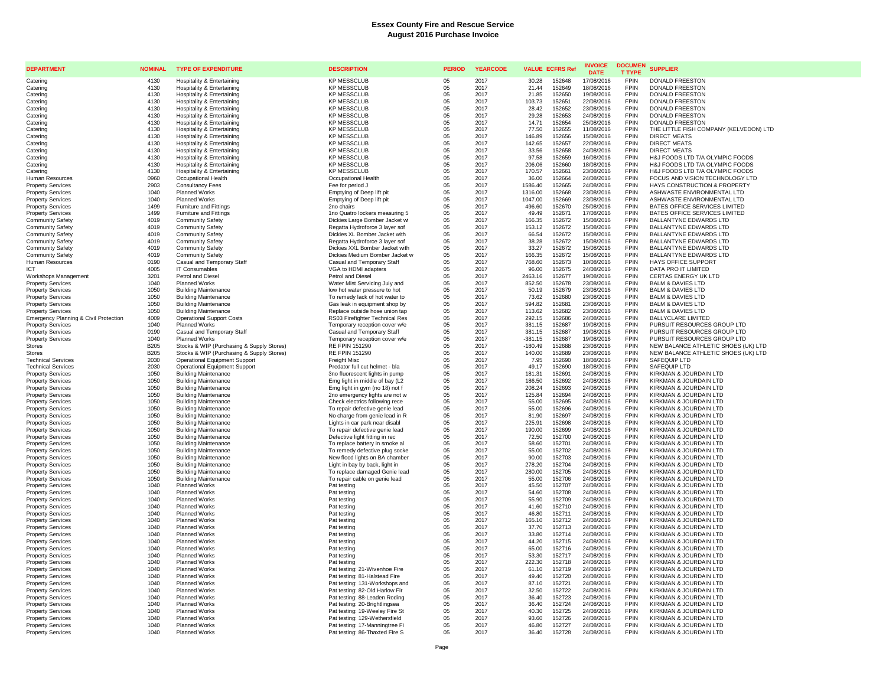| <b>DEPARTMENT</b>                                    | <b>NOMINAL</b>                  | <b>TYPE OF EXPENDITURE</b>                                                        | <b>DESCRIPTION</b>                                               | <b>PERIOD</b> | <b>YEARCODE</b> | <b>VALUE ECFRS Ref</b>                  | <b>INVOICE</b><br><b>DATE</b> | <b>DOCUMEN</b><br><b>T TYPE</b> | <b>SUPPLIER</b>                                                            |
|------------------------------------------------------|---------------------------------|-----------------------------------------------------------------------------------|------------------------------------------------------------------|---------------|-----------------|-----------------------------------------|-------------------------------|---------------------------------|----------------------------------------------------------------------------|
| Catering                                             | 4130                            | Hospitality & Entertaining                                                        | <b>KP MESSCLUB</b>                                               | 05            | 2017            | 30.28<br>152648                         | 17/08/2016                    | <b>FPIN</b>                     | <b>DONALD FREESTON</b>                                                     |
| Catering                                             | 4130                            | <b>Hospitality &amp; Entertaining</b>                                             | <b>KP MESSCLUB</b>                                               | 05            | 2017            | 21.44<br>152649                         | 18/08/2016                    | <b>FPIN</b>                     | <b>DONALD FREESTON</b>                                                     |
| Catering                                             | 4130                            | Hospitality & Entertaining                                                        | <b>KP MESSCLUB</b>                                               | 05            | 2017            | 21.85<br>152650                         | 19/08/2016                    | <b>FPIN</b>                     | <b>DONALD FREESTON</b>                                                     |
| Caterino                                             | 4130                            | Hospitality & Entertaining                                                        | <b>KP MESSCLUB</b>                                               | 05            | 2017            | 103.73<br>152651                        | 22/08/2016                    | <b>FPIN</b>                     | DONALD FREESTON                                                            |
| Caterino                                             | 4130                            | <b>Hospitality &amp; Entertaining</b>                                             | <b>KP MESSCLUB</b>                                               | 05            | 2017            | 28.42<br>152652                         | 23/08/2016                    | <b>FPIN</b>                     | <b>DONALD FREESTON</b>                                                     |
| Catering                                             | 4130                            | Hospitality & Entertaining                                                        | <b>KP MESSCLUB</b>                                               | 05            | 2017            | 152653<br>29.28                         | 24/08/2016                    | <b>FPIN</b>                     | <b>DONALD FREESTON</b>                                                     |
| Caterino                                             | 4130                            | <b>Hospitality &amp; Entertaining</b>                                             | <b>KP MESSCLUB</b>                                               | 05            | 2017            | 14.71<br>152654                         | 25/08/2016                    | <b>FPIN</b>                     | DONALD FREESTON                                                            |
| Catering                                             | 4130                            | Hospitality & Entertaining                                                        | <b>KP MESSCLUB</b>                                               | 05            | 2017            | 77.50<br>152655                         | 11/08/2016                    | <b>FPIN</b><br><b>FPIN</b>      | THE LITTLE FISH COMPANY (KELVEDON) LTD                                     |
| Catering<br>Catering                                 | 4130<br>4130                    | <b>Hospitality &amp; Entertaining</b><br><b>Hospitality &amp; Entertaining</b>    | <b>KP MESSCLUB</b><br><b>KP MESSCLUB</b>                         | 05<br>05      | 2017<br>2017    | 152656<br>146.89<br>152657<br>142.65    | 15/08/2016<br>22/08/2016      | <b>FPIN</b>                     | <b>DIRECT MEATS</b><br><b>DIRECT MEATS</b>                                 |
| Catering                                             | 4130                            | <b>Hospitality &amp; Entertaining</b>                                             | <b>KP MESSCLUB</b>                                               | 05            | 2017            | 33.56<br>152658                         | 24/08/2016                    | <b>FPIN</b>                     | <b>DIRECT MEATS</b>                                                        |
| Catering                                             | 4130                            | Hospitality & Entertaining                                                        | <b>KP MESSCLUB</b>                                               | 05            | 2017            | 97.58<br>152659                         | 16/08/2016                    | <b>FPIN</b>                     | H&J FOODS LTD T/A OLYMPIC FOODS                                            |
| Catering                                             | 4130                            | <b>Hospitality &amp; Entertaining</b>                                             | <b>KP MESSCLUB</b>                                               | 05            | 2017            | 152660<br>206.06                        | 18/08/2016                    | <b>FPIN</b>                     | H&J FOODS LTD T/A OLYMPIC FOODS                                            |
| Catering                                             | 4130                            | Hospitality & Entertaining                                                        | <b>KP MESSCLUB</b>                                               | 05            | 2017            | 152661<br>170.57                        | 23/08/2016                    | <b>FPIN</b>                     | H&J FOODS LTD T/A OLYMPIC FOODS                                            |
| <b>Human Resources</b>                               | 0960                            | Occupational Health                                                               | Occupational Health                                              | 05            | 2017            | 36.00<br>152664                         | 24/08/2016                    | <b>FPIN</b>                     | FOCUS AND VISION TECHNOLOGY LTD                                            |
| <b>Property Services</b>                             | 2903                            | <b>Consultancy Fees</b>                                                           | Fee for period J                                                 | 05            | 2017            | 1586.40<br>152665                       | 24/08/2016                    | <b>FPIN</b>                     | HAYS CONSTRUCTION & PROPERTY                                               |
| <b>Property Services</b>                             | 1040                            | <b>Planned Works</b>                                                              | Emptying of Deep lift pit                                        | 05            | 2017            | 152668<br>1316.00                       | 23/08/2016                    | <b>FPIN</b>                     | ASHWASTE ENVIRONMENTAL LTD                                                 |
| <b>Property Services</b>                             | 1040                            | Planned Works                                                                     | Emptying of Deep lift pit                                        | 05            | 2017            | 1047.00<br>152669                       | 23/08/2016                    | <b>FPIN</b>                     | ASHWASTE ENVIRONMENTAL LTD                                                 |
| <b>Property Services</b>                             | 1499                            | Furniture and Fittings                                                            | 2no chairs                                                       | 05            | 2017            | 496.60<br>152670                        | 25/08/2016                    | <b>FPIN</b>                     | BATES OFFICE SERVICES LIMITED                                              |
| <b>Property Services</b>                             | 1499                            | Furniture and Fittings                                                            | 1no Quatro lockers measuring 5                                   | $05\,$        | 2017            | 152671<br>49.49                         | 17/08/2016                    | <b>FPIN</b>                     | BATES OFFICE SERVICES LIMITED                                              |
| <b>Community Safety</b>                              | 4019                            | <b>Community Safety</b>                                                           | Dickies Large Bomber Jacket wi                                   | 05            | 2017            | 166.35<br>152672                        | 15/08/2016                    | <b>FPIN</b>                     | BALLANTYNE EDWARDS LTD                                                     |
| <b>Community Safety</b>                              | 4019                            | <b>Community Safety</b>                                                           | Regatta Hydroforce 3 layer sof                                   | 05            | 2017            | 153.12<br>152672                        | 15/08/2016                    | <b>FPIN</b><br><b>FPIN</b>      | BALLANTYNE EDWARDS LTD                                                     |
| <b>Community Safety</b>                              | 4019<br>4019                    | <b>Community Safety</b><br><b>Community Safety</b>                                | Dickies XL Bomber Jacket with                                    | 05<br>05      | 2017<br>2017    | 152672<br>66.54<br>152672               | 15/08/2016                    | <b>FPIN</b>                     | BALLANTYNE EDWARDS LTD<br>BALLANTYNE EDWARDS LTD                           |
| <b>Community Safety</b><br><b>Community Safety</b>   | 4019                            | <b>Community Safety</b>                                                           | Regatta Hydroforce 3 layer sof<br>Dickies XXL Bomber Jacket with | $05\,$        | 2017            | 38.28<br>33.27<br>152672                | 15/08/2016<br>15/08/2016      | <b>FPIN</b>                     | BALLANTYNE EDWARDS LTD                                                     |
| <b>Community Safety</b>                              | 4019                            | <b>Community Safety</b>                                                           | Dickies Medium Bomber Jacket w                                   | 05            | 2017            | 152672<br>166.35                        | 15/08/2016                    | <b>FPIN</b>                     | <b>BALLANTYNE EDWARDS LTD</b>                                              |
| <b>Human Resources</b>                               | 0190                            | Casual and Temporary Staff                                                        | Casual and Temporary Staff                                       | 05            | 2017            | 768.60<br>152673                        | 10/08/2016                    | <b>FPIN</b>                     | <b>HAYS OFFICE SUPPORT</b>                                                 |
| ICT                                                  | 4005                            | <b>IT Consumables</b>                                                             | VGA to HDMI adapters                                             | 05            | 2017            | 152675<br>96.00                         | 24/08/2016                    | <b>FPIN</b>                     | DATA PRO IT LIMITED                                                        |
| Workshops Management                                 | 3201                            | Petrol and Diesel                                                                 | Petrol and Diesel                                                | 05            | 2017            | 2463.16<br>152677                       | 19/08/2016                    | <b>FPIN</b>                     | CERTAS ENERGY UK LTD                                                       |
| <b>Property Services</b>                             | 1040                            | <b>Planned Works</b>                                                              | Water Mist Servicing July and                                    | 05            | 2017            | 852.50<br>152678                        | 23/08/2016                    | <b>FPIN</b>                     | <b>BALM &amp; DAVIES LTD</b>                                               |
| <b>Property Services</b>                             | 1050                            | <b>Building Maintenance</b>                                                       | low hot water pressure to hot                                    | $05\,$        | 2017            | 152679<br>50.19                         | 23/08/2016                    | <b>FPIN</b>                     | <b>BALM &amp; DAVIES LTD</b>                                               |
| <b>Property Services</b>                             | 1050                            | <b>Building Maintenance</b>                                                       | To remedy lack of hot water to                                   | 05            | 2017            | 73.62<br>152680                         | 23/08/2016                    | <b>FPIN</b>                     | <b>BALM &amp; DAVIES LTD</b>                                               |
| <b>Property Services</b>                             | 1050                            | <b>Building Maintenance</b>                                                       | Gas leak in equipment shop by                                    | 05            | 2017            | 594.82<br>152681                        | 23/08/2016                    | <b>FPIN</b>                     | <b>BALM &amp; DAVIES LTD</b>                                               |
| <b>Property Services</b>                             | 1050                            | <b>Building Maintenance</b>                                                       | Replace outside hose union tap                                   | 05            | 2017            | 152682<br>113.62                        | 23/08/2016                    | <b>FPIN</b>                     | <b>BALM &amp; DAVIES LTD</b>                                               |
| Emergency Planning & Civil Protection                | 4009                            | <b>Operational Support Costs</b>                                                  | RS03 Firefighter Technical Res                                   | 05            | 2017            | 292.15<br>152686                        | 24/08/2016                    | <b>FPIN</b>                     | <b>BALLYCLARE LIMITED</b>                                                  |
| <b>Property Services</b>                             | 1040                            | Planned Works                                                                     | Temporary reception cover w/e                                    | 05            | 2017            | 152687<br>381.15                        | 19/08/2016                    | <b>FPIN</b>                     | PURSUIT RESOURCES GROUP LTD                                                |
| <b>Property Services</b>                             | 0190                            | Casual and Temporary Staff                                                        | Casual and Temporary Staff                                       | $05\,$        | 2017            | 152687<br>381.15                        | 19/08/2016                    | <b>FPIN</b>                     | PURSUIT RESOURCES GROUP LTD                                                |
| <b>Property Services</b>                             | 1040                            | <b>Planned Works</b>                                                              | Temporary reception cover w/e                                    | 05            | 2017            | $-381.15$<br>152687                     | 19/08/2016                    | <b>FPIN</b>                     | PURSUIT RESOURCES GROUP LTD                                                |
| <b>Stores</b><br>Stores                              | <b>B205</b><br>B <sub>205</sub> | Stocks & WIP (Purchasing & Supply Stores)                                         | <b>RE FPIN 151290</b><br><b>RE FPIN 151290</b>                   | 05<br>05      | 2017<br>2017    | 152688<br>$-180.49$<br>152689<br>140.00 | 23/08/2016<br>23/08/2016      | <b>FPIN</b><br><b>FPIN</b>      | NEW BALANCE ATHLETIC SHOES (UK) LTD<br>NEW BALANCE ATHLETIC SHOES (UK) LTD |
| <b>Technical Services</b>                            | 2030                            | Stocks & WIP (Purchasing & Supply Stores)<br><b>Operational Equipment Support</b> | Freight Misc                                                     | 05            | 2017            | 7.95<br>152690                          | 18/08/2016                    | <b>FPIN</b>                     | SAFEQUIP LTD                                                               |
| <b>Technical Services</b>                            | 2030                            | <b>Operational Equipment Support</b>                                              | Predator full cut helmet - bla                                   | $05\,$        | 2017            | 152690<br>49.17                         | 18/08/2016                    | <b>FPIN</b>                     | SAFEQUIP LTD                                                               |
| <b>Property Services</b>                             | 1050                            | <b>Building Maintenance</b>                                                       | 3no fluorescent lights in pump                                   | 05            | 2017            | 181.31<br>152691                        | 24/08/2016                    | <b>FPIN</b>                     | KIRKMAN & JOURDAIN LTD                                                     |
| <b>Property Services</b>                             | 1050                            | <b>Building Maintenance</b>                                                       | Emg light in middle of bay (L2                                   | 05            | 2017            | 186.50<br>152692                        | 24/08/2016                    | <b>FPIN</b>                     | KIRKMAN & JOURDAIN LTD                                                     |
| <b>Property Services</b>                             | 1050                            | <b>Building Maintenance</b>                                                       | Emg light in gym (no 18) not f                                   | 05            | 2017            | 152693<br>208.24                        | 24/08/2016                    | <b>FPIN</b>                     | KIRKMAN & JOURDAIN LTD                                                     |
| <b>Property Services</b>                             | 1050                            | <b>Building Maintenance</b>                                                       | 2no emergency lights are not w                                   | 05            | 2017            | 152694<br>125.84                        | 24/08/2016                    | <b>FPIN</b>                     | KIRKMAN & JOURDAIN LTD                                                     |
| <b>Property Services</b>                             | 1050                            | <b>Building Maintenance</b>                                                       | Check electrics following rece                                   | 05            | 2017            | 55.00<br>152695                         | 24/08/2016                    | <b>FPIN</b>                     | KIRKMAN & JOURDAIN LTD                                                     |
| <b>Property Services</b>                             | 1050                            | <b>Building Maintenance</b>                                                       | To repair defective genie lead                                   | 05            | 2017            | 152696<br>55.00                         | 24/08/2016                    | <b>FPIN</b>                     | KIRKMAN & JOURDAIN LTD                                                     |
| <b>Property Services</b>                             | 1050                            | <b>Building Maintenance</b>                                                       | No charge from genie lead in R                                   | 05            | 2017            | 81.90<br>152697                         | 24/08/2016                    | <b>FPIN</b>                     | KIRKMAN & JOURDAIN LTD                                                     |
| <b>Property Services</b>                             | 1050                            | <b>Building Maintenance</b>                                                       | Lights in car park near disabl                                   | 05            | 2017            | 152698<br>225.91                        | 24/08/2016                    | <b>FPIN</b>                     | KIRKMAN & JOURDAIN LTD                                                     |
| <b>Property Services</b>                             | 1050                            | <b>Building Maintenance</b>                                                       | To repair defective genie lead                                   | $05\,$        | 2017            | 152699<br>190.00                        | 24/08/2016                    | <b>FPIN</b>                     | KIRKMAN & JOURDAIN LTD                                                     |
| <b>Property Services</b>                             | 1050<br>1050                    | <b>Building Maintenance</b>                                                       | Defective light fitting in rec                                   | 05<br>05      | 2017<br>2017    | 152700<br>72.50<br>152701<br>58.60      | 24/08/2016<br>24/08/2016      | <b>FPIN</b><br><b>FPIN</b>      | KIRKMAN & JOURDAIN LTD<br>KIRKMAN & JOURDAIN LTD                           |
| <b>Property Services</b><br><b>Property Services</b> | 1050                            | <b>Building Maintenance</b><br><b>Building Maintenance</b>                        | To replace battery in smoke al<br>To remedy defective plug socke | 05            | 2017            | 55.00<br>152702                         | 24/08/2016                    | <b>FPIN</b>                     | KIRKMAN & JOURDAIN LTD                                                     |
| <b>Property Services</b>                             | 1050                            | <b>Building Maintenance</b>                                                       | New flood lights on BA chamber                                   | 05            | 2017            | 90.00<br>152703                         | 24/08/2016                    | <b>FPIN</b>                     | KIRKMAN & JOURDAIN LTD                                                     |
| <b>Property Services</b>                             | 1050                            | <b>Building Maintenance</b>                                                       | Light in bay by back, light in                                   | 05            | 2017            | 278.20<br>152704                        | 24/08/2016                    | <b>FPIN</b>                     | KIRKMAN & JOURDAIN LTD                                                     |
| <b>Property Services</b>                             | 1050                            | <b>Building Maintenance</b>                                                       | To replace damaged Genie lead                                    | 05            | 2017            | 280.00<br>152705                        | 24/08/2016                    | <b>FPIN</b>                     | KIRKMAN & JOURDAIN LTD                                                     |
| <b>Property Services</b>                             | 1050                            | <b>Building Maintenance</b>                                                       | To repair cable on genie lead                                    | 05            | 2017            | 55.00<br>152706                         | 24/08/2016                    | <b>FPIN</b>                     | KIRKMAN & JOURDAIN LTD                                                     |
| <b>Property Services</b>                             | 1040                            | Planned Works                                                                     | Pat testing                                                      | 05            | 2017            | 45.50<br>152707                         | 24/08/2016                    | <b>FPIN</b>                     | KIRKMAN & JOURDAIN LTD                                                     |
| <b>Property Services</b>                             | 1040                            | <b>Planned Works</b>                                                              | Pat testing                                                      | 05            | 2017            | 54.60<br>152708                         | 24/08/2016                    | <b>FPIN</b>                     | KIRKMAN & JOURDAIN LTD                                                     |
| <b>Property Services</b>                             | 1040                            | <b>Planned Works</b>                                                              | Pat testing                                                      | 05            | 2017            | 55.90<br>152709                         | 24/08/2016                    | <b>FPIN</b>                     | KIRKMAN & JOURDAIN LTD                                                     |
| <b>Property Services</b>                             | 1040                            | <b>Planned Works</b>                                                              | Pat testing                                                      | 05            | 2017            | 152710<br>41.60                         | 24/08/2016                    | <b>FPIN</b>                     | KIRKMAN & JOURDAIN LTD                                                     |
| <b>Property Services</b>                             | 1040                            | Planned Works                                                                     | Pat testing                                                      | 05            | 2017            | 46.80<br>152711                         | 24/08/2016                    | <b>FPIN</b>                     | KIRKMAN & JOURDAIN LTD                                                     |
| <b>Property Services</b>                             | 1040                            | <b>Planned Works</b>                                                              | Pat testing                                                      | 05            | 2017            | 152712<br>165.10                        | 24/08/2016                    | <b>FPIN</b>                     | KIRKMAN & JOURDAIN LTD                                                     |
| <b>Property Services</b>                             | 1040<br>1040                    | <b>Planned Works</b><br><b>Planned Works</b>                                      | Pat testing<br>Pat testing                                       | 05<br>05      | 2017<br>2017    | 152713<br>37.70<br>33.80<br>152714      | 24/08/2016<br>24/08/2016      | <b>FPIN</b><br><b>FPIN</b>      | KIRKMAN & JOURDAIN LTD<br>KIRKMAN & JOURDAIN LTD                           |
| <b>Property Services</b>                             | 1040                            | <b>Planned Works</b>                                                              | Pat testing                                                      | 05            | 2017            | 44.20<br>152715                         | 24/08/2016                    | <b>FPIN</b>                     | KIRKMAN & JOURDAIN LTD                                                     |
| <b>Property Services</b><br><b>Property Services</b> | 1040                            | <b>Planned Works</b>                                                              | Pat testing                                                      | 05            | 2017            | 65.00<br>152716                         | 24/08/2016                    | <b>FPIN</b>                     | KIRKMAN & JOURDAIN LTD                                                     |
| <b>Property Services</b>                             | 1040                            | Planned Works                                                                     | Pat testing                                                      | 05            | 2017            | 53.30<br>152717                         | 24/08/2016                    | <b>FPIN</b>                     | KIRKMAN & JOURDAIN LTD                                                     |
| <b>Property Services</b>                             | 1040                            | <b>Planned Works</b>                                                              | Pat testing                                                      | 05            | 2017            | 152718<br>222.30                        | 24/08/2016                    | <b>FPIN</b>                     | KIRKMAN & JOURDAIN LTD                                                     |
| <b>Property Services</b>                             | 1040                            | <b>Planned Works</b>                                                              | Pat testing: 21-Wivenhoe Fire                                    | 05            | 2017            | 61.10<br>152719                         | 24/08/2016                    | <b>FPIN</b>                     | KIRKMAN & JOURDAIN LTD                                                     |
| <b>Property Services</b>                             | 1040                            | <b>Planned Works</b>                                                              | Pat testing: 81-Halstead Fire                                    | 05            | 2017            | 49.40<br>152720                         | 24/08/2016                    | <b>FPIN</b>                     | KIRKMAN & JOURDAIN LTD                                                     |
| <b>Property Services</b>                             | 1040                            | <b>Planned Works</b>                                                              | Pat testing: 131-Workshops and                                   | 05            | 2017            | 87.10<br>152721                         | 24/08/2016                    | <b>FPIN</b>                     | KIRKMAN & JOURDAIN LTD                                                     |
| <b>Property Services</b>                             | 1040                            | <b>Planned Works</b>                                                              | Pat testing: 82-Old Harlow Fir                                   | 05            | 2017            | 32.50<br>152722                         | 24/08/2016                    | <b>FPIN</b>                     | KIRKMAN & JOURDAIN LTD                                                     |
| <b>Property Services</b>                             | 1040                            | <b>Planned Works</b>                                                              | Pat testing: 88-Leaden Roding                                    | 05            | 2017            | 152723<br>36.40                         | 24/08/2016                    | <b>FPIN</b>                     | KIRKMAN & JOURDAIN LTD                                                     |
| <b>Property Services</b>                             | 1040                            | <b>Planned Works</b>                                                              | Pat testing: 20-Brightlingsea                                    | 05            | 2017            | 36.40<br>152724                         | 24/08/2016                    | <b>FPIN</b>                     | KIRKMAN & JOURDAIN LTD                                                     |
| <b>Property Services</b>                             | 1040                            | <b>Planned Works</b>                                                              | Pat testing: 19-Weeley Fire St                                   | 05            | 2017            | 40.30<br>152725                         | 24/08/2016                    | <b>FPIN</b>                     | KIRKMAN & JOURDAIN LTD                                                     |
| <b>Property Services</b>                             | 1040                            | <b>Planned Works</b>                                                              | Pat testing: 129-Wethersfield                                    | 05            | 2017            | 93.60<br>152726                         | 24/08/2016                    | <b>FPIN</b>                     | KIRKMAN & JOURDAIN LTD                                                     |
| <b>Property Services</b>                             | 1040                            | <b>Planned Works</b>                                                              | Pat testing: 17-Manningtree Fi                                   | 05            | 2017            | 46.80<br>152727                         | 24/08/2016                    | <b>FPIN</b>                     | KIRKMAN & JOURDAIN LTD                                                     |
| <b>Property Services</b>                             | 1040                            | <b>Planned Works</b>                                                              | Pat testing: 86-Thaxted Fire S                                   | 0.5           | 2017            | 36.40<br>152728                         | 24/08/2016                    | <b>FPIN</b>                     | KIRKMAN & JOURDAIN LTD                                                     |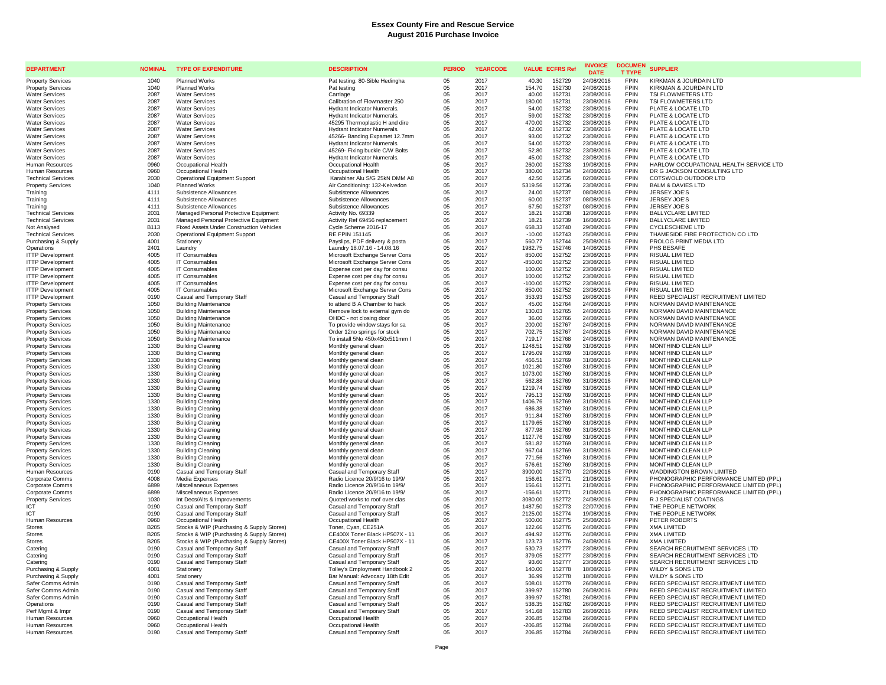| <b>DEPARTMENT</b>                                    | <b>NOMINAL</b> | <b>TYPE OF EXPENDITURE</b>                                       | <b>DESCRIPTION</b>                                            | <b>PERIOD</b> | <b>YEARCODE</b> | <b>VALUE ECFRS Ref</b> |                  | <b>INVOICE</b><br><b>DATE</b> | <b>DOCUMEN</b><br><b>T TYPE</b> | <b>SUPPLIER</b>                                                            |
|------------------------------------------------------|----------------|------------------------------------------------------------------|---------------------------------------------------------------|---------------|-----------------|------------------------|------------------|-------------------------------|---------------------------------|----------------------------------------------------------------------------|
| <b>Property Services</b>                             | 1040           | <b>Planned Works</b>                                             | Pat testing: 80-Sible Hedingha                                | 05            | 2017            | 40.30                  | 152729           | 24/08/2016                    | <b>FPIN</b>                     | KIRKMAN & JOURDAIN LTD                                                     |
| <b>Property Services</b>                             | 1040           | Planned Works                                                    | Pat testing                                                   | 05            | 2017            | 154.70                 | 152730           | 24/08/2016                    | <b>FPIN</b>                     | KIRKMAN & JOURDAIN LTD                                                     |
| <b>Water Services</b>                                | 2087           | <b>Water Services</b>                                            | Carriage                                                      | 05            | 2017            | 40.00                  | 152731           | 23/08/2016                    | <b>FPIN</b>                     | TSI FLOWMETERS LTD                                                         |
| <b>Water Services</b>                                | 2087           | <b>Water Services</b>                                            | Calibration of Flowmaster 250                                 | 05            | 2017            | 180.00                 | 152731           | 23/08/2016                    | <b>FPIN</b>                     | TSI FLOWMETERS LTD                                                         |
| <b>Water Services</b>                                | 2087           | <b>Water Services</b>                                            | Hydrant Indicator Numerals.                                   | 05            | 2017            | 54.00                  | 152732           | 23/08/2016                    | <b>FPIN</b>                     | PLATE & LOCATE LTD                                                         |
| <b>Water Services</b>                                | 2087           | <b>Water Services</b>                                            | Hydrant Indicator Numerals.                                   | 05<br>05      | 2017            | 59.00                  | 152732           | 23/08/2016                    | <b>FPIN</b><br><b>FPIN</b>      | PLATE & LOCATE LTD                                                         |
| <b>Water Services</b><br><b>Water Services</b>       | 2087<br>2087   | <b>Water Services</b><br><b>Water Services</b>                   | 45295 Thermoplastic H and dire<br>Hydrant Indicator Numerals. | 05            | 2017<br>2017    | 470.00<br>42.00        | 152732<br>152732 | 23/08/2016<br>23/08/2016      | <b>FPIN</b>                     | PLATE & LOCATE LTD<br>PLATE & LOCATE LTD                                   |
| <b>Water Services</b>                                | 2087           | <b>Water Services</b>                                            | 45266- Banding, Expamet 12.7mm                                | 05            | 2017            | 93.00                  | 152732           | 23/08/2016                    | <b>FPIN</b>                     | PLATE & LOCATE LTD                                                         |
| <b>Water Services</b>                                | 2087           | <b>Water Services</b>                                            | Hydrant Indicator Numerals.                                   | 05            | 2017            | 54.00                  | 152732           | 23/08/2016                    | <b>FPIN</b>                     | PLATE & LOCATE LTD                                                         |
| <b>Water Services</b>                                | 2087           | <b>Water Services</b>                                            | 45269- Fixing buckle C/W Bolts                                | 05            | 2017            | 52.80                  | 152732           | 23/08/2016                    | <b>FPIN</b>                     | PLATE & LOCATE LTD                                                         |
| <b>Water Services</b>                                | 2087           | <b>Water Services</b>                                            | <b>Hydrant Indicator Numerals</b>                             | 05            | 2017            | 45.00                  | 152732           | 23/08/2016                    | <b>FPIN</b>                     | PLATE & LOCATE LTD                                                         |
| Human Resources                                      | 0960           | Occupational Health                                              | Occupational Health                                           | 05            | 2017            | 260.00                 | 152733           | 19/08/2016                    | <b>FPIN</b>                     | HARLOW OCCUPATIONAL HEALTH SERVICE LTD                                     |
| Human Resources                                      | 0960           | Occupational Health                                              | Occupational Health                                           | 05            | 2017            | 380.00                 | 152734           | 24/08/2016                    | <b>FPIN</b>                     | DR G JACKSON CONSULTING LTD                                                |
| <b>Technical Services</b>                            | 2030           | <b>Operational Equipment Support</b>                             | Karabiner Alu S/G 25kN DMM A8                                 | 05            | 2017            | 42.50                  | 152735           | 02/08/2016                    | <b>FPIN</b>                     | COTSWOLD OUTDOOR LTD                                                       |
| <b>Property Services</b>                             | 1040           | Planned Works                                                    | Air Conditioning: 132-Kelvedon                                | 05            | 2017            | 5319.56                | 152736           | 23/08/2016                    | <b>FPIN</b>                     | <b>BALM &amp; DAVIES LTD</b>                                               |
| Training                                             | 4111           | Subsistence Allowances                                           | Subsistence Allowances                                        | 05            | 2017            | 24.00                  | 152737           | 08/08/2016                    | <b>FPIN</b>                     | JERSEY JOE'S                                                               |
| Training                                             | 4111<br>4111   | Subsistence Allowances<br>Subsistence Allowances                 | Subsistence Allowances                                        | 05<br>05      | 2017<br>2017    | 60.00<br>67.50         | 152737<br>152737 | 08/08/2016                    | <b>FPIN</b><br><b>FPIN</b>      | JERSEY JOE'S<br><b>JERSEY JOE'S</b>                                        |
| Training<br><b>Technical Services</b>                | 2031           | Managed Personal Protective Equipment                            | Subsistence Allowances<br>Activity No. 69339                  | 05            | 2017            | 18.21                  | 152738           | 08/08/2016<br>12/08/2016      | <b>FPIN</b>                     | <b>BALLYCLARE LIMITED</b>                                                  |
| <b>Technical Services</b>                            | 2031           | Managed Personal Protective Equipment                            | Activity Ref 69456 replacement                                | 05            | 2017            | 18.21                  | 152739           | 16/08/2016                    | <b>FPIN</b>                     | <b>BALLYCLARE LIMITED</b>                                                  |
| Not Analysed                                         | <b>B113</b>    | Fixed Assets Under Construction Vehicles                         | Cycle Scheme 2016-17                                          | 05            | 2017            | 658.33                 | 152740           | 29/08/2016                    | <b>FPIN</b>                     | CYCLESCHEME LTD                                                            |
| <b>Technical Services</b>                            | 2030           | Operational Equipment Support                                    | <b>RE FPIN 151145</b>                                         | 05            | 2017            | $-10.00$               | 152743           | 25/08/2016                    | <b>FPIN</b>                     | THAMESIDE FIRE PROTECTION CO LTD                                           |
| Purchasing & Supply                                  | 4001           | Stationery                                                       | Payslips, PDF delivery & posta                                | 05            | 2017            | 560.77                 | 152744           | 25/08/2016                    | <b>FPIN</b>                     | PROLOG PRINT MEDIA LTD                                                     |
| Operations                                           | 2401           | Laundry                                                          | Laundry 18.07.16 - 14.08.16                                   | 05            | 2017            | 1982.75                | 152746           | 14/08/2016                    | <b>FPIN</b>                     | PHS BESAFE                                                                 |
| <b>ITTP Development</b>                              | 4005           | IT Consumables                                                   | Microsoft Exchange Server Cons                                | 05            | 2017            | 850.00                 | 152752           | 23/08/2016                    | <b>FPIN</b>                     | <b>RISUAL LIMITED</b>                                                      |
| <b>ITTP Development</b>                              | 4005           | IT Consumables                                                   | Microsoft Exchange Server Cons                                | 05            | 2017            | $-850.00$              | 152752           | 23/08/2016                    | <b>FPIN</b>                     | <b>RISUAL LIMITED</b>                                                      |
| <b>ITTP Development</b>                              | 4005           | IT Consumables                                                   | Expense cost per day for consu                                | 05            | 2017            | 100.00                 | 152752           | 23/08/2016                    | <b>FPIN</b>                     | <b>RISUAL LIMITED</b>                                                      |
| <b>ITTP Development</b>                              | 4005           | IT Consumables                                                   | Expense cost per day for consu                                | 05            | 2017            | 100.00                 | 152752           | 23/08/2016                    | <b>FPIN</b>                     | RISUAL LIMITED                                                             |
| <b>ITTP Development</b>                              | 4005           | <b>IT Consumables</b>                                            | Expense cost per day for consu                                | 05            | 2017            | $-100.00$              | 152752           | 23/08/2016                    | <b>FPIN</b><br><b>FPIN</b>      | <b>RISUAL LIMITED</b>                                                      |
| <b>ITTP Development</b><br><b>ITTP Development</b>   | 4005<br>0190   | <b>IT Consumables</b><br>Casual and Temporary Staff              | Microsoft Exchange Server Cons<br>Casual and Temporary Staff  | 05<br>05      | 2017<br>2017    | 850.00<br>353.93       | 152752<br>152753 | 23/08/2016<br>26/08/2016      | <b>FPIN</b>                     | RISUAL LIMITED<br>REED SPECIALIST RECRUITMENT LIMITED                      |
| <b>Property Services</b>                             | 1050           | <b>Building Maintenance</b>                                      | to attend B A Chamber to hack                                 | 05            | 2017            | 45.00                  | 152764           | 24/08/2016                    | <b>FPIN</b>                     | NORMAN DAVID MAINTENANCE                                                   |
| <b>Property Services</b>                             | 1050           | <b>Building Maintenance</b>                                      | Remove lock to external gym do                                | 05            | 2017            | 130.03                 | 152765           | 24/08/2016                    | <b>FPIN</b>                     | NORMAN DAVID MAINTENANCE                                                   |
| <b>Property Services</b>                             | 1050           | <b>Building Maintenance</b>                                      | OHDC - not closing door                                       | 05            | 2017            | 36.00                  | 152766           | 24/08/2016                    | <b>FPIN</b>                     | NORMAN DAVID MAINTENANCE                                                   |
| <b>Property Services</b>                             | 1050           | <b>Building Maintenance</b>                                      | To provide window stays for sa                                | 05            | 2017            | 200.00                 | 152767           | 24/08/2016                    | <b>FPIN</b>                     | NORMAN DAVID MAINTENANCE                                                   |
| <b>Property Services</b>                             | 1050           | <b>Building Maintenance</b>                                      | Order 12no springs for stock                                  | 05            | 2017            | 702.75                 | 152767           | 24/08/2016                    | <b>FPIN</b>                     | NORMAN DAVID MAINTENANCE                                                   |
| <b>Property Services</b>                             | 1050           | <b>Building Maintenance</b>                                      | To install 5No 450x450x511mm I                                | 05            | 2017            | 719.17                 | 152768           | 24/08/2016                    | <b>FPIN</b>                     | NORMAN DAVID MAINTENANCE                                                   |
| <b>Property Services</b>                             | 1330           | <b>Building Cleaning</b>                                         | Monthly general clean                                         | 05            | 2017            | 1248.51                | 152769           | 31/08/2016                    | <b>FPIN</b>                     | MONTHIND CLEAN LLP                                                         |
| <b>Property Services</b>                             | 1330           | <b>Building Cleaning</b>                                         | Monthly general clean                                         | 05            | 2017            | 1795.09                | 152769           | 31/08/2016                    | <b>FPIN</b>                     | MONTHIND CLEAN LLP                                                         |
| <b>Property Services</b>                             | 1330           | <b>Building Cleaning</b>                                         | Monthly general clean                                         | 05            | 2017            | 466.51                 | 152769           | 31/08/2016                    | <b>FPIN</b><br><b>FPIN</b>      | MONTHIND CLEAN LLP                                                         |
| <b>Property Services</b>                             | 1330<br>1330   | <b>Building Cleaning</b><br><b>Building Cleaning</b>             | Monthly general clean                                         | 05<br>05      | 2017<br>2017    | 1021.80<br>1073.00     | 152769<br>152769 | 31/08/2016<br>31/08/2016      | <b>FPIN</b>                     | MONTHIND CLEAN LLP<br>MONTHIND CLEAN LLP                                   |
| <b>Property Services</b><br><b>Property Services</b> | 1330           | <b>Building Cleaning</b>                                         | Monthly general clean<br>Monthly general clean                | 05            | 2017            | 562.88                 | 152769           | 31/08/2016                    | <b>FPIN</b>                     | MONTHIND CLEAN LLP                                                         |
| <b>Property Services</b>                             | 1330           | <b>Building Cleaning</b>                                         | Monthly general clean                                         | 05            | 2017            | 1219.74                | 152769           | 31/08/2016                    | <b>FPIN</b>                     | MONTHIND CLEAN LLP                                                         |
| <b>Property Services</b>                             | 1330           | <b>Building Cleaning</b>                                         | Monthly general clean                                         | 05            | 2017            | 795.13                 | 152769           | 31/08/2016                    | <b>FPIN</b>                     | MONTHIND CLEAN LLP                                                         |
| <b>Property Services</b>                             | 1330           | <b>Building Cleaning</b>                                         | Monthly general clean                                         | 05            | 2017            | 1406.76                | 152769           | 31/08/2016                    | <b>FPIN</b>                     | MONTHIND CLEAN LLP                                                         |
| <b>Property Services</b>                             | 1330           | <b>Building Cleaning</b>                                         | Monthly general clean                                         | 05            | 2017            | 686.38                 | 152769           | 31/08/2016                    | <b>FPIN</b>                     | MONTHIND CLEAN LLP                                                         |
| <b>Property Services</b>                             | 1330           | <b>Building Cleaning</b>                                         | Monthly general clean                                         | 05            | 2017            | 911.84                 | 152769           | 31/08/2016                    | <b>FPIN</b>                     | MONTHIND CLEAN LLP                                                         |
| <b>Property Services</b>                             | 1330           | <b>Building Cleaning</b>                                         | Monthly general clean                                         | 05            | 2017            | 1179.65                | 152769           | 31/08/2016                    | <b>FPIN</b>                     | MONTHIND CLEAN LLP                                                         |
| <b>Property Services</b>                             | 1330           | <b>Building Cleaning</b>                                         | Monthly general clean                                         | 05            | 2017<br>2017    | 877.98                 | 152769<br>152769 | 31/08/2016                    | <b>FPIN</b><br><b>FPIN</b>      | MONTHIND CLEAN LLP                                                         |
| <b>Property Services</b>                             | 1330<br>1330   | <b>Building Cleaning</b><br><b>Building Cleaning</b>             | Monthly general clean                                         | 05<br>05      | 2017            | 1127.76<br>581.82      | 152769           | 31/08/2016<br>31/08/2016      | <b>FPIN</b>                     | MONTHIND CLEAN LLP<br>MONTHIND CLEAN LLP                                   |
| <b>Property Services</b><br><b>Property Services</b> | 1330           | <b>Building Cleaning</b>                                         | Monthly general clean<br>Monthly general clean                | 05            | 2017            | 967.04                 | 152769           | 31/08/2016                    | <b>FPIN</b>                     | MONTHIND CLEAN LLP                                                         |
| <b>Property Services</b>                             | 1330           | <b>Building Cleaning</b>                                         | Monthly general clean                                         | 05            | 2017            | 771.56                 | 152769           | 31/08/2016                    | <b>FPIN</b>                     | MONTHIND CLEAN LLP                                                         |
| <b>Property Services</b>                             | 1330           | <b>Building Cleaning</b>                                         | Monthly general clean                                         | 05            | 2017            | 576.61                 | 152769           | 31/08/2016                    | <b>FPIN</b>                     | MONTHIND CLEAN LLP                                                         |
| Human Resources                                      | 0190           | Casual and Temporary Staff                                       | Casual and Temporary Staff                                    | 05            | 2017            | 3900.00                | 152770           | 22/08/2016                    | <b>FPIN</b>                     | WADDINGTON BROWN LIMITED                                                   |
| Corporate Comms                                      | 4008           | Media Expenses                                                   | Radio Licence 20/9/16 to 19/9/                                | 05            | 2017            | 156.61                 | 152771           | 21/08/2016                    | <b>FPIN</b>                     | PHONOGRAPHIC PERFORMANCE LIMITED (PPL)                                     |
| Corporate Comms                                      | 6899           | Miscellaneous Expenses                                           | Radio Licence 20/9/16 to 19/9/                                | 05            | 2017            | 156.61                 | 152771           | 21/08/2016                    | <b>FPIN</b>                     | PHONOGRAPHIC PERFORMANCE LIMITED (PPL)                                     |
| Corporate Comms                                      | 6899           | Miscellaneous Expenses                                           | Radio Licence 20/9/16 to 19/9/                                | 05            | 2017            | $-156.61$              | 152771           | 21/08/2016                    | <b>FPIN</b>                     | PHONOGRAPHIC PERFORMANCE LIMITED (PPL)                                     |
| <b>Property Services</b>                             | 1030           | Int Decs/Alts & Improvements                                     | Quoted works to roof over clas                                | 05            | 2017            | 3080.00                | 152772           | 24/08/2016                    | <b>FPIN</b>                     | R J SPECIALIST COATINGS                                                    |
| ICT                                                  | 0190           | Casual and Temporary Staff                                       | Casual and Temporary Staff                                    | 05            | 2017            | 1487.50                | 152773           | 22/07/2016                    | <b>FPIN</b>                     | THE PEOPLE NETWORK                                                         |
| IC <sub>1</sub>                                      | 0190<br>0960   | Casual and Temporary Staff                                       | Casual and Temporary Staff                                    | 05<br>05      | 2017            | 2125.00                | 152774           | 19/08/2016                    | <b>FPIN</b><br><b>FPIN</b>      | THE PEOPLE NETWORK                                                         |
| Human Resources<br><b>Stores</b>                     | <b>B205</b>    | Occupational Health<br>Stocks & WIP (Purchasing & Supply Stores) | Occupational Health<br>Toner, Cyan, CE251A                    | 05            | 2017<br>2017    | 500.00<br>122.66       | 152775<br>152776 | 25/08/2016<br>24/08/2016      | <b>FPIN</b>                     | PETER ROBERTS<br><b>XMA LIMITED</b>                                        |
| Stores                                               | <b>B205</b>    | Stocks & WIP (Purchasing & Supply Stores)                        | CE400X Toner Black HP507X - 11                                | 05            | 2017            | 494.92                 | 152776           | 24/08/2016                    | <b>FPIN</b>                     | <b>XMA LIMITED</b>                                                         |
| Stores                                               | <b>B205</b>    | Stocks & WIP (Purchasing & Supply Stores)                        | CE400X Toner Black HP507X - 11                                | 05            | 2017            | 123.73                 | 152776           | 24/08/2016                    | <b>FPIN</b>                     | <b>XMA LIMITED</b>                                                         |
| Catering                                             | 0190           | Casual and Temporary Staff                                       | Casual and Temporary Staff                                    | 05            | 2017            | 530.73                 | 152777           | 23/08/2016                    | <b>FPIN</b>                     | SEARCH RECRUITMENT SERVICES LTD                                            |
| Catering                                             | 0190           | Casual and Temporary Staff                                       | Casual and Temporary Staff                                    | 05            | 2017            | 379.05                 | 152777           | 23/08/2016                    | <b>FPIN</b>                     | SEARCH RECRUITMENT SERVICES LTD                                            |
| Catering                                             | 0190           | Casual and Temporary Staff                                       | Casual and Temporary Staff                                    | 05            | 2017            | 93.60                  | 152777           | 23/08/2016                    | <b>FPIN</b>                     | SEARCH RECRUITMENT SERVICES LTD                                            |
| Purchasing & Supply                                  | 4001           | Stationery                                                       | Tolley's Employment Handbook 2                                | 05            | 2017            | 140.00                 | 152778           | 18/08/2016                    | <b>FPIN</b>                     | WILDY & SONS LTD                                                           |
| Purchasing & Supply                                  | 4001           | Stationery                                                       | Bar Manual: Advocacy 18th Edit                                | 05            | 2017            | 36.99                  | 152778           | 18/08/2016                    | <b>FPIN</b>                     | WILDY & SONS LTD                                                           |
| Safer Comms Admin                                    | 0190           | Casual and Temporary Staff                                       | Casual and Temporary Staff                                    | 05            | 2017            | 508.01                 | 152779           | 26/08/2016                    | <b>FPIN</b>                     | REED SPECIALIST RECRUITMENT LIMITED                                        |
| Safer Comms Admir                                    | 0190<br>0190   | Casual and Temporary Staff                                       | Casual and Temporary Staff                                    | 05            | 2017<br>2017    | 399.97<br>399.97       | 152780<br>152781 | 26/08/2016<br>26/08/2016      | <b>FPIN</b><br><b>FPIN</b>      | REED SPECIALIST RECRUITMENT LIMITED                                        |
| Safer Comms Admin                                    |                | Casual and Temporary Staff                                       | Casual and Temporary Staff                                    | 05<br>05      |                 |                        |                  |                               | <b>FPIN</b>                     | REED SPECIALIST RECRUITMENT LIMITED<br>REED SPECIALIST RECRUITMENT LIMITED |
| Operations<br>Perf Mamt & Impr                       | 0190<br>0190   | Casual and Temporary Staff<br>Casual and Temporary Staff         | Casual and Temporary Staff<br>Casual and Temporary Staff      | 05            | 2017<br>2017    | 538.35<br>541.68       | 152782<br>152783 | 26/08/2016<br>26/08/2016      | <b>FPIN</b>                     | REED SPECIALIST RECRUITMENT LIMITED                                        |
| <b>Human Resources</b>                               | 0960           | Occupational Health                                              | Occupational Health                                           | 05            | 2017            | 206.85                 | 152784           | 26/08/2016                    | <b>FPIN</b>                     | REED SPECIALIST RECRUITMENT LIMITED                                        |
| Human Resources                                      | 0960           | Occupational Health                                              | Occupational Health                                           | 05            | 2017            | $-206.85$              | 152784           | 26/08/2016                    | <b>FPIN</b>                     | REED SPECIALIST RECRUITMENT LIMITED                                        |
| Human Resources                                      | 0190           | Casual and Temporary Staff                                       | Casual and Temporary Staff                                    | 05            | 2017            | 206.85                 | 152784           | 26/08/2016                    | <b>FPIN</b>                     | REED SPECIALIST RECRUITMENT LIMITED                                        |
|                                                      |                |                                                                  |                                                               |               |                 |                        |                  |                               |                                 |                                                                            |